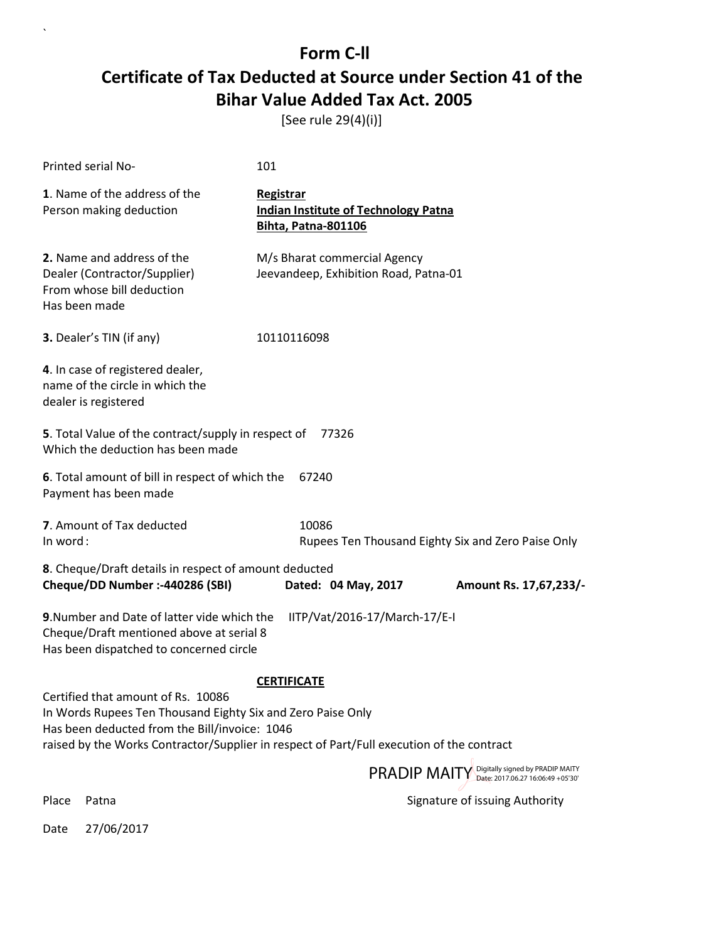[See rule 29(4)(i)]

| Printed serial No-                                                                                                                                                                                                                              | 101                                                                                           |  |  |
|-------------------------------------------------------------------------------------------------------------------------------------------------------------------------------------------------------------------------------------------------|-----------------------------------------------------------------------------------------------|--|--|
| 1. Name of the address of the<br>Person making deduction                                                                                                                                                                                        | <b>Registrar</b><br><b>Indian Institute of Technology Patna</b><br><b>Bihta, Patna-801106</b> |  |  |
| 2. Name and address of the<br>Dealer (Contractor/Supplier)<br>From whose bill deduction<br>Has been made                                                                                                                                        | M/s Bharat commercial Agency<br>Jeevandeep, Exhibition Road, Patna-01                         |  |  |
| 3. Dealer's TIN (if any)                                                                                                                                                                                                                        | 10110116098                                                                                   |  |  |
| 4. In case of registered dealer,<br>name of the circle in which the<br>dealer is registered                                                                                                                                                     |                                                                                               |  |  |
| 5. Total Value of the contract/supply in respect of<br>77326<br>Which the deduction has been made                                                                                                                                               |                                                                                               |  |  |
| 6. Total amount of bill in respect of which the<br>Payment has been made                                                                                                                                                                        | 67240                                                                                         |  |  |
| 7. Amount of Tax deducted<br>In word:                                                                                                                                                                                                           | 10086<br>Rupees Ten Thousand Eighty Six and Zero Paise Only                                   |  |  |
| 8. Cheque/Draft details in respect of amount deducted<br>Cheque/DD Number :- 440286 (SBI)                                                                                                                                                       | Dated: 04 May, 2017<br>Amount Rs. 17,67,233/-                                                 |  |  |
| 9. Number and Date of latter vide which the<br>IITP/Vat/2016-17/March-17/E-I<br>Cheque/Draft mentioned above at serial 8<br>Has been dispatched to concerned circle                                                                             |                                                                                               |  |  |
| <b>CERTIFICATE</b>                                                                                                                                                                                                                              |                                                                                               |  |  |
| Certified that amount of Rs. 10086<br>In Words Rupees Ten Thousand Eighty Six and Zero Paise Only<br>Has been deducted from the Bill/invoice: 1046<br>raised by the Works Contractor/Supplier in respect of Part/Full execution of the contract |                                                                                               |  |  |
|                                                                                                                                                                                                                                                 | PRADIP MAITY Digitally signed by PRADIP MAITY                                                 |  |  |

 $\overline{\phantom{a}}$ 

Place Patna **Property** Place Patna Signature of issuing Authority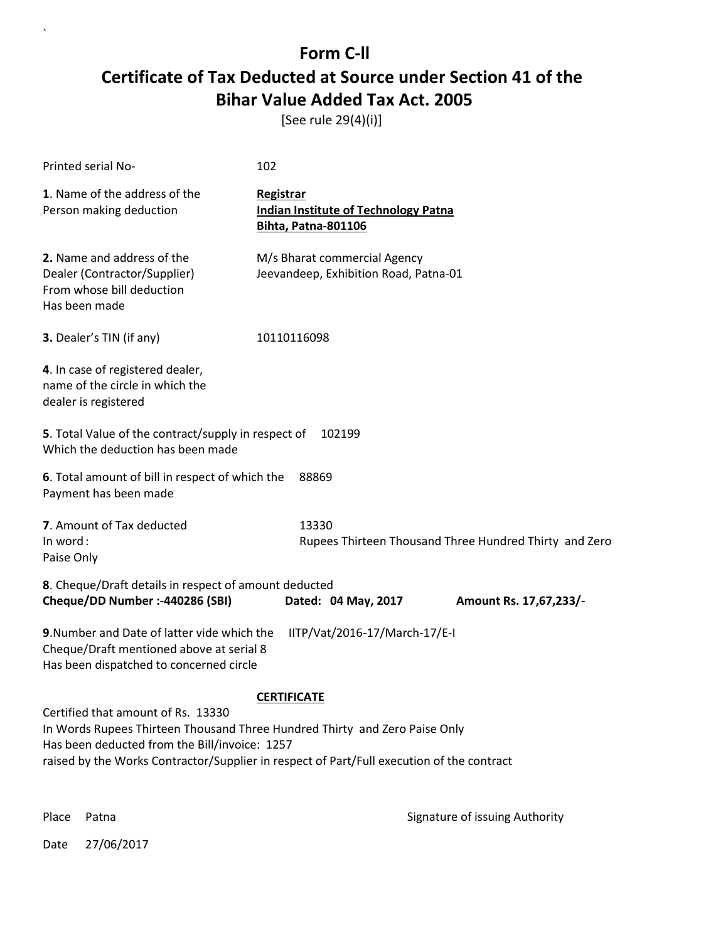[See rule 29(4)(i)]

| Printed serial No-                                                                                                                                                                                                                                             | 102                                                                                           |  |
|----------------------------------------------------------------------------------------------------------------------------------------------------------------------------------------------------------------------------------------------------------------|-----------------------------------------------------------------------------------------------|--|
| 1. Name of the address of the<br>Person making deduction                                                                                                                                                                                                       | <b>Registrar</b><br><b>Indian Institute of Technology Patna</b><br><b>Bihta, Patna-801106</b> |  |
| 2. Name and address of the<br>Dealer (Contractor/Supplier)<br>From whose bill deduction<br>Has been made                                                                                                                                                       | M/s Bharat commercial Agency<br>Jeevandeep, Exhibition Road, Patna-01                         |  |
| 3. Dealer's TIN (if any)                                                                                                                                                                                                                                       | 10110116098                                                                                   |  |
| 4. In case of registered dealer,<br>name of the circle in which the<br>dealer is registered                                                                                                                                                                    |                                                                                               |  |
| 5. Total Value of the contract/supply in respect of<br>Which the deduction has been made                                                                                                                                                                       | 102199                                                                                        |  |
| 6. Total amount of bill in respect of which the<br>Payment has been made                                                                                                                                                                                       | 88869                                                                                         |  |
| 7. Amount of Tax deducted<br>In word:<br>Paise Only                                                                                                                                                                                                            | 13330<br>Rupees Thirteen Thousand Three Hundred Thirty and Zero                               |  |
| 8. Cheque/Draft details in respect of amount deducted<br>Cheque/DD Number :- 440286 (SBI)                                                                                                                                                                      | Dated: 04 May, 2017<br>Amount Rs. 17,67,233/-                                                 |  |
| 9. Number and Date of latter vide which the<br>IITP/Vat/2016-17/March-17/E-I<br>Cheque/Draft mentioned above at serial 8<br>Has been dispatched to concerned circle                                                                                            |                                                                                               |  |
|                                                                                                                                                                                                                                                                | <b>CERTIFICATE</b>                                                                            |  |
| Certified that amount of Rs. 13330<br>In Words Rupees Thirteen Thousand Three Hundred Thirty and Zero Paise Only<br>Has been deducted from the Bill/invoice: 1257<br>raised by the Works Contractor/Supplier in respect of Part/Full execution of the contract |                                                                                               |  |
|                                                                                                                                                                                                                                                                | PRADIP MAITY Digitally signed by PRADIP MAITY                                                 |  |

 $\ddot{\phantom{0}}$ 

Place Patna **Property** Place Patna Signature of issuing Authority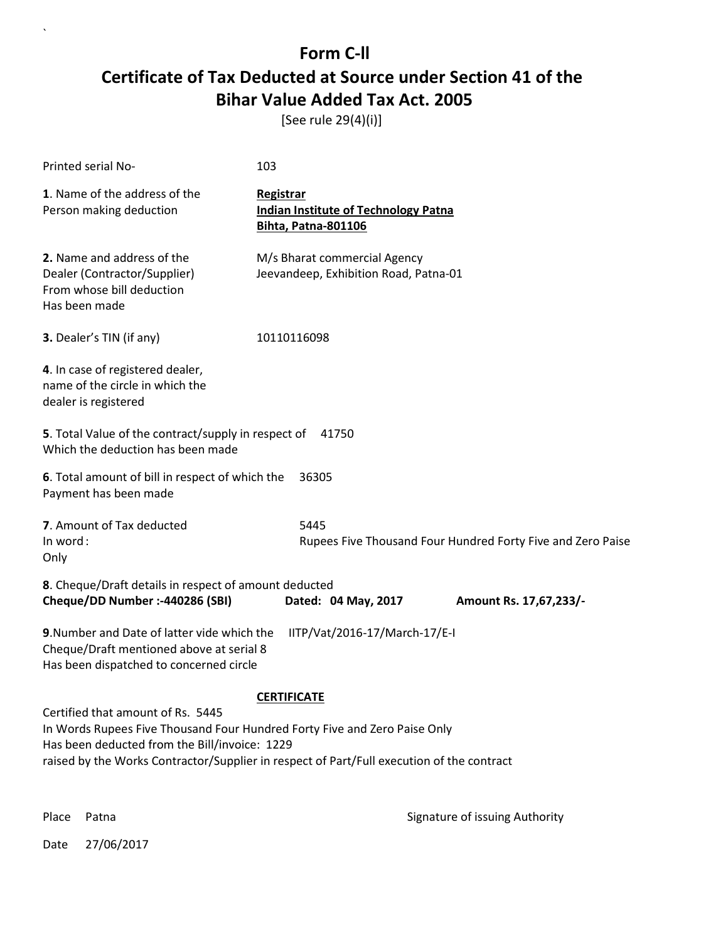[See rule 29(4)(i)]

| 103                                                                                                                                                                                                                                                          |  |  |  |
|--------------------------------------------------------------------------------------------------------------------------------------------------------------------------------------------------------------------------------------------------------------|--|--|--|
| Registrar<br><b>Indian Institute of Technology Patna</b><br><b>Bihta, Patna-801106</b>                                                                                                                                                                       |  |  |  |
| M/s Bharat commercial Agency<br>Jeevandeep, Exhibition Road, Patna-01                                                                                                                                                                                        |  |  |  |
| 10110116098                                                                                                                                                                                                                                                  |  |  |  |
| 4. In case of registered dealer,<br>name of the circle in which the<br>dealer is registered                                                                                                                                                                  |  |  |  |
| 5. Total Value of the contract/supply in respect of<br>41750                                                                                                                                                                                                 |  |  |  |
| 6. Total amount of bill in respect of which the<br>36305                                                                                                                                                                                                     |  |  |  |
| 5445<br>Rupees Five Thousand Four Hundred Forty Five and Zero Paise                                                                                                                                                                                          |  |  |  |
| 8. Cheque/Draft details in respect of amount deducted<br>Dated: 04 May, 2017<br>Amount Rs. 17,67,233/-                                                                                                                                                       |  |  |  |
| 9. Number and Date of latter vide which the<br>IITP/Vat/2016-17/March-17/E-I<br>Cheque/Draft mentioned above at serial 8<br>Has been dispatched to concerned circle                                                                                          |  |  |  |
| <b>CERTIFICATE</b>                                                                                                                                                                                                                                           |  |  |  |
| Certified that amount of Rs. 5445<br>In Words Rupees Five Thousand Four Hundred Forty Five and Zero Paise Only<br>Has been deducted from the Bill/invoice: 1229<br>raised by the Works Contractor/Supplier in respect of Part/Full execution of the contract |  |  |  |
| PRADIP MAITY Digitally signed by PRADIP MAITY                                                                                                                                                                                                                |  |  |  |
|                                                                                                                                                                                                                                                              |  |  |  |

 $\ddot{\phantom{0}}$ 

Place Patna **Property** Place Patna Signature of issuing Authority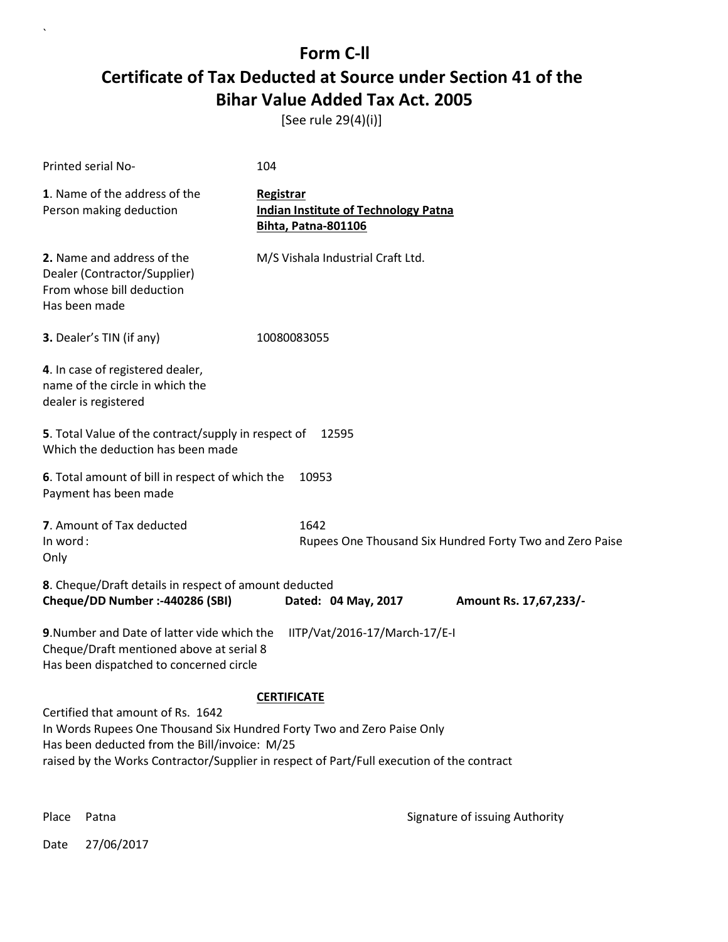[See rule 29(4)(i)]

| Printed serial No-                                                                                                                                                                                                                                        | 104                                                                                    |                                                          |
|-----------------------------------------------------------------------------------------------------------------------------------------------------------------------------------------------------------------------------------------------------------|----------------------------------------------------------------------------------------|----------------------------------------------------------|
| 1. Name of the address of the<br>Person making deduction                                                                                                                                                                                                  | Registrar<br><b>Indian Institute of Technology Patna</b><br><b>Bihta, Patna-801106</b> |                                                          |
| 2. Name and address of the<br>Dealer (Contractor/Supplier)<br>From whose bill deduction<br>Has been made                                                                                                                                                  | M/S Vishala Industrial Craft Ltd.                                                      |                                                          |
| 3. Dealer's TIN (if any)                                                                                                                                                                                                                                  | 10080083055                                                                            |                                                          |
| 4. In case of registered dealer,<br>name of the circle in which the<br>dealer is registered                                                                                                                                                               |                                                                                        |                                                          |
| 5. Total Value of the contract/supply in respect of<br>Which the deduction has been made                                                                                                                                                                  | 12595                                                                                  |                                                          |
| 6. Total amount of bill in respect of which the<br>Payment has been made                                                                                                                                                                                  | 10953                                                                                  |                                                          |
| 7. Amount of Tax deducted<br>In word:<br>Only                                                                                                                                                                                                             | 1642                                                                                   | Rupees One Thousand Six Hundred Forty Two and Zero Paise |
| 8. Cheque/Draft details in respect of amount deducted<br>Cheque/DD Number :- 440286 (SBI)                                                                                                                                                                 | Dated: 04 May, 2017                                                                    | Amount Rs. 17,67,233/-                                   |
| 9. Number and Date of latter vide which the<br>Cheque/Draft mentioned above at serial 8<br>Has been dispatched to concerned circle                                                                                                                        | IITP/Vat/2016-17/March-17/E-I                                                          |                                                          |
|                                                                                                                                                                                                                                                           | <b>CERTIFICATE</b>                                                                     |                                                          |
| Certified that amount of Rs. 1642<br>In Words Rupees One Thousand Six Hundred Forty Two and Zero Paise Only<br>Has been deducted from the Bill/invoice: M/25<br>raised by the Works Contractor/Supplier in respect of Part/Full execution of the contract |                                                                                        |                                                          |
|                                                                                                                                                                                                                                                           |                                                                                        | PRADIP MAITY Digitally signed by PRADIP MAITY            |

 $\ddot{\phantom{0}}$ 

Place Patna **Property** Place Patna Signature of issuing Authority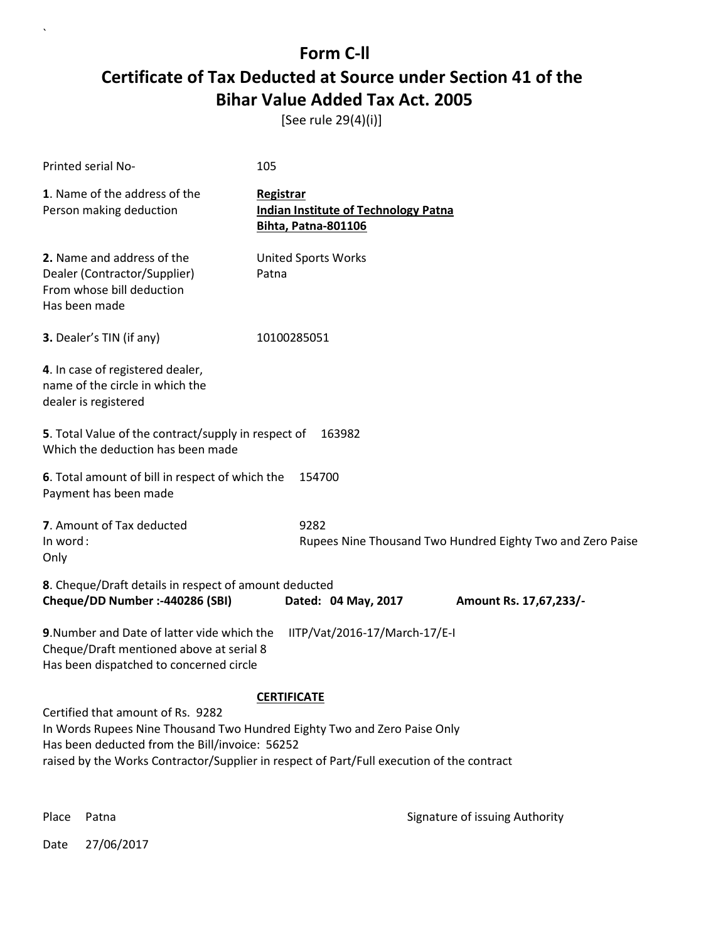[See rule 29(4)(i)]

| 105                                                                                                                                                                                                                                                          |  |  |
|--------------------------------------------------------------------------------------------------------------------------------------------------------------------------------------------------------------------------------------------------------------|--|--|
| Registrar<br><b>Indian Institute of Technology Patna</b><br><b>Bihta, Patna-801106</b>                                                                                                                                                                       |  |  |
| <b>United Sports Works</b><br>Patna                                                                                                                                                                                                                          |  |  |
| 10100285051                                                                                                                                                                                                                                                  |  |  |
|                                                                                                                                                                                                                                                              |  |  |
| 5. Total Value of the contract/supply in respect of<br>163982                                                                                                                                                                                                |  |  |
| 6. Total amount of bill in respect of which the<br>154700                                                                                                                                                                                                    |  |  |
| 9282<br>Rupees Nine Thousand Two Hundred Eighty Two and Zero Paise                                                                                                                                                                                           |  |  |
| 8. Cheque/Draft details in respect of amount deducted<br>Dated: 04 May, 2017<br>Amount Rs. 17,67,233/-                                                                                                                                                       |  |  |
| 9. Number and Date of latter vide which the<br>IITP/Vat/2016-17/March-17/E-I<br>Cheque/Draft mentioned above at serial 8<br>Has been dispatched to concerned circle                                                                                          |  |  |
| <b>CERTIFICATE</b>                                                                                                                                                                                                                                           |  |  |
| Certified that amount of Rs. 9282<br>In Words Rupees Nine Thousand Two Hundred Eighty Two and Zero Paise Only<br>Has been deducted from the Bill/invoice: 56252<br>raised by the Works Contractor/Supplier in respect of Part/Full execution of the contract |  |  |
| PRADIP MAITY Digitally signed by PRADIP MAITY                                                                                                                                                                                                                |  |  |
|                                                                                                                                                                                                                                                              |  |  |

 $\ddot{\phantom{0}}$ 

Place Patna **Property** Place Patna Signature of issuing Authority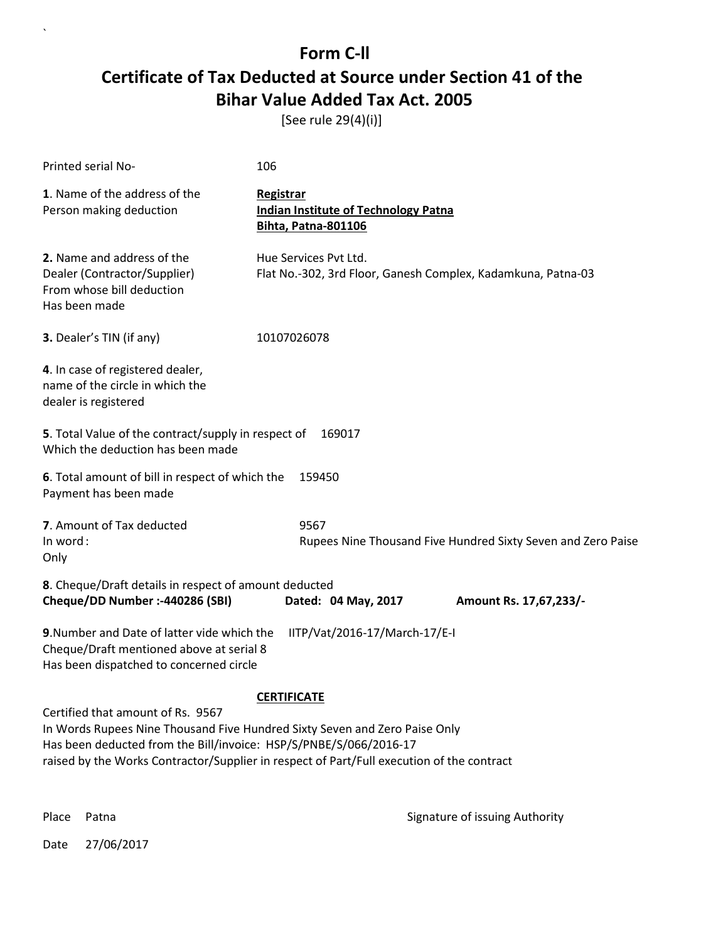[See rule 29(4)(i)]

| Printed serial No-                                                                                                                                                                                                                                                                | 106                                                                                    |                                                              |  |
|-----------------------------------------------------------------------------------------------------------------------------------------------------------------------------------------------------------------------------------------------------------------------------------|----------------------------------------------------------------------------------------|--------------------------------------------------------------|--|
| 1. Name of the address of the<br>Person making deduction                                                                                                                                                                                                                          | Registrar<br><b>Indian Institute of Technology Patna</b><br><b>Bihta, Patna-801106</b> |                                                              |  |
| 2. Name and address of the<br>Dealer (Contractor/Supplier)<br>From whose bill deduction<br>Has been made                                                                                                                                                                          | Hue Services Pvt Ltd.<br>Flat No.-302, 3rd Floor, Ganesh Complex, Kadamkuna, Patna-03  |                                                              |  |
| 3. Dealer's TIN (if any)                                                                                                                                                                                                                                                          | 10107026078                                                                            |                                                              |  |
| 4. In case of registered dealer,<br>name of the circle in which the<br>dealer is registered                                                                                                                                                                                       |                                                                                        |                                                              |  |
| 5. Total Value of the contract/supply in respect of<br>169017<br>Which the deduction has been made                                                                                                                                                                                |                                                                                        |                                                              |  |
| 6. Total amount of bill in respect of which the<br>159450<br>Payment has been made                                                                                                                                                                                                |                                                                                        |                                                              |  |
| 7. Amount of Tax deducted<br>In word:<br>Only                                                                                                                                                                                                                                     | 9567                                                                                   | Rupees Nine Thousand Five Hundred Sixty Seven and Zero Paise |  |
| 8. Cheque/Draft details in respect of amount deducted<br>Cheque/DD Number :- 440286 (SBI)                                                                                                                                                                                         | Dated: 04 May, 2017                                                                    | Amount Rs. 17,67,233/-                                       |  |
| 9. Number and Date of latter vide which the<br>Cheque/Draft mentioned above at serial 8<br>Has been dispatched to concerned circle                                                                                                                                                | IITP/Vat/2016-17/March-17/E-I                                                          |                                                              |  |
|                                                                                                                                                                                                                                                                                   | <b>CERTIFICATE</b>                                                                     |                                                              |  |
| Certified that amount of Rs. 9567<br>In Words Rupees Nine Thousand Five Hundred Sixty Seven and Zero Paise Only<br>Has been deducted from the Bill/invoice: HSP/S/PNBE/S/066/2016-17<br>raised by the Works Contractor/Supplier in respect of Part/Full execution of the contract |                                                                                        |                                                              |  |

 $\ddot{\phantom{0}}$ 

Place Patna **Property** Place Patna Signature of issuing Authority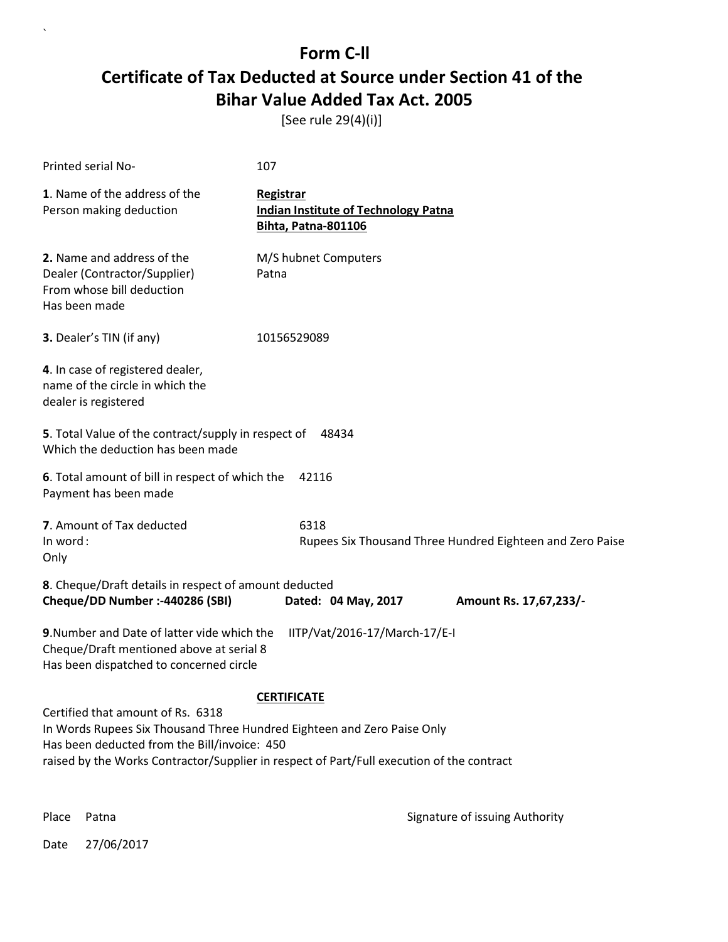[See rule 29(4)(i)]

| <b>Printed serial No-</b>                                                                                                                                                                                                                                 | 107                                                                                    |                                                           |  |
|-----------------------------------------------------------------------------------------------------------------------------------------------------------------------------------------------------------------------------------------------------------|----------------------------------------------------------------------------------------|-----------------------------------------------------------|--|
| 1. Name of the address of the<br>Person making deduction                                                                                                                                                                                                  | Registrar<br><b>Indian Institute of Technology Patna</b><br><b>Bihta, Patna-801106</b> |                                                           |  |
| 2. Name and address of the<br>Dealer (Contractor/Supplier)<br>From whose bill deduction<br>Has been made                                                                                                                                                  | M/S hubnet Computers<br>Patna                                                          |                                                           |  |
| 3. Dealer's TIN (if any)                                                                                                                                                                                                                                  | 10156529089                                                                            |                                                           |  |
| 4. In case of registered dealer,<br>name of the circle in which the<br>dealer is registered                                                                                                                                                               |                                                                                        |                                                           |  |
| 5. Total Value of the contract/supply in respect of<br>48434<br>Which the deduction has been made                                                                                                                                                         |                                                                                        |                                                           |  |
| 6. Total amount of bill in respect of which the<br>Payment has been made                                                                                                                                                                                  | 42116                                                                                  |                                                           |  |
| 7. Amount of Tax deducted<br>In word:<br>Only                                                                                                                                                                                                             | 6318                                                                                   | Rupees Six Thousand Three Hundred Eighteen and Zero Paise |  |
| 8. Cheque/Draft details in respect of amount deducted<br>Cheque/DD Number :- 440286 (SBI)                                                                                                                                                                 | Dated: 04 May, 2017                                                                    | Amount Rs. 17,67,233/-                                    |  |
| 9. Number and Date of latter vide which the<br>Cheque/Draft mentioned above at serial 8<br>Has been dispatched to concerned circle                                                                                                                        | IITP/Vat/2016-17/March-17/E-I                                                          |                                                           |  |
|                                                                                                                                                                                                                                                           | <b>CERTIFICATE</b>                                                                     |                                                           |  |
| Certified that amount of Rs. 6318<br>In Words Rupees Six Thousand Three Hundred Eighteen and Zero Paise Only<br>Has been deducted from the Bill/invoice: 450<br>raised by the Works Contractor/Supplier in respect of Part/Full execution of the contract |                                                                                        |                                                           |  |

`

Place Patna **Property** Place Patna Signature of issuing Authority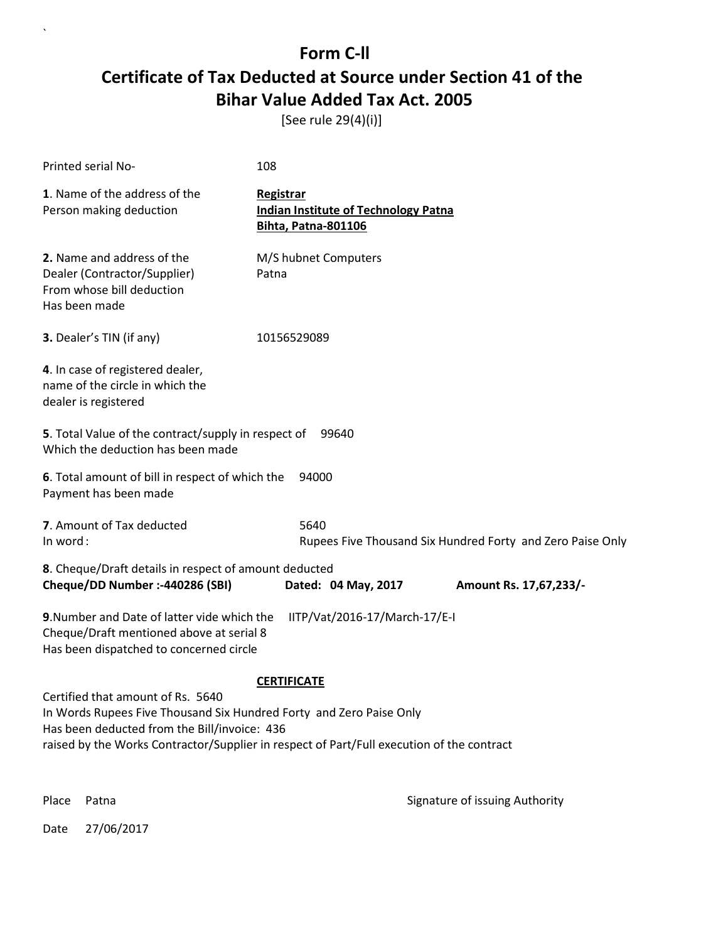[See rule 29(4)(i)]

| Printed serial No-                                                                                                                                                                                                                                                          | 108                                                                                    |  |
|-----------------------------------------------------------------------------------------------------------------------------------------------------------------------------------------------------------------------------------------------------------------------------|----------------------------------------------------------------------------------------|--|
| 1. Name of the address of the<br>Person making deduction                                                                                                                                                                                                                    | Registrar<br><b>Indian Institute of Technology Patna</b><br><b>Bihta, Patna-801106</b> |  |
| 2. Name and address of the<br>Dealer (Contractor/Supplier)<br>From whose bill deduction<br>Has been made                                                                                                                                                                    | M/S hubnet Computers<br>Patna                                                          |  |
| 3. Dealer's TIN (if any)                                                                                                                                                                                                                                                    | 10156529089                                                                            |  |
| 4. In case of registered dealer,<br>name of the circle in which the<br>dealer is registered                                                                                                                                                                                 |                                                                                        |  |
| 5. Total Value of the contract/supply in respect of<br>Which the deduction has been made                                                                                                                                                                                    | 99640                                                                                  |  |
| 6. Total amount of bill in respect of which the<br>Payment has been made                                                                                                                                                                                                    | 94000                                                                                  |  |
| 7. Amount of Tax deducted<br>In word:                                                                                                                                                                                                                                       | 5640<br>Rupees Five Thousand Six Hundred Forty and Zero Paise Only                     |  |
| 8. Cheque/Draft details in respect of amount deducted<br>Cheque/DD Number :- 440286 (SBI)                                                                                                                                                                                   | Dated: 04 May, 2017<br>Amount Rs. 17,67,233/-                                          |  |
| 9. Number and Date of latter vide which the<br>Cheque/Draft mentioned above at serial 8<br>Has been dispatched to concerned circle                                                                                                                                          | IITP/Vat/2016-17/March-17/E-I                                                          |  |
| <b>CERTIFICATE</b><br>Certified that amount of Rs. 5640<br>In Words Rupees Five Thousand Six Hundred Forty and Zero Paise Only<br>Has been deducted from the Bill/invoice: 436<br>raised by the Works Contractor/Supplier in respect of Part/Full execution of the contract |                                                                                        |  |

 $\overline{\phantom{a}}$ 

Place Patna **Property** Place Patna Signature of issuing Authority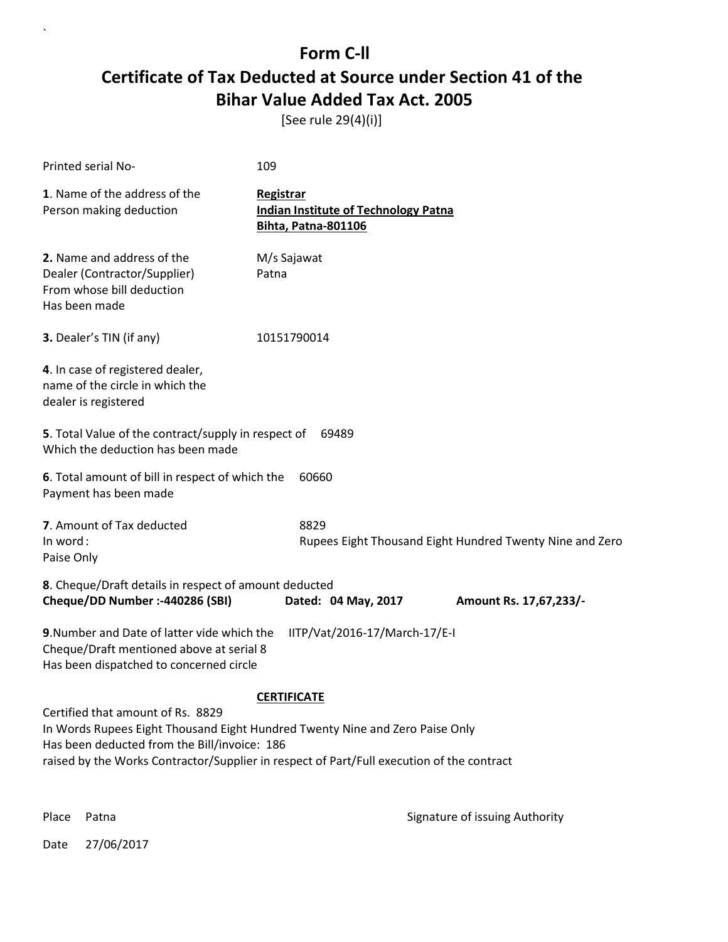[See rule 29(4)(i)]

| Printed serial No-                                                                                                                                                                                                                                             | 109                                                                             |  |  |
|----------------------------------------------------------------------------------------------------------------------------------------------------------------------------------------------------------------------------------------------------------------|---------------------------------------------------------------------------------|--|--|
| 1. Name of the address of the<br>Person making deduction                                                                                                                                                                                                       | Registrar<br><b>Indian Institute of Technology Patna</b><br>Bihta, Patna-801106 |  |  |
| 2. Name and address of the<br>Dealer (Contractor/Supplier)<br>From whose bill deduction<br>Has been made                                                                                                                                                       | M/s Sajawat<br>Patna                                                            |  |  |
| 3. Dealer's TIN (if any)                                                                                                                                                                                                                                       | 10151790014                                                                     |  |  |
| 4. In case of registered dealer,<br>name of the circle in which the<br>dealer is registered                                                                                                                                                                    |                                                                                 |  |  |
| 5. Total Value of the contract/supply in respect of<br>69489<br>Which the deduction has been made                                                                                                                                                              |                                                                                 |  |  |
| 6. Total amount of bill in respect of which the<br>Payment has been made                                                                                                                                                                                       | 60660                                                                           |  |  |
| <b>7</b> . Amount of Tax deducted<br>In word:<br>Paise Only                                                                                                                                                                                                    | 8829<br>Rupees Eight Thousand Eight Hundred Twenty Nine and Zero                |  |  |
| 8. Cheque/Draft details in respect of amount deducted<br>Cheque/DD Number :- 440286 (SBI)                                                                                                                                                                      | Dated: 04 May, 2017<br>Amount Rs. 17,67,233/-                                   |  |  |
| 9. Number and Date of latter vide which the<br>Cheque/Draft mentioned above at serial 8<br>Has been dispatched to concerned circle                                                                                                                             | IITP/Vat/2016-17/March-17/E-I                                                   |  |  |
| <b>CERTIFICATE</b>                                                                                                                                                                                                                                             |                                                                                 |  |  |
| Certified that amount of Rs. 8829<br>In Words Rupees Eight Thousand Eight Hundred Twenty Nine and Zero Paise Only<br>Has been deducted from the Bill/invoice: 186<br>raised by the Works Contractor/Supplier in respect of Part/Full execution of the contract |                                                                                 |  |  |

 $\ddot{\phantom{0}}$ 

Place Patna **Property** Place Patna Signature of issuing Authority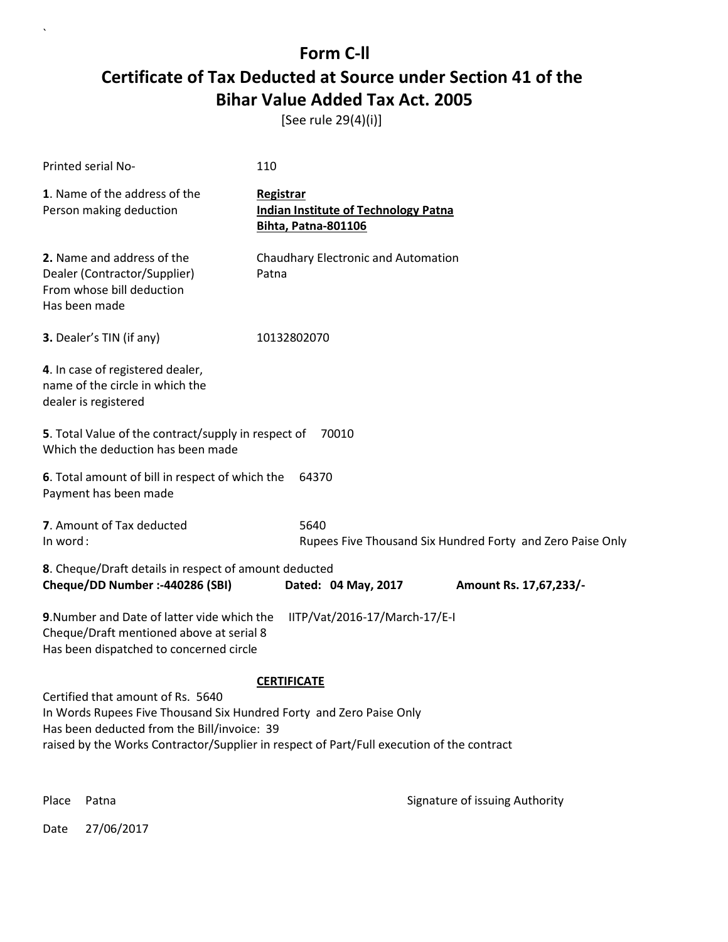[See rule 29(4)(i)]

| Printed serial No-                                                                                                                                                                                                                                                         | 110                                                                                    |  |
|----------------------------------------------------------------------------------------------------------------------------------------------------------------------------------------------------------------------------------------------------------------------------|----------------------------------------------------------------------------------------|--|
| 1. Name of the address of the<br>Person making deduction                                                                                                                                                                                                                   | Registrar<br><b>Indian Institute of Technology Patna</b><br><b>Bihta, Patna-801106</b> |  |
| 2. Name and address of the<br>Dealer (Contractor/Supplier)<br>From whose bill deduction<br>Has been made                                                                                                                                                                   | Chaudhary Electronic and Automation<br>Patna                                           |  |
| 3. Dealer's TIN (if any)                                                                                                                                                                                                                                                   | 10132802070                                                                            |  |
| 4. In case of registered dealer,<br>name of the circle in which the<br>dealer is registered                                                                                                                                                                                |                                                                                        |  |
| 5. Total Value of the contract/supply in respect of<br>Which the deduction has been made                                                                                                                                                                                   | 70010                                                                                  |  |
| 6. Total amount of bill in respect of which the<br>Payment has been made                                                                                                                                                                                                   | 64370                                                                                  |  |
| 7. Amount of Tax deducted<br>In word:                                                                                                                                                                                                                                      | 5640<br>Rupees Five Thousand Six Hundred Forty and Zero Paise Only                     |  |
| 8. Cheque/Draft details in respect of amount deducted<br>Cheque/DD Number :- 440286 (SBI)                                                                                                                                                                                  | Dated: 04 May, 2017<br>Amount Rs. 17,67,233/-                                          |  |
| 9. Number and Date of latter vide which the<br>Cheque/Draft mentioned above at serial 8<br>Has been dispatched to concerned circle                                                                                                                                         | IITP/Vat/2016-17/March-17/E-I                                                          |  |
| <b>CERTIFICATE</b><br>Certified that amount of Rs. 5640<br>In Words Rupees Five Thousand Six Hundred Forty and Zero Paise Only<br>Has been deducted from the Bill/invoice: 39<br>raised by the Works Contractor/Supplier in respect of Part/Full execution of the contract |                                                                                        |  |

Place Patna **Property** Place Patna Signature of issuing Authority

Date 27/06/2017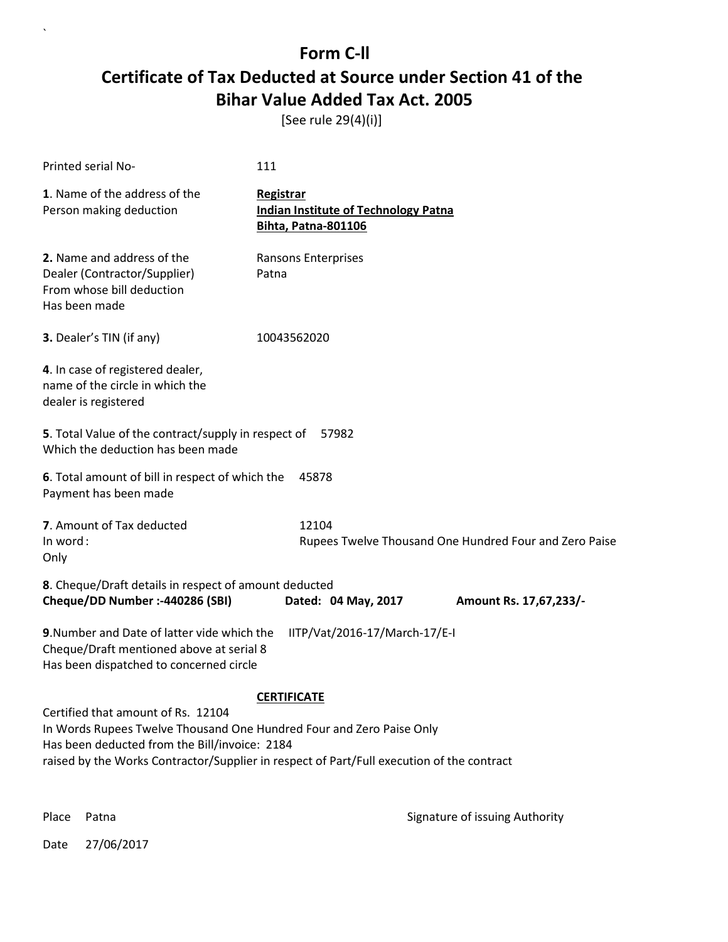[See rule 29(4)(i)]

| <b>Printed serial No-</b>                                                                                                                                                                                                                                | 111                                                                             |                                                        |  |
|----------------------------------------------------------------------------------------------------------------------------------------------------------------------------------------------------------------------------------------------------------|---------------------------------------------------------------------------------|--------------------------------------------------------|--|
| 1. Name of the address of the<br>Person making deduction                                                                                                                                                                                                 | Registrar<br><b>Indian Institute of Technology Patna</b><br>Bihta, Patna-801106 |                                                        |  |
| 2. Name and address of the<br>Dealer (Contractor/Supplier)<br>From whose bill deduction<br>Has been made                                                                                                                                                 | Ransons Enterprises<br>Patna                                                    |                                                        |  |
| 3. Dealer's TIN (if any)                                                                                                                                                                                                                                 | 10043562020                                                                     |                                                        |  |
| 4. In case of registered dealer,<br>name of the circle in which the<br>dealer is registered                                                                                                                                                              |                                                                                 |                                                        |  |
| 5. Total Value of the contract/supply in respect of<br>57982<br>Which the deduction has been made                                                                                                                                                        |                                                                                 |                                                        |  |
| 6. Total amount of bill in respect of which the<br>Payment has been made                                                                                                                                                                                 | 45878                                                                           |                                                        |  |
| 7. Amount of Tax deducted<br>In word:<br>Only                                                                                                                                                                                                            | 12104                                                                           | Rupees Twelve Thousand One Hundred Four and Zero Paise |  |
| 8. Cheque/Draft details in respect of amount deducted<br>Cheque/DD Number :- 440286 (SBI)                                                                                                                                                                | Dated: 04 May, 2017                                                             | Amount Rs. 17,67,233/-                                 |  |
| 9. Number and Date of latter vide which the<br>Cheque/Draft mentioned above at serial 8<br>Has been dispatched to concerned circle                                                                                                                       | IITP/Vat/2016-17/March-17/E-I                                                   |                                                        |  |
|                                                                                                                                                                                                                                                          | <b>CERTIFICATE</b>                                                              |                                                        |  |
| Certified that amount of Rs. 12104<br>In Words Rupees Twelve Thousand One Hundred Four and Zero Paise Only<br>Has been deducted from the Bill/invoice: 2184<br>raised by the Works Contractor/Supplier in respect of Part/Full execution of the contract |                                                                                 |                                                        |  |

 $\ddot{\phantom{0}}$ 

Place Patna **Property** Place Patna Signature of issuing Authority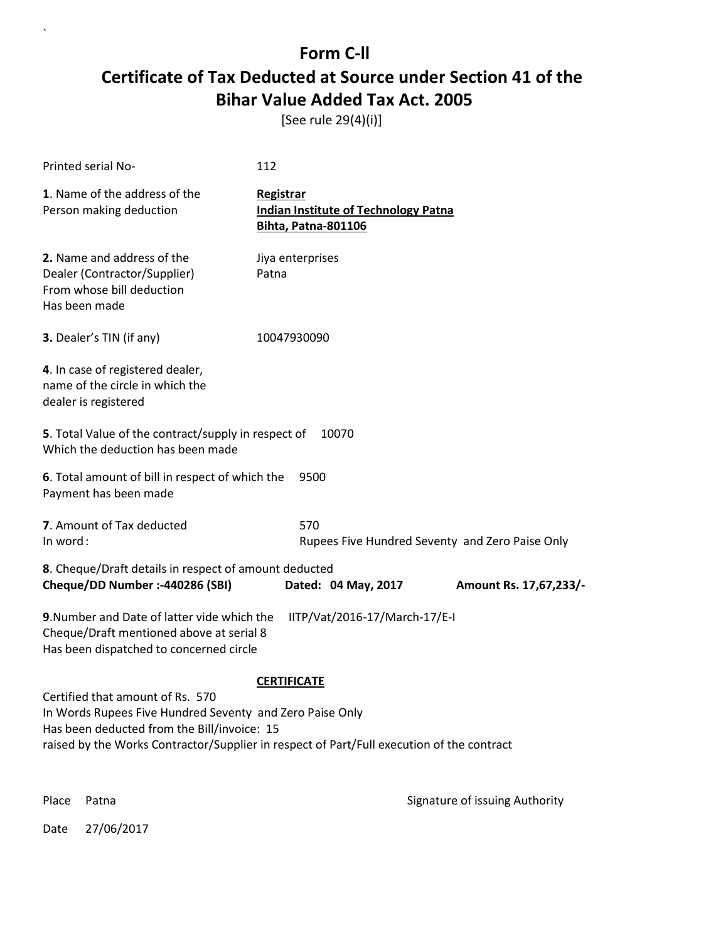[See rule 29(4)(i)]

| Printed serial No-                                                                                                                                                                                                                       | 112                                                                                    |                        |
|------------------------------------------------------------------------------------------------------------------------------------------------------------------------------------------------------------------------------------------|----------------------------------------------------------------------------------------|------------------------|
| 1. Name of the address of the<br>Person making deduction                                                                                                                                                                                 | Registrar<br><b>Indian Institute of Technology Patna</b><br><b>Bihta, Patna-801106</b> |                        |
| 2. Name and address of the<br>Dealer (Contractor/Supplier)<br>From whose bill deduction<br>Has been made                                                                                                                                 | Jiya enterprises<br>Patna                                                              |                        |
| 3. Dealer's TIN (if any)                                                                                                                                                                                                                 | 10047930090                                                                            |                        |
| 4. In case of registered dealer,<br>name of the circle in which the<br>dealer is registered                                                                                                                                              |                                                                                        |                        |
| 5. Total Value of the contract/supply in respect of<br>Which the deduction has been made                                                                                                                                                 | 10070                                                                                  |                        |
| 6. Total amount of bill in respect of which the<br>Payment has been made                                                                                                                                                                 | 9500                                                                                   |                        |
| 7. Amount of Tax deducted<br>In word:                                                                                                                                                                                                    | 570<br>Rupees Five Hundred Seventy and Zero Paise Only                                 |                        |
| 8. Cheque/Draft details in respect of amount deducted<br>Cheque/DD Number :- 440286 (SBI)                                                                                                                                                | Dated: 04 May, 2017                                                                    | Amount Rs. 17,67,233/- |
| 9. Number and Date of latter vide which the<br>Cheque/Draft mentioned above at serial 8<br>Has been dispatched to concerned circle                                                                                                       | IITP/Vat/2016-17/March-17/E-I                                                          |                        |
| Certified that amount of Rs. 570<br>In Words Rupees Five Hundred Seventy and Zero Paise Only<br>Has been deducted from the Bill/invoice: 15<br>raised by the Works Contractor/Supplier in respect of Part/Full execution of the contract | <b>CERTIFICATE</b>                                                                     |                        |

Place Patna **Property** Place Patna Signature of issuing Authority

Date 27/06/2017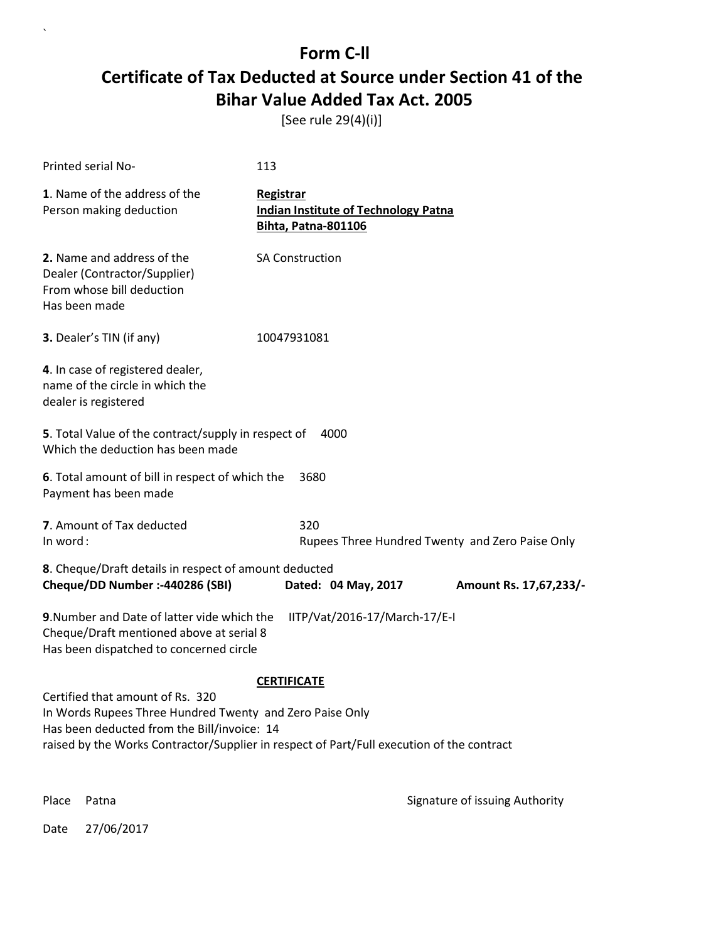[See rule 29(4)(i)]

| Printed serial No-                                                                                                                                                                                                                                             | 113                                                                             |  |  |
|----------------------------------------------------------------------------------------------------------------------------------------------------------------------------------------------------------------------------------------------------------------|---------------------------------------------------------------------------------|--|--|
| 1. Name of the address of the<br>Person making deduction                                                                                                                                                                                                       | Registrar<br><b>Indian Institute of Technology Patna</b><br>Bihta, Patna-801106 |  |  |
| 2. Name and address of the<br>Dealer (Contractor/Supplier)<br>From whose bill deduction<br>Has been made                                                                                                                                                       | <b>SA Construction</b>                                                          |  |  |
| <b>3.</b> Dealer's TIN (if any)                                                                                                                                                                                                                                | 10047931081                                                                     |  |  |
| 4. In case of registered dealer,<br>name of the circle in which the<br>dealer is registered                                                                                                                                                                    |                                                                                 |  |  |
| 5. Total Value of the contract/supply in respect of<br>Which the deduction has been made                                                                                                                                                                       | 4000                                                                            |  |  |
| 6. Total amount of bill in respect of which the<br>3680<br>Payment has been made                                                                                                                                                                               |                                                                                 |  |  |
| 7. Amount of Tax deducted<br>In word:                                                                                                                                                                                                                          | 320<br>Rupees Three Hundred Twenty and Zero Paise Only                          |  |  |
| 8. Cheque/Draft details in respect of amount deducted<br>Cheque/DD Number :- 440286 (SBI)<br>Dated: 04 May, 2017<br>Amount Rs. 17,67,233/-                                                                                                                     |                                                                                 |  |  |
| 9. Number and Date of latter vide which the<br>IITP/Vat/2016-17/March-17/E-I<br>Cheque/Draft mentioned above at serial 8<br>Has been dispatched to concerned circle                                                                                            |                                                                                 |  |  |
| <b>CERTIFICATE</b><br>Certified that amount of Rs. 320<br>In Words Rupees Three Hundred Twenty and Zero Paise Only<br>Has been deducted from the Bill/invoice: 14<br>raised by the Works Contractor/Supplier in respect of Part/Full execution of the contract |                                                                                 |  |  |

Place Patna **Property** Place Patna Signature of issuing Authority

Date 27/06/2017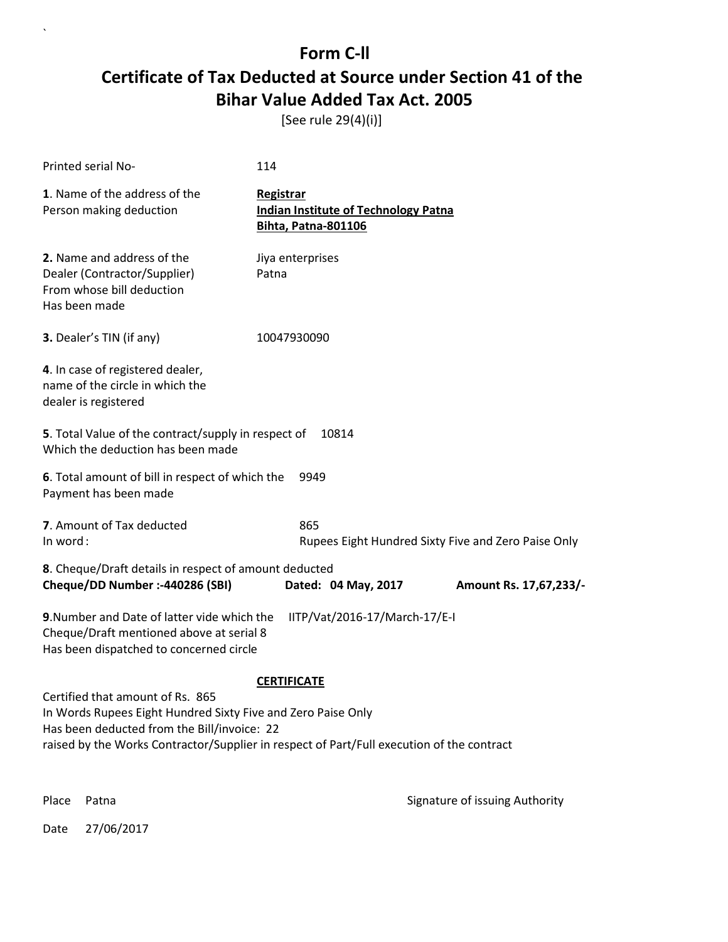[See rule 29(4)(i)]

| Printed serial No-                                                                                                                                                                                                                                                 | 114                                                                                    |                        |  |
|--------------------------------------------------------------------------------------------------------------------------------------------------------------------------------------------------------------------------------------------------------------------|----------------------------------------------------------------------------------------|------------------------|--|
| 1. Name of the address of the<br>Person making deduction                                                                                                                                                                                                           | Registrar<br><b>Indian Institute of Technology Patna</b><br><b>Bihta, Patna-801106</b> |                        |  |
| 2. Name and address of the<br>Dealer (Contractor/Supplier)<br>From whose bill deduction<br>Has been made                                                                                                                                                           | Jiya enterprises<br>Patna                                                              |                        |  |
| 3. Dealer's TIN (if any)                                                                                                                                                                                                                                           | 10047930090                                                                            |                        |  |
| 4. In case of registered dealer,<br>name of the circle in which the<br>dealer is registered                                                                                                                                                                        |                                                                                        |                        |  |
| 5. Total Value of the contract/supply in respect of<br>Which the deduction has been made                                                                                                                                                                           | 10814                                                                                  |                        |  |
| 6. Total amount of bill in respect of which the<br>Payment has been made                                                                                                                                                                                           | 9949                                                                                   |                        |  |
| 7. Amount of Tax deducted<br>In word:                                                                                                                                                                                                                              | 865<br>Rupees Eight Hundred Sixty Five and Zero Paise Only                             |                        |  |
| 8. Cheque/Draft details in respect of amount deducted<br>Cheque/DD Number :- 440286 (SBI)                                                                                                                                                                          | Dated: 04 May, 2017                                                                    | Amount Rs. 17,67,233/- |  |
| 9. Number and Date of latter vide which the<br>IITP/Vat/2016-17/March-17/E-I<br>Cheque/Draft mentioned above at serial 8<br>Has been dispatched to concerned circle                                                                                                |                                                                                        |                        |  |
| <b>CERTIFICATE</b><br>Certified that amount of Rs. 865<br>In Words Rupees Eight Hundred Sixty Five and Zero Paise Only<br>Has been deducted from the Bill/invoice: 22<br>raised by the Works Contractor/Supplier in respect of Part/Full execution of the contract |                                                                                        |                        |  |

 $\overline{\phantom{a}}$ 

Place Patna **Property** Place Patna Signature of issuing Authority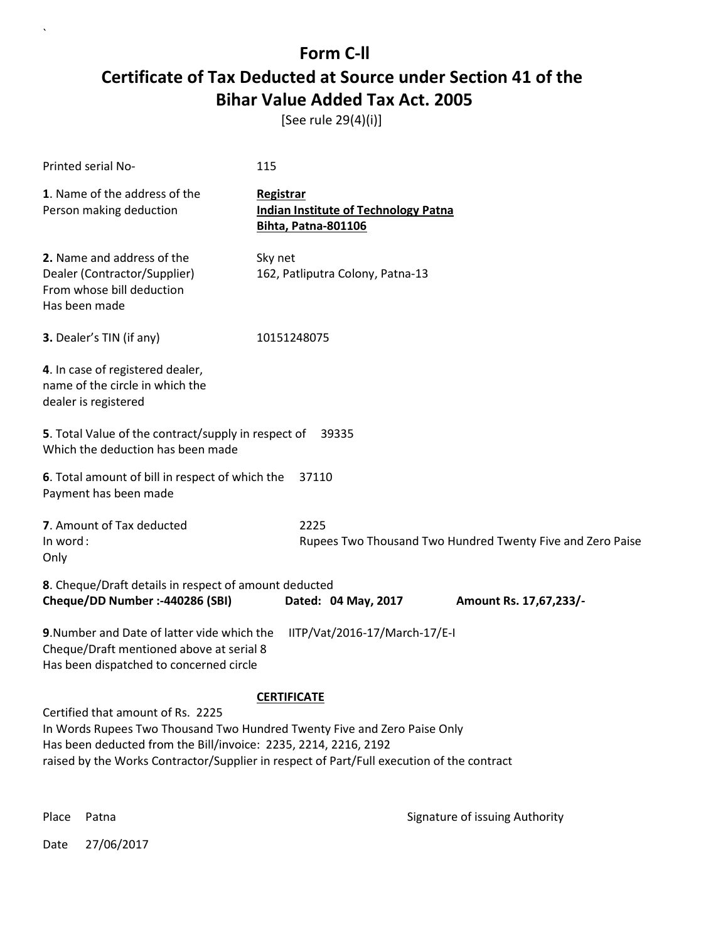[See rule 29(4)(i)]

| Printed serial No-                                                                                                                                                                                                                                                            | 115                                                                                    |  |  |
|-------------------------------------------------------------------------------------------------------------------------------------------------------------------------------------------------------------------------------------------------------------------------------|----------------------------------------------------------------------------------------|--|--|
| 1. Name of the address of the<br>Person making deduction                                                                                                                                                                                                                      | Registrar<br><b>Indian Institute of Technology Patna</b><br><b>Bihta, Patna-801106</b> |  |  |
| 2. Name and address of the<br>Dealer (Contractor/Supplier)<br>From whose bill deduction<br>Has been made                                                                                                                                                                      | Sky net<br>162, Patliputra Colony, Patna-13                                            |  |  |
| 3. Dealer's TIN (if any)                                                                                                                                                                                                                                                      | 10151248075                                                                            |  |  |
| 4. In case of registered dealer,<br>name of the circle in which the<br>dealer is registered                                                                                                                                                                                   |                                                                                        |  |  |
| 5. Total Value of the contract/supply in respect of<br>Which the deduction has been made                                                                                                                                                                                      | 39335                                                                                  |  |  |
| 6. Total amount of bill in respect of which the<br>37110<br>Payment has been made                                                                                                                                                                                             |                                                                                        |  |  |
| 7. Amount of Tax deducted<br>In word:<br>Only                                                                                                                                                                                                                                 | 2225<br>Rupees Two Thousand Two Hundred Twenty Five and Zero Paise                     |  |  |
| 8. Cheque/Draft details in respect of amount deducted<br>Cheque/DD Number :- 440286 (SBI)                                                                                                                                                                                     | Dated: 04 May, 2017<br>Amount Rs. 17,67,233/-                                          |  |  |
| 9. Number and Date of latter vide which the<br>IITP/Vat/2016-17/March-17/E-I<br>Cheque/Draft mentioned above at serial 8<br>Has been dispatched to concerned circle                                                                                                           |                                                                                        |  |  |
| <b>CERTIFICATE</b>                                                                                                                                                                                                                                                            |                                                                                        |  |  |
| Certified that amount of Rs. 2225<br>In Words Rupees Two Thousand Two Hundred Twenty Five and Zero Paise Only<br>Has been deducted from the Bill/invoice: 2235, 2214, 2216, 2192<br>raised by the Works Contractor/Supplier in respect of Part/Full execution of the contract |                                                                                        |  |  |

 $\ddot{\phantom{0}}$ 

Place Patna **Property** Place Patna Signature of issuing Authority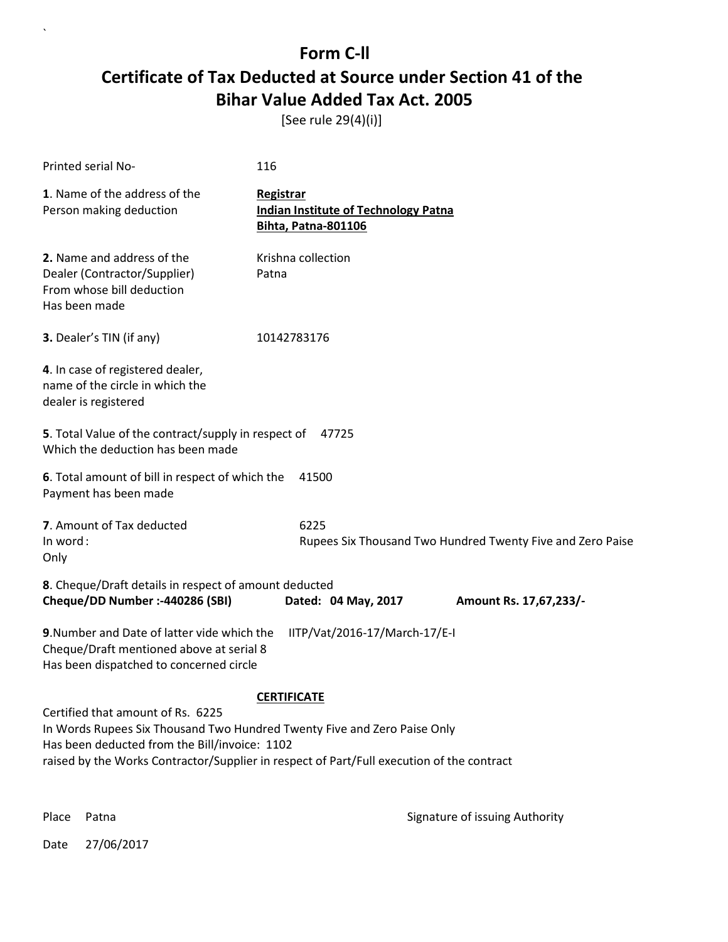[See rule 29(4)(i)]

| Printed serial No-                                                                                                                                                                                                                                          | 116                                                                                    |  |  |
|-------------------------------------------------------------------------------------------------------------------------------------------------------------------------------------------------------------------------------------------------------------|----------------------------------------------------------------------------------------|--|--|
| 1. Name of the address of the<br>Person making deduction                                                                                                                                                                                                    | Registrar<br><b>Indian Institute of Technology Patna</b><br><b>Bihta, Patna-801106</b> |  |  |
| 2. Name and address of the<br>Dealer (Contractor/Supplier)<br>From whose bill deduction<br>Has been made                                                                                                                                                    | Krishna collection<br>Patna                                                            |  |  |
| 3. Dealer's TIN (if any)                                                                                                                                                                                                                                    | 10142783176                                                                            |  |  |
| 4. In case of registered dealer,<br>name of the circle in which the<br>dealer is registered                                                                                                                                                                 |                                                                                        |  |  |
| 5. Total Value of the contract/supply in respect of<br>47725<br>Which the deduction has been made                                                                                                                                                           |                                                                                        |  |  |
| 6. Total amount of bill in respect of which the<br>41500<br>Payment has been made                                                                                                                                                                           |                                                                                        |  |  |
| 7. Amount of Tax deducted<br>In word:<br>Only                                                                                                                                                                                                               | 6225<br>Rupees Six Thousand Two Hundred Twenty Five and Zero Paise                     |  |  |
| 8. Cheque/Draft details in respect of amount deducted<br>Cheque/DD Number :- 440286 (SBI)                                                                                                                                                                   | Dated: 04 May, 2017<br>Amount Rs. 17,67,233/-                                          |  |  |
| 9. Number and Date of latter vide which the<br>IITP/Vat/2016-17/March-17/E-I<br>Cheque/Draft mentioned above at serial 8<br>Has been dispatched to concerned circle                                                                                         |                                                                                        |  |  |
| <b>CERTIFICATE</b>                                                                                                                                                                                                                                          |                                                                                        |  |  |
| Certified that amount of Rs. 6225<br>In Words Rupees Six Thousand Two Hundred Twenty Five and Zero Paise Only<br>Has been deducted from the Bill/invoice: 1102<br>raised by the Works Contractor/Supplier in respect of Part/Full execution of the contract |                                                                                        |  |  |

 $\ddot{\phantom{0}}$ 

Place Patna **Property** Place Patna Signature of issuing Authority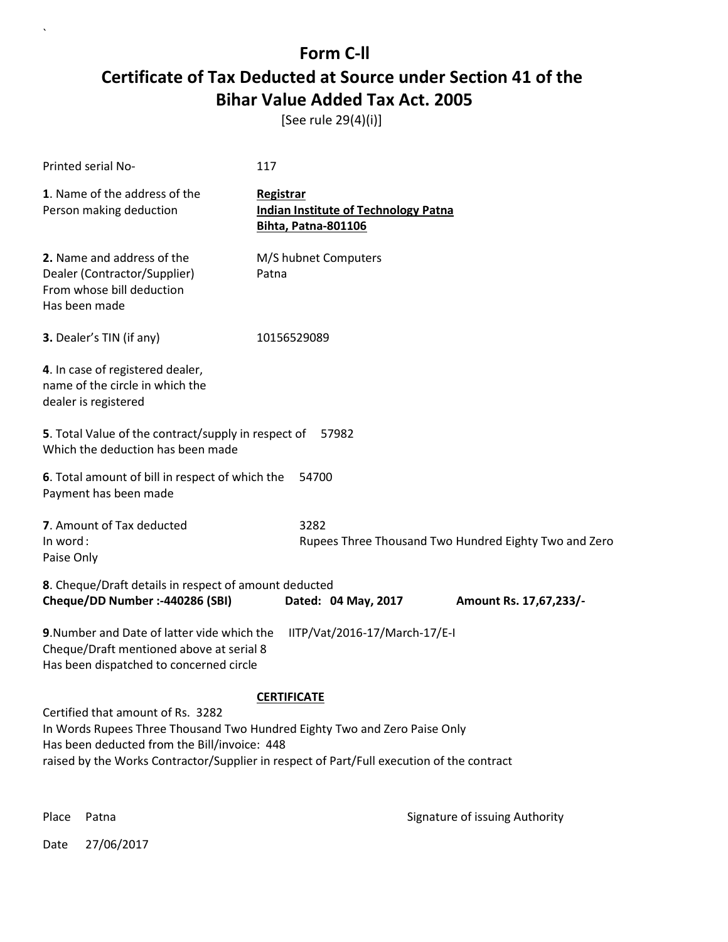[See rule 29(4)(i)]

| <b>Printed serial No-</b>                                                                                                                                                                                                                                   | 117                                                                                    |  |  |
|-------------------------------------------------------------------------------------------------------------------------------------------------------------------------------------------------------------------------------------------------------------|----------------------------------------------------------------------------------------|--|--|
| 1. Name of the address of the<br>Person making deduction                                                                                                                                                                                                    | Registrar<br><b>Indian Institute of Technology Patna</b><br><b>Bihta, Patna-801106</b> |  |  |
| 2. Name and address of the<br>Dealer (Contractor/Supplier)<br>From whose bill deduction<br>Has been made                                                                                                                                                    | M/S hubnet Computers<br>Patna                                                          |  |  |
| 3. Dealer's TIN (if any)                                                                                                                                                                                                                                    | 10156529089                                                                            |  |  |
| 4. In case of registered dealer,<br>name of the circle in which the<br>dealer is registered                                                                                                                                                                 |                                                                                        |  |  |
| 5. Total Value of the contract/supply in respect of 57982<br>Which the deduction has been made                                                                                                                                                              |                                                                                        |  |  |
| 6. Total amount of bill in respect of which the<br>54700<br>Payment has been made                                                                                                                                                                           |                                                                                        |  |  |
| 7. Amount of Tax deducted<br>In word:<br>Paise Only                                                                                                                                                                                                         | 3282<br>Rupees Three Thousand Two Hundred Eighty Two and Zero                          |  |  |
| 8. Cheque/Draft details in respect of amount deducted<br>Cheque/DD Number :- 440286 (SBI)                                                                                                                                                                   | Dated: 04 May, 2017<br>Amount Rs. 17,67,233/-                                          |  |  |
| 9. Number and Date of latter vide which the<br>IITP/Vat/2016-17/March-17/E-I<br>Cheque/Draft mentioned above at serial 8<br>Has been dispatched to concerned circle                                                                                         |                                                                                        |  |  |
| <b>CERTIFICATE</b>                                                                                                                                                                                                                                          |                                                                                        |  |  |
| Certified that amount of Rs. 3282<br>In Words Rupees Three Thousand Two Hundred Eighty Two and Zero Paise Only<br>Has been deducted from the Bill/invoice: 448<br>raised by the Works Contractor/Supplier in respect of Part/Full execution of the contract |                                                                                        |  |  |

`

Place Patna **Property** Place Patna Signature of issuing Authority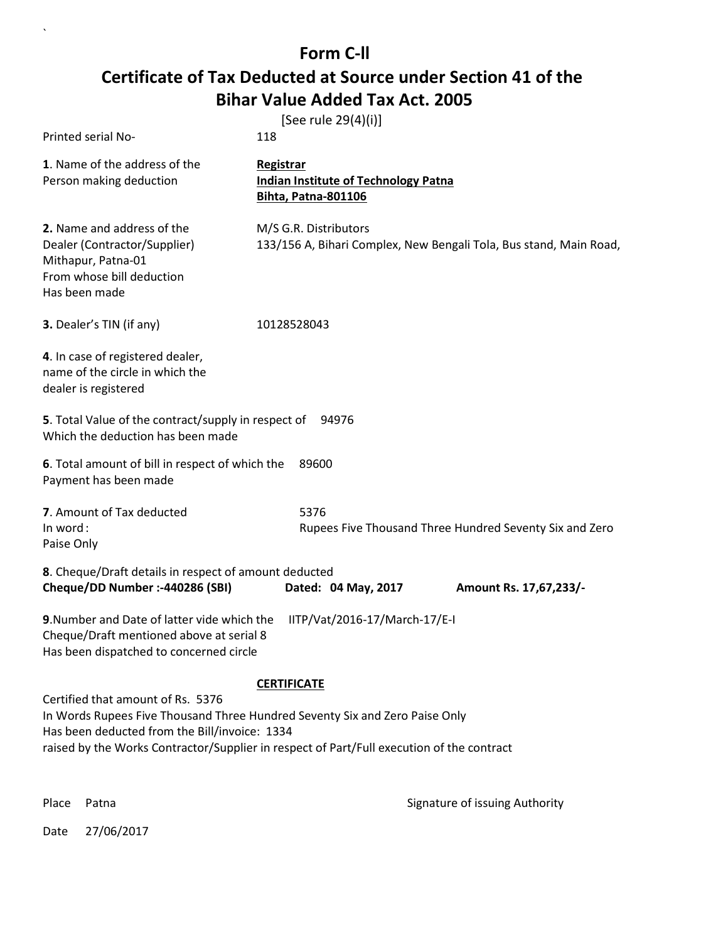| Printed serial No-                                                                                                                                                                                                                                             | [See rule 29(4)(i)]<br>118                                                                  |  |
|----------------------------------------------------------------------------------------------------------------------------------------------------------------------------------------------------------------------------------------------------------------|---------------------------------------------------------------------------------------------|--|
| 1. Name of the address of the<br>Person making deduction                                                                                                                                                                                                       | Registrar<br><b>Indian Institute of Technology Patna</b><br><b>Bihta, Patna-801106</b>      |  |
| 2. Name and address of the<br>Dealer (Contractor/Supplier)<br>Mithapur, Patna-01<br>From whose bill deduction<br>Has been made                                                                                                                                 | M/S G.R. Distributors<br>133/156 A, Bihari Complex, New Bengali Tola, Bus stand, Main Road, |  |
| 3. Dealer's TIN (if any)                                                                                                                                                                                                                                       | 10128528043                                                                                 |  |
| 4. In case of registered dealer,<br>name of the circle in which the<br>dealer is registered                                                                                                                                                                    |                                                                                             |  |
| 5. Total Value of the contract/supply in respect of<br>94976<br>Which the deduction has been made                                                                                                                                                              |                                                                                             |  |
| 6. Total amount of bill in respect of which the<br>89600<br>Payment has been made                                                                                                                                                                              |                                                                                             |  |
| 7. Amount of Tax deducted                                                                                                                                                                                                                                      | 5376                                                                                        |  |
| In word:<br>Paise Only                                                                                                                                                                                                                                         | Rupees Five Thousand Three Hundred Seventy Six and Zero                                     |  |
| 8. Cheque/Draft details in respect of amount deducted<br>Cheque/DD Number :- 440286 (SBI)                                                                                                                                                                      | Dated: 04 May, 2017<br>Amount Rs. 17,67,233/-                                               |  |
| 9. Number and Date of latter vide which the<br>IITP/Vat/2016-17/March-17/E-I<br>Cheque/Draft mentioned above at serial 8<br>Has been dispatched to concerned circle                                                                                            |                                                                                             |  |
|                                                                                                                                                                                                                                                                | <b>CERTIFICATE</b>                                                                          |  |
| Certified that amount of Rs. 5376<br>In Words Rupees Five Thousand Three Hundred Seventy Six and Zero Paise Only<br>Has been deducted from the Bill/invoice: 1334<br>raised by the Works Contractor/Supplier in respect of Part/Full execution of the contract |                                                                                             |  |

 $\ddot{\phantom{0}}$ 

Place Patna **Property** Place Patna Signature of issuing Authority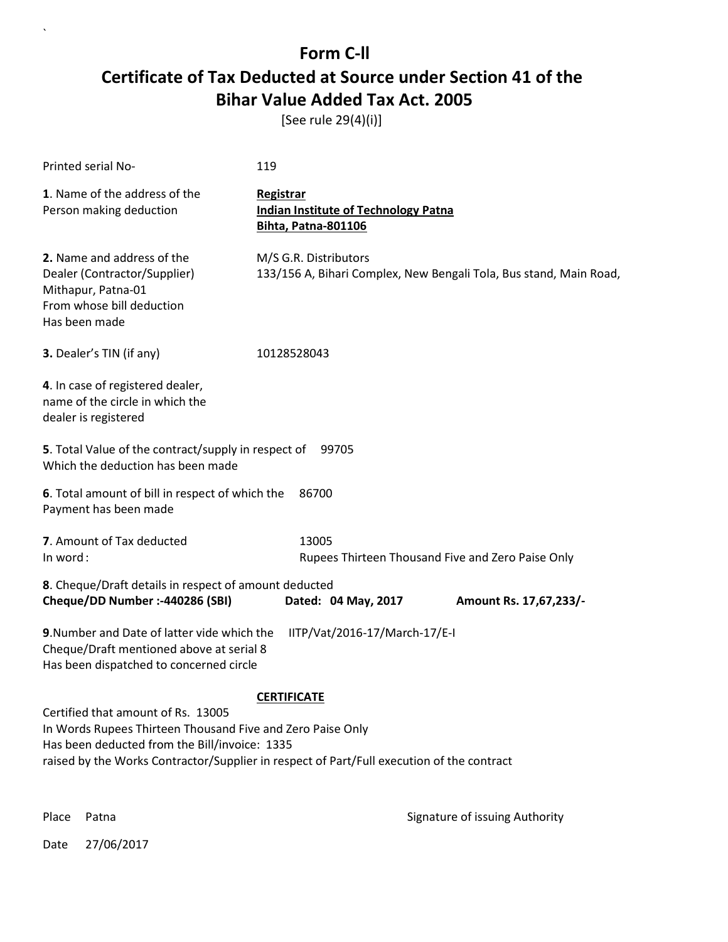[See rule 29(4)(i)]

| Printed serial No-                                                                                                                                                                                                                                                   | 119                                                                                         |  |  |
|----------------------------------------------------------------------------------------------------------------------------------------------------------------------------------------------------------------------------------------------------------------------|---------------------------------------------------------------------------------------------|--|--|
| 1. Name of the address of the<br>Person making deduction                                                                                                                                                                                                             | Registrar<br><b>Indian Institute of Technology Patna</b><br><b>Bihta, Patna-801106</b>      |  |  |
| 2. Name and address of the<br>Dealer (Contractor/Supplier)<br>Mithapur, Patna-01<br>From whose bill deduction<br>Has been made                                                                                                                                       | M/S G.R. Distributors<br>133/156 A, Bihari Complex, New Bengali Tola, Bus stand, Main Road, |  |  |
| 3. Dealer's TIN (if any)                                                                                                                                                                                                                                             | 10128528043                                                                                 |  |  |
| 4. In case of registered dealer,<br>name of the circle in which the<br>dealer is registered                                                                                                                                                                          |                                                                                             |  |  |
| 5. Total Value of the contract/supply in respect of 99705<br>Which the deduction has been made                                                                                                                                                                       |                                                                                             |  |  |
| 6. Total amount of bill in respect of which the<br>86700<br>Payment has been made                                                                                                                                                                                    |                                                                                             |  |  |
| 7. Amount of Tax deducted<br>In word:                                                                                                                                                                                                                                | 13005<br>Rupees Thirteen Thousand Five and Zero Paise Only                                  |  |  |
| 8. Cheque/Draft details in respect of amount deducted<br>Cheque/DD Number :- 440286 (SBI)                                                                                                                                                                            | Dated: 04 May, 2017<br>Amount Rs. 17,67,233/-                                               |  |  |
| 9. Number and Date of latter vide which the<br>IITP/Vat/2016-17/March-17/E-I<br>Cheque/Draft mentioned above at serial 8<br>Has been dispatched to concerned circle                                                                                                  |                                                                                             |  |  |
| <b>CERTIFICATE</b><br>Certified that amount of Rs. 13005<br>In Words Rupees Thirteen Thousand Five and Zero Paise Only<br>Has been deducted from the Bill/invoice: 1335<br>raised by the Works Contractor/Supplier in respect of Part/Full execution of the contract |                                                                                             |  |  |

 $\overline{\phantom{a}}$ 

Place Patna **Property** Place Patna Signature of issuing Authority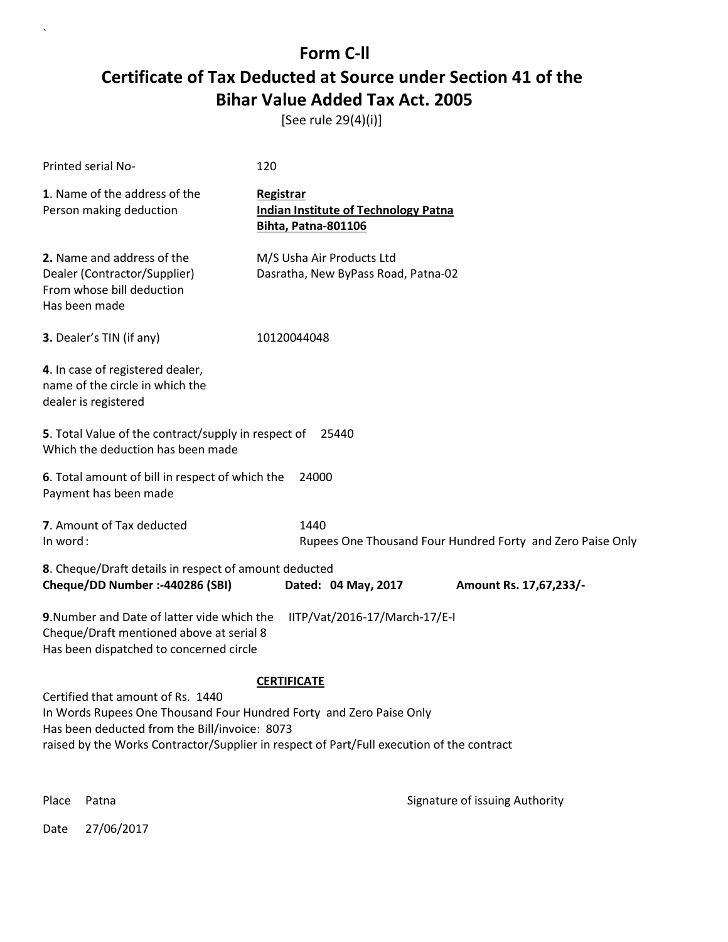[See rule 29(4)(i)]

| Printed serial No-                                                                                                                         | 120                                                                                           |                                                            |
|--------------------------------------------------------------------------------------------------------------------------------------------|-----------------------------------------------------------------------------------------------|------------------------------------------------------------|
| 1. Name of the address of the<br>Person making deduction                                                                                   | <b>Registrar</b><br><b>Indian Institute of Technology Patna</b><br><b>Bihta, Patna-801106</b> |                                                            |
| 2. Name and address of the<br>Dealer (Contractor/Supplier)<br>From whose bill deduction<br>Has been made                                   | M/S Usha Air Products Ltd<br>Dasratha, New ByPass Road, Patna-02                              |                                                            |
| 3. Dealer's TIN (if any)                                                                                                                   | 10120044048                                                                                   |                                                            |
| 4. In case of registered dealer,<br>name of the circle in which the<br>dealer is registered                                                |                                                                                               |                                                            |
| 5. Total Value of the contract/supply in respect of<br>Which the deduction has been made                                                   | 25440                                                                                         |                                                            |
| 6. Total amount of bill in respect of which the<br>Payment has been made                                                                   | 24000                                                                                         |                                                            |
| 7. Amount of Tax deducted<br>In word:                                                                                                      | 1440                                                                                          | Rupees One Thousand Four Hundred Forty and Zero Paise Only |
| 8. Cheque/Draft details in respect of amount deducted<br>Cheque/DD Number :- 440286 (SBI)                                                  | Dated: 04 May, 2017                                                                           | Amount Rs. 17,67,233/-                                     |
| 9. Number and Date of latter vide which the<br>Cheque/Draft mentioned above at serial 8<br>Has been dispatched to concerned circle         | IITP/Vat/2016-17/March-17/E-I                                                                 |                                                            |
|                                                                                                                                            | <b>CERTIFICATE</b>                                                                            |                                                            |
| Certified that amount of Rs. 1440<br>In Words Rupees One Thousand Four Hundred Forty and Zero Paise Only                                   |                                                                                               |                                                            |
| Has been deducted from the Bill/invoice: 8073<br>raised by the Works Contractor/Supplier in respect of Part/Full execution of the contract |                                                                                               |                                                            |
|                                                                                                                                            |                                                                                               |                                                            |

Place Patna **Property** Place Patna Signature of issuing Authority

Date 27/06/2017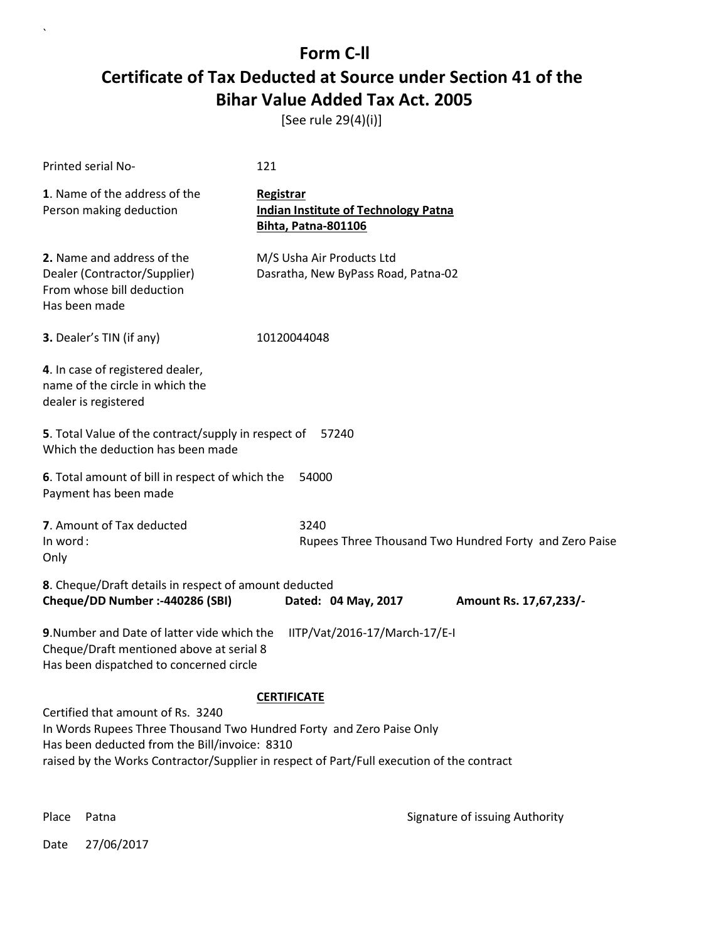[See rule 29(4)(i)]

| Printed serial No-                                                                                                                                                                                                                                      | 121                                                                             |  |  |
|---------------------------------------------------------------------------------------------------------------------------------------------------------------------------------------------------------------------------------------------------------|---------------------------------------------------------------------------------|--|--|
| 1. Name of the address of the<br>Person making deduction                                                                                                                                                                                                | Registrar<br><b>Indian Institute of Technology Patna</b><br>Bihta, Patna-801106 |  |  |
| 2. Name and address of the<br>Dealer (Contractor/Supplier)<br>From whose bill deduction<br>Has been made                                                                                                                                                | M/S Usha Air Products Ltd<br>Dasratha, New ByPass Road, Patna-02                |  |  |
| 3. Dealer's TIN (if any)                                                                                                                                                                                                                                | 10120044048                                                                     |  |  |
| 4. In case of registered dealer,<br>name of the circle in which the<br>dealer is registered                                                                                                                                                             |                                                                                 |  |  |
| 5. Total Value of the contract/supply in respect of<br>57240<br>Which the deduction has been made                                                                                                                                                       |                                                                                 |  |  |
| 6. Total amount of bill in respect of which the<br>54000<br>Payment has been made                                                                                                                                                                       |                                                                                 |  |  |
| 7. Amount of Tax deducted<br>In word:<br>Only                                                                                                                                                                                                           | 3240<br>Rupees Three Thousand Two Hundred Forty and Zero Paise                  |  |  |
| 8. Cheque/Draft details in respect of amount deducted<br>Cheque/DD Number :- 440286 (SBI)                                                                                                                                                               | Dated: 04 May, 2017<br>Amount Rs. 17,67,233/-                                   |  |  |
| 9. Number and Date of latter vide which the<br>IITP/Vat/2016-17/March-17/E-I<br>Cheque/Draft mentioned above at serial 8<br>Has been dispatched to concerned circle                                                                                     |                                                                                 |  |  |
| <b>CERTIFICATE</b>                                                                                                                                                                                                                                      |                                                                                 |  |  |
| Certified that amount of Rs. 3240<br>In Words Rupees Three Thousand Two Hundred Forty and Zero Paise Only<br>Has been deducted from the Bill/invoice: 8310<br>raised by the Works Contractor/Supplier in respect of Part/Full execution of the contract |                                                                                 |  |  |

 $\ddot{\phantom{0}}$ 

Place Patna **Property** Place Patna Signature of issuing Authority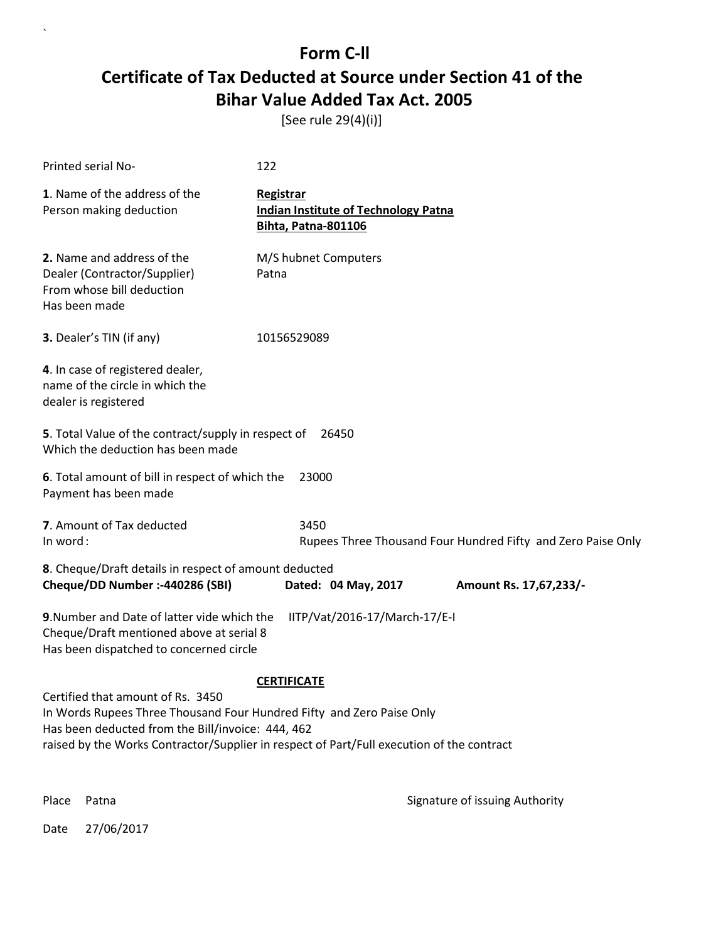[See rule 29(4)(i)]

| Printed serial No-                                                                                                                                                                                                                                           | 122                                                                                    |  |  |
|--------------------------------------------------------------------------------------------------------------------------------------------------------------------------------------------------------------------------------------------------------------|----------------------------------------------------------------------------------------|--|--|
| 1. Name of the address of the<br>Person making deduction                                                                                                                                                                                                     | Registrar<br><b>Indian Institute of Technology Patna</b><br><b>Bihta, Patna-801106</b> |  |  |
| 2. Name and address of the<br>Dealer (Contractor/Supplier)<br>From whose bill deduction<br>Has been made                                                                                                                                                     | M/S hubnet Computers<br>Patna                                                          |  |  |
| 3. Dealer's TIN (if any)                                                                                                                                                                                                                                     | 10156529089                                                                            |  |  |
| 4. In case of registered dealer,<br>name of the circle in which the<br>dealer is registered                                                                                                                                                                  |                                                                                        |  |  |
| 5. Total Value of the contract/supply in respect of<br>Which the deduction has been made                                                                                                                                                                     | 26450                                                                                  |  |  |
| 6. Total amount of bill in respect of which the<br>23000<br>Payment has been made                                                                                                                                                                            |                                                                                        |  |  |
| 7. Amount of Tax deducted<br>In word:                                                                                                                                                                                                                        | 3450<br>Rupees Three Thousand Four Hundred Fifty and Zero Paise Only                   |  |  |
| 8. Cheque/Draft details in respect of amount deducted<br>Cheque/DD Number :- 440286 (SBI)                                                                                                                                                                    | Dated: 04 May, 2017<br>Amount Rs. 17,67,233/-                                          |  |  |
| 9. Number and Date of latter vide which the<br>Cheque/Draft mentioned above at serial 8<br>Has been dispatched to concerned circle                                                                                                                           | IITP/Vat/2016-17/March-17/E-I                                                          |  |  |
| <b>CERTIFICATE</b>                                                                                                                                                                                                                                           |                                                                                        |  |  |
| Certified that amount of Rs. 3450<br>In Words Rupees Three Thousand Four Hundred Fifty and Zero Paise Only<br>Has been deducted from the Bill/invoice: 444, 462<br>raised by the Works Contractor/Supplier in respect of Part/Full execution of the contract |                                                                                        |  |  |
| Place<br>Patna                                                                                                                                                                                                                                               | Signature of issuing Authority                                                         |  |  |

Date 27/06/2017

 $\ddot{\phantom{0}}$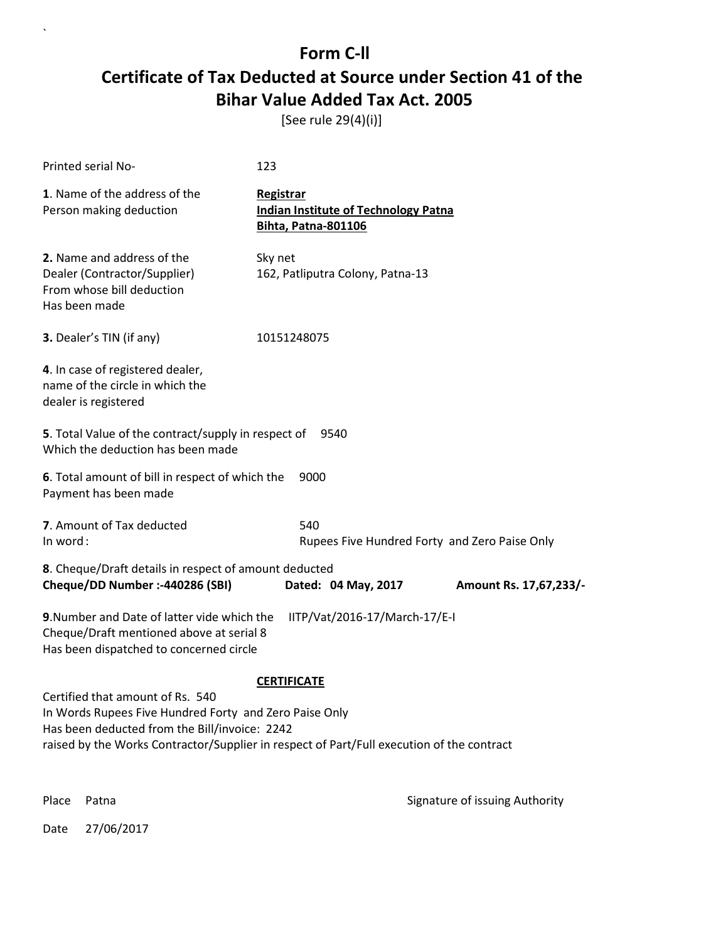[See rule 29(4)(i)]

| Printed serial No-                                                                                                                                                                                                                       | 123                                                                                    |  |  |
|------------------------------------------------------------------------------------------------------------------------------------------------------------------------------------------------------------------------------------------|----------------------------------------------------------------------------------------|--|--|
| 1. Name of the address of the<br>Person making deduction                                                                                                                                                                                 | Registrar<br><b>Indian Institute of Technology Patna</b><br><b>Bihta, Patna-801106</b> |  |  |
| 2. Name and address of the<br>Dealer (Contractor/Supplier)<br>From whose bill deduction<br>Has been made                                                                                                                                 | Sky net<br>162, Patliputra Colony, Patna-13                                            |  |  |
| 3. Dealer's TIN (if any)                                                                                                                                                                                                                 | 10151248075                                                                            |  |  |
| 4. In case of registered dealer,<br>name of the circle in which the<br>dealer is registered                                                                                                                                              |                                                                                        |  |  |
| 5. Total Value of the contract/supply in respect of<br>Which the deduction has been made                                                                                                                                                 | 9540                                                                                   |  |  |
| 6. Total amount of bill in respect of which the<br>Payment has been made                                                                                                                                                                 | 9000                                                                                   |  |  |
| 7. Amount of Tax deducted<br>In word:                                                                                                                                                                                                    | 540<br>Rupees Five Hundred Forty and Zero Paise Only                                   |  |  |
| 8. Cheque/Draft details in respect of amount deducted<br>Cheque/DD Number :- 440286 (SBI)                                                                                                                                                | Dated: 04 May, 2017<br>Amount Rs. 17,67,233/-                                          |  |  |
| 9. Number and Date of latter vide which the<br>IITP/Vat/2016-17/March-17/E-I<br>Cheque/Draft mentioned above at serial 8<br>Has been dispatched to concerned circle                                                                      |                                                                                        |  |  |
| <b>CERTIFICATE</b>                                                                                                                                                                                                                       |                                                                                        |  |  |
| Certified that amount of Rs. 540<br>In Words Rupees Five Hundred Forty and Zero Paise Only<br>Has been deducted from the Bill/invoice: 2242<br>raised by the Works Contractor/Supplier in respect of Part/Full execution of the contract |                                                                                        |  |  |
|                                                                                                                                                                                                                                          |                                                                                        |  |  |

Place Patna **Property** Place Patna Signature of issuing Authority

Date 27/06/2017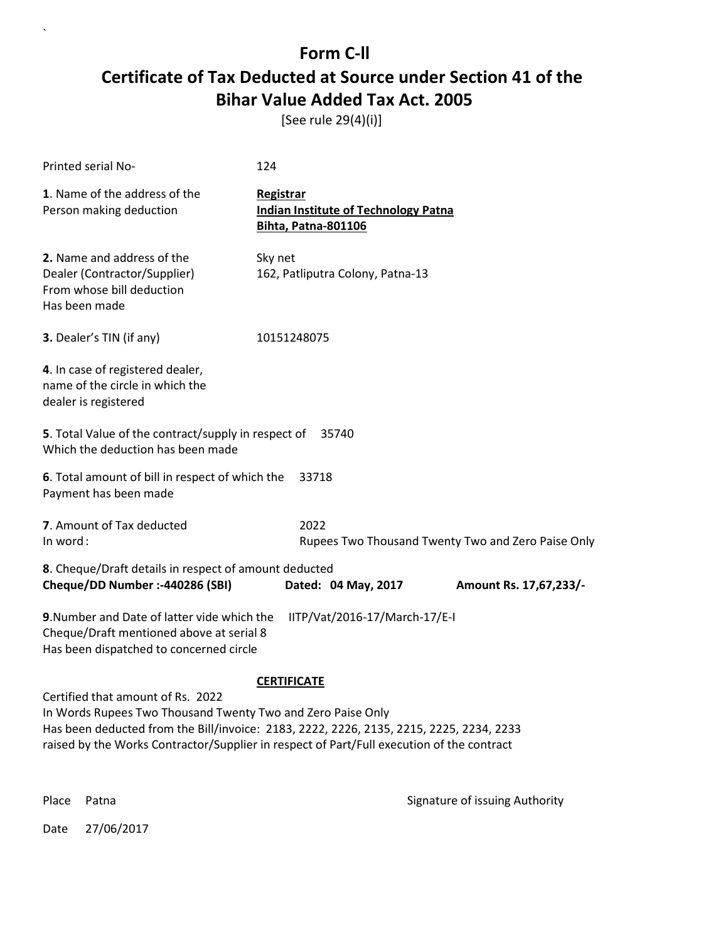[See rule 29(4)(i)]

| Printed serial No-                                                                                                                                                                                                                                                                       | 124                                                                                    |                                                    |  |
|------------------------------------------------------------------------------------------------------------------------------------------------------------------------------------------------------------------------------------------------------------------------------------------|----------------------------------------------------------------------------------------|----------------------------------------------------|--|
| 1. Name of the address of the<br>Person making deduction                                                                                                                                                                                                                                 | Registrar<br><b>Indian Institute of Technology Patna</b><br><b>Bihta, Patna-801106</b> |                                                    |  |
| 2. Name and address of the<br>Dealer (Contractor/Supplier)<br>From whose bill deduction<br>Has been made                                                                                                                                                                                 | Sky net<br>162, Patliputra Colony, Patna-13                                            |                                                    |  |
| 3. Dealer's TIN (if any)                                                                                                                                                                                                                                                                 | 10151248075                                                                            |                                                    |  |
| 4. In case of registered dealer,<br>name of the circle in which the<br>dealer is registered                                                                                                                                                                                              |                                                                                        |                                                    |  |
| 5. Total Value of the contract/supply in respect of<br>Which the deduction has been made                                                                                                                                                                                                 | 35740                                                                                  |                                                    |  |
| 6. Total amount of bill in respect of which the<br>33718<br>Payment has been made                                                                                                                                                                                                        |                                                                                        |                                                    |  |
| 7. Amount of Tax deducted<br>In word:                                                                                                                                                                                                                                                    | 2022                                                                                   | Rupees Two Thousand Twenty Two and Zero Paise Only |  |
| 8. Cheque/Draft details in respect of amount deducted<br>Cheque/DD Number :- 440286 (SBI)                                                                                                                                                                                                | Dated: 04 May, 2017                                                                    | Amount Rs. 17,67,233/-                             |  |
| 9. Number and Date of latter vide which the<br>IITP/Vat/2016-17/March-17/E-I<br>Cheque/Draft mentioned above at serial 8<br>Has been dispatched to concerned circle                                                                                                                      |                                                                                        |                                                    |  |
| <b>CERTIFICATE</b>                                                                                                                                                                                                                                                                       |                                                                                        |                                                    |  |
| Certified that amount of Rs. 2022<br>In Words Rupees Two Thousand Twenty Two and Zero Paise Only<br>Has been deducted from the Bill/invoice: 2183, 2222, 2226, 2135, 2215, 2225, 2234, 2233<br>raised by the Works Contractor/Supplier in respect of Part/Full execution of the contract |                                                                                        |                                                    |  |
| Place<br>Patna                                                                                                                                                                                                                                                                           |                                                                                        | Signature of issuing Authority                     |  |

Date 27/06/2017

 $\ddot{\phantom{0}}$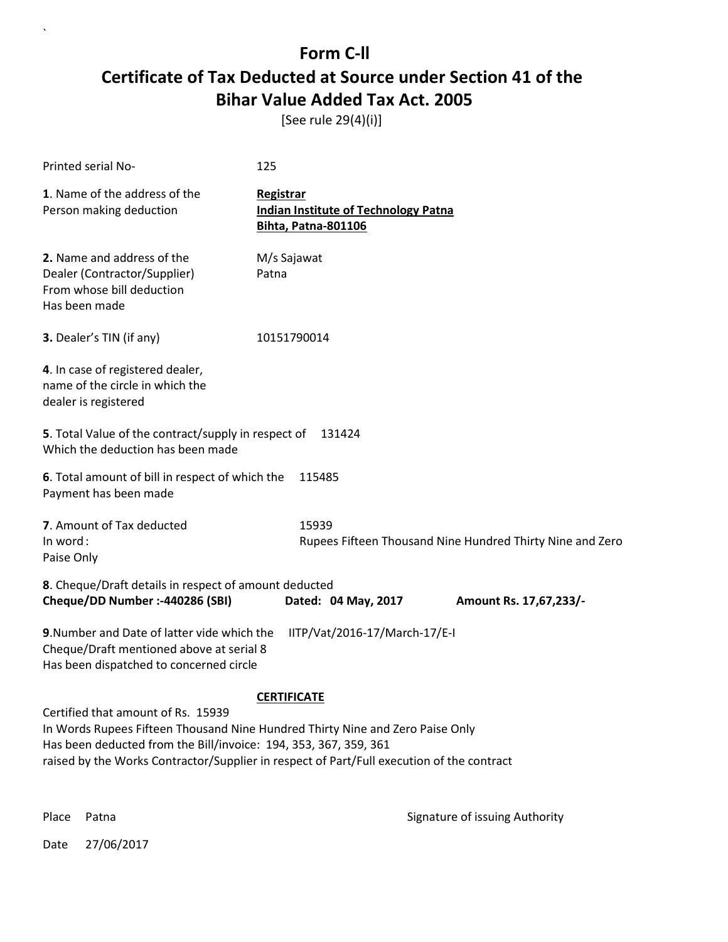[See rule 29(4)(i)]

| Printed serial No-                                                                                                                 | 125                                                                                                                                                                                              |  |
|------------------------------------------------------------------------------------------------------------------------------------|--------------------------------------------------------------------------------------------------------------------------------------------------------------------------------------------------|--|
| 1. Name of the address of the<br>Person making deduction                                                                           | Registrar<br><b>Indian Institute of Technology Patna</b><br><b>Bihta, Patna-801106</b>                                                                                                           |  |
| 2. Name and address of the<br>Dealer (Contractor/Supplier)<br>From whose bill deduction<br>Has been made                           | M/s Sajawat<br>Patna                                                                                                                                                                             |  |
| 3. Dealer's TIN (if any)                                                                                                           | 10151790014                                                                                                                                                                                      |  |
| 4. In case of registered dealer,<br>name of the circle in which the<br>dealer is registered                                        |                                                                                                                                                                                                  |  |
| 5. Total Value of the contract/supply in respect of<br>131424<br>Which the deduction has been made                                 |                                                                                                                                                                                                  |  |
| 6. Total amount of bill in respect of which the<br>Payment has been made                                                           | 115485                                                                                                                                                                                           |  |
| 7. Amount of Tax deducted<br>In word:<br>Paise Only                                                                                | 15939<br>Rupees Fifteen Thousand Nine Hundred Thirty Nine and Zero                                                                                                                               |  |
| 8. Cheque/Draft details in respect of amount deducted<br>Cheque/DD Number :- 440286 (SBI)                                          | Dated: 04 May, 2017<br>Amount Rs. 17,67,233/-                                                                                                                                                    |  |
| 9. Number and Date of latter vide which the<br>Cheque/Draft mentioned above at serial 8<br>Has been dispatched to concerned circle | IITP/Vat/2016-17/March-17/E-I                                                                                                                                                                    |  |
| Certified that amount of Rs. 15939<br>Has been deducted from the Bill/invoice: 194, 353, 367, 359, 361                             | <b>CERTIFICATE</b><br>In Words Rupees Fifteen Thousand Nine Hundred Thirty Nine and Zero Paise Only<br>raised by the Works Contractor/Supplier in respect of Part/Full execution of the contract |  |

 $\ddot{\phantom{0}}$ 

Place Patna **Property** Place Patna Signature of issuing Authority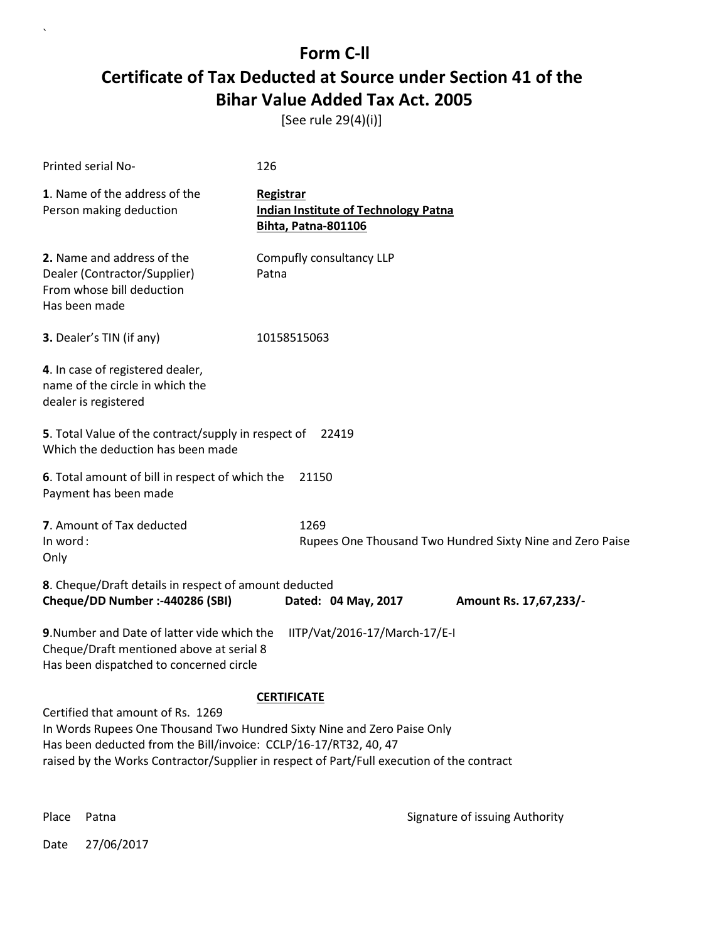[See rule 29(4)(i)]

| Printed serial No-                                                                                                                                                                                                                                                                                  | 126                                                                             |  |
|-----------------------------------------------------------------------------------------------------------------------------------------------------------------------------------------------------------------------------------------------------------------------------------------------------|---------------------------------------------------------------------------------|--|
| 1. Name of the address of the<br>Person making deduction                                                                                                                                                                                                                                            | Registrar<br><b>Indian Institute of Technology Patna</b><br>Bihta, Patna-801106 |  |
| 2. Name and address of the<br>Dealer (Contractor/Supplier)<br>From whose bill deduction<br>Has been made                                                                                                                                                                                            | Compufly consultancy LLP<br>Patna                                               |  |
| 3. Dealer's TIN (if any)                                                                                                                                                                                                                                                                            | 10158515063                                                                     |  |
| 4. In case of registered dealer,<br>name of the circle in which the<br>dealer is registered                                                                                                                                                                                                         |                                                                                 |  |
| 5. Total Value of the contract/supply in respect of<br>22419<br>Which the deduction has been made                                                                                                                                                                                                   |                                                                                 |  |
| 6. Total amount of bill in respect of which the<br>Payment has been made                                                                                                                                                                                                                            | 21150                                                                           |  |
| 7. Amount of Tax deducted<br>In word:<br>Only                                                                                                                                                                                                                                                       | 1269<br>Rupees One Thousand Two Hundred Sixty Nine and Zero Paise               |  |
| 8. Cheque/Draft details in respect of amount deducted<br>Cheque/DD Number :- 440286 (SBI)                                                                                                                                                                                                           | Dated: 04 May, 2017<br>Amount Rs. 17,67,233/-                                   |  |
| 9. Number and Date of latter vide which the<br>Cheque/Draft mentioned above at serial 8<br>Has been dispatched to concerned circle                                                                                                                                                                  | IITP/Vat/2016-17/March-17/E-I                                                   |  |
| <b>CERTIFICATE</b><br>Certified that amount of Rs. 1269<br>In Words Rupees One Thousand Two Hundred Sixty Nine and Zero Paise Only<br>Has been deducted from the Bill/invoice: CCLP/16-17/RT32, 40, 47<br>raised by the Works Contractor/Supplier in respect of Part/Full execution of the contract |                                                                                 |  |

 $\ddot{\phantom{0}}$ 

Place Patna **Property** Place Patna Signature of issuing Authority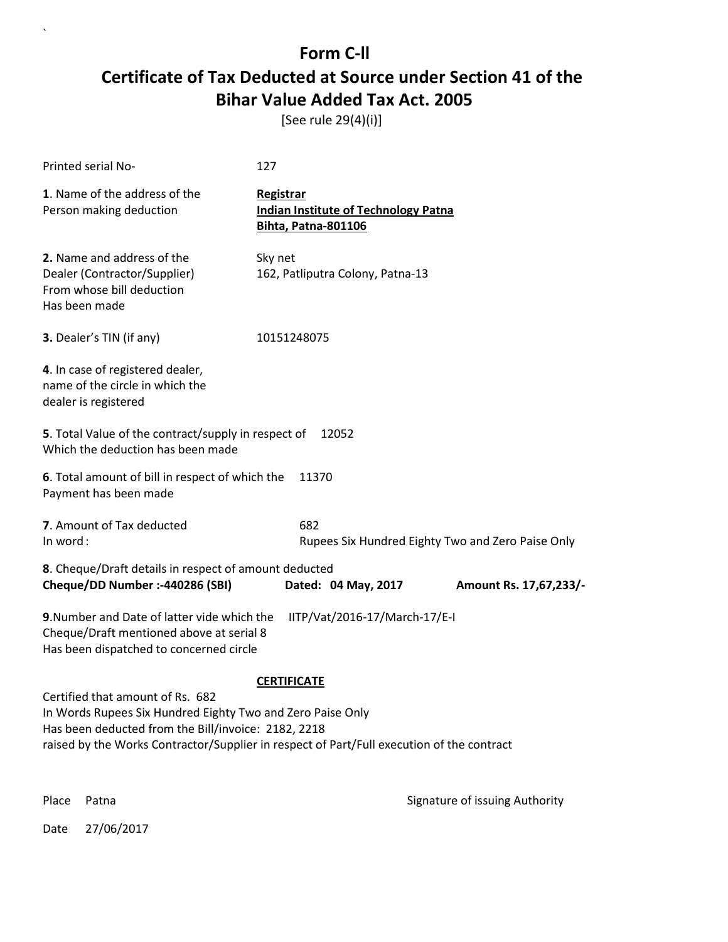[See rule 29(4)(i)]

| Printed serial No-                                                                                                                                    | 127                                                                                       |
|-------------------------------------------------------------------------------------------------------------------------------------------------------|-------------------------------------------------------------------------------------------|
| 1. Name of the address of the<br>Person making deduction                                                                                              | Registrar<br><b>Indian Institute of Technology Patna</b><br><b>Bihta, Patna-801106</b>    |
| 2. Name and address of the<br>Dealer (Contractor/Supplier)<br>From whose bill deduction<br>Has been made                                              | Sky net<br>162, Patliputra Colony, Patna-13                                               |
| <b>3.</b> Dealer's TIN (if any)                                                                                                                       | 10151248075                                                                               |
| 4. In case of registered dealer,<br>name of the circle in which the<br>dealer is registered                                                           |                                                                                           |
| 5. Total Value of the contract/supply in respect of<br>Which the deduction has been made                                                              | 12052                                                                                     |
| 6. Total amount of bill in respect of which the<br>Payment has been made                                                                              | 11370                                                                                     |
| 7. Amount of Tax deducted<br>In word:                                                                                                                 | 682<br>Rupees Six Hundred Eighty Two and Zero Paise Only                                  |
| 8. Cheque/Draft details in respect of amount deducted<br>Cheque/DD Number :- 440286 (SBI)                                                             | Dated: 04 May, 2017<br>Amount Rs. 17,67,233/-                                             |
| 9. Number and Date of latter vide which the<br>Cheque/Draft mentioned above at serial 8<br>Has been dispatched to concerned circle                    | IITP/Vat/2016-17/March-17/E-I                                                             |
|                                                                                                                                                       | <b>CERTIFICATE</b>                                                                        |
| Certified that amount of Rs. 682<br>In Words Rupees Six Hundred Eighty Two and Zero Paise Only<br>Has been deducted from the Bill/invoice: 2182, 2218 | raised by the Works Contractor/Supplier in respect of Part/Full execution of the contract |
| Place<br>Patna                                                                                                                                        | Signature of issuing Authority                                                            |

Date 27/06/2017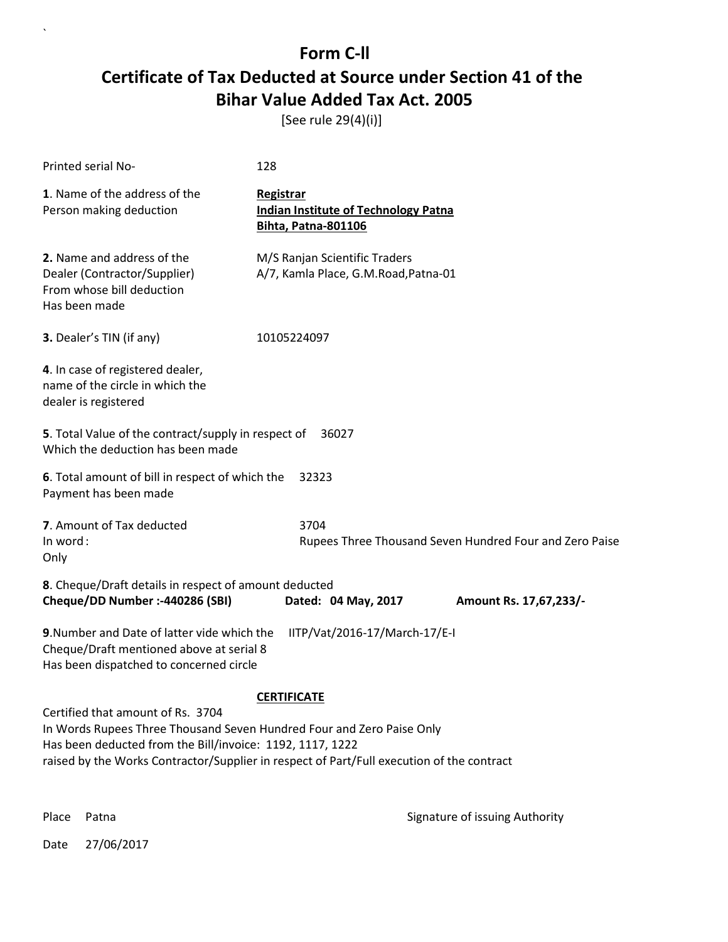[See rule 29(4)(i)]

| Printed serial No-                                                                                                                                                                                                                                                                         | 128                                                                                    |  |
|--------------------------------------------------------------------------------------------------------------------------------------------------------------------------------------------------------------------------------------------------------------------------------------------|----------------------------------------------------------------------------------------|--|
| 1. Name of the address of the<br>Person making deduction                                                                                                                                                                                                                                   | Registrar<br><b>Indian Institute of Technology Patna</b><br><b>Bihta, Patna-801106</b> |  |
| 2. Name and address of the<br>Dealer (Contractor/Supplier)<br>From whose bill deduction<br>Has been made                                                                                                                                                                                   | M/S Ranjan Scientific Traders<br>A/7, Kamla Place, G.M.Road, Patna-01                  |  |
| 3. Dealer's TIN (if any)                                                                                                                                                                                                                                                                   | 10105224097                                                                            |  |
| 4. In case of registered dealer,<br>name of the circle in which the<br>dealer is registered                                                                                                                                                                                                |                                                                                        |  |
| 5. Total Value of the contract/supply in respect of<br>36027<br>Which the deduction has been made                                                                                                                                                                                          |                                                                                        |  |
| 6. Total amount of bill in respect of which the<br>Payment has been made                                                                                                                                                                                                                   | 32323                                                                                  |  |
| 7. Amount of Tax deducted                                                                                                                                                                                                                                                                  | 3704                                                                                   |  |
| In word:<br>Only                                                                                                                                                                                                                                                                           | Rupees Three Thousand Seven Hundred Four and Zero Paise                                |  |
| 8. Cheque/Draft details in respect of amount deducted<br>Cheque/DD Number :- 440286 (SBI)                                                                                                                                                                                                  | Dated: 04 May, 2017<br>Amount Rs. 17,67,233/-                                          |  |
| 9. Number and Date of latter vide which the<br>Cheque/Draft mentioned above at serial 8<br>Has been dispatched to concerned circle                                                                                                                                                         | IITP/Vat/2016-17/March-17/E-I                                                          |  |
| <b>CERTIFICATE</b><br>Certified that amount of Rs. 3704<br>In Words Rupees Three Thousand Seven Hundred Four and Zero Paise Only<br>Has been deducted from the Bill/invoice: 1192, 1117, 1222<br>raised by the Works Contractor/Supplier in respect of Part/Full execution of the contract |                                                                                        |  |

 $\ddot{\phantom{0}}$ 

Place Patna **Property** Place Patna Signature of issuing Authority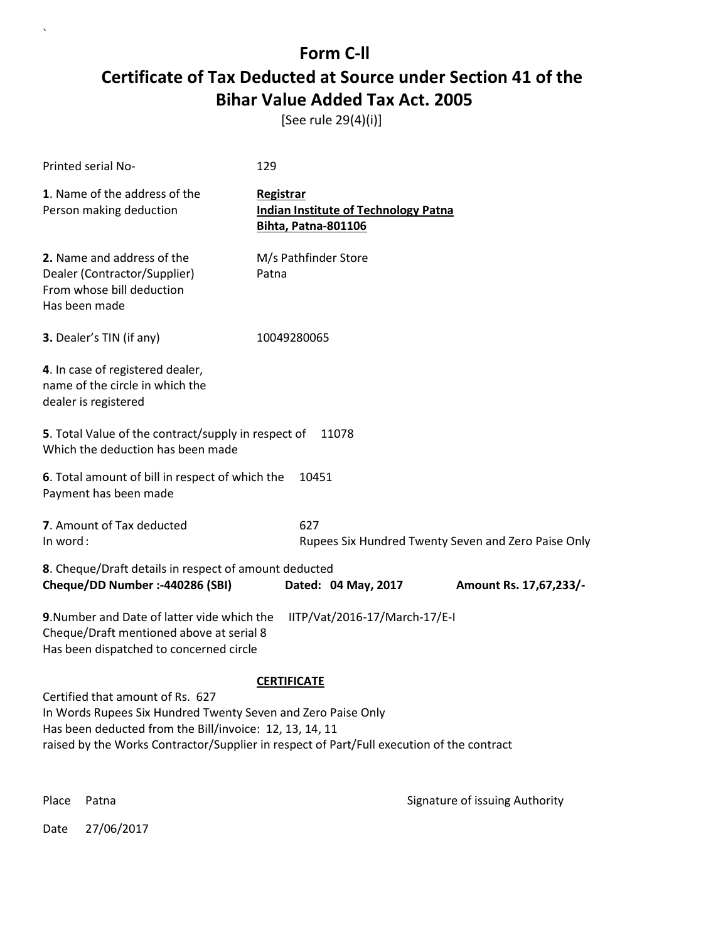[See rule 29(4)(i)]

| Printed serial No-                                                                                                                                                                                                                                       | 129                                                                                    |
|----------------------------------------------------------------------------------------------------------------------------------------------------------------------------------------------------------------------------------------------------------|----------------------------------------------------------------------------------------|
| 1. Name of the address of the<br>Person making deduction                                                                                                                                                                                                 | Registrar<br><b>Indian Institute of Technology Patna</b><br><b>Bihta, Patna-801106</b> |
| 2. Name and address of the<br>Dealer (Contractor/Supplier)<br>From whose bill deduction<br>Has been made                                                                                                                                                 | M/s Pathfinder Store<br>Patna                                                          |
| 3. Dealer's TIN (if any)                                                                                                                                                                                                                                 | 10049280065                                                                            |
| 4. In case of registered dealer,<br>name of the circle in which the<br>dealer is registered                                                                                                                                                              |                                                                                        |
| 5. Total Value of the contract/supply in respect of<br>Which the deduction has been made                                                                                                                                                                 | 11078                                                                                  |
| 6. Total amount of bill in respect of which the<br>Payment has been made                                                                                                                                                                                 | 10451                                                                                  |
| 7. Amount of Tax deducted<br>In word:                                                                                                                                                                                                                    | 627<br>Rupees Six Hundred Twenty Seven and Zero Paise Only                             |
| 8. Cheque/Draft details in respect of amount deducted<br>Cheque/DD Number :- 440286 (SBI)                                                                                                                                                                | Dated: 04 May, 2017<br>Amount Rs. 17,67,233/-                                          |
| 9. Number and Date of latter vide which the<br>Cheque/Draft mentioned above at serial 8<br>Has been dispatched to concerned circle                                                                                                                       | IITP/Vat/2016-17/March-17/E-I                                                          |
|                                                                                                                                                                                                                                                          | <b>CERTIFICATE</b>                                                                     |
| Certified that amount of Rs. 627<br>In Words Rupees Six Hundred Twenty Seven and Zero Paise Only<br>Has been deducted from the Bill/invoice: 12, 13, 14, 11<br>raised by the Works Contractor/Supplier in respect of Part/Full execution of the contract |                                                                                        |
| Place<br>Patna                                                                                                                                                                                                                                           | Signature of issuing Authority                                                         |

Date 27/06/2017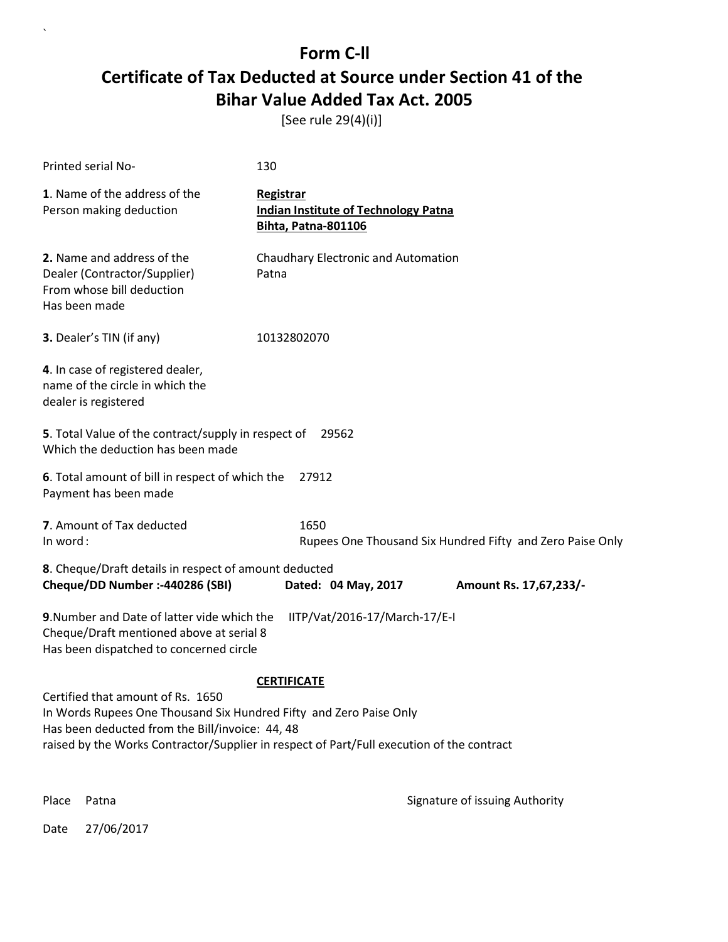[See rule 29(4)(i)]

| Printed serial No-                                                                                                                                                                                                                                                            | 130                                                                                    |                        |
|-------------------------------------------------------------------------------------------------------------------------------------------------------------------------------------------------------------------------------------------------------------------------------|----------------------------------------------------------------------------------------|------------------------|
| 1. Name of the address of the<br>Person making deduction                                                                                                                                                                                                                      | Registrar<br><b>Indian Institute of Technology Patna</b><br><b>Bihta, Patna-801106</b> |                        |
| 2. Name and address of the<br>Dealer (Contractor/Supplier)<br>From whose bill deduction<br>Has been made                                                                                                                                                                      | Chaudhary Electronic and Automation<br>Patna                                           |                        |
| <b>3.</b> Dealer's TIN (if any)                                                                                                                                                                                                                                               | 10132802070                                                                            |                        |
| 4. In case of registered dealer,<br>name of the circle in which the<br>dealer is registered                                                                                                                                                                                   |                                                                                        |                        |
| 5. Total Value of the contract/supply in respect of<br>29562<br>Which the deduction has been made                                                                                                                                                                             |                                                                                        |                        |
| 6. Total amount of bill in respect of which the<br>Payment has been made                                                                                                                                                                                                      | 27912                                                                                  |                        |
| 7. Amount of Tax deducted<br>In word:                                                                                                                                                                                                                                         | 1650<br>Rupees One Thousand Six Hundred Fifty and Zero Paise Only                      |                        |
| 8. Cheque/Draft details in respect of amount deducted<br>Cheque/DD Number :- 440286 (SBI)                                                                                                                                                                                     | Dated: 04 May, 2017                                                                    | Amount Rs. 17,67,233/- |
| 9. Number and Date of latter vide which the<br>Cheque/Draft mentioned above at serial 8<br>Has been dispatched to concerned circle                                                                                                                                            | IITP/Vat/2016-17/March-17/E-I                                                          |                        |
| <b>CERTIFICATE</b><br>Certified that amount of Rs. 1650<br>In Words Rupees One Thousand Six Hundred Fifty and Zero Paise Only<br>Has been deducted from the Bill/invoice: 44, 48<br>raised by the Works Contractor/Supplier in respect of Part/Full execution of the contract |                                                                                        |                        |

 $\overline{\phantom{a}}$ 

Place Patna **Property** Place Patna Signature of issuing Authority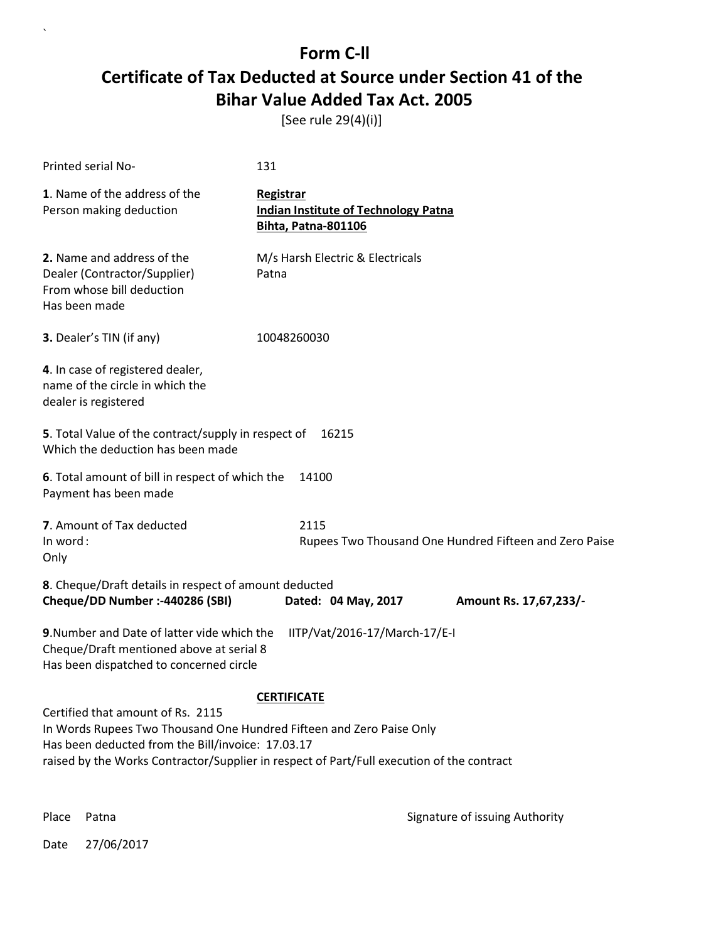[See rule 29(4)(i)]

| Printed serial No-                                                                                                                                                  | 131                                                                                       |  |
|---------------------------------------------------------------------------------------------------------------------------------------------------------------------|-------------------------------------------------------------------------------------------|--|
| 1. Name of the address of the<br>Person making deduction                                                                                                            | Registrar<br><b>Indian Institute of Technology Patna</b><br>Bihta, Patna-801106           |  |
| 2. Name and address of the<br>Dealer (Contractor/Supplier)<br>From whose bill deduction<br>Has been made                                                            | M/s Harsh Electric & Electricals<br>Patna                                                 |  |
| 3. Dealer's TIN (if any)                                                                                                                                            | 10048260030                                                                               |  |
| 4. In case of registered dealer,<br>name of the circle in which the<br>dealer is registered                                                                         |                                                                                           |  |
| 5. Total Value of the contract/supply in respect of<br>16215<br>Which the deduction has been made                                                                   |                                                                                           |  |
| 6. Total amount of bill in respect of which the<br>Payment has been made                                                                                            | 14100                                                                                     |  |
| 7. Amount of Tax deducted<br>In word:<br>Only                                                                                                                       | 2115<br>Rupees Two Thousand One Hundred Fifteen and Zero Paise                            |  |
| 8. Cheque/Draft details in respect of amount deducted<br>Cheque/DD Number :- 440286 (SBI)                                                                           | Dated: 04 May, 2017<br>Amount Rs. 17,67,233/-                                             |  |
| 9. Number and Date of latter vide which the<br>IITP/Vat/2016-17/March-17/E-I<br>Cheque/Draft mentioned above at serial 8<br>Has been dispatched to concerned circle |                                                                                           |  |
|                                                                                                                                                                     | <b>CERTIFICATE</b>                                                                        |  |
| Certified that amount of Rs. 2115<br>In Words Rupees Two Thousand One Hundred Fifteen and Zero Paise Only<br>Has been deducted from the Bill/invoice: 17.03.17      | raised by the Works Contractor/Supplier in respect of Part/Full execution of the contract |  |

 $\ddot{\phantom{0}}$ 

Place Patna **Property** Place Patna Signature of issuing Authority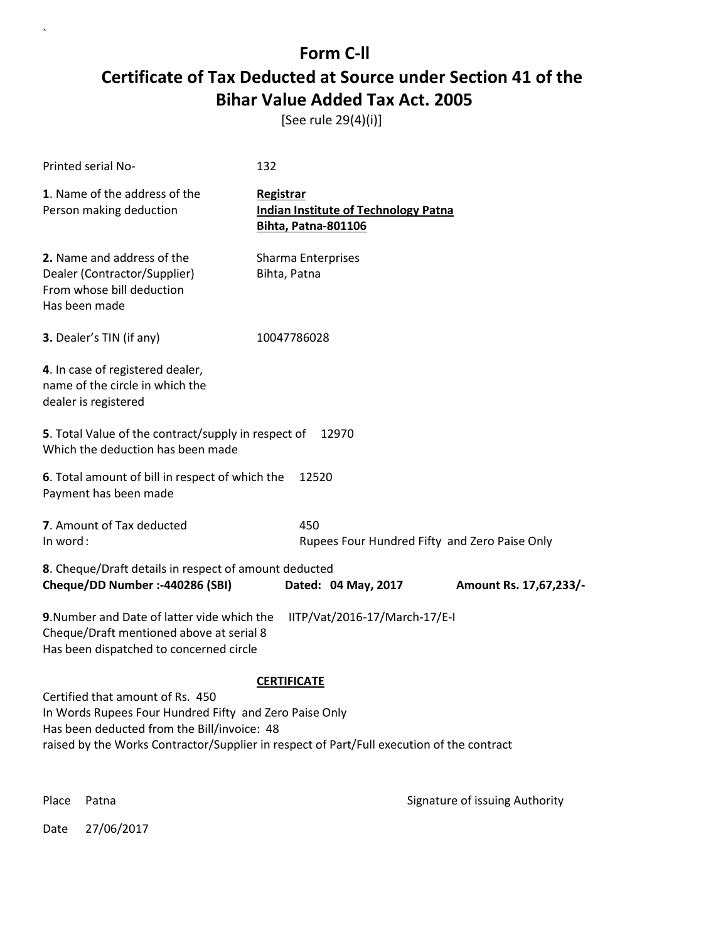[See rule 29(4)(i)]

| Printed serial No-                                                                                                                                                                                                                     | 132                                                                                    |                        |
|----------------------------------------------------------------------------------------------------------------------------------------------------------------------------------------------------------------------------------------|----------------------------------------------------------------------------------------|------------------------|
| 1. Name of the address of the<br>Person making deduction                                                                                                                                                                               | Registrar<br><b>Indian Institute of Technology Patna</b><br><b>Bihta, Patna-801106</b> |                        |
| 2. Name and address of the<br>Dealer (Contractor/Supplier)<br>From whose bill deduction<br>Has been made                                                                                                                               | Sharma Enterprises<br>Bihta, Patna                                                     |                        |
| 3. Dealer's TIN (if any)                                                                                                                                                                                                               | 10047786028                                                                            |                        |
| 4. In case of registered dealer,<br>name of the circle in which the<br>dealer is registered                                                                                                                                            |                                                                                        |                        |
| 5. Total Value of the contract/supply in respect of<br>12970<br>Which the deduction has been made                                                                                                                                      |                                                                                        |                        |
| 6. Total amount of bill in respect of which the<br>Payment has been made                                                                                                                                                               | 12520                                                                                  |                        |
| 7. Amount of Tax deducted<br>In word:                                                                                                                                                                                                  | 450<br>Rupees Four Hundred Fifty and Zero Paise Only                                   |                        |
| 8. Cheque/Draft details in respect of amount deducted<br>Cheque/DD Number :- 440286 (SBI)                                                                                                                                              | Dated: 04 May, 2017                                                                    | Amount Rs. 17,67,233/- |
| 9. Number and Date of latter vide which the<br>Cheque/Draft mentioned above at serial 8<br>Has been dispatched to concerned circle                                                                                                     | IITP/Vat/2016-17/March-17/E-I                                                          |                        |
|                                                                                                                                                                                                                                        | <b>CERTIFICATE</b>                                                                     |                        |
| Certified that amount of Rs. 450<br>In Words Rupees Four Hundred Fifty and Zero Paise Only<br>Has been deducted from the Bill/invoice: 48<br>raised by the Works Contractor/Supplier in respect of Part/Full execution of the contract |                                                                                        |                        |
|                                                                                                                                                                                                                                        |                                                                                        |                        |

Date 27/06/2017

 $\ddot{\phantom{0}}$ 

Place Patna **Property** Place Patna Signature of issuing Authority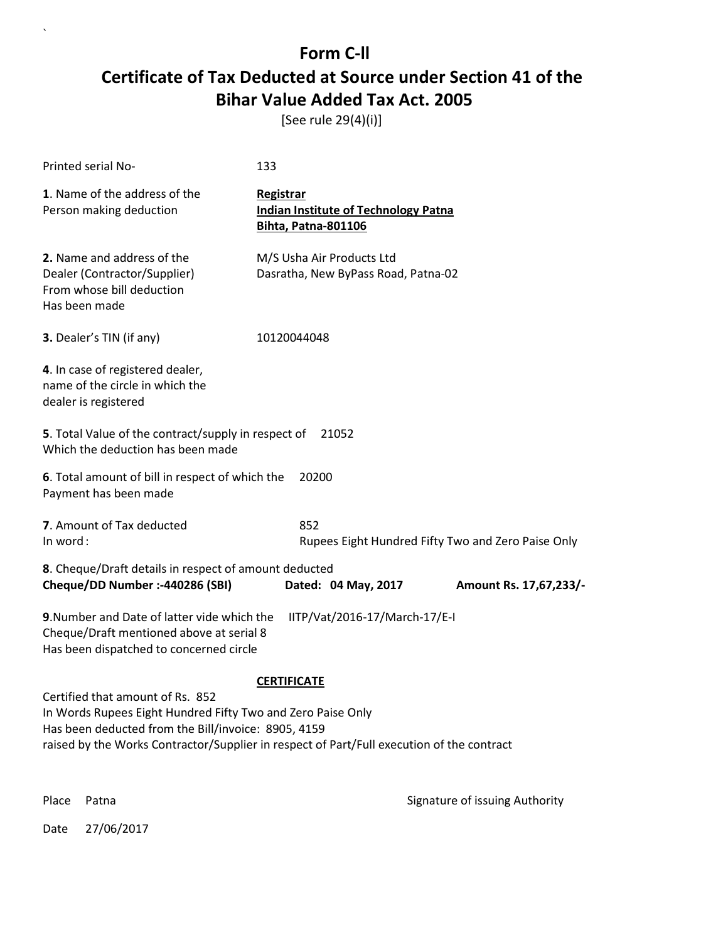[See rule 29(4)(i)]

| Printed serial No-                                                                                                                                                  | 133                                                                                       |  |
|---------------------------------------------------------------------------------------------------------------------------------------------------------------------|-------------------------------------------------------------------------------------------|--|
| 1. Name of the address of the<br>Person making deduction                                                                                                            | Registrar<br><b>Indian Institute of Technology Patna</b><br><b>Bihta, Patna-801106</b>    |  |
| 2. Name and address of the<br>Dealer (Contractor/Supplier)<br>From whose bill deduction<br>Has been made                                                            | M/S Usha Air Products Ltd<br>Dasratha, New ByPass Road, Patna-02                          |  |
| 3. Dealer's TIN (if any)                                                                                                                                            | 10120044048                                                                               |  |
| 4. In case of registered dealer,<br>name of the circle in which the<br>dealer is registered                                                                         |                                                                                           |  |
| 5. Total Value of the contract/supply in respect of<br>21052<br>Which the deduction has been made                                                                   |                                                                                           |  |
| 6. Total amount of bill in respect of which the<br>Payment has been made                                                                                            | 20200                                                                                     |  |
| 7. Amount of Tax deducted<br>In word:                                                                                                                               | 852<br>Rupees Eight Hundred Fifty Two and Zero Paise Only                                 |  |
| 8. Cheque/Draft details in respect of amount deducted<br>Cheque/DD Number :- 440286 (SBI)                                                                           | Dated: 04 May, 2017<br>Amount Rs. 17,67,233/-                                             |  |
| 9. Number and Date of latter vide which the<br>IITP/Vat/2016-17/March-17/E-I<br>Cheque/Draft mentioned above at serial 8<br>Has been dispatched to concerned circle |                                                                                           |  |
|                                                                                                                                                                     | <b>CERTIFICATE</b>                                                                        |  |
| Certified that amount of Rs. 852<br>In Words Rupees Eight Hundred Fifty Two and Zero Paise Only<br>Has been deducted from the Bill/invoice: 8905, 4159              | raised by the Works Contractor/Supplier in respect of Part/Full execution of the contract |  |
| Place<br>Patna                                                                                                                                                      | Signature of issuing Authority                                                            |  |

Date 27/06/2017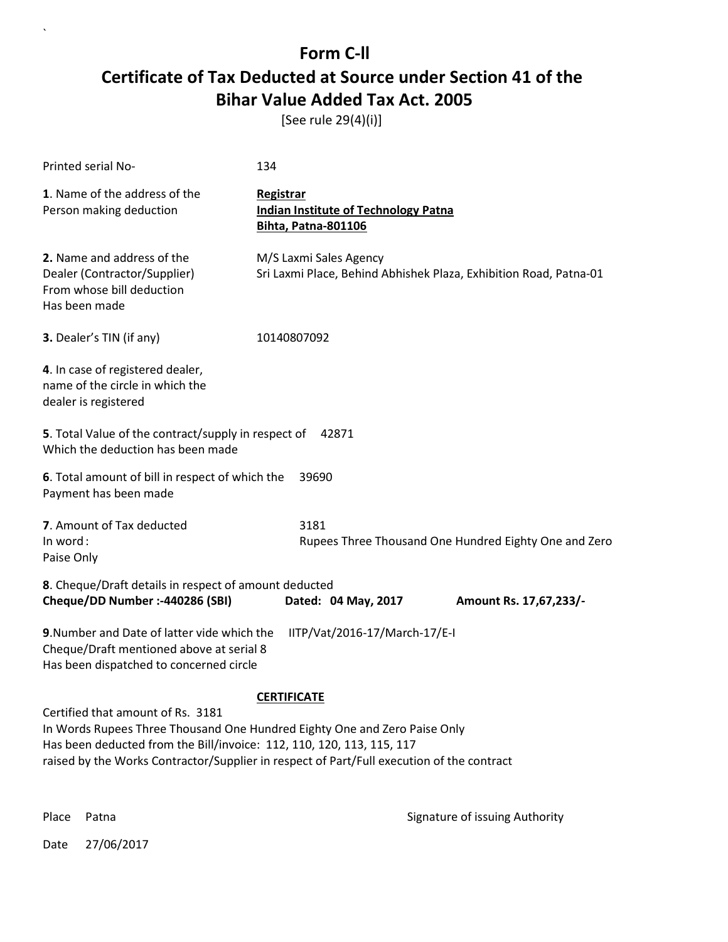[See rule 29(4)(i)]

| Printed serial No-                                                                                                                                                                                                                                                                   | 134                                                                                         |  |
|--------------------------------------------------------------------------------------------------------------------------------------------------------------------------------------------------------------------------------------------------------------------------------------|---------------------------------------------------------------------------------------------|--|
| 1. Name of the address of the<br>Person making deduction                                                                                                                                                                                                                             | Registrar<br><b>Indian Institute of Technology Patna</b><br>Bihta, Patna-801106             |  |
| 2. Name and address of the<br>Dealer (Contractor/Supplier)<br>From whose bill deduction<br>Has been made                                                                                                                                                                             | M/S Laxmi Sales Agency<br>Sri Laxmi Place, Behind Abhishek Plaza, Exhibition Road, Patna-01 |  |
| 3. Dealer's TIN (if any)                                                                                                                                                                                                                                                             | 10140807092                                                                                 |  |
| 4. In case of registered dealer,<br>name of the circle in which the<br>dealer is registered                                                                                                                                                                                          |                                                                                             |  |
| 5. Total Value of the contract/supply in respect of<br>42871<br>Which the deduction has been made                                                                                                                                                                                    |                                                                                             |  |
| 6. Total amount of bill in respect of which the<br>39690<br>Payment has been made                                                                                                                                                                                                    |                                                                                             |  |
| 7. Amount of Tax deducted<br>In word:<br>Paise Only                                                                                                                                                                                                                                  | 3181<br>Rupees Three Thousand One Hundred Eighty One and Zero                               |  |
| 8. Cheque/Draft details in respect of amount deducted<br>Cheque/DD Number :- 440286 (SBI)                                                                                                                                                                                            | Dated: 04 May, 2017<br>Amount Rs. 17,67,233/-                                               |  |
| 9. Number and Date of latter vide which the<br>IITP/Vat/2016-17/March-17/E-I<br>Cheque/Draft mentioned above at serial 8<br>Has been dispatched to concerned circle                                                                                                                  |                                                                                             |  |
|                                                                                                                                                                                                                                                                                      | <b>CERTIFICATE</b>                                                                          |  |
| Certified that amount of Rs. 3181<br>In Words Rupees Three Thousand One Hundred Eighty One and Zero Paise Only<br>Has been deducted from the Bill/invoice: 112, 110, 120, 113, 115, 117<br>raised by the Works Contractor/Supplier in respect of Part/Full execution of the contract |                                                                                             |  |

 $\ddot{\phantom{0}}$ 

Place Patna **Property** Place Patna Signature of issuing Authority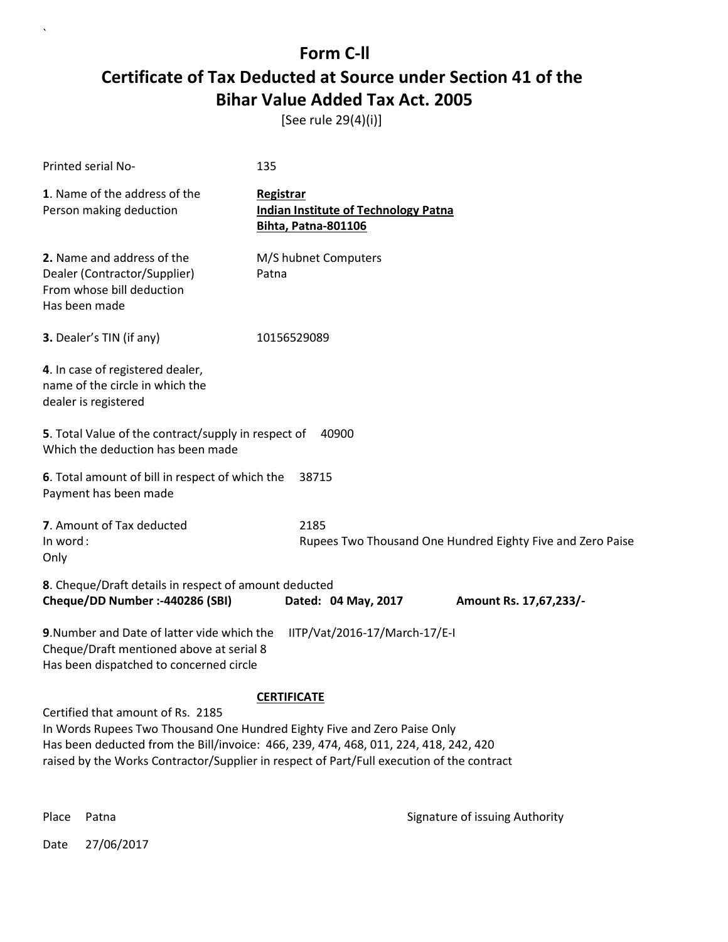[See rule 29(4)(i)]

| Printed serial No-                                                                                                                 | 135                                                                                                                                                                                                     |  |
|------------------------------------------------------------------------------------------------------------------------------------|---------------------------------------------------------------------------------------------------------------------------------------------------------------------------------------------------------|--|
| 1. Name of the address of the<br>Person making deduction                                                                           | Registrar<br><b>Indian Institute of Technology Patna</b><br>Bihta, Patna-801106                                                                                                                         |  |
| 2. Name and address of the<br>Dealer (Contractor/Supplier)<br>From whose bill deduction<br>Has been made                           | M/S hubnet Computers<br>Patna                                                                                                                                                                           |  |
| 3. Dealer's TIN (if any)                                                                                                           | 10156529089                                                                                                                                                                                             |  |
| 4. In case of registered dealer,<br>name of the circle in which the<br>dealer is registered                                        |                                                                                                                                                                                                         |  |
| 5. Total Value of the contract/supply in respect of<br>40900<br>Which the deduction has been made                                  |                                                                                                                                                                                                         |  |
| 6. Total amount of bill in respect of which the<br>Payment has been made                                                           | 38715                                                                                                                                                                                                   |  |
| 7. Amount of Tax deducted<br>In word:<br>Only                                                                                      | 2185<br>Rupees Two Thousand One Hundred Eighty Five and Zero Paise                                                                                                                                      |  |
| 8. Cheque/Draft details in respect of amount deducted<br>Cheque/DD Number :- 440286 (SBI)                                          | Dated: 04 May, 2017<br>Amount Rs. 17,67,233/-                                                                                                                                                           |  |
| 9. Number and Date of latter vide which the<br>Cheque/Draft mentioned above at serial 8<br>Has been dispatched to concerned circle | IITP/Vat/2016-17/March-17/E-I                                                                                                                                                                           |  |
| Certified that amount of Rs. 2185<br>In Words Rupees Two Thousand One Hundred Eighty Five and Zero Paise Only                      | <b>CERTIFICATE</b><br>Has been deducted from the Bill/invoice: 466, 239, 474, 468, 011, 224, 418, 242, 420<br>raised by the Works Contractor/Supplier in respect of Part/Full execution of the contract |  |

 $\ddot{\phantom{0}}$ 

Place Patna **Property** Place Patna Signature of issuing Authority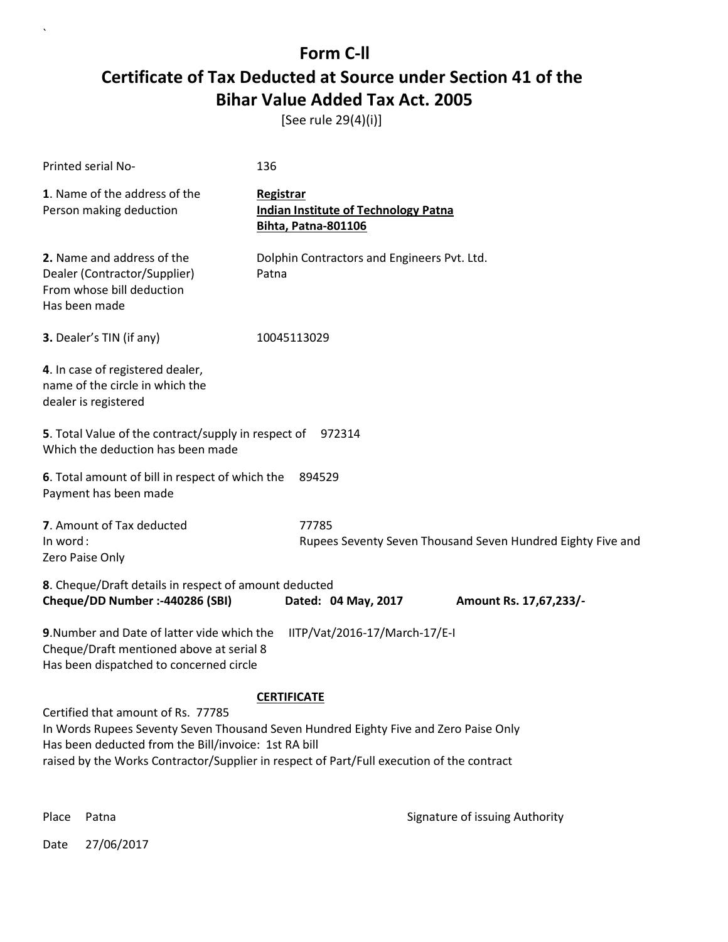[See rule 29(4)(i)]

| Printed serial No-                                                                                                                                                                                                                                                              | 136                                                                             |  |
|---------------------------------------------------------------------------------------------------------------------------------------------------------------------------------------------------------------------------------------------------------------------------------|---------------------------------------------------------------------------------|--|
| 1. Name of the address of the<br>Person making deduction                                                                                                                                                                                                                        | Registrar<br><b>Indian Institute of Technology Patna</b><br>Bihta, Patna-801106 |  |
| 2. Name and address of the<br>Dealer (Contractor/Supplier)<br>From whose bill deduction<br>Has been made                                                                                                                                                                        | Dolphin Contractors and Engineers Pvt. Ltd.<br>Patna                            |  |
| 3. Dealer's TIN (if any)                                                                                                                                                                                                                                                        | 10045113029                                                                     |  |
| 4. In case of registered dealer,<br>name of the circle in which the<br>dealer is registered                                                                                                                                                                                     |                                                                                 |  |
| 5. Total Value of the contract/supply in respect of<br>972314<br>Which the deduction has been made                                                                                                                                                                              |                                                                                 |  |
| 6. Total amount of bill in respect of which the<br>Payment has been made                                                                                                                                                                                                        | 894529                                                                          |  |
| 7. Amount of Tax deducted<br>In word:<br>Zero Paise Only                                                                                                                                                                                                                        | 77785<br>Rupees Seventy Seven Thousand Seven Hundred Eighty Five and            |  |
| 8. Cheque/Draft details in respect of amount deducted<br>Cheque/DD Number :- 440286 (SBI)                                                                                                                                                                                       | Dated: 04 May, 2017<br>Amount Rs. 17,67,233/-                                   |  |
| 9. Number and Date of latter vide which the<br>Cheque/Draft mentioned above at serial 8<br>Has been dispatched to concerned circle                                                                                                                                              | IITP/Vat/2016-17/March-17/E-I                                                   |  |
| <b>CERTIFICATE</b>                                                                                                                                                                                                                                                              |                                                                                 |  |
| Certified that amount of Rs. 77785<br>In Words Rupees Seventy Seven Thousand Seven Hundred Eighty Five and Zero Paise Only<br>Has been deducted from the Bill/invoice: 1st RA bill<br>raised by the Works Contractor/Supplier in respect of Part/Full execution of the contract |                                                                                 |  |

 $\ddot{\phantom{0}}$ 

Place Patna **Property** Place Patna Signature of issuing Authority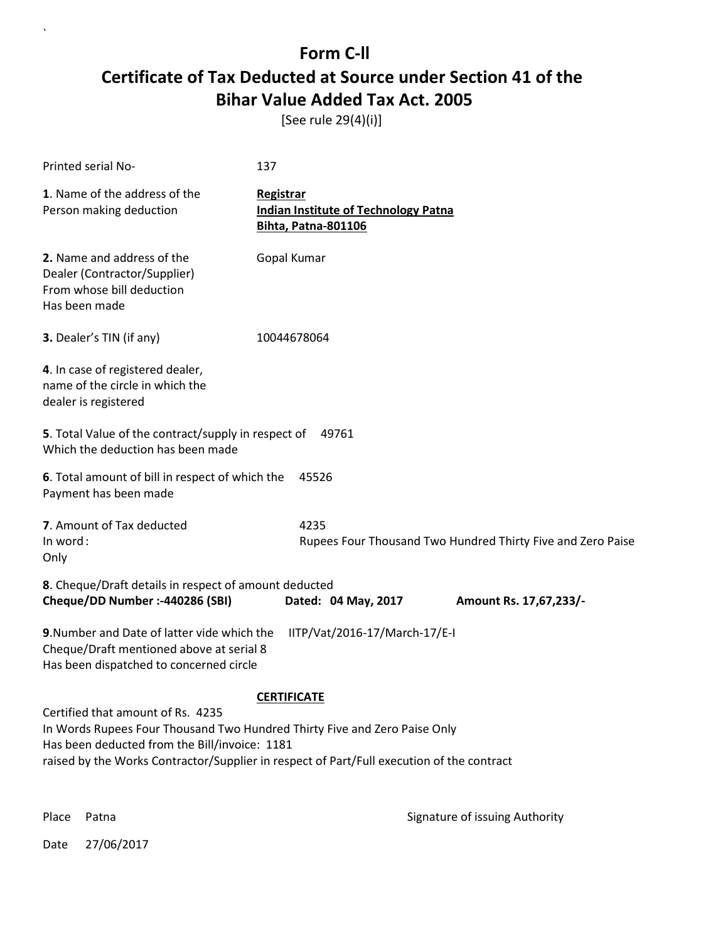[See rule 29(4)(i)]

| Printed serial No-                                                                                                                                                                                                                                           | 137                                                                             |  |
|--------------------------------------------------------------------------------------------------------------------------------------------------------------------------------------------------------------------------------------------------------------|---------------------------------------------------------------------------------|--|
| 1. Name of the address of the<br>Person making deduction                                                                                                                                                                                                     | Registrar<br><b>Indian Institute of Technology Patna</b><br>Bihta, Patna-801106 |  |
| 2. Name and address of the<br>Dealer (Contractor/Supplier)<br>From whose bill deduction<br>Has been made                                                                                                                                                     | Gopal Kumar                                                                     |  |
| 3. Dealer's TIN (if any)                                                                                                                                                                                                                                     | 10044678064                                                                     |  |
| 4. In case of registered dealer,<br>name of the circle in which the<br>dealer is registered                                                                                                                                                                  |                                                                                 |  |
| 5. Total Value of the contract/supply in respect of<br>Which the deduction has been made                                                                                                                                                                     | 49761                                                                           |  |
| 6. Total amount of bill in respect of which the<br>Payment has been made                                                                                                                                                                                     | 45526                                                                           |  |
| 7. Amount of Tax deducted<br>In word:<br>Only                                                                                                                                                                                                                | 4235<br>Rupees Four Thousand Two Hundred Thirty Five and Zero Paise             |  |
| 8. Cheque/Draft details in respect of amount deducted<br>Cheque/DD Number :- 440286 (SBI)                                                                                                                                                                    | Dated: 04 May, 2017<br>Amount Rs. 17,67,233/-                                   |  |
| 9. Number and Date of latter vide which the<br>Cheque/Draft mentioned above at serial 8<br>Has been dispatched to concerned circle                                                                                                                           | IITP/Vat/2016-17/March-17/E-I                                                   |  |
|                                                                                                                                                                                                                                                              | <b>CERTIFICATE</b>                                                              |  |
| Certified that amount of Rs. 4235<br>In Words Rupees Four Thousand Two Hundred Thirty Five and Zero Paise Only<br>Has been deducted from the Bill/invoice: 1181<br>raised by the Works Contractor/Supplier in respect of Part/Full execution of the contract |                                                                                 |  |

 $\ddot{\phantom{0}}$ 

Place Patna **Property** Place Patna Signature of issuing Authority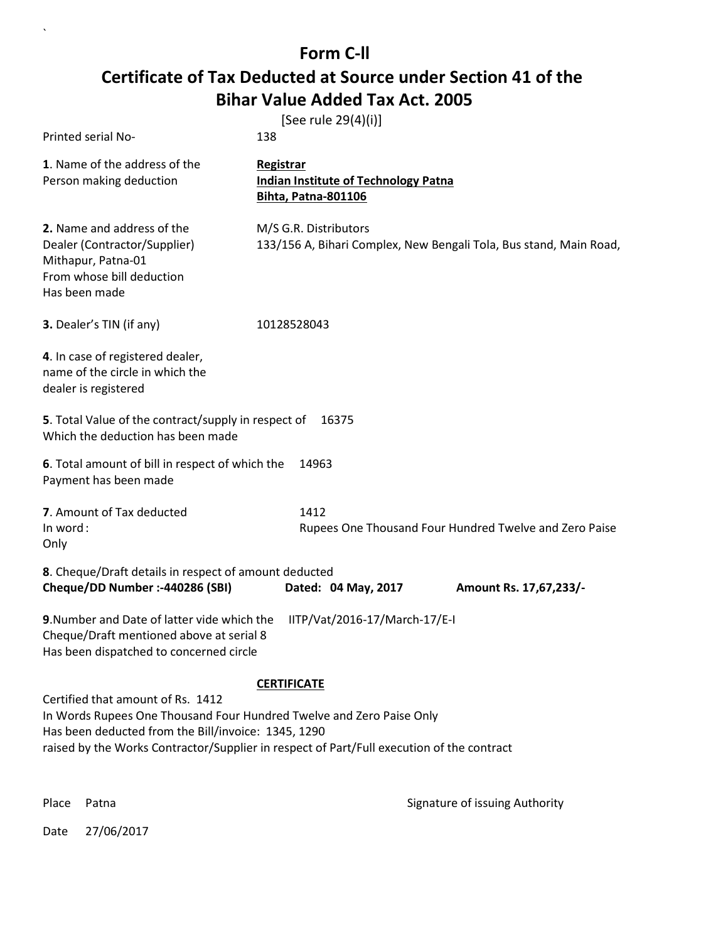|                                                                                                                                                                  | [See rule 29(4)(i)]                                                                                             |
|------------------------------------------------------------------------------------------------------------------------------------------------------------------|-----------------------------------------------------------------------------------------------------------------|
| Printed serial No-                                                                                                                                               | 138                                                                                                             |
| 1. Name of the address of the<br>Person making deduction                                                                                                         | Registrar<br><b>Indian Institute of Technology Patna</b><br>Bihta, Patna-801106                                 |
| 2. Name and address of the<br>Dealer (Contractor/Supplier)<br>Mithapur, Patna-01<br>From whose bill deduction<br>Has been made                                   | M/S G.R. Distributors<br>133/156 A, Bihari Complex, New Bengali Tola, Bus stand, Main Road,                     |
| 3. Dealer's TIN (if any)                                                                                                                                         | 10128528043                                                                                                     |
| 4. In case of registered dealer,<br>name of the circle in which the<br>dealer is registered                                                                      |                                                                                                                 |
| 5. Total Value of the contract/supply in respect of<br>Which the deduction has been made                                                                         | 16375                                                                                                           |
| 6. Total amount of bill in respect of which the<br>Payment has been made                                                                                         | 14963                                                                                                           |
| 7. Amount of Tax deducted<br>In word:<br>Only                                                                                                                    | 1412<br>Rupees One Thousand Four Hundred Twelve and Zero Paise                                                  |
| 8. Cheque/Draft details in respect of amount deducted<br>Cheque/DD Number :- 440286 (SBI)                                                                        | Dated: 04 May, 2017<br>Amount Rs. 17,67,233/-                                                                   |
| 9. Number and Date of latter vide which the<br>Cheque/Draft mentioned above at serial 8<br>Has been dispatched to concerned circle                               | IITP/Vat/2016-17/March-17/E-I                                                                                   |
| Certified that amount of Rs. 1412<br>In Words Rupees One Thousand Four Hundred Twelve and Zero Paise Only<br>Has been deducted from the Bill/invoice: 1345, 1290 | <b>CERTIFICATE</b><br>raised by the Works Contractor/Supplier in respect of Part/Full execution of the contract |

Place Patna **Property** Place Patna Signature of issuing Authority

Date 27/06/2017

 $\ddot{\phantom{0}}$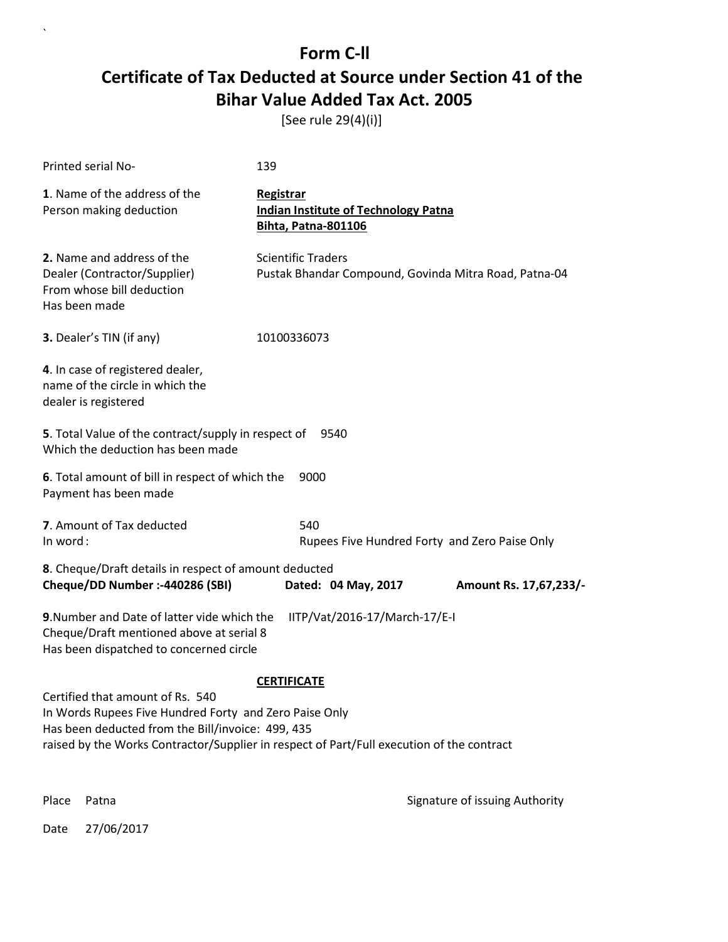[See rule 29(4)(i)]

| Printed serial No-                                                                                                                                                                                                                           | 139                                                                                    |                                |
|----------------------------------------------------------------------------------------------------------------------------------------------------------------------------------------------------------------------------------------------|----------------------------------------------------------------------------------------|--------------------------------|
| 1. Name of the address of the<br>Person making deduction                                                                                                                                                                                     | Registrar<br><b>Indian Institute of Technology Patna</b><br><b>Bihta, Patna-801106</b> |                                |
| 2. Name and address of the<br>Dealer (Contractor/Supplier)<br>From whose bill deduction<br>Has been made                                                                                                                                     | <b>Scientific Traders</b><br>Pustak Bhandar Compound, Govinda Mitra Road, Patna-04     |                                |
| 3. Dealer's TIN (if any)                                                                                                                                                                                                                     | 10100336073                                                                            |                                |
| 4. In case of registered dealer,<br>name of the circle in which the<br>dealer is registered                                                                                                                                                  |                                                                                        |                                |
| 5. Total Value of the contract/supply in respect of<br>Which the deduction has been made                                                                                                                                                     | 9540                                                                                   |                                |
| 6. Total amount of bill in respect of which the<br>Payment has been made                                                                                                                                                                     | 9000                                                                                   |                                |
| 7. Amount of Tax deducted<br>In word:                                                                                                                                                                                                        | 540<br>Rupees Five Hundred Forty and Zero Paise Only                                   |                                |
| 8. Cheque/Draft details in respect of amount deducted<br>Cheque/DD Number :- 440286 (SBI)                                                                                                                                                    | Dated: 04 May, 2017                                                                    | Amount Rs. 17,67,233/-         |
| 9. Number and Date of latter vide which the<br>Cheque/Draft mentioned above at serial 8<br>Has been dispatched to concerned circle                                                                                                           | IITP/Vat/2016-17/March-17/E-I                                                          |                                |
|                                                                                                                                                                                                                                              | <b>CERTIFICATE</b>                                                                     |                                |
| Certified that amount of Rs. 540<br>In Words Rupees Five Hundred Forty and Zero Paise Only<br>Has been deducted from the Bill/invoice: 499, 435<br>raised by the Works Contractor/Supplier in respect of Part/Full execution of the contract |                                                                                        |                                |
| Place<br>Patna                                                                                                                                                                                                                               |                                                                                        | Signature of issuing Authority |

Date 27/06/2017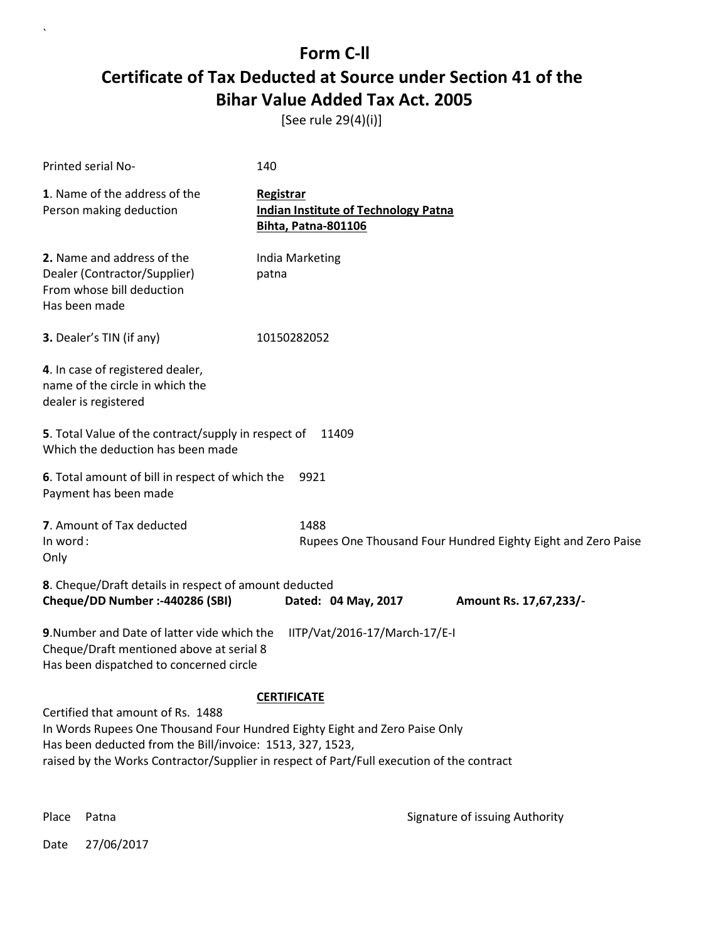[See rule 29(4)(i)]

| <b>Printed serial No-</b>                                                                                                                                                                                                                                                                       | 140                                                                                    |  |
|-------------------------------------------------------------------------------------------------------------------------------------------------------------------------------------------------------------------------------------------------------------------------------------------------|----------------------------------------------------------------------------------------|--|
| 1. Name of the address of the<br>Person making deduction                                                                                                                                                                                                                                        | Registrar<br><b>Indian Institute of Technology Patna</b><br><b>Bihta, Patna-801106</b> |  |
| 2. Name and address of the<br>Dealer (Contractor/Supplier)<br>From whose bill deduction<br>Has been made                                                                                                                                                                                        | India Marketing<br>patna                                                               |  |
| 3. Dealer's TIN (if any)                                                                                                                                                                                                                                                                        | 10150282052                                                                            |  |
| 4. In case of registered dealer,<br>name of the circle in which the<br>dealer is registered                                                                                                                                                                                                     |                                                                                        |  |
| 5. Total Value of the contract/supply in respect of<br>Which the deduction has been made                                                                                                                                                                                                        | 11409                                                                                  |  |
| 6. Total amount of bill in respect of which the<br>Payment has been made                                                                                                                                                                                                                        | 9921                                                                                   |  |
| 7. Amount of Tax deducted<br>In word:<br>Only                                                                                                                                                                                                                                                   | 1488<br>Rupees One Thousand Four Hundred Eighty Eight and Zero Paise                   |  |
| 8. Cheque/Draft details in respect of amount deducted<br>Cheque/DD Number :- 440286 (SBI)                                                                                                                                                                                                       | Dated: 04 May, 2017<br>Amount Rs. 17,67,233/-                                          |  |
| 9. Number and Date of latter vide which the<br>IITP/Vat/2016-17/March-17/E-I<br>Cheque/Draft mentioned above at serial 8<br>Has been dispatched to concerned circle                                                                                                                             |                                                                                        |  |
| <b>CERTIFICATE</b><br>Certified that amount of Rs. 1488<br>In Words Rupees One Thousand Four Hundred Eighty Eight and Zero Paise Only<br>Has been deducted from the Bill/invoice: 1513, 327, 1523,<br>raised by the Works Contractor/Supplier in respect of Part/Full execution of the contract |                                                                                        |  |

 $\ddot{\phantom{0}}$ 

Place Patna **Property** Place Patna Signature of issuing Authority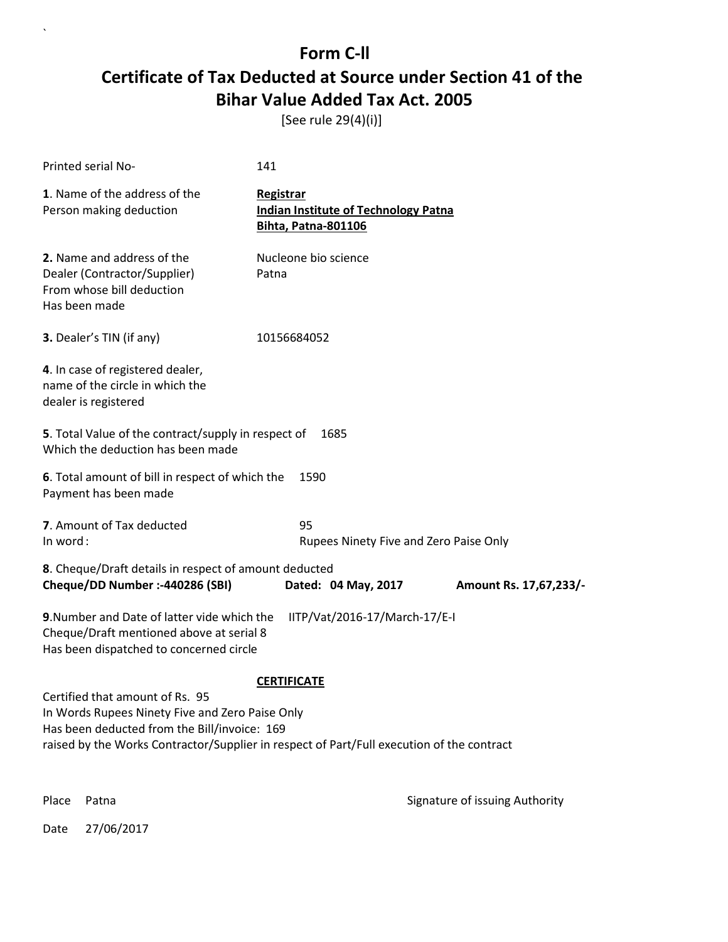[See rule 29(4)(i)]

| Printed serial No-                                                                                                                                                                                                              | 141                                                                                    |                                |
|---------------------------------------------------------------------------------------------------------------------------------------------------------------------------------------------------------------------------------|----------------------------------------------------------------------------------------|--------------------------------|
| 1. Name of the address of the<br>Person making deduction                                                                                                                                                                        | Registrar<br><b>Indian Institute of Technology Patna</b><br><b>Bihta, Patna-801106</b> |                                |
| 2. Name and address of the<br>Dealer (Contractor/Supplier)<br>From whose bill deduction<br>Has been made                                                                                                                        | Nucleone bio science<br>Patna                                                          |                                |
| 3. Dealer's TIN (if any)                                                                                                                                                                                                        | 10156684052                                                                            |                                |
| 4. In case of registered dealer,<br>name of the circle in which the<br>dealer is registered                                                                                                                                     |                                                                                        |                                |
| 5. Total Value of the contract/supply in respect of<br>Which the deduction has been made                                                                                                                                        | 1685                                                                                   |                                |
| 6. Total amount of bill in respect of which the<br>Payment has been made                                                                                                                                                        | 1590                                                                                   |                                |
| 7. Amount of Tax deducted<br>In word:                                                                                                                                                                                           | 95<br>Rupees Ninety Five and Zero Paise Only                                           |                                |
| 8. Cheque/Draft details in respect of amount deducted<br>Cheque/DD Number :- 440286 (SBI)                                                                                                                                       | Dated: 04 May, 2017                                                                    | Amount Rs. 17,67,233/-         |
| 9. Number and Date of latter vide which the<br>Cheque/Draft mentioned above at serial 8<br>Has been dispatched to concerned circle                                                                                              | IITP/Vat/2016-17/March-17/E-I                                                          |                                |
|                                                                                                                                                                                                                                 | <b>CERTIFICATE</b>                                                                     |                                |
| Certified that amount of Rs. 95<br>In Words Rupees Ninety Five and Zero Paise Only<br>Has been deducted from the Bill/invoice: 169<br>raised by the Works Contractor/Supplier in respect of Part/Full execution of the contract |                                                                                        |                                |
| Place<br>Patna                                                                                                                                                                                                                  |                                                                                        | Signature of issuing Authority |

Date 27/06/2017

 $\ddot{\phantom{0}}$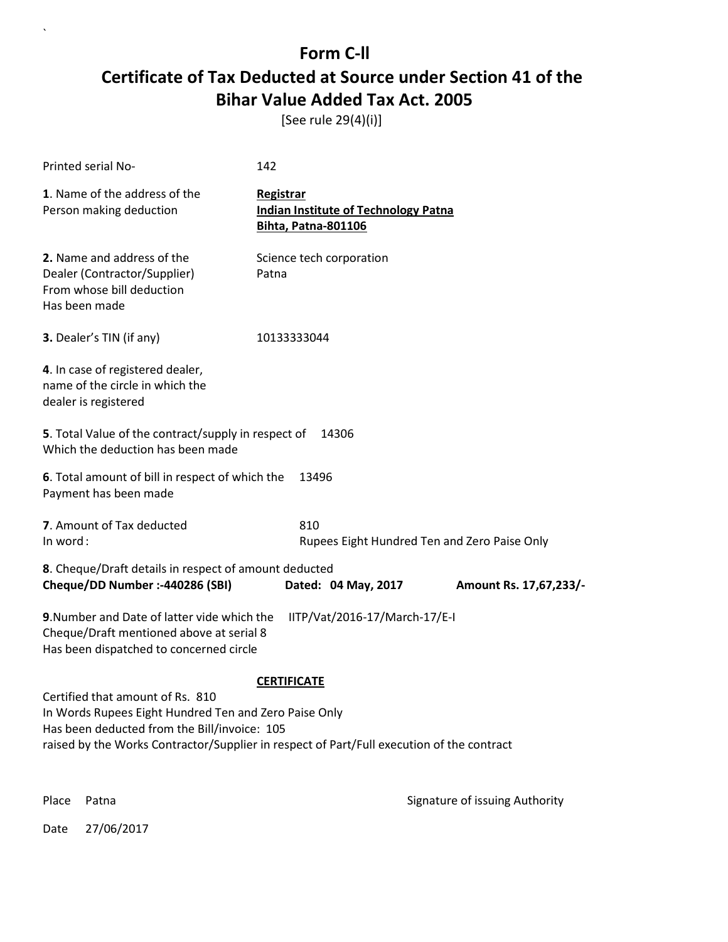[See rule 29(4)(i)]

| Printed serial No-                                                                                                                                                                                                                     | 142                                                                                    |                        |  |
|----------------------------------------------------------------------------------------------------------------------------------------------------------------------------------------------------------------------------------------|----------------------------------------------------------------------------------------|------------------------|--|
| 1. Name of the address of the<br>Person making deduction                                                                                                                                                                               | Registrar<br><b>Indian Institute of Technology Patna</b><br><b>Bihta, Patna-801106</b> |                        |  |
| 2. Name and address of the<br>Dealer (Contractor/Supplier)<br>From whose bill deduction<br>Has been made                                                                                                                               | Science tech corporation<br>Patna                                                      |                        |  |
| 3. Dealer's TIN (if any)                                                                                                                                                                                                               | 10133333044                                                                            |                        |  |
| 4. In case of registered dealer,<br>name of the circle in which the<br>dealer is registered                                                                                                                                            |                                                                                        |                        |  |
| 5. Total Value of the contract/supply in respect of<br>Which the deduction has been made                                                                                                                                               | 14306                                                                                  |                        |  |
| 6. Total amount of bill in respect of which the<br>Payment has been made                                                                                                                                                               | 13496                                                                                  |                        |  |
| 7. Amount of Tax deducted<br>In word:                                                                                                                                                                                                  | 810<br>Rupees Eight Hundred Ten and Zero Paise Only                                    |                        |  |
| 8. Cheque/Draft details in respect of amount deducted<br>Cheque/DD Number :- 440286 (SBI)                                                                                                                                              | Dated: 04 May, 2017                                                                    | Amount Rs. 17,67,233/- |  |
| 9. Number and Date of latter vide which the<br>IITP/Vat/2016-17/March-17/E-I<br>Cheque/Draft mentioned above at serial 8<br>Has been dispatched to concerned circle                                                                    |                                                                                        |                        |  |
| Certified that amount of Rs. 810<br>In Words Rupees Eight Hundred Ten and Zero Paise Only<br>Has been deducted from the Bill/invoice: 105<br>raised by the Works Contractor/Supplier in respect of Part/Full execution of the contract | <b>CERTIFICATE</b>                                                                     |                        |  |

Place Patna **Property** Place Patna Signature of issuing Authority

Date 27/06/2017

 $\ddot{\phantom{0}}$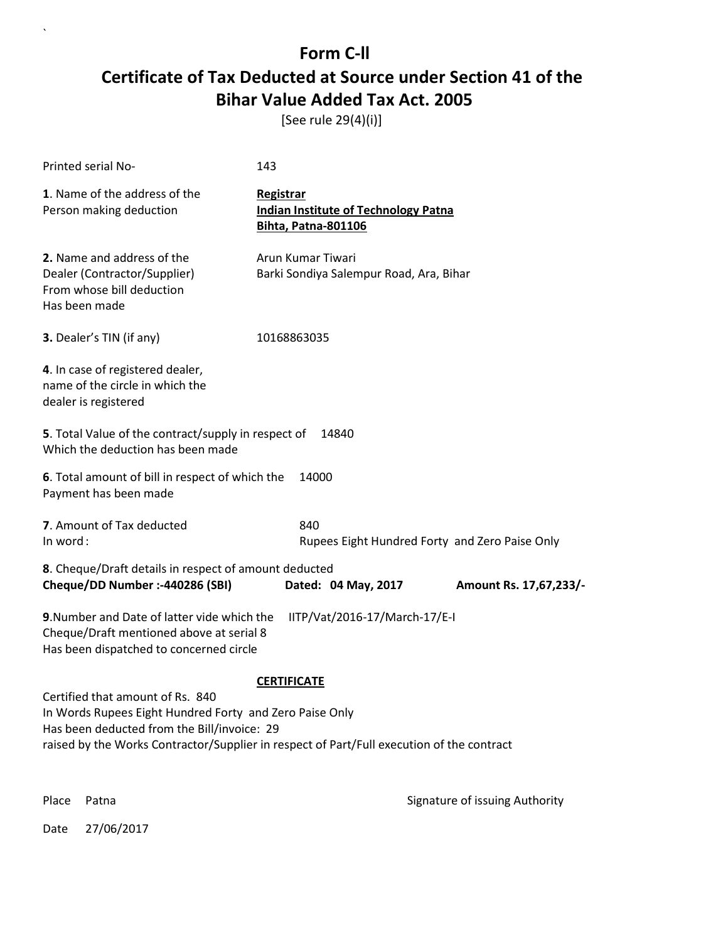[See rule 29(4)(i)]

| Printed serial No-                                                                                                                                                  | 143                                                                                    |                        |  |
|---------------------------------------------------------------------------------------------------------------------------------------------------------------------|----------------------------------------------------------------------------------------|------------------------|--|
| 1. Name of the address of the<br>Person making deduction                                                                                                            | Registrar<br><b>Indian Institute of Technology Patna</b><br><b>Bihta, Patna-801106</b> |                        |  |
| 2. Name and address of the<br>Dealer (Contractor/Supplier)<br>From whose bill deduction<br>Has been made                                                            | Arun Kumar Tiwari<br>Barki Sondiya Salempur Road, Ara, Bihar                           |                        |  |
| 3. Dealer's TIN (if any)                                                                                                                                            | 10168863035                                                                            |                        |  |
| 4. In case of registered dealer,<br>name of the circle in which the<br>dealer is registered                                                                         |                                                                                        |                        |  |
| 5. Total Value of the contract/supply in respect of<br>Which the deduction has been made                                                                            | 14840                                                                                  |                        |  |
| 6. Total amount of bill in respect of which the<br>Payment has been made                                                                                            | 14000                                                                                  |                        |  |
| 7. Amount of Tax deducted<br>In word:                                                                                                                               | 840<br>Rupees Eight Hundred Forty and Zero Paise Only                                  |                        |  |
| 8. Cheque/Draft details in respect of amount deducted<br>Cheque/DD Number :- 440286 (SBI)                                                                           | Dated: 04 May, 2017                                                                    | Amount Rs. 17,67,233/- |  |
| 9. Number and Date of latter vide which the<br>IITP/Vat/2016-17/March-17/E-I<br>Cheque/Draft mentioned above at serial 8<br>Has been dispatched to concerned circle |                                                                                        |                        |  |
|                                                                                                                                                                     | <b>CERTIFICATE</b>                                                                     |                        |  |
| Certified that amount of Rs. 840<br>In Words Rupees Eight Hundred Forty and Zero Paise Only                                                                         |                                                                                        |                        |  |
| Has been deducted from the Bill/invoice: 29<br>raised by the Works Contractor/Supplier in respect of Part/Full execution of the contract                            |                                                                                        |                        |  |
|                                                                                                                                                                     |                                                                                        |                        |  |

Place Patna **Property** Place Patna Signature of issuing Authority

Date 27/06/2017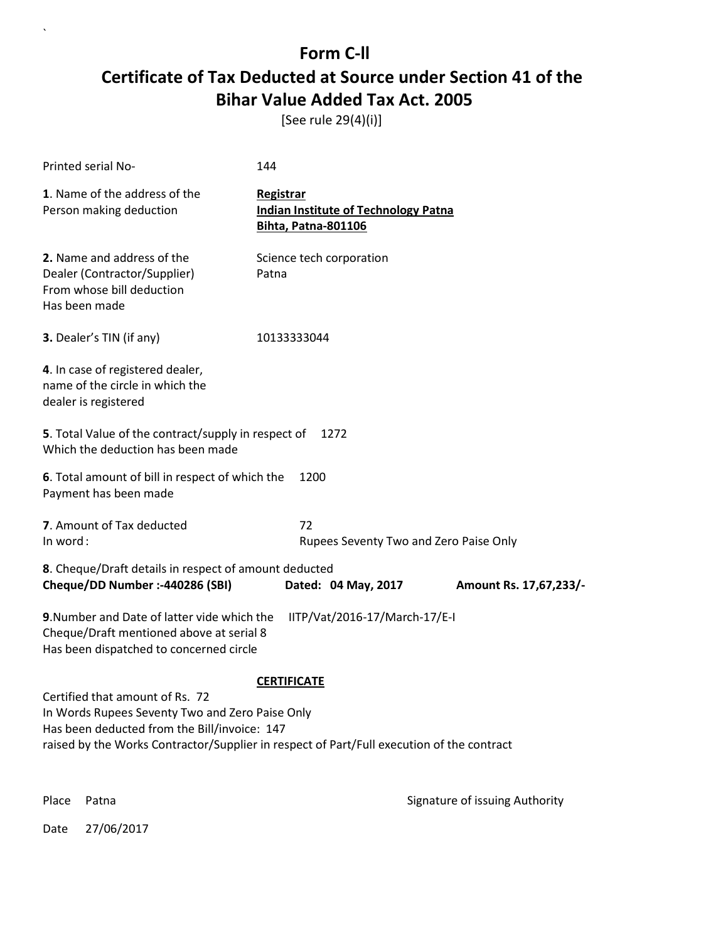[See rule 29(4)(i)]

| Printed serial No-                                                                                                                                                                                                              | 144                                                                                    |                        |
|---------------------------------------------------------------------------------------------------------------------------------------------------------------------------------------------------------------------------------|----------------------------------------------------------------------------------------|------------------------|
| 1. Name of the address of the<br>Person making deduction                                                                                                                                                                        | Registrar<br><b>Indian Institute of Technology Patna</b><br><b>Bihta, Patna-801106</b> |                        |
| 2. Name and address of the<br>Dealer (Contractor/Supplier)<br>From whose bill deduction<br>Has been made                                                                                                                        | Science tech corporation<br>Patna                                                      |                        |
| 3. Dealer's TIN (if any)                                                                                                                                                                                                        | 10133333044                                                                            |                        |
| 4. In case of registered dealer,<br>name of the circle in which the<br>dealer is registered                                                                                                                                     |                                                                                        |                        |
| 5. Total Value of the contract/supply in respect of<br>Which the deduction has been made                                                                                                                                        | 1272                                                                                   |                        |
| 6. Total amount of bill in respect of which the<br>Payment has been made                                                                                                                                                        | 1200                                                                                   |                        |
| 7. Amount of Tax deducted<br>In word:                                                                                                                                                                                           | 72<br>Rupees Seventy Two and Zero Paise Only                                           |                        |
| 8. Cheque/Draft details in respect of amount deducted<br>Cheque/DD Number :- 440286 (SBI)                                                                                                                                       | Dated: 04 May, 2017                                                                    | Amount Rs. 17,67,233/- |
| 9. Number and Date of latter vide which the<br>Cheque/Draft mentioned above at serial 8<br>Has been dispatched to concerned circle                                                                                              | IITP/Vat/2016-17/March-17/E-I                                                          |                        |
|                                                                                                                                                                                                                                 | <b>CERTIFICATE</b>                                                                     |                        |
| Certified that amount of Rs. 72<br>In Words Rupees Seventy Two and Zero Paise Only<br>Has been deducted from the Bill/invoice: 147<br>raised by the Works Contractor/Supplier in respect of Part/Full execution of the contract |                                                                                        |                        |
|                                                                                                                                                                                                                                 |                                                                                        |                        |

Place Patna **Property** Place Patna Signature of issuing Authority

Date 27/06/2017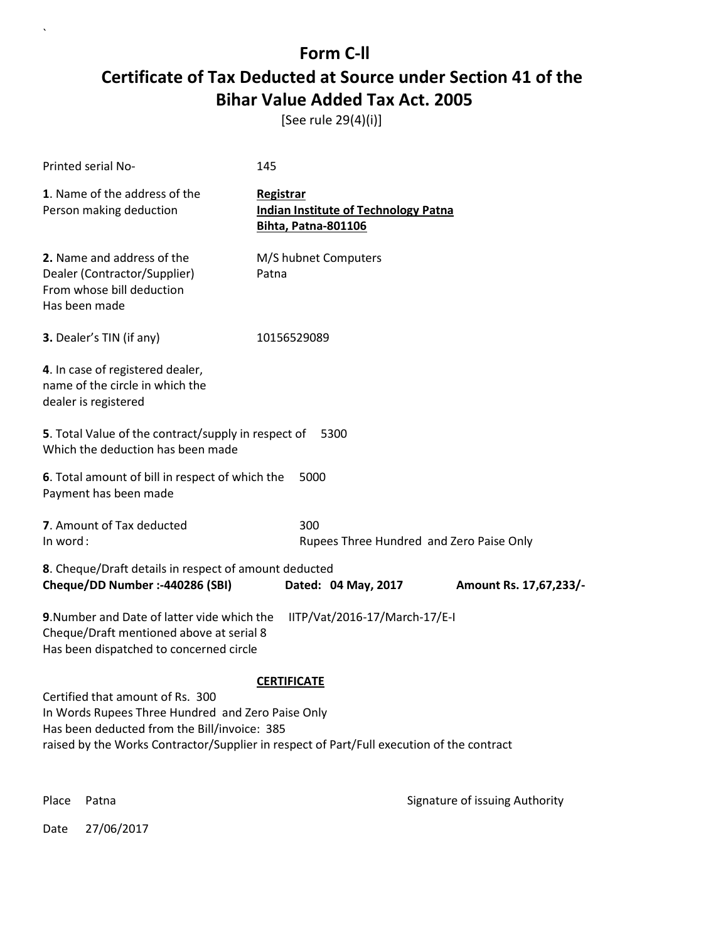[See rule 29(4)(i)]

| Printed serial No-                                                                                                                                                                                                                 | 145                                                                                    |                        |
|------------------------------------------------------------------------------------------------------------------------------------------------------------------------------------------------------------------------------------|----------------------------------------------------------------------------------------|------------------------|
| 1. Name of the address of the<br>Person making deduction                                                                                                                                                                           | Registrar<br><b>Indian Institute of Technology Patna</b><br><b>Bihta, Patna-801106</b> |                        |
| 2. Name and address of the<br>Dealer (Contractor/Supplier)<br>From whose bill deduction<br>Has been made                                                                                                                           | M/S hubnet Computers<br>Patna                                                          |                        |
| 3. Dealer's TIN (if any)                                                                                                                                                                                                           | 10156529089                                                                            |                        |
| 4. In case of registered dealer,<br>name of the circle in which the<br>dealer is registered                                                                                                                                        |                                                                                        |                        |
| 5. Total Value of the contract/supply in respect of<br>Which the deduction has been made                                                                                                                                           | 5300                                                                                   |                        |
| 6. Total amount of bill in respect of which the<br>Payment has been made                                                                                                                                                           | 5000                                                                                   |                        |
| 7. Amount of Tax deducted<br>In word:                                                                                                                                                                                              | 300<br>Rupees Three Hundred and Zero Paise Only                                        |                        |
| 8. Cheque/Draft details in respect of amount deducted<br>Cheque/DD Number :- 440286 (SBI)                                                                                                                                          | Dated: 04 May, 2017                                                                    | Amount Rs. 17,67,233/- |
| 9. Number and Date of latter vide which the<br>Cheque/Draft mentioned above at serial 8<br>Has been dispatched to concerned circle                                                                                                 | IITP/Vat/2016-17/March-17/E-I                                                          |                        |
| Certified that amount of Rs. 300<br>In Words Rupees Three Hundred and Zero Paise Only<br>Has been deducted from the Bill/invoice: 385<br>raised by the Works Contractor/Supplier in respect of Part/Full execution of the contract | <b>CERTIFICATE</b>                                                                     |                        |

Place Patna **Property** Place Patna Signature of issuing Authority

Date 27/06/2017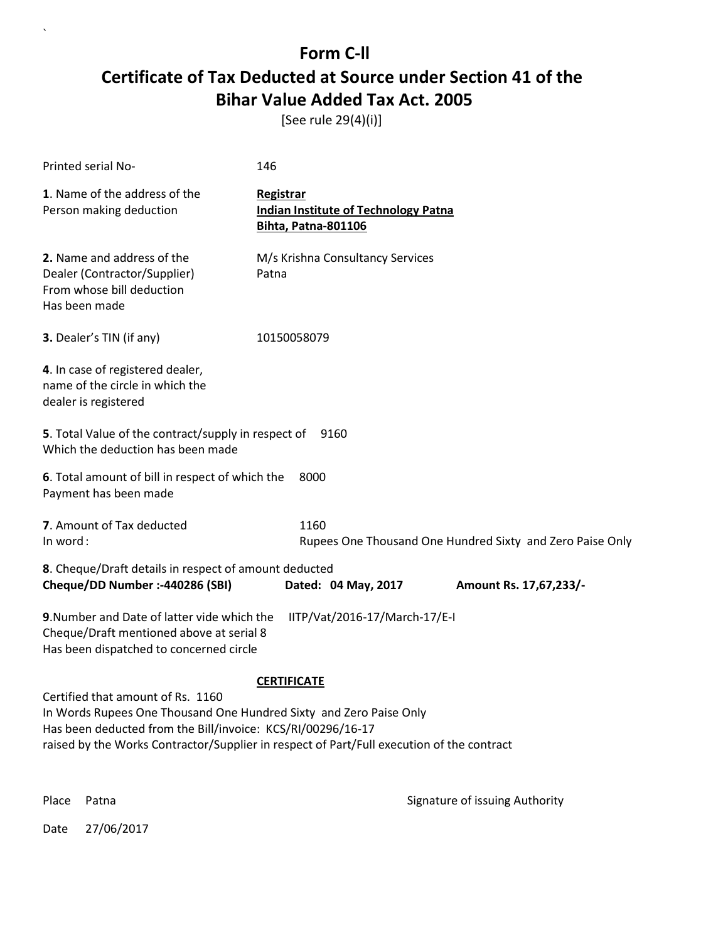[See rule 29(4)(i)]

| Printed serial No-                                                                                                                                                     | 146                                                                                       |                                                           |
|------------------------------------------------------------------------------------------------------------------------------------------------------------------------|-------------------------------------------------------------------------------------------|-----------------------------------------------------------|
| 1. Name of the address of the<br>Person making deduction                                                                                                               | Registrar<br><b>Indian Institute of Technology Patna</b><br><b>Bihta, Patna-801106</b>    |                                                           |
| 2. Name and address of the<br>Dealer (Contractor/Supplier)<br>From whose bill deduction<br>Has been made                                                               | M/s Krishna Consultancy Services<br>Patna                                                 |                                                           |
| 3. Dealer's TIN (if any)                                                                                                                                               | 10150058079                                                                               |                                                           |
| 4. In case of registered dealer,<br>name of the circle in which the<br>dealer is registered                                                                            |                                                                                           |                                                           |
| 5. Total Value of the contract/supply in respect of<br>Which the deduction has been made                                                                               | 9160                                                                                      |                                                           |
| 6. Total amount of bill in respect of which the<br>Payment has been made                                                                                               | 8000                                                                                      |                                                           |
| 7. Amount of Tax deducted<br>In word:                                                                                                                                  | 1160                                                                                      | Rupees One Thousand One Hundred Sixty and Zero Paise Only |
| 8. Cheque/Draft details in respect of amount deducted<br>Cheque/DD Number :- 440286 (SBI)                                                                              | Dated: 04 May, 2017                                                                       | Amount Rs. 17,67,233/-                                    |
| 9. Number and Date of latter vide which the<br>Cheque/Draft mentioned above at serial 8<br>Has been dispatched to concerned circle                                     | IITP/Vat/2016-17/March-17/E-I                                                             |                                                           |
|                                                                                                                                                                        | <b>CERTIFICATE</b>                                                                        |                                                           |
| Certified that amount of Rs. 1160<br>In Words Rupees One Thousand One Hundred Sixty and Zero Paise Only<br>Has been deducted from the Bill/invoice: KCS/RI/00296/16-17 | raised by the Works Contractor/Supplier in respect of Part/Full execution of the contract |                                                           |
| Place<br>Patna                                                                                                                                                         |                                                                                           | Signature of issuing Authority                            |

Date 27/06/2017

 $\ddot{\phantom{0}}$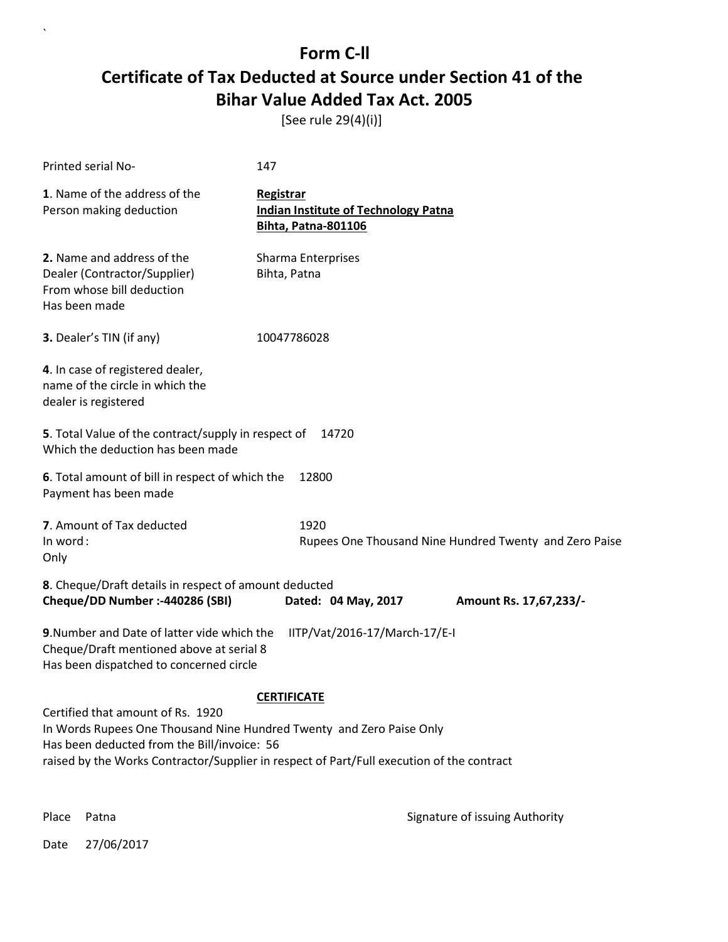[See rule 29(4)(i)]

| Printed serial No-                                                                                                                                       | 147                                                                                       |
|----------------------------------------------------------------------------------------------------------------------------------------------------------|-------------------------------------------------------------------------------------------|
| 1. Name of the address of the<br>Person making deduction                                                                                                 | Registrar<br><b>Indian Institute of Technology Patna</b><br>Bihta, Patna-801106           |
| 2. Name and address of the<br>Dealer (Contractor/Supplier)<br>From whose bill deduction<br>Has been made                                                 | Sharma Enterprises<br>Bihta, Patna                                                        |
| 3. Dealer's TIN (if any)                                                                                                                                 | 10047786028                                                                               |
| 4. In case of registered dealer,<br>name of the circle in which the<br>dealer is registered                                                              |                                                                                           |
| 5. Total Value of the contract/supply in respect of<br>Which the deduction has been made                                                                 | 14720                                                                                     |
| 6. Total amount of bill in respect of which the<br>Payment has been made                                                                                 | 12800                                                                                     |
| 7. Amount of Tax deducted<br>In word:<br>Only                                                                                                            | 1920<br>Rupees One Thousand Nine Hundred Twenty and Zero Paise                            |
| 8. Cheque/Draft details in respect of amount deducted<br>Cheque/DD Number :- 440286 (SBI)                                                                | Dated: 04 May, 2017<br>Amount Rs. 17,67,233/-                                             |
| 9. Number and Date of latter vide which the<br>Cheque/Draft mentioned above at serial 8<br>Has been dispatched to concerned circle                       | IITP/Vat/2016-17/March-17/E-I                                                             |
|                                                                                                                                                          | <b>CERTIFICATE</b>                                                                        |
| Certified that amount of Rs. 1920<br>In Words Rupees One Thousand Nine Hundred Twenty and Zero Paise Only<br>Has been deducted from the Bill/invoice: 56 | raised by the Works Contractor/Supplier in respect of Part/Full execution of the contract |

 $\overline{\phantom{a}}$ 

Place Patna **Property** Place Patna Signature of issuing Authority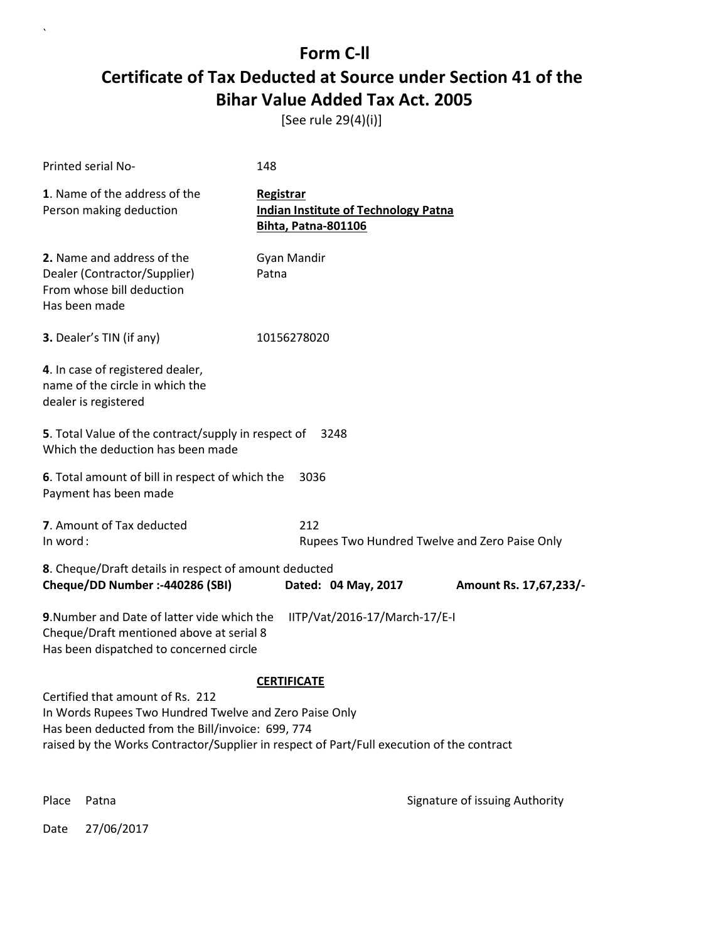[See rule 29(4)(i)]

| Printed serial No-                                                                                                                                                                                                                           | 148                                                                                    |                        |  |
|----------------------------------------------------------------------------------------------------------------------------------------------------------------------------------------------------------------------------------------------|----------------------------------------------------------------------------------------|------------------------|--|
| 1. Name of the address of the<br>Person making deduction                                                                                                                                                                                     | Registrar<br><b>Indian Institute of Technology Patna</b><br><b>Bihta, Patna-801106</b> |                        |  |
| 2. Name and address of the<br>Dealer (Contractor/Supplier)<br>From whose bill deduction<br>Has been made                                                                                                                                     | Gyan Mandir<br>Patna                                                                   |                        |  |
| 3. Dealer's TIN (if any)                                                                                                                                                                                                                     | 10156278020                                                                            |                        |  |
| 4. In case of registered dealer,<br>name of the circle in which the<br>dealer is registered                                                                                                                                                  |                                                                                        |                        |  |
| 5. Total Value of the contract/supply in respect of<br>Which the deduction has been made                                                                                                                                                     | 3248                                                                                   |                        |  |
| 6. Total amount of bill in respect of which the<br>Payment has been made                                                                                                                                                                     | 3036                                                                                   |                        |  |
| 7. Amount of Tax deducted<br>In word:                                                                                                                                                                                                        | 212<br>Rupees Two Hundred Twelve and Zero Paise Only                                   |                        |  |
| 8. Cheque/Draft details in respect of amount deducted<br>Cheque/DD Number :- 440286 (SBI)                                                                                                                                                    | Dated: 04 May, 2017                                                                    | Amount Rs. 17,67,233/- |  |
| 9. Number and Date of latter vide which the<br>IITP/Vat/2016-17/March-17/E-I<br>Cheque/Draft mentioned above at serial 8<br>Has been dispatched to concerned circle                                                                          |                                                                                        |                        |  |
|                                                                                                                                                                                                                                              | <b>CERTIFICATE</b>                                                                     |                        |  |
| Certified that amount of Rs. 212<br>In Words Rupees Two Hundred Twelve and Zero Paise Only<br>Has been deducted from the Bill/invoice: 699, 774<br>raised by the Works Contractor/Supplier in respect of Part/Full execution of the contract |                                                                                        |                        |  |
|                                                                                                                                                                                                                                              |                                                                                        |                        |  |

Place Patna **Property** Place Patna Signature of issuing Authority

Date 27/06/2017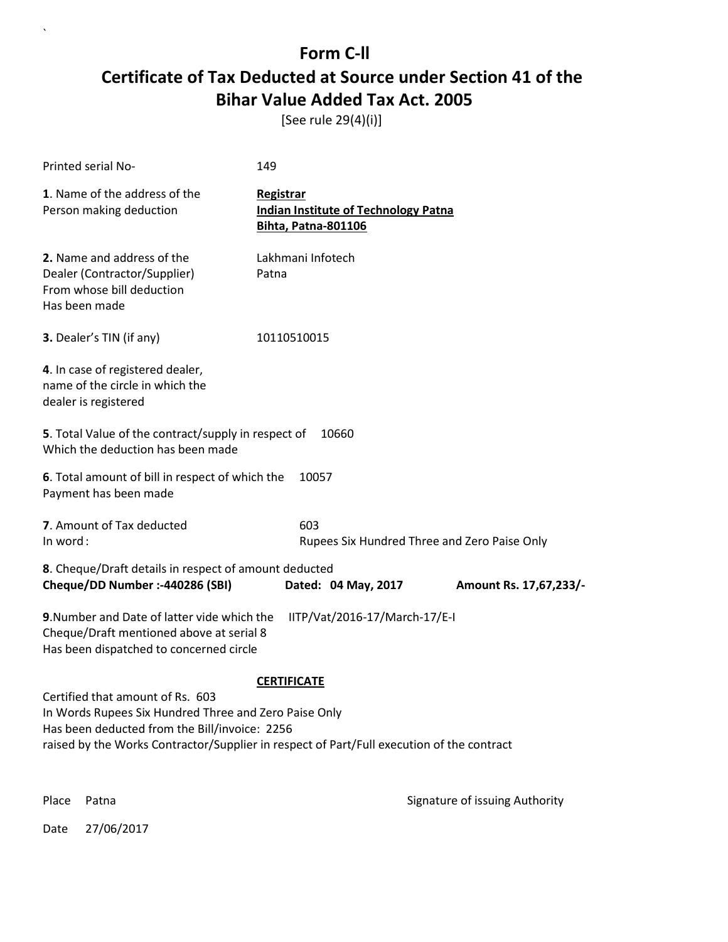[See rule 29(4)(i)]

| Printed serial No-                                                                                                                                                                                                                      | 149                                                                                    |                                |
|-----------------------------------------------------------------------------------------------------------------------------------------------------------------------------------------------------------------------------------------|----------------------------------------------------------------------------------------|--------------------------------|
| 1. Name of the address of the<br>Person making deduction                                                                                                                                                                                | Registrar<br><b>Indian Institute of Technology Patna</b><br><b>Bihta, Patna-801106</b> |                                |
| 2. Name and address of the<br>Dealer (Contractor/Supplier)<br>From whose bill deduction<br>Has been made                                                                                                                                | Lakhmani Infotech<br>Patna                                                             |                                |
| 3. Dealer's TIN (if any)                                                                                                                                                                                                                | 10110510015                                                                            |                                |
| 4. In case of registered dealer,<br>name of the circle in which the<br>dealer is registered                                                                                                                                             |                                                                                        |                                |
| 5. Total Value of the contract/supply in respect of<br>Which the deduction has been made                                                                                                                                                | 10660                                                                                  |                                |
| 6. Total amount of bill in respect of which the<br>Payment has been made                                                                                                                                                                | 10057                                                                                  |                                |
| 7. Amount of Tax deducted<br>In word:                                                                                                                                                                                                   | 603<br>Rupees Six Hundred Three and Zero Paise Only                                    |                                |
| 8. Cheque/Draft details in respect of amount deducted<br>Cheque/DD Number :- 440286 (SBI)                                                                                                                                               | Dated: 04 May, 2017                                                                    | Amount Rs. 17,67,233/-         |
| 9. Number and Date of latter vide which the<br>Cheque/Draft mentioned above at serial 8<br>Has been dispatched to concerned circle                                                                                                      | IITP/Vat/2016-17/March-17/E-I                                                          |                                |
|                                                                                                                                                                                                                                         | <b>CERTIFICATE</b>                                                                     |                                |
| Certified that amount of Rs. 603<br>In Words Rupees Six Hundred Three and Zero Paise Only<br>Has been deducted from the Bill/invoice: 2256<br>raised by the Works Contractor/Supplier in respect of Part/Full execution of the contract |                                                                                        |                                |
| Place<br>Patna                                                                                                                                                                                                                          |                                                                                        | Signature of issuing Authority |

Date 27/06/2017

 $\ddot{\phantom{0}}$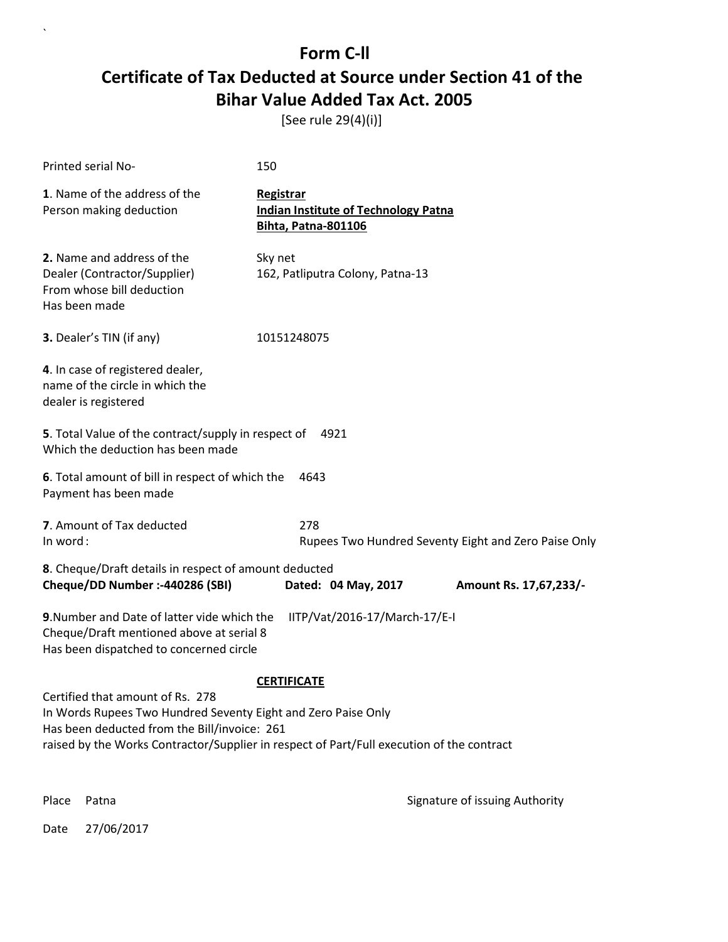[See rule 29(4)(i)]

| Printed serial No-                                                                                                                                                                                                                                                   | 150                                                                                    |  |
|----------------------------------------------------------------------------------------------------------------------------------------------------------------------------------------------------------------------------------------------------------------------|----------------------------------------------------------------------------------------|--|
| 1. Name of the address of the<br>Person making deduction                                                                                                                                                                                                             | Registrar<br><b>Indian Institute of Technology Patna</b><br><b>Bihta, Patna-801106</b> |  |
| 2. Name and address of the<br>Dealer (Contractor/Supplier)<br>From whose bill deduction<br>Has been made                                                                                                                                                             | Sky net<br>162, Patliputra Colony, Patna-13                                            |  |
| <b>3.</b> Dealer's TIN (if any)                                                                                                                                                                                                                                      | 10151248075                                                                            |  |
| 4. In case of registered dealer,<br>name of the circle in which the<br>dealer is registered                                                                                                                                                                          |                                                                                        |  |
| 5. Total Value of the contract/supply in respect of<br>4921<br>Which the deduction has been made                                                                                                                                                                     |                                                                                        |  |
| 6. Total amount of bill in respect of which the<br>4643<br>Payment has been made                                                                                                                                                                                     |                                                                                        |  |
| 7. Amount of Tax deducted<br>In word:                                                                                                                                                                                                                                | 278<br>Rupees Two Hundred Seventy Eight and Zero Paise Only                            |  |
| 8. Cheque/Draft details in respect of amount deducted<br>Cheque/DD Number :- 440286 (SBI)<br>Dated: 04 May, 2017<br>Amount Rs. 17,67,233/-                                                                                                                           |                                                                                        |  |
| 9. Number and Date of latter vide which the<br>IITP/Vat/2016-17/March-17/E-I<br>Cheque/Draft mentioned above at serial 8<br>Has been dispatched to concerned circle                                                                                                  |                                                                                        |  |
| <b>CERTIFICATE</b><br>Certified that amount of Rs. 278<br>In Words Rupees Two Hundred Seventy Eight and Zero Paise Only<br>Has been deducted from the Bill/invoice: 261<br>raised by the Works Contractor/Supplier in respect of Part/Full execution of the contract |                                                                                        |  |

Place Patna **Property** Place Patna Signature of issuing Authority

Date 27/06/2017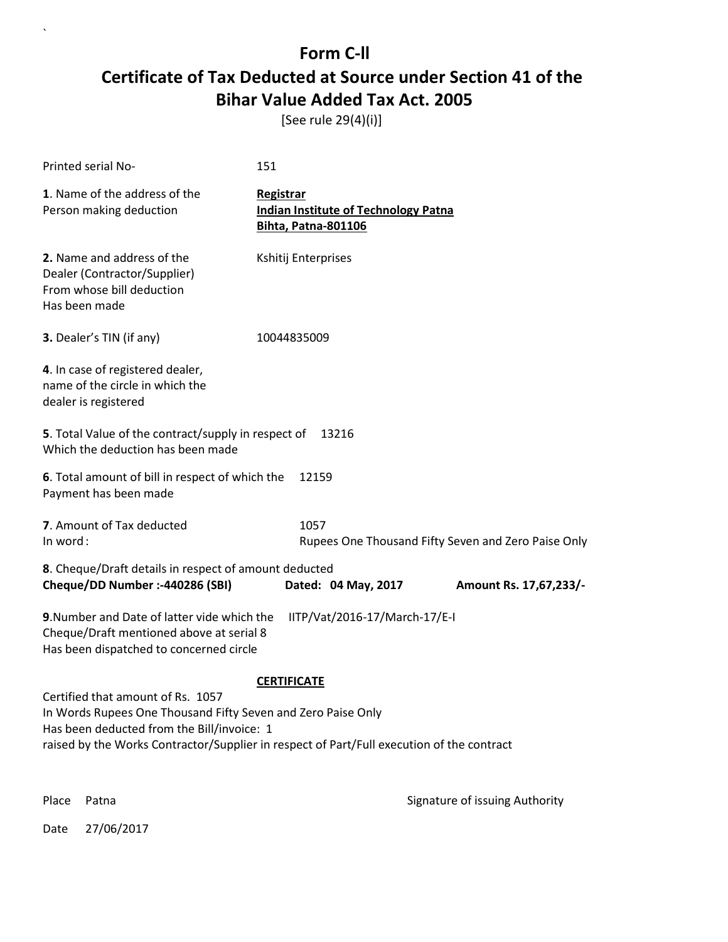[See rule 29(4)(i)]

| Printed serial No-                                                                                                                                                                                                                           | 151                                                                                    |                        |
|----------------------------------------------------------------------------------------------------------------------------------------------------------------------------------------------------------------------------------------------|----------------------------------------------------------------------------------------|------------------------|
| 1. Name of the address of the<br>Person making deduction                                                                                                                                                                                     | Registrar<br><b>Indian Institute of Technology Patna</b><br><b>Bihta, Patna-801106</b> |                        |
| 2. Name and address of the<br>Dealer (Contractor/Supplier)<br>From whose bill deduction<br>Has been made                                                                                                                                     | Kshitij Enterprises                                                                    |                        |
| 3. Dealer's TIN (if any)                                                                                                                                                                                                                     | 10044835009                                                                            |                        |
| 4. In case of registered dealer,<br>name of the circle in which the<br>dealer is registered                                                                                                                                                  |                                                                                        |                        |
| 5. Total Value of the contract/supply in respect of<br>13216<br>Which the deduction has been made                                                                                                                                            |                                                                                        |                        |
| 6. Total amount of bill in respect of which the<br>12159<br>Payment has been made                                                                                                                                                            |                                                                                        |                        |
| 7. Amount of Tax deducted<br>In word:                                                                                                                                                                                                        | 1057<br>Rupees One Thousand Fifty Seven and Zero Paise Only                            |                        |
| 8. Cheque/Draft details in respect of amount deducted<br>Cheque/DD Number :- 440286 (SBI)                                                                                                                                                    | Dated: 04 May, 2017                                                                    | Amount Rs. 17,67,233/- |
| 9. Number and Date of latter vide which the<br>IITP/Vat/2016-17/March-17/E-I<br>Cheque/Draft mentioned above at serial 8<br>Has been dispatched to concerned circle                                                                          |                                                                                        |                        |
|                                                                                                                                                                                                                                              | <b>CERTIFICATE</b>                                                                     |                        |
| Certified that amount of Rs. 1057<br>In Words Rupees One Thousand Fifty Seven and Zero Paise Only<br>Has been deducted from the Bill/invoice: 1<br>raised by the Works Contractor/Supplier in respect of Part/Full execution of the contract |                                                                                        |                        |

 $\overline{\phantom{a}}$ 

Place Patna **Property** Place Patna Signature of issuing Authority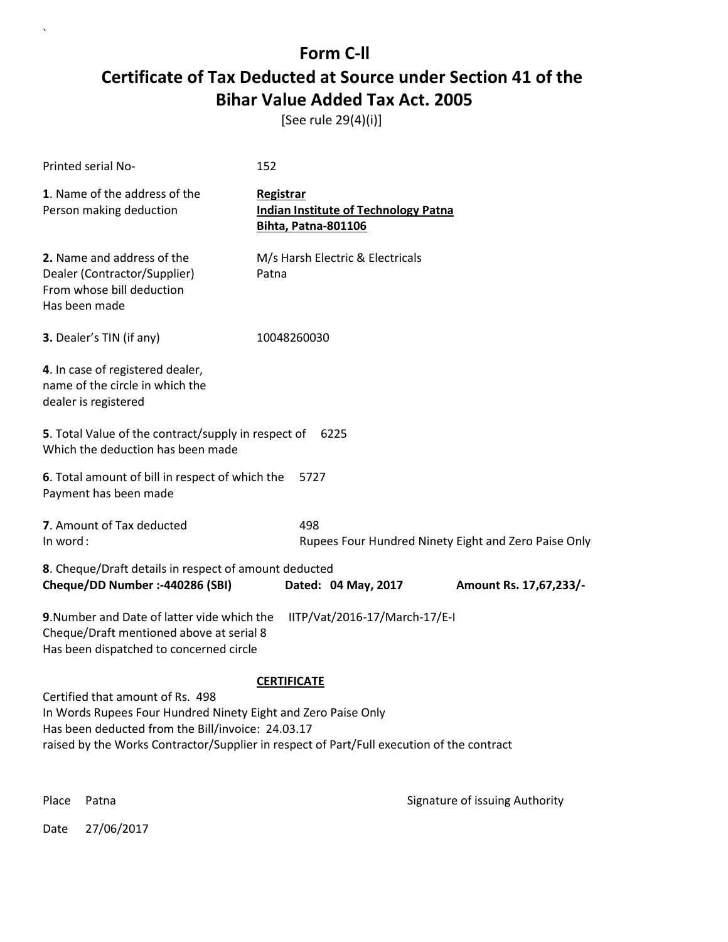[See rule 29(4)(i)]

| Printed serial No-                                                                                                                                                                                                                                  | 152                                                                                    |                                                      |
|-----------------------------------------------------------------------------------------------------------------------------------------------------------------------------------------------------------------------------------------------------|----------------------------------------------------------------------------------------|------------------------------------------------------|
| 1. Name of the address of the<br>Person making deduction                                                                                                                                                                                            | Registrar<br><b>Indian Institute of Technology Patna</b><br><b>Bihta, Patna-801106</b> |                                                      |
| 2. Name and address of the<br>Dealer (Contractor/Supplier)<br>From whose bill deduction<br>Has been made                                                                                                                                            | M/s Harsh Electric & Electricals<br>Patna                                              |                                                      |
| 3. Dealer's TIN (if any)                                                                                                                                                                                                                            | 10048260030                                                                            |                                                      |
| 4. In case of registered dealer,<br>name of the circle in which the<br>dealer is registered                                                                                                                                                         |                                                                                        |                                                      |
| 5. Total Value of the contract/supply in respect of<br>6225<br>Which the deduction has been made                                                                                                                                                    |                                                                                        |                                                      |
| 6. Total amount of bill in respect of which the<br>5727<br>Payment has been made                                                                                                                                                                    |                                                                                        |                                                      |
| 7. Amount of Tax deducted<br>In word:                                                                                                                                                                                                               | 498                                                                                    | Rupees Four Hundred Ninety Eight and Zero Paise Only |
| 8. Cheque/Draft details in respect of amount deducted<br>Cheque/DD Number :- 440286 (SBI)                                                                                                                                                           | Dated: 04 May, 2017                                                                    | Amount Rs. 17,67,233/-                               |
| 9. Number and Date of latter vide which the<br>IITP/Vat/2016-17/March-17/E-I<br>Cheque/Draft mentioned above at serial 8<br>Has been dispatched to concerned circle                                                                                 |                                                                                        |                                                      |
|                                                                                                                                                                                                                                                     | <b>CERTIFICATE</b>                                                                     |                                                      |
| Certified that amount of Rs. 498<br>In Words Rupees Four Hundred Ninety Eight and Zero Paise Only<br>Has been deducted from the Bill/invoice: 24.03.17<br>raised by the Works Contractor/Supplier in respect of Part/Full execution of the contract |                                                                                        |                                                      |
| Place<br>Patna                                                                                                                                                                                                                                      |                                                                                        | Signature of issuing Authority                       |

Date 27/06/2017

 $\ddot{\phantom{0}}$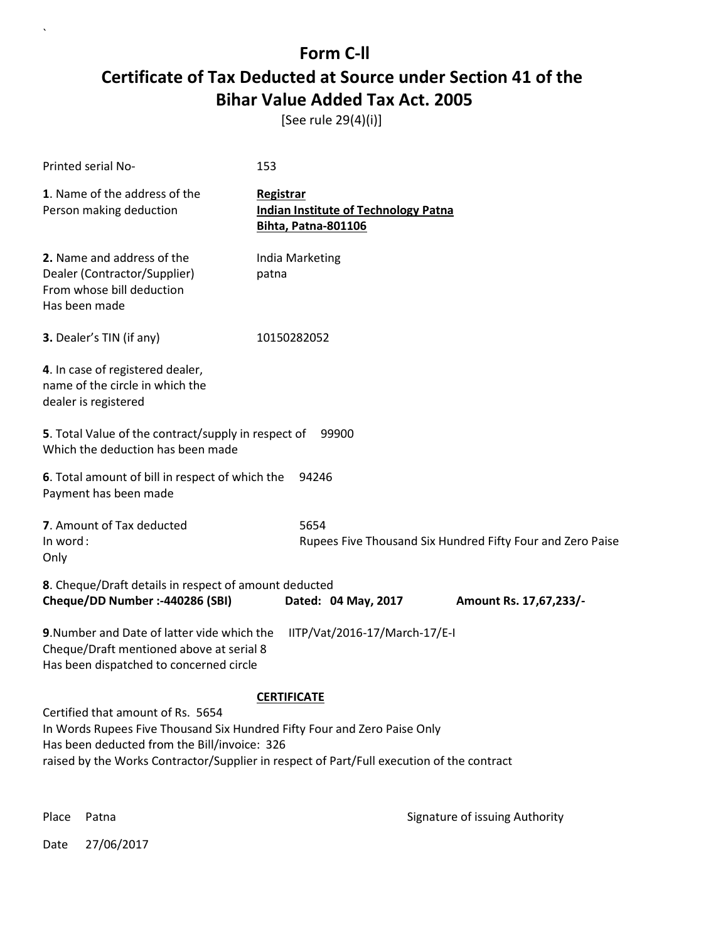[See rule 29(4)(i)]

| Printed serial No-                                                                                                                                                                                                                                         | 153                                                                             |  |
|------------------------------------------------------------------------------------------------------------------------------------------------------------------------------------------------------------------------------------------------------------|---------------------------------------------------------------------------------|--|
| 1. Name of the address of the<br>Person making deduction                                                                                                                                                                                                   | Registrar<br><b>Indian Institute of Technology Patna</b><br>Bihta, Patna-801106 |  |
| 2. Name and address of the<br>Dealer (Contractor/Supplier)<br>From whose bill deduction<br>Has been made                                                                                                                                                   | India Marketing<br>patna                                                        |  |
| 3. Dealer's TIN (if any)                                                                                                                                                                                                                                   | 10150282052                                                                     |  |
| 4. In case of registered dealer,<br>name of the circle in which the<br>dealer is registered                                                                                                                                                                |                                                                                 |  |
| 5. Total Value of the contract/supply in respect of<br>99900<br>Which the deduction has been made                                                                                                                                                          |                                                                                 |  |
| 6. Total amount of bill in respect of which the<br>Payment has been made                                                                                                                                                                                   | 94246                                                                           |  |
| 7. Amount of Tax deducted<br>In word:<br>Only                                                                                                                                                                                                              | 5654<br>Rupees Five Thousand Six Hundred Fifty Four and Zero Paise              |  |
| 8. Cheque/Draft details in respect of amount deducted<br>Cheque/DD Number :- 440286 (SBI)                                                                                                                                                                  | Dated: 04 May, 2017<br>Amount Rs. 17,67,233/-                                   |  |
| 9. Number and Date of latter vide which the<br>IITP/Vat/2016-17/March-17/E-I<br>Cheque/Draft mentioned above at serial 8<br>Has been dispatched to concerned circle                                                                                        |                                                                                 |  |
| <b>CERTIFICATE</b>                                                                                                                                                                                                                                         |                                                                                 |  |
| Certified that amount of Rs. 5654<br>In Words Rupees Five Thousand Six Hundred Fifty Four and Zero Paise Only<br>Has been deducted from the Bill/invoice: 326<br>raised by the Works Contractor/Supplier in respect of Part/Full execution of the contract |                                                                                 |  |

 $\ddot{\phantom{0}}$ 

Place Patna **Property** Place Patna Signature of issuing Authority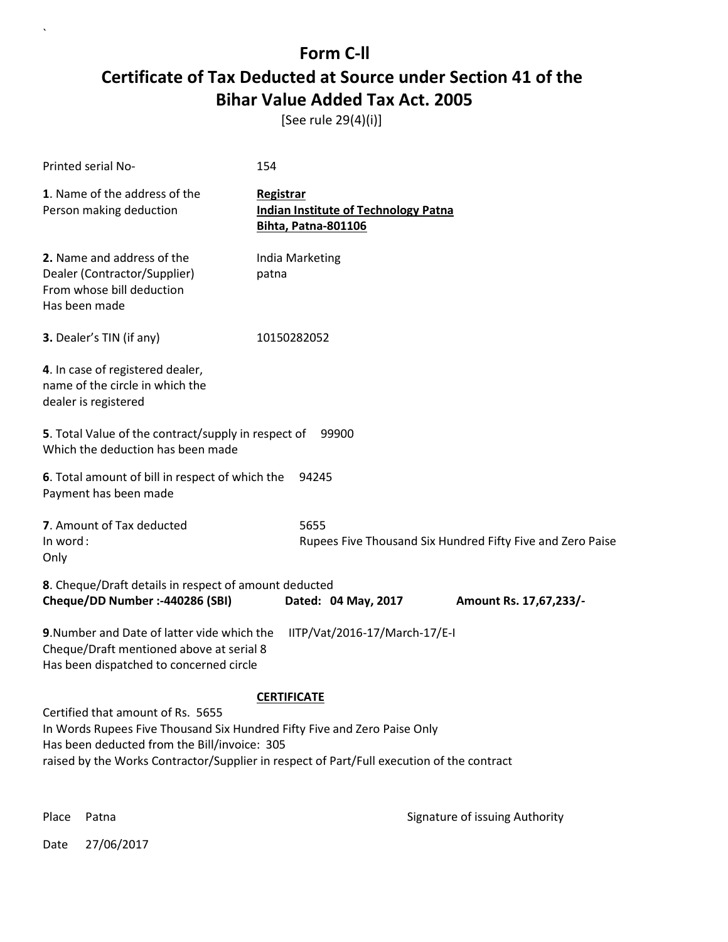[See rule 29(4)(i)]

| Printed serial No-                                                                                                                                                                                                                                         | 154                                                                             |  |
|------------------------------------------------------------------------------------------------------------------------------------------------------------------------------------------------------------------------------------------------------------|---------------------------------------------------------------------------------|--|
| 1. Name of the address of the<br>Person making deduction                                                                                                                                                                                                   | Registrar<br><b>Indian Institute of Technology Patna</b><br>Bihta, Patna-801106 |  |
| 2. Name and address of the<br>Dealer (Contractor/Supplier)<br>From whose bill deduction<br>Has been made                                                                                                                                                   | India Marketing<br>patna                                                        |  |
| 3. Dealer's TIN (if any)                                                                                                                                                                                                                                   | 10150282052                                                                     |  |
| 4. In case of registered dealer,<br>name of the circle in which the<br>dealer is registered                                                                                                                                                                |                                                                                 |  |
| 5. Total Value of the contract/supply in respect of<br>99900<br>Which the deduction has been made                                                                                                                                                          |                                                                                 |  |
| 6. Total amount of bill in respect of which the<br>Payment has been made                                                                                                                                                                                   | 94245                                                                           |  |
| 7. Amount of Tax deducted<br>In word:<br>Only                                                                                                                                                                                                              | 5655<br>Rupees Five Thousand Six Hundred Fifty Five and Zero Paise              |  |
| 8. Cheque/Draft details in respect of amount deducted<br>Cheque/DD Number :- 440286 (SBI)                                                                                                                                                                  | Dated: 04 May, 2017<br>Amount Rs. 17,67,233/-                                   |  |
| 9. Number and Date of latter vide which the<br>IITP/Vat/2016-17/March-17/E-I<br>Cheque/Draft mentioned above at serial 8<br>Has been dispatched to concerned circle                                                                                        |                                                                                 |  |
| <b>CERTIFICATE</b>                                                                                                                                                                                                                                         |                                                                                 |  |
| Certified that amount of Rs. 5655<br>In Words Rupees Five Thousand Six Hundred Fifty Five and Zero Paise Only<br>Has been deducted from the Bill/invoice: 305<br>raised by the Works Contractor/Supplier in respect of Part/Full execution of the contract |                                                                                 |  |

 $\overline{\phantom{a}}$ 

Place Patna **Property** Place Patna Signature of issuing Authority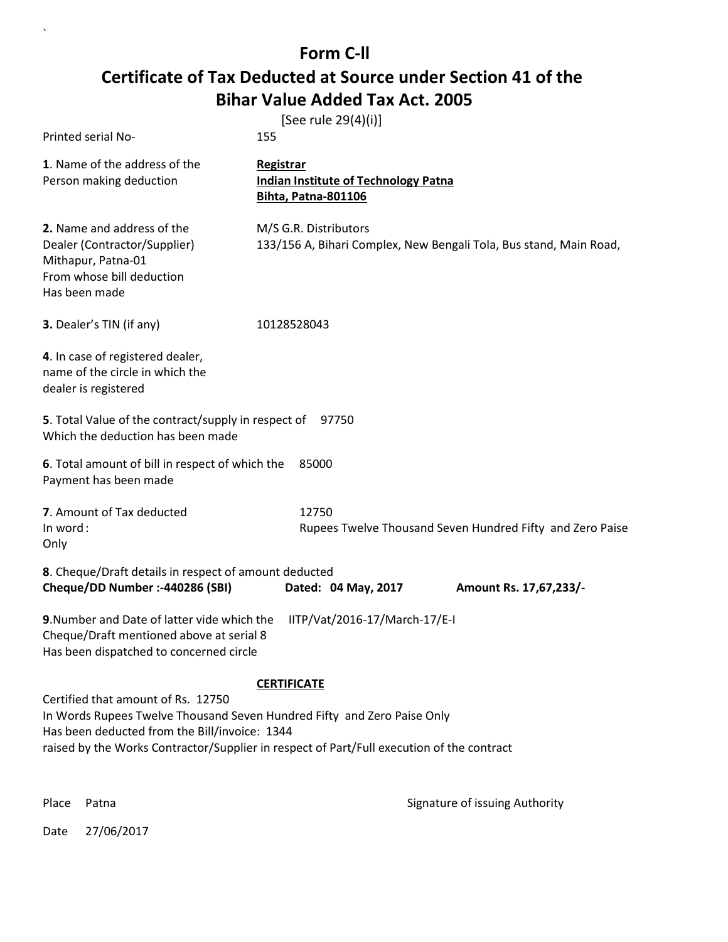| Printed serial No-                                                                                                                                                                                                                                          | [See rule 29(4)(i)]<br>155                                                                    |  |
|-------------------------------------------------------------------------------------------------------------------------------------------------------------------------------------------------------------------------------------------------------------|-----------------------------------------------------------------------------------------------|--|
| 1. Name of the address of the<br>Person making deduction                                                                                                                                                                                                    | <b>Registrar</b><br><b>Indian Institute of Technology Patna</b><br><b>Bihta, Patna-801106</b> |  |
| 2. Name and address of the<br>Dealer (Contractor/Supplier)<br>Mithapur, Patna-01<br>From whose bill deduction<br>Has been made                                                                                                                              | M/S G.R. Distributors<br>133/156 A, Bihari Complex, New Bengali Tola, Bus stand, Main Road,   |  |
| 3. Dealer's TIN (if any)                                                                                                                                                                                                                                    | 10128528043                                                                                   |  |
| 4. In case of registered dealer,<br>name of the circle in which the<br>dealer is registered                                                                                                                                                                 |                                                                                               |  |
| 5. Total Value of the contract/supply in respect of<br>Which the deduction has been made                                                                                                                                                                    | 97750                                                                                         |  |
| 6. Total amount of bill in respect of which the<br>Payment has been made                                                                                                                                                                                    | 85000                                                                                         |  |
| 7. Amount of Tax deducted<br>In word:<br>Only                                                                                                                                                                                                               | 12750<br>Rupees Twelve Thousand Seven Hundred Fifty and Zero Paise                            |  |
| 8. Cheque/Draft details in respect of amount deducted<br>Cheque/DD Number :- 440286 (SBI)                                                                                                                                                                   | Dated: 04 May, 2017<br>Amount Rs. 17,67,233/-                                                 |  |
| 9. Number and Date of latter vide which the<br>Cheque/Draft mentioned above at serial 8<br>Has been dispatched to concerned circle                                                                                                                          | IITP/Vat/2016-17/March-17/E-I                                                                 |  |
|                                                                                                                                                                                                                                                             | <b>CERTIFICATE</b>                                                                            |  |
| Certified that amount of Rs. 12750<br>In Words Rupees Twelve Thousand Seven Hundred Fifty and Zero Paise Only<br>Has been deducted from the Bill/invoice: 1344<br>raised by the Works Contractor/Supplier in respect of Part/Full execution of the contract |                                                                                               |  |
|                                                                                                                                                                                                                                                             |                                                                                               |  |

 $\ddot{\phantom{0}}$ 

Place Patna **Property** Place Patna Signature of issuing Authority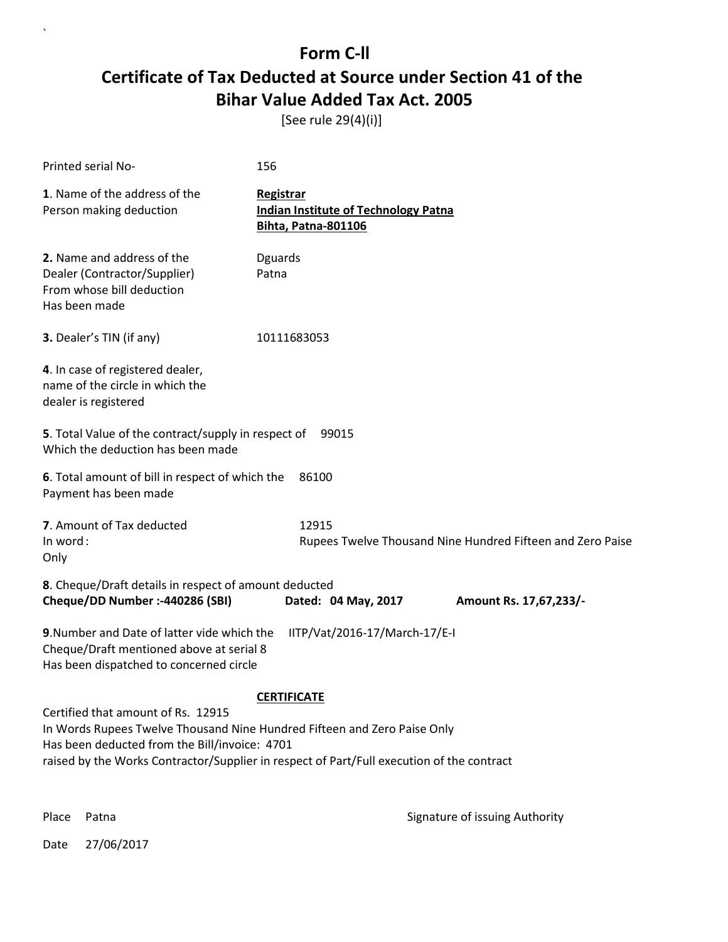[See rule 29(4)(i)]

| Printed serial No-                                                                                                                                                                                                                                           | 156                                                                                    |  |
|--------------------------------------------------------------------------------------------------------------------------------------------------------------------------------------------------------------------------------------------------------------|----------------------------------------------------------------------------------------|--|
| 1. Name of the address of the<br>Person making deduction                                                                                                                                                                                                     | Registrar<br><b>Indian Institute of Technology Patna</b><br><b>Bihta, Patna-801106</b> |  |
| 2. Name and address of the<br>Dealer (Contractor/Supplier)<br>From whose bill deduction<br>Has been made                                                                                                                                                     | <b>Dguards</b><br>Patna                                                                |  |
| 3. Dealer's TIN (if any)                                                                                                                                                                                                                                     | 10111683053                                                                            |  |
| 4. In case of registered dealer,<br>name of the circle in which the<br>dealer is registered                                                                                                                                                                  |                                                                                        |  |
| 5. Total Value of the contract/supply in respect of<br>99015<br>Which the deduction has been made                                                                                                                                                            |                                                                                        |  |
| 6. Total amount of bill in respect of which the<br>Payment has been made                                                                                                                                                                                     | 86100                                                                                  |  |
| 7. Amount of Tax deducted<br>In word:<br>Only                                                                                                                                                                                                                | 12915<br>Rupees Twelve Thousand Nine Hundred Fifteen and Zero Paise                    |  |
| 8. Cheque/Draft details in respect of amount deducted<br>Cheque/DD Number :- 440286 (SBI)                                                                                                                                                                    | Dated: 04 May, 2017<br>Amount Rs. 17,67,233/-                                          |  |
| 9. Number and Date of latter vide which the<br>IITP/Vat/2016-17/March-17/E-I<br>Cheque/Draft mentioned above at serial 8<br>Has been dispatched to concerned circle                                                                                          |                                                                                        |  |
| <b>CERTIFICATE</b>                                                                                                                                                                                                                                           |                                                                                        |  |
| Certified that amount of Rs. 12915<br>In Words Rupees Twelve Thousand Nine Hundred Fifteen and Zero Paise Only<br>Has been deducted from the Bill/invoice: 4701<br>raised by the Works Contractor/Supplier in respect of Part/Full execution of the contract |                                                                                        |  |

 $\overline{\phantom{a}}$ 

Place Patna **Property** Place Patna Signature of issuing Authority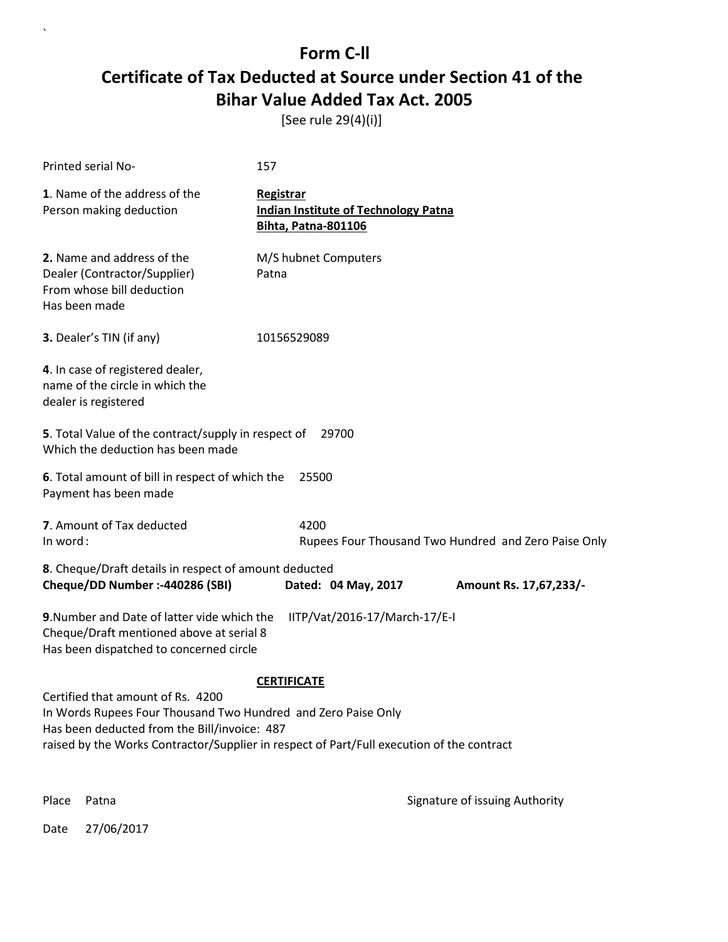[See rule 29(4)(i)]

| Printed serial No-                                                                                                                                                                                                                              | 157                                                                                    |                        |
|-------------------------------------------------------------------------------------------------------------------------------------------------------------------------------------------------------------------------------------------------|----------------------------------------------------------------------------------------|------------------------|
| 1. Name of the address of the<br>Person making deduction                                                                                                                                                                                        | Registrar<br><b>Indian Institute of Technology Patna</b><br><b>Bihta, Patna-801106</b> |                        |
| <b>2.</b> Name and address of the<br>Dealer (Contractor/Supplier)<br>From whose bill deduction<br>Has been made                                                                                                                                 | M/S hubnet Computers<br>Patna                                                          |                        |
| 3. Dealer's TIN (if any)                                                                                                                                                                                                                        | 10156529089                                                                            |                        |
| 4. In case of registered dealer,<br>name of the circle in which the<br>dealer is registered                                                                                                                                                     |                                                                                        |                        |
| 5. Total Value of the contract/supply in respect of<br>29700<br>Which the deduction has been made                                                                                                                                               |                                                                                        |                        |
| 6. Total amount of bill in respect of which the<br>Payment has been made                                                                                                                                                                        | 25500                                                                                  |                        |
| 7. Amount of Tax deducted<br>In word:                                                                                                                                                                                                           | 4200<br>Rupees Four Thousand Two Hundred and Zero Paise Only                           |                        |
| 8. Cheque/Draft details in respect of amount deducted<br>Cheque/DD Number :- 440286 (SBI)                                                                                                                                                       | Dated: 04 May, 2017                                                                    | Amount Rs. 17,67,233/- |
| 9. Number and Date of latter vide which the<br>IITP/Vat/2016-17/March-17/E-I<br>Cheque/Draft mentioned above at serial 8<br>Has been dispatched to concerned circle                                                                             |                                                                                        |                        |
|                                                                                                                                                                                                                                                 | <b>CERTIFICATE</b>                                                                     |                        |
| Certified that amount of Rs. 4200<br>In Words Rupees Four Thousand Two Hundred and Zero Paise Only<br>Has been deducted from the Bill/invoice: 487<br>raised by the Works Contractor/Supplier in respect of Part/Full execution of the contract |                                                                                        |                        |
|                                                                                                                                                                                                                                                 |                                                                                        |                        |

Date 27/06/2017

 $\overline{\phantom{a}}$ 

Place Patna **Property** Place Patna Signature of issuing Authority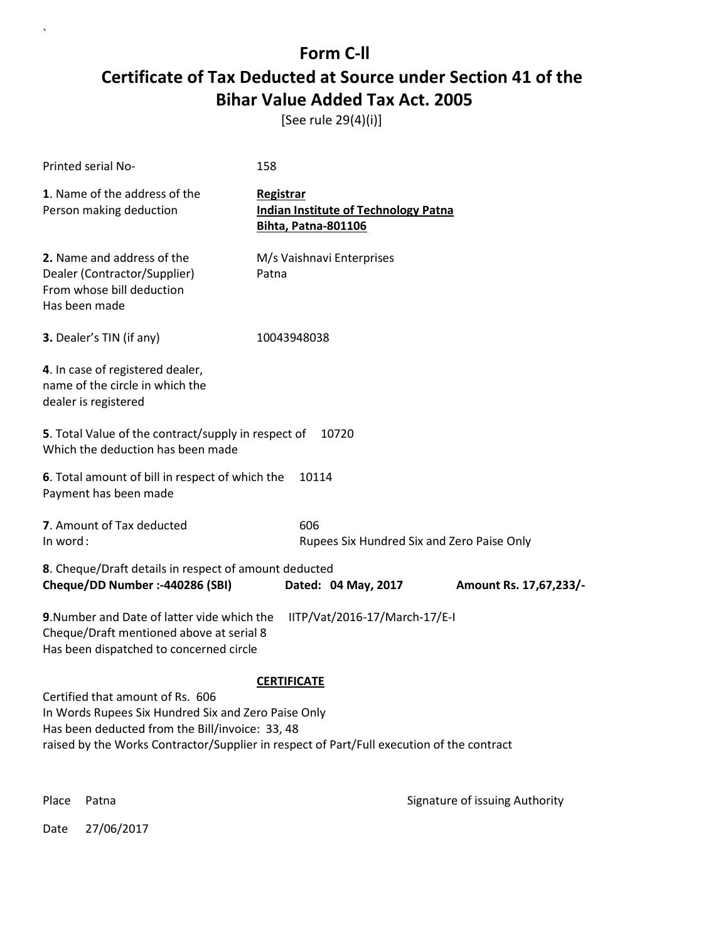[See rule 29(4)(i)]

| Printed serial No-                                                                                                                                                                                                                      | 158                                                                                    |                                |
|-----------------------------------------------------------------------------------------------------------------------------------------------------------------------------------------------------------------------------------------|----------------------------------------------------------------------------------------|--------------------------------|
| 1. Name of the address of the<br>Person making deduction                                                                                                                                                                                | Registrar<br><b>Indian Institute of Technology Patna</b><br><b>Bihta, Patna-801106</b> |                                |
| 2. Name and address of the<br>Dealer (Contractor/Supplier)<br>From whose bill deduction<br>Has been made                                                                                                                                | M/s Vaishnavi Enterprises<br>Patna                                                     |                                |
| 3. Dealer's TIN (if any)                                                                                                                                                                                                                | 10043948038                                                                            |                                |
| 4. In case of registered dealer,<br>name of the circle in which the<br>dealer is registered                                                                                                                                             |                                                                                        |                                |
| 5. Total Value of the contract/supply in respect of<br>Which the deduction has been made                                                                                                                                                | 10720                                                                                  |                                |
| 6. Total amount of bill in respect of which the<br>Payment has been made                                                                                                                                                                | 10114                                                                                  |                                |
| 7. Amount of Tax deducted<br>In word:                                                                                                                                                                                                   | 606<br>Rupees Six Hundred Six and Zero Paise Only                                      |                                |
| 8. Cheque/Draft details in respect of amount deducted<br>Cheque/DD Number :- 440286 (SBI)                                                                                                                                               | Dated: 04 May, 2017                                                                    | Amount Rs. 17,67,233/-         |
| 9. Number and Date of latter vide which the<br>Cheque/Draft mentioned above at serial 8<br>Has been dispatched to concerned circle                                                                                                      | IITP/Vat/2016-17/March-17/E-I                                                          |                                |
|                                                                                                                                                                                                                                         | <b>CERTIFICATE</b>                                                                     |                                |
| Certified that amount of Rs. 606<br>In Words Rupees Six Hundred Six and Zero Paise Only<br>Has been deducted from the Bill/invoice: 33, 48<br>raised by the Works Contractor/Supplier in respect of Part/Full execution of the contract |                                                                                        |                                |
| Place<br>Patna                                                                                                                                                                                                                          |                                                                                        | Signature of issuing Authority |

Date 27/06/2017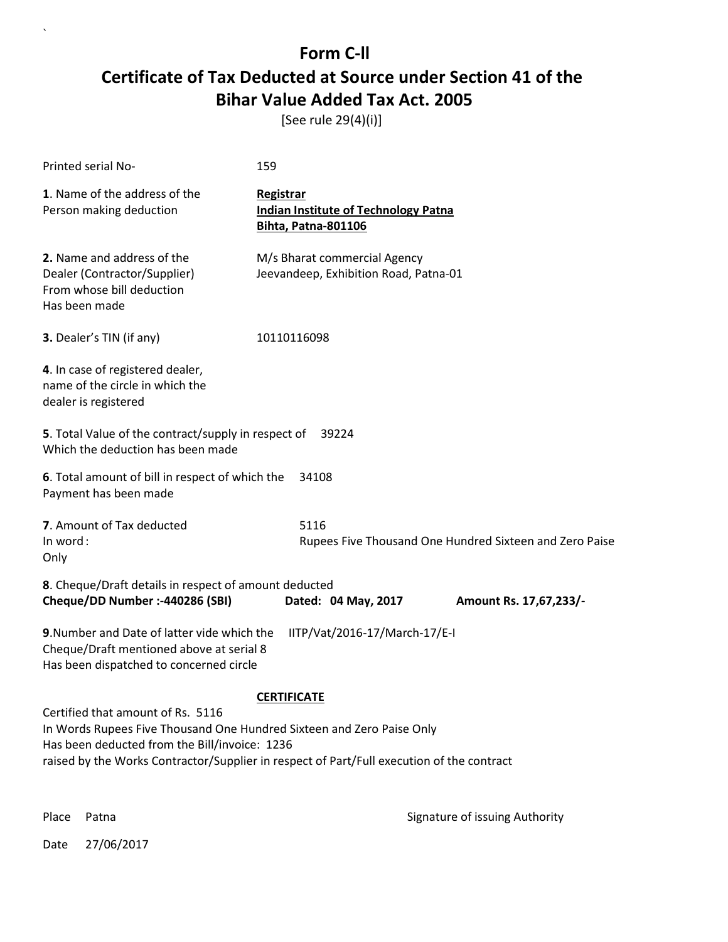[See rule 29(4)(i)]

| Printed serial No-                                                                                                                                                                                                                                       | 159                                                                             |  |
|----------------------------------------------------------------------------------------------------------------------------------------------------------------------------------------------------------------------------------------------------------|---------------------------------------------------------------------------------|--|
| 1. Name of the address of the<br>Person making deduction                                                                                                                                                                                                 | Registrar<br><b>Indian Institute of Technology Patna</b><br>Bihta, Patna-801106 |  |
| 2. Name and address of the<br>Dealer (Contractor/Supplier)<br>From whose bill deduction<br>Has been made                                                                                                                                                 | M/s Bharat commercial Agency<br>Jeevandeep, Exhibition Road, Patna-01           |  |
| 3. Dealer's TIN (if any)                                                                                                                                                                                                                                 | 10110116098                                                                     |  |
| 4. In case of registered dealer,<br>name of the circle in which the<br>dealer is registered                                                                                                                                                              |                                                                                 |  |
| 5. Total Value of the contract/supply in respect of<br>39224<br>Which the deduction has been made                                                                                                                                                        |                                                                                 |  |
| 6. Total amount of bill in respect of which the<br>Payment has been made                                                                                                                                                                                 | 34108                                                                           |  |
| 7. Amount of Tax deducted<br>In word:<br>Only                                                                                                                                                                                                            | 5116<br>Rupees Five Thousand One Hundred Sixteen and Zero Paise                 |  |
| 8. Cheque/Draft details in respect of amount deducted<br>Cheque/DD Number :- 440286 (SBI)                                                                                                                                                                | Dated: 04 May, 2017<br>Amount Rs. 17,67,233/-                                   |  |
| 9. Number and Date of latter vide which the<br>IITP/Vat/2016-17/March-17/E-I<br>Cheque/Draft mentioned above at serial 8<br>Has been dispatched to concerned circle                                                                                      |                                                                                 |  |
| <b>CERTIFICATE</b>                                                                                                                                                                                                                                       |                                                                                 |  |
| Certified that amount of Rs. 5116<br>In Words Rupees Five Thousand One Hundred Sixteen and Zero Paise Only<br>Has been deducted from the Bill/invoice: 1236<br>raised by the Works Contractor/Supplier in respect of Part/Full execution of the contract |                                                                                 |  |

 $\overline{\phantom{a}}$ 

Place Patna **Property** Place Patna Signature of issuing Authority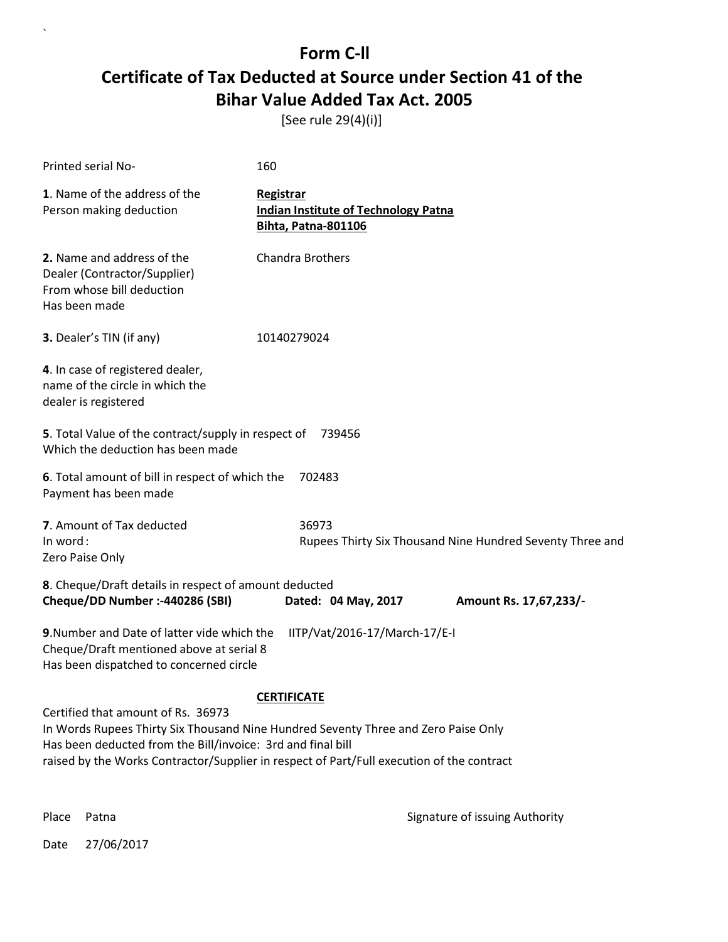[See rule 29(4)(i)]

| Printed serial No-                                                                                                                                                                                                                                                                   | 160                                                                             |  |
|--------------------------------------------------------------------------------------------------------------------------------------------------------------------------------------------------------------------------------------------------------------------------------------|---------------------------------------------------------------------------------|--|
| 1. Name of the address of the<br>Person making deduction                                                                                                                                                                                                                             | Registrar<br><b>Indian Institute of Technology Patna</b><br>Bihta, Patna-801106 |  |
| 2. Name and address of the<br>Dealer (Contractor/Supplier)<br>From whose bill deduction<br>Has been made                                                                                                                                                                             | Chandra Brothers                                                                |  |
| 3. Dealer's TIN (if any)                                                                                                                                                                                                                                                             | 10140279024                                                                     |  |
| 4. In case of registered dealer,<br>name of the circle in which the<br>dealer is registered                                                                                                                                                                                          |                                                                                 |  |
| 5. Total Value of the contract/supply in respect of 739456<br>Which the deduction has been made                                                                                                                                                                                      |                                                                                 |  |
| 6. Total amount of bill in respect of which the<br>Payment has been made                                                                                                                                                                                                             | 702483                                                                          |  |
| 7. Amount of Tax deducted<br>In word:<br>Zero Paise Only                                                                                                                                                                                                                             | 36973<br>Rupees Thirty Six Thousand Nine Hundred Seventy Three and              |  |
| 8. Cheque/Draft details in respect of amount deducted<br>Cheque/DD Number :- 440286 (SBI)                                                                                                                                                                                            | Dated: 04 May, 2017<br>Amount Rs. 17,67,233/-                                   |  |
| IITP/Vat/2016-17/March-17/E-I<br>9. Number and Date of latter vide which the<br>Cheque/Draft mentioned above at serial 8<br>Has been dispatched to concerned circle                                                                                                                  |                                                                                 |  |
| <b>CERTIFICATE</b>                                                                                                                                                                                                                                                                   |                                                                                 |  |
| Certified that amount of Rs. 36973<br>In Words Rupees Thirty Six Thousand Nine Hundred Seventy Three and Zero Paise Only<br>Has been deducted from the Bill/invoice: 3rd and final bill<br>raised by the Works Contractor/Supplier in respect of Part/Full execution of the contract |                                                                                 |  |

 $\ddot{\phantom{0}}$ 

Place Patna **Property** Place Patna Signature of issuing Authority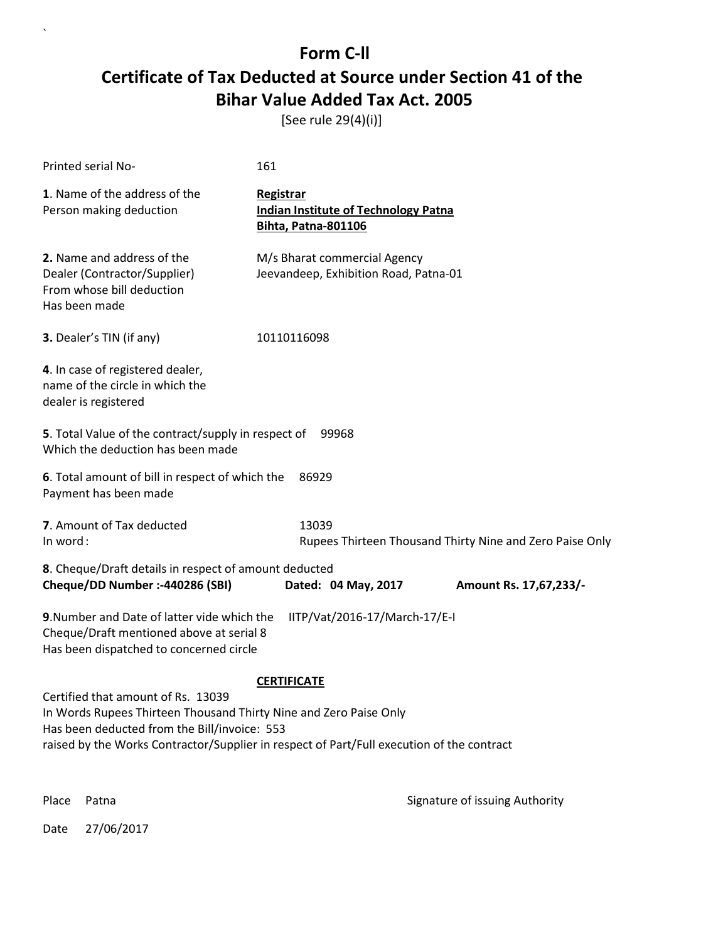[See rule 29(4)(i)]

| Printed serial No-                                                                                                                                                                                                                                                         | 161                                                                                    |  |
|----------------------------------------------------------------------------------------------------------------------------------------------------------------------------------------------------------------------------------------------------------------------------|----------------------------------------------------------------------------------------|--|
| 1. Name of the address of the<br>Person making deduction                                                                                                                                                                                                                   | <b>Registrar</b><br><b>Indian Institute of Technology Patna</b><br>Bihta, Patna-801106 |  |
| 2. Name and address of the<br>Dealer (Contractor/Supplier)<br>From whose bill deduction<br>Has been made                                                                                                                                                                   | M/s Bharat commercial Agency<br>Jeevandeep, Exhibition Road, Patna-01                  |  |
| 3. Dealer's TIN (if any)                                                                                                                                                                                                                                                   | 10110116098                                                                            |  |
| 4. In case of registered dealer,<br>name of the circle in which the<br>dealer is registered                                                                                                                                                                                |                                                                                        |  |
| 5. Total Value of the contract/supply in respect of<br>99968<br>Which the deduction has been made                                                                                                                                                                          |                                                                                        |  |
| 6. Total amount of bill in respect of which the<br>86929<br>Payment has been made                                                                                                                                                                                          |                                                                                        |  |
| 7. Amount of Tax deducted<br>In word:                                                                                                                                                                                                                                      | 13039<br>Rupees Thirteen Thousand Thirty Nine and Zero Paise Only                      |  |
| 8. Cheque/Draft details in respect of amount deducted<br>Cheque/DD Number :- 440286 (SBI)<br>Dated: 04 May, 2017<br>Amount Rs. 17,67,233/-                                                                                                                                 |                                                                                        |  |
| 9. Number and Date of latter vide which the<br>IITP/Vat/2016-17/March-17/E-I<br>Cheque/Draft mentioned above at serial 8<br>Has been dispatched to concerned circle                                                                                                        |                                                                                        |  |
| <b>CERTIFICATE</b><br>Certified that amount of Rs. 13039<br>In Words Rupees Thirteen Thousand Thirty Nine and Zero Paise Only<br>Has been deducted from the Bill/invoice: 553<br>raised by the Works Contractor/Supplier in respect of Part/Full execution of the contract |                                                                                        |  |

 $\overline{\phantom{a}}$ 

Place Patna **Property** Place Patna Signature of issuing Authority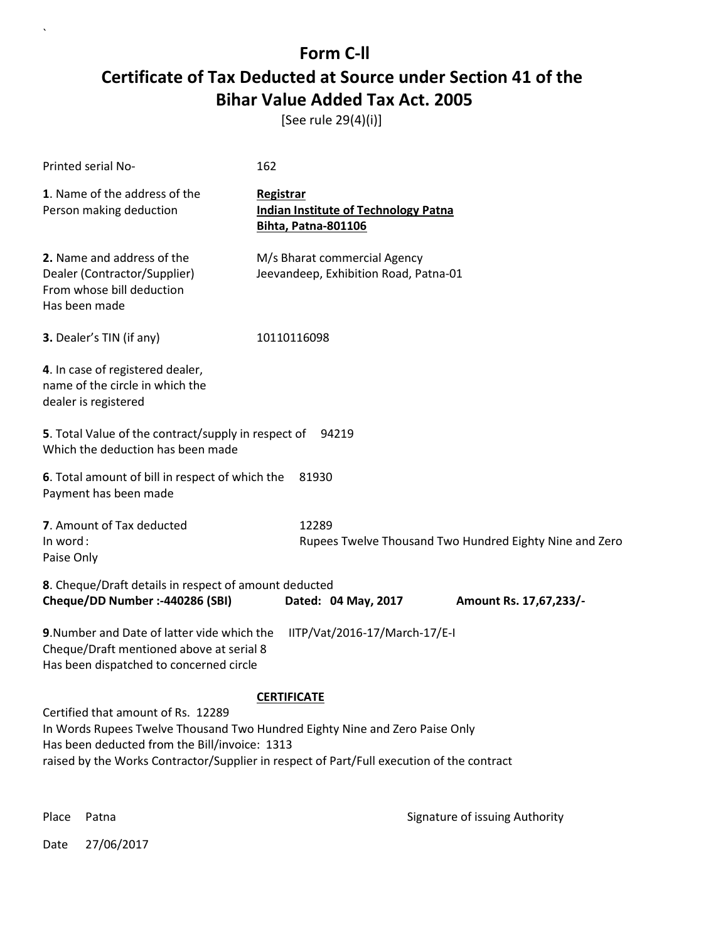[See rule 29(4)(i)]

| Printed serial No-                                                                                                                                                  | 162                                                                             |  |
|---------------------------------------------------------------------------------------------------------------------------------------------------------------------|---------------------------------------------------------------------------------|--|
| 1. Name of the address of the<br>Person making deduction                                                                                                            | Registrar<br><b>Indian Institute of Technology Patna</b><br>Bihta, Patna-801106 |  |
| 2. Name and address of the<br>Dealer (Contractor/Supplier)<br>From whose bill deduction<br>Has been made                                                            | M/s Bharat commercial Agency<br>Jeevandeep, Exhibition Road, Patna-01           |  |
| 3. Dealer's TIN (if any)                                                                                                                                            | 10110116098                                                                     |  |
| 4. In case of registered dealer,<br>name of the circle in which the<br>dealer is registered                                                                         |                                                                                 |  |
| 5. Total Value of the contract/supply in respect of 94219<br>Which the deduction has been made                                                                      |                                                                                 |  |
| 6. Total amount of bill in respect of which the<br>Payment has been made                                                                                            | 81930                                                                           |  |
| 7. Amount of Tax deducted<br>In word:<br>Paise Only                                                                                                                 | 12289<br>Rupees Twelve Thousand Two Hundred Eighty Nine and Zero                |  |
| 8. Cheque/Draft details in respect of amount deducted<br>Cheque/DD Number :- 440286 (SBI)                                                                           | Dated: 04 May, 2017<br>Amount Rs. 17,67,233/-                                   |  |
| 9. Number and Date of latter vide which the<br>IITP/Vat/2016-17/March-17/E-I<br>Cheque/Draft mentioned above at serial 8<br>Has been dispatched to concerned circle |                                                                                 |  |
| <b>CERTIFICATE</b>                                                                                                                                                  |                                                                                 |  |
| Certified that amount of Rs. 12289<br>In Words Rupees Twelve Thousand Two Hundred Eighty Nine and Zero Paise Only                                                   |                                                                                 |  |
| Has been deducted from the Bill/invoice: 1313<br>raised by the Works Contractor/Supplier in respect of Part/Full execution of the contract                          |                                                                                 |  |
|                                                                                                                                                                     |                                                                                 |  |

 $\ddot{\phantom{0}}$ 

Place Patna **Property** Place Patna Signature of issuing Authority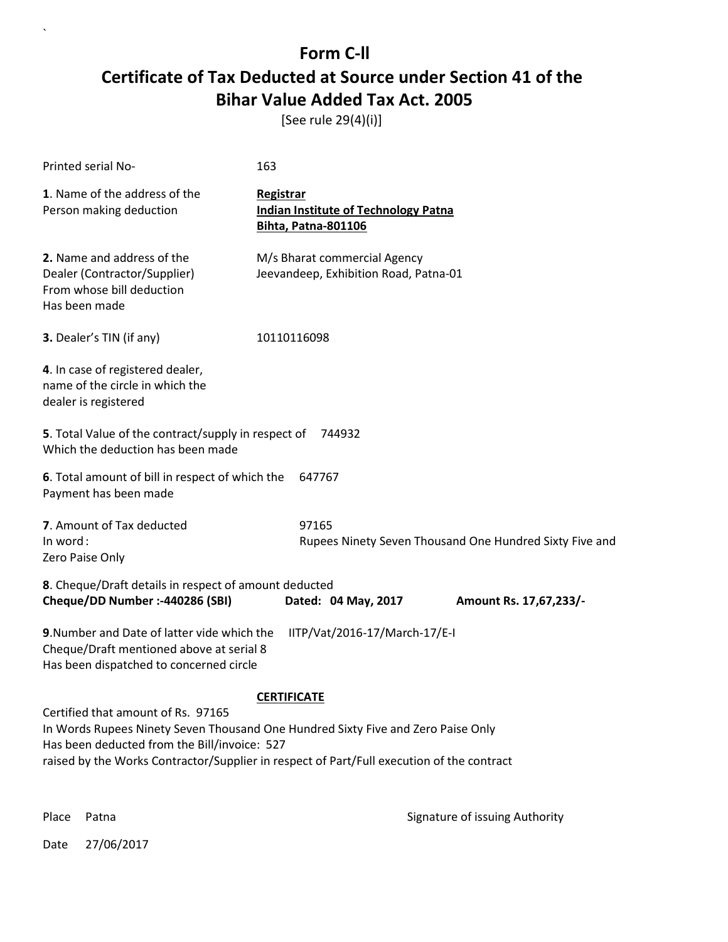[See rule 29(4)(i)]

| Printed serial No-                                                                                                                                                                                                                                                  | 163                                                                                    |  |
|---------------------------------------------------------------------------------------------------------------------------------------------------------------------------------------------------------------------------------------------------------------------|----------------------------------------------------------------------------------------|--|
| 1. Name of the address of the<br>Person making deduction                                                                                                                                                                                                            | Registrar<br><b>Indian Institute of Technology Patna</b><br><b>Bihta, Patna-801106</b> |  |
| 2. Name and address of the<br>Dealer (Contractor/Supplier)<br>From whose bill deduction<br>Has been made                                                                                                                                                            | M/s Bharat commercial Agency<br>Jeevandeep, Exhibition Road, Patna-01                  |  |
| 3. Dealer's TIN (if any)                                                                                                                                                                                                                                            | 10110116098                                                                            |  |
| 4. In case of registered dealer,<br>name of the circle in which the<br>dealer is registered                                                                                                                                                                         |                                                                                        |  |
| 5. Total Value of the contract/supply in respect of 744932<br>Which the deduction has been made                                                                                                                                                                     |                                                                                        |  |
| 6. Total amount of bill in respect of which the<br>647767<br>Payment has been made                                                                                                                                                                                  |                                                                                        |  |
| 7. Amount of Tax deducted<br>In word:<br>Zero Paise Only                                                                                                                                                                                                            | 97165<br>Rupees Ninety Seven Thousand One Hundred Sixty Five and                       |  |
| 8. Cheque/Draft details in respect of amount deducted<br>Cheque/DD Number :- 440286 (SBI)                                                                                                                                                                           | Dated: 04 May, 2017<br>Amount Rs. 17,67,233/-                                          |  |
| 9. Number and Date of latter vide which the<br>IITP/Vat/2016-17/March-17/E-I<br>Cheque/Draft mentioned above at serial 8<br>Has been dispatched to concerned circle                                                                                                 |                                                                                        |  |
| <b>CERTIFICATE</b>                                                                                                                                                                                                                                                  |                                                                                        |  |
| Certified that amount of Rs. 97165<br>In Words Rupees Ninety Seven Thousand One Hundred Sixty Five and Zero Paise Only<br>Has been deducted from the Bill/invoice: 527<br>raised by the Works Contractor/Supplier in respect of Part/Full execution of the contract |                                                                                        |  |

 $\ddot{\phantom{0}}$ 

Place Patna **Property** Place Patna Signature of issuing Authority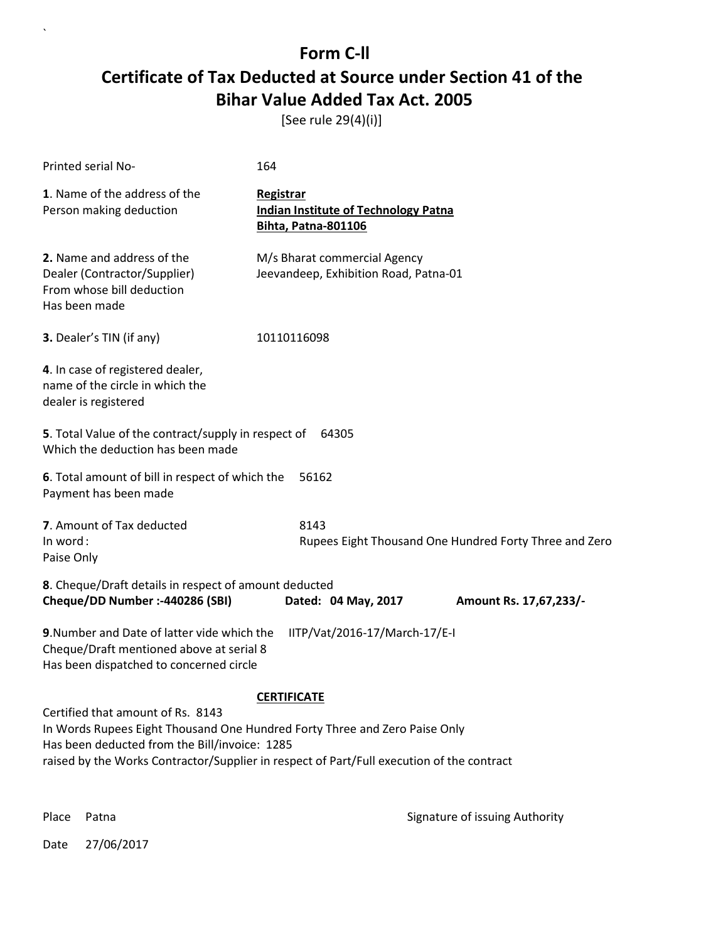[See rule 29(4)(i)]

| Printed serial No-                                                                                                                                                                                                                                            | 164                                                                                    |  |
|---------------------------------------------------------------------------------------------------------------------------------------------------------------------------------------------------------------------------------------------------------------|----------------------------------------------------------------------------------------|--|
| 1. Name of the address of the<br>Person making deduction                                                                                                                                                                                                      | Registrar<br><b>Indian Institute of Technology Patna</b><br><b>Bihta, Patna-801106</b> |  |
| 2. Name and address of the<br>Dealer (Contractor/Supplier)<br>From whose bill deduction<br>Has been made                                                                                                                                                      | M/s Bharat commercial Agency<br>Jeevandeep, Exhibition Road, Patna-01                  |  |
| 3. Dealer's TIN (if any)                                                                                                                                                                                                                                      | 10110116098                                                                            |  |
| 4. In case of registered dealer,<br>name of the circle in which the<br>dealer is registered                                                                                                                                                                   |                                                                                        |  |
| 5. Total Value of the contract/supply in respect of 64305<br>Which the deduction has been made                                                                                                                                                                |                                                                                        |  |
| 6. Total amount of bill in respect of which the<br>56162<br>Payment has been made                                                                                                                                                                             |                                                                                        |  |
| 7. Amount of Tax deducted<br>In word:<br>Paise Only                                                                                                                                                                                                           | 8143<br>Rupees Eight Thousand One Hundred Forty Three and Zero                         |  |
| 8. Cheque/Draft details in respect of amount deducted<br>Cheque/DD Number :- 440286 (SBI)                                                                                                                                                                     | Dated: 04 May, 2017<br>Amount Rs. 17,67,233/-                                          |  |
| 9. Number and Date of latter vide which the<br>IITP/Vat/2016-17/March-17/E-I<br>Cheque/Draft mentioned above at serial 8<br>Has been dispatched to concerned circle                                                                                           |                                                                                        |  |
| <b>CERTIFICATE</b>                                                                                                                                                                                                                                            |                                                                                        |  |
| Certified that amount of Rs. 8143<br>In Words Rupees Eight Thousand One Hundred Forty Three and Zero Paise Only<br>Has been deducted from the Bill/invoice: 1285<br>raised by the Works Contractor/Supplier in respect of Part/Full execution of the contract |                                                                                        |  |

 $\ddot{\phantom{0}}$ 

Place Patna **Property** Place Patna Signature of issuing Authority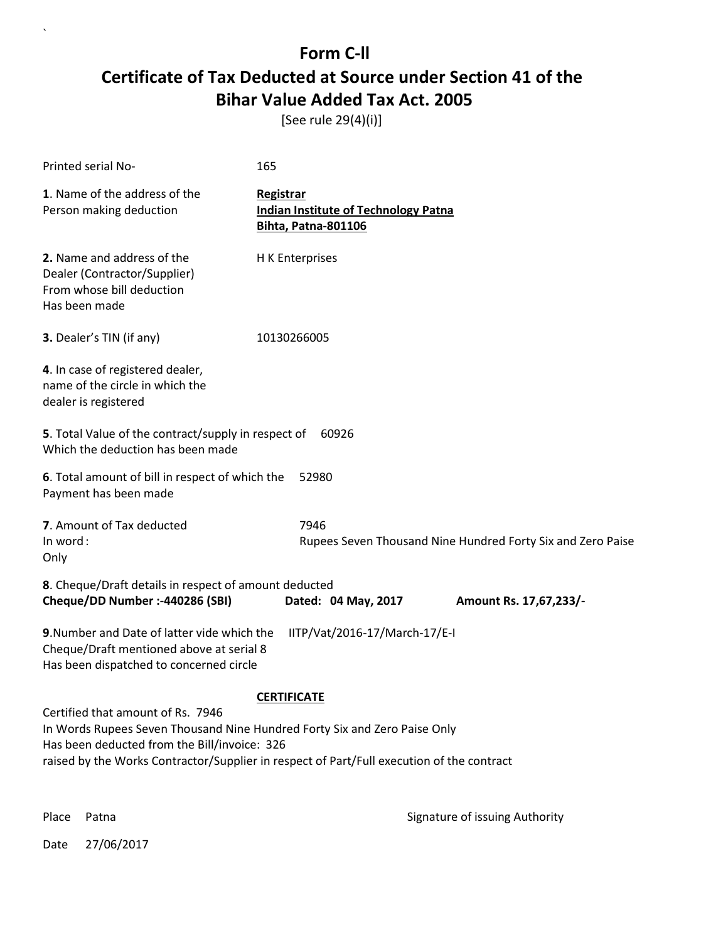[See rule 29(4)(i)]

| Printed serial No-                                                                                                                                                                                                                                          | 165                                                                                    |  |
|-------------------------------------------------------------------------------------------------------------------------------------------------------------------------------------------------------------------------------------------------------------|----------------------------------------------------------------------------------------|--|
| 1. Name of the address of the<br>Person making deduction                                                                                                                                                                                                    | Registrar<br><b>Indian Institute of Technology Patna</b><br><b>Bihta, Patna-801106</b> |  |
| 2. Name and address of the<br>Dealer (Contractor/Supplier)<br>From whose bill deduction<br>Has been made                                                                                                                                                    | H K Enterprises                                                                        |  |
| 3. Dealer's TIN (if any)                                                                                                                                                                                                                                    | 10130266005                                                                            |  |
| 4. In case of registered dealer,<br>name of the circle in which the<br>dealer is registered                                                                                                                                                                 |                                                                                        |  |
| 5. Total Value of the contract/supply in respect of<br>60926<br>Which the deduction has been made                                                                                                                                                           |                                                                                        |  |
| 6. Total amount of bill in respect of which the<br>Payment has been made                                                                                                                                                                                    | 52980                                                                                  |  |
| 7. Amount of Tax deducted<br>In word:<br>Only                                                                                                                                                                                                               | 7946<br>Rupees Seven Thousand Nine Hundred Forty Six and Zero Paise                    |  |
| 8. Cheque/Draft details in respect of amount deducted<br>Cheque/DD Number :- 440286 (SBI)                                                                                                                                                                   | Dated: 04 May, 2017<br>Amount Rs. 17,67,233/-                                          |  |
| 9. Number and Date of latter vide which the<br>IITP/Vat/2016-17/March-17/E-I<br>Cheque/Draft mentioned above at serial 8<br>Has been dispatched to concerned circle                                                                                         |                                                                                        |  |
| <b>CERTIFICATE</b>                                                                                                                                                                                                                                          |                                                                                        |  |
| Certified that amount of Rs. 7946<br>In Words Rupees Seven Thousand Nine Hundred Forty Six and Zero Paise Only<br>Has been deducted from the Bill/invoice: 326<br>raised by the Works Contractor/Supplier in respect of Part/Full execution of the contract |                                                                                        |  |

 $\ddot{\phantom{0}}$ 

Place Patna **Property** Place Patna Signature of issuing Authority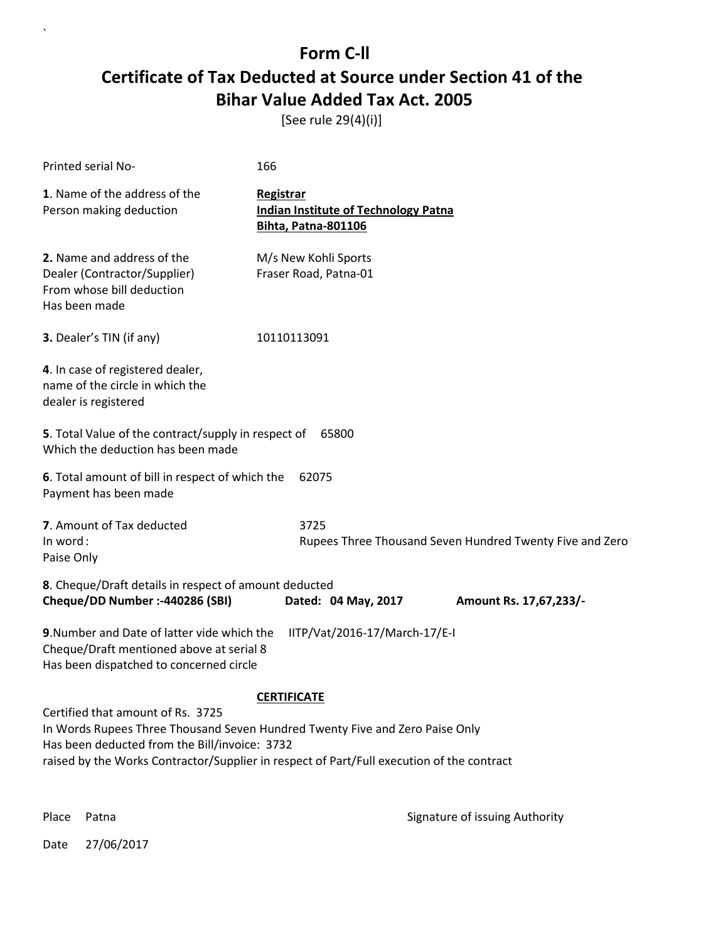[See rule 29(4)(i)]

| Printed serial No-                                                                                                                                                                                                                                                                    | 166                                                                             |  |
|---------------------------------------------------------------------------------------------------------------------------------------------------------------------------------------------------------------------------------------------------------------------------------------|---------------------------------------------------------------------------------|--|
| 1. Name of the address of the<br>Person making deduction                                                                                                                                                                                                                              | Registrar<br><b>Indian Institute of Technology Patna</b><br>Bihta, Patna-801106 |  |
| 2. Name and address of the<br>Dealer (Contractor/Supplier)<br>From whose bill deduction<br>Has been made                                                                                                                                                                              | M/s New Kohli Sports<br>Fraser Road, Patna-01                                   |  |
| 3. Dealer's TIN (if any)                                                                                                                                                                                                                                                              | 10110113091                                                                     |  |
| 4. In case of registered dealer,<br>name of the circle in which the<br>dealer is registered                                                                                                                                                                                           |                                                                                 |  |
| 5. Total Value of the contract/supply in respect of<br>65800<br>Which the deduction has been made                                                                                                                                                                                     |                                                                                 |  |
| 6. Total amount of bill in respect of which the<br>62075<br>Payment has been made                                                                                                                                                                                                     |                                                                                 |  |
| 7. Amount of Tax deducted<br>In word:<br>Paise Only                                                                                                                                                                                                                                   | 3725<br>Rupees Three Thousand Seven Hundred Twenty Five and Zero                |  |
| 8. Cheque/Draft details in respect of amount deducted<br>Cheque/DD Number :- 440286 (SBI)                                                                                                                                                                                             | Dated: 04 May, 2017<br>Amount Rs. 17,67,233/-                                   |  |
| 9. Number and Date of latter vide which the<br>Cheque/Draft mentioned above at serial 8<br>Has been dispatched to concerned circle                                                                                                                                                    | IITP/Vat/2016-17/March-17/E-I                                                   |  |
| <b>CERTIFICATE</b><br>Certified that amount of Rs. 3725<br>In Words Rupees Three Thousand Seven Hundred Twenty Five and Zero Paise Only<br>Has been deducted from the Bill/invoice: 3732<br>raised by the Works Contractor/Supplier in respect of Part/Full execution of the contract |                                                                                 |  |

 $\overline{\phantom{a}}$ 

Place Patna **Property** Place Patna Signature of issuing Authority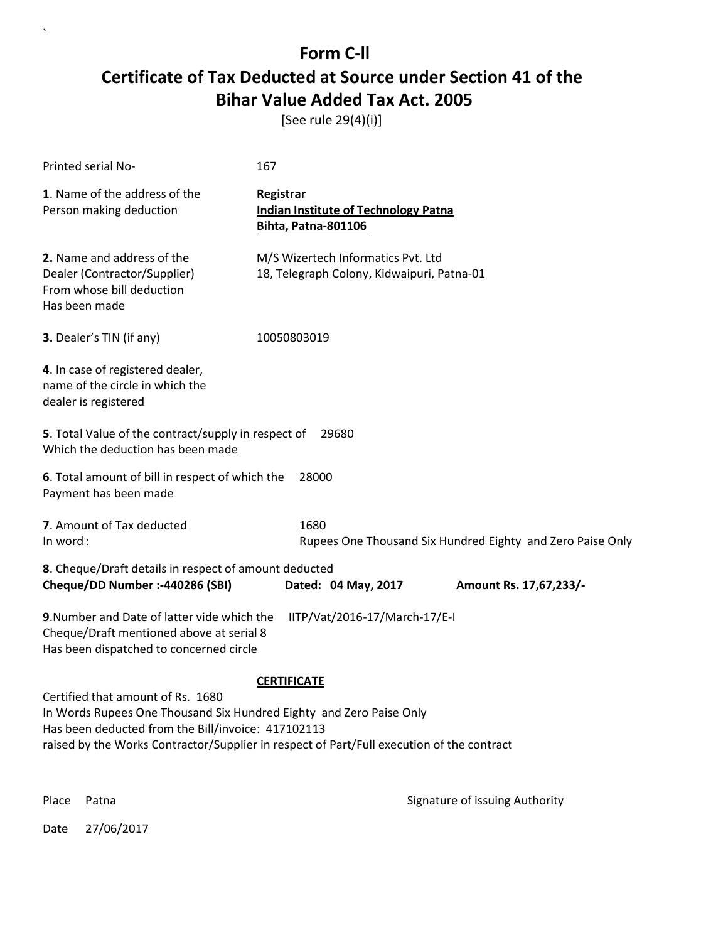[See rule 29(4)(i)]

| Printed serial No-                                                                                                                                                                                                                                          | 167                                                                                    |  |  |
|-------------------------------------------------------------------------------------------------------------------------------------------------------------------------------------------------------------------------------------------------------------|----------------------------------------------------------------------------------------|--|--|
| 1. Name of the address of the<br>Person making deduction                                                                                                                                                                                                    | <b>Registrar</b><br><b>Indian Institute of Technology Patna</b><br>Bihta, Patna-801106 |  |  |
| 2. Name and address of the<br>Dealer (Contractor/Supplier)<br>From whose bill deduction<br>Has been made                                                                                                                                                    | M/S Wizertech Informatics Pvt. Ltd<br>18, Telegraph Colony, Kidwaipuri, Patna-01       |  |  |
| 3. Dealer's TIN (if any)                                                                                                                                                                                                                                    | 10050803019                                                                            |  |  |
| 4. In case of registered dealer,<br>name of the circle in which the<br>dealer is registered                                                                                                                                                                 |                                                                                        |  |  |
| Which the deduction has been made                                                                                                                                                                                                                           | 5. Total Value of the contract/supply in respect of<br>29680                           |  |  |
| 6. Total amount of bill in respect of which the<br>Payment has been made                                                                                                                                                                                    | 28000                                                                                  |  |  |
| 7. Amount of Tax deducted<br>In word:                                                                                                                                                                                                                       | 1680<br>Rupees One Thousand Six Hundred Eighty and Zero Paise Only                     |  |  |
| 8. Cheque/Draft details in respect of amount deducted<br>Cheque/DD Number :- 440286 (SBI)                                                                                                                                                                   | Dated: 04 May, 2017<br>Amount Rs. 17,67,233/-                                          |  |  |
| 9. Number and Date of latter vide which the<br>Cheque/Draft mentioned above at serial 8<br>Has been dispatched to concerned circle                                                                                                                          | IITP/Vat/2016-17/March-17/E-I                                                          |  |  |
| <b>CERTIFICATE</b>                                                                                                                                                                                                                                          |                                                                                        |  |  |
| Certified that amount of Rs. 1680<br>In Words Rupees One Thousand Six Hundred Eighty and Zero Paise Only<br>Has been deducted from the Bill/invoice: 417102113<br>raised by the Works Contractor/Supplier in respect of Part/Full execution of the contract |                                                                                        |  |  |
| Place<br>Patna                                                                                                                                                                                                                                              | Signature of issuing Authority                                                         |  |  |

Date 27/06/2017

 $\ddot{\phantom{0}}$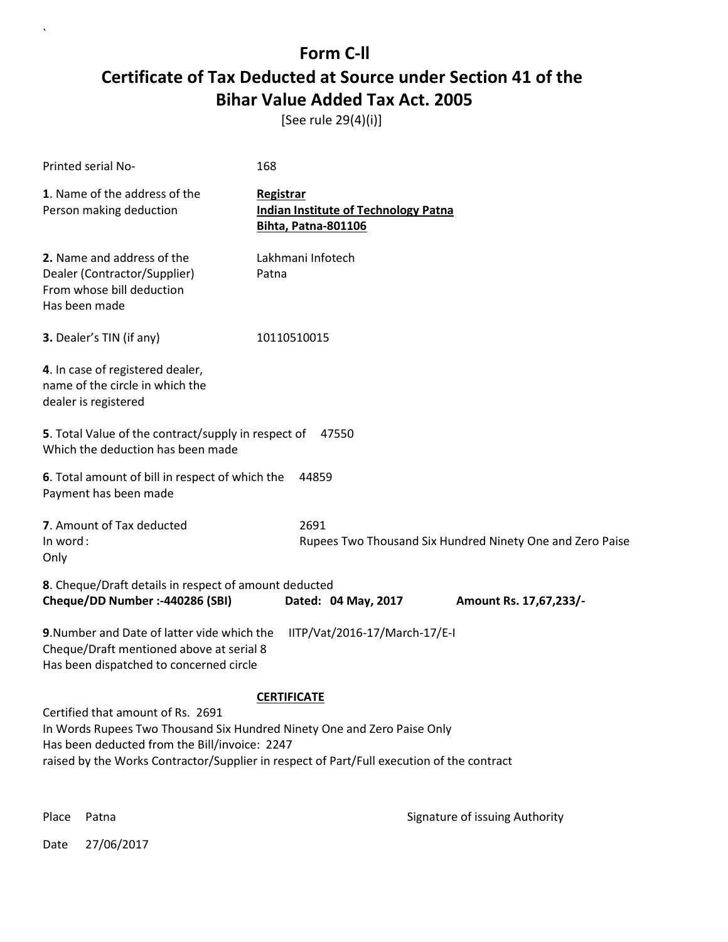[See rule 29(4)(i)]

| Printed serial No-                                                                                                                                                                                                                                         | 168                                                                                    |  |
|------------------------------------------------------------------------------------------------------------------------------------------------------------------------------------------------------------------------------------------------------------|----------------------------------------------------------------------------------------|--|
| 1. Name of the address of the<br>Person making deduction                                                                                                                                                                                                   | Registrar<br><b>Indian Institute of Technology Patna</b><br><b>Bihta, Patna-801106</b> |  |
| 2. Name and address of the<br>Dealer (Contractor/Supplier)<br>From whose bill deduction<br>Has been made                                                                                                                                                   | Lakhmani Infotech<br>Patna                                                             |  |
| 3. Dealer's TIN (if any)                                                                                                                                                                                                                                   | 10110510015                                                                            |  |
| 4. In case of registered dealer,<br>name of the circle in which the<br>dealer is registered                                                                                                                                                                |                                                                                        |  |
| 5. Total Value of the contract/supply in respect of<br>47550<br>Which the deduction has been made                                                                                                                                                          |                                                                                        |  |
| 6. Total amount of bill in respect of which the<br>Payment has been made                                                                                                                                                                                   | 44859                                                                                  |  |
| 7. Amount of Tax deducted<br>In word:<br>Only                                                                                                                                                                                                              | 2691<br>Rupees Two Thousand Six Hundred Ninety One and Zero Paise                      |  |
| 8. Cheque/Draft details in respect of amount deducted<br>Cheque/DD Number :- 440286 (SBI)                                                                                                                                                                  | Dated: 04 May, 2017<br>Amount Rs. 17,67,233/-                                          |  |
| 9. Number and Date of latter vide which the<br>IITP/Vat/2016-17/March-17/E-I<br>Cheque/Draft mentioned above at serial 8<br>Has been dispatched to concerned circle                                                                                        |                                                                                        |  |
| <b>CERTIFICATE</b>                                                                                                                                                                                                                                         |                                                                                        |  |
| Certified that amount of Rs. 2691<br>In Words Rupees Two Thousand Six Hundred Ninety One and Zero Paise Only<br>Has been deducted from the Bill/invoice: 2247<br>raised by the Works Contractor/Supplier in respect of Part/Full execution of the contract |                                                                                        |  |

 $\overline{\phantom{a}}$ 

Place Patna **Property** Place Patna Signature of issuing Authority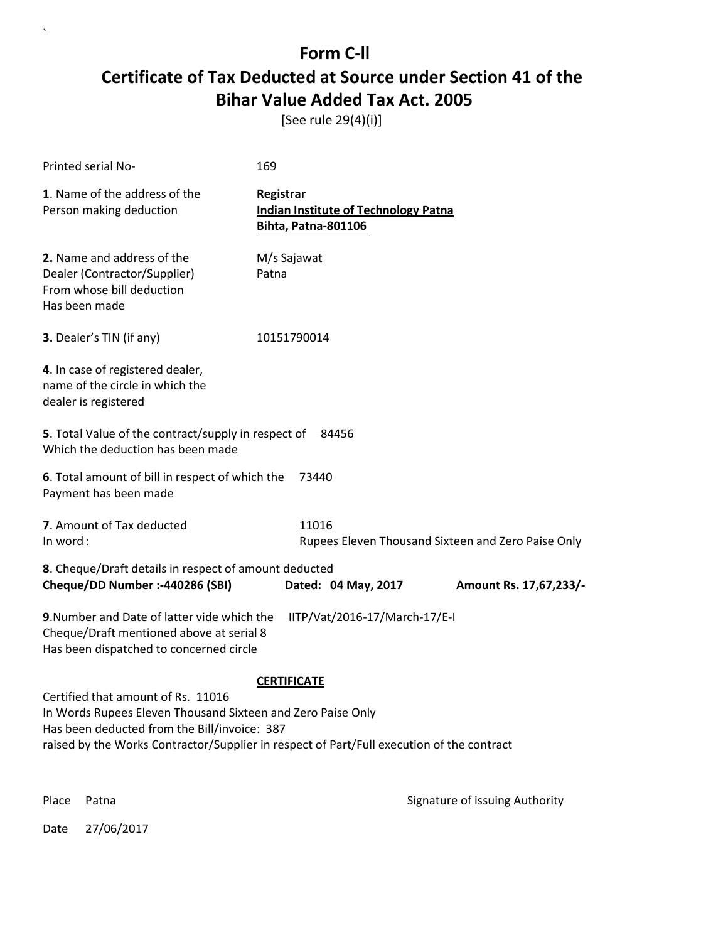[See rule 29(4)(i)]

| <b>Printed serial No-</b>                                                                                                                                                                                                                      | 169                                                                                    |                        |
|------------------------------------------------------------------------------------------------------------------------------------------------------------------------------------------------------------------------------------------------|----------------------------------------------------------------------------------------|------------------------|
| 1. Name of the address of the<br>Person making deduction                                                                                                                                                                                       | Registrar<br><b>Indian Institute of Technology Patna</b><br><b>Bihta, Patna-801106</b> |                        |
| 2. Name and address of the<br>Dealer (Contractor/Supplier)<br>From whose bill deduction<br>Has been made                                                                                                                                       | M/s Sajawat<br>Patna                                                                   |                        |
| 3. Dealer's TIN (if any)                                                                                                                                                                                                                       | 10151790014                                                                            |                        |
| 4. In case of registered dealer,<br>name of the circle in which the<br>dealer is registered                                                                                                                                                    |                                                                                        |                        |
| 5. Total Value of the contract/supply in respect of<br>84456<br>Which the deduction has been made                                                                                                                                              |                                                                                        |                        |
| 6. Total amount of bill in respect of which the<br>73440<br>Payment has been made                                                                                                                                                              |                                                                                        |                        |
| 7. Amount of Tax deducted<br>In word:                                                                                                                                                                                                          | 11016<br>Rupees Eleven Thousand Sixteen and Zero Paise Only                            |                        |
| 8. Cheque/Draft details in respect of amount deducted<br>Cheque/DD Number :- 440286 (SBI)                                                                                                                                                      | Dated: 04 May, 2017                                                                    | Amount Rs. 17,67,233/- |
| 9. Number and Date of latter vide which the<br>IITP/Vat/2016-17/March-17/E-I<br>Cheque/Draft mentioned above at serial 8<br>Has been dispatched to concerned circle                                                                            |                                                                                        |                        |
| <b>CERTIFICATE</b>                                                                                                                                                                                                                             |                                                                                        |                        |
| Certified that amount of Rs. 11016<br>In Words Rupees Eleven Thousand Sixteen and Zero Paise Only<br>Has been deducted from the Bill/invoice: 387<br>raised by the Works Contractor/Supplier in respect of Part/Full execution of the contract |                                                                                        |                        |

 $\overline{\phantom{a}}$ 

Place Patna **Property** Place Patna Signature of issuing Authority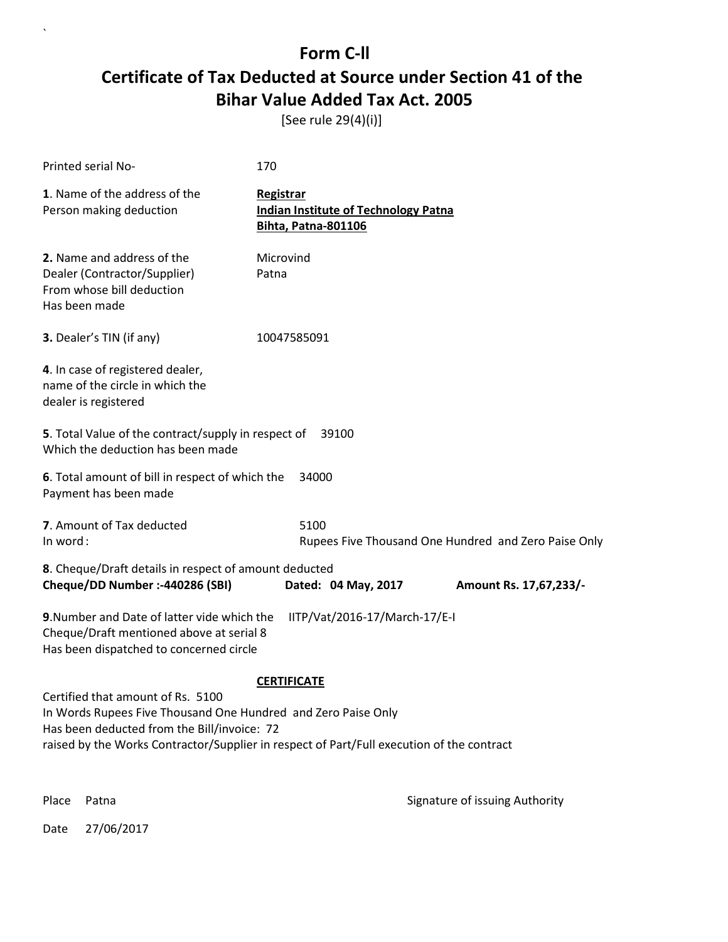[See rule 29(4)(i)]

| Printed serial No-                                                                                                                                                                                                                                                   | 170                                                                                    |                        |
|----------------------------------------------------------------------------------------------------------------------------------------------------------------------------------------------------------------------------------------------------------------------|----------------------------------------------------------------------------------------|------------------------|
| 1. Name of the address of the<br>Person making deduction                                                                                                                                                                                                             | Registrar<br><b>Indian Institute of Technology Patna</b><br><b>Bihta, Patna-801106</b> |                        |
| 2. Name and address of the<br>Dealer (Contractor/Supplier)<br>From whose bill deduction<br>Has been made                                                                                                                                                             | Microvind<br>Patna                                                                     |                        |
| 3. Dealer's TIN (if any)                                                                                                                                                                                                                                             | 10047585091                                                                            |                        |
| 4. In case of registered dealer,<br>name of the circle in which the<br>dealer is registered                                                                                                                                                                          |                                                                                        |                        |
| 5. Total Value of the contract/supply in respect of<br>39100<br>Which the deduction has been made                                                                                                                                                                    |                                                                                        |                        |
| 6. Total amount of bill in respect of which the<br>34000<br>Payment has been made                                                                                                                                                                                    |                                                                                        |                        |
| 7. Amount of Tax deducted<br>In word:                                                                                                                                                                                                                                | 5100<br>Rupees Five Thousand One Hundred and Zero Paise Only                           |                        |
| 8. Cheque/Draft details in respect of amount deducted<br>Cheque/DD Number :- 440286 (SBI)                                                                                                                                                                            | Dated: 04 May, 2017                                                                    | Amount Rs. 17,67,233/- |
| 9. Number and Date of latter vide which the<br>IITP/Vat/2016-17/March-17/E-I<br>Cheque/Draft mentioned above at serial 8<br>Has been dispatched to concerned circle                                                                                                  |                                                                                        |                        |
| <b>CERTIFICATE</b><br>Certified that amount of Rs. 5100<br>In Words Rupees Five Thousand One Hundred and Zero Paise Only<br>Has been deducted from the Bill/invoice: 72<br>raised by the Works Contractor/Supplier in respect of Part/Full execution of the contract |                                                                                        |                        |

 $\overline{\phantom{a}}$ 

Place Patna **Property** Place Patna Signature of issuing Authority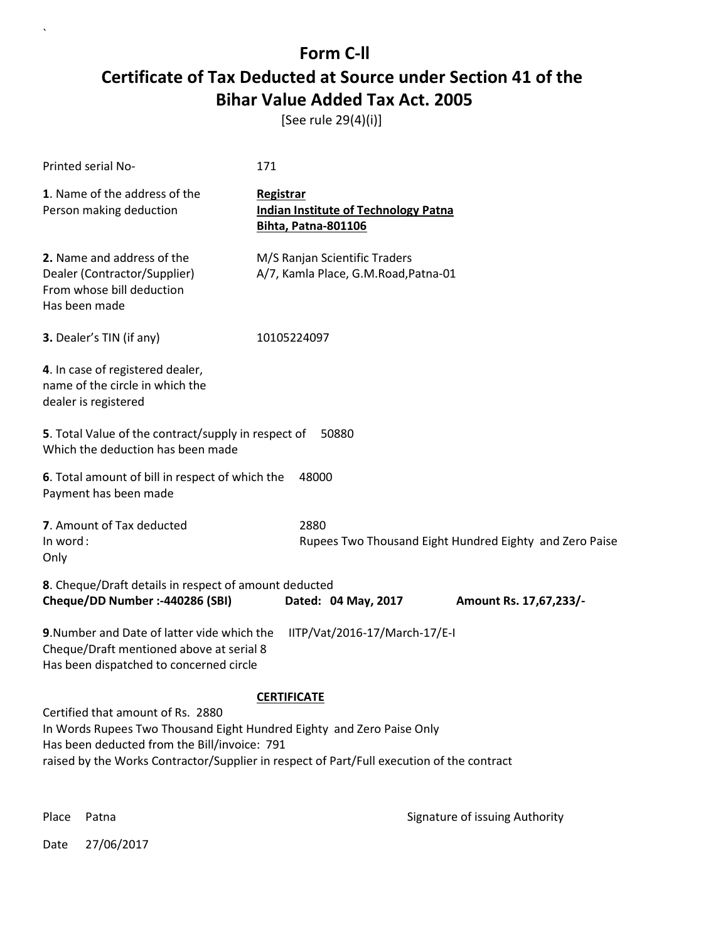[See rule 29(4)(i)]

| <b>Printed serial No-</b>                                                                                                                                                                                                                                                     | 171                                                                             |  |
|-------------------------------------------------------------------------------------------------------------------------------------------------------------------------------------------------------------------------------------------------------------------------------|---------------------------------------------------------------------------------|--|
| 1. Name of the address of the<br>Person making deduction                                                                                                                                                                                                                      | Registrar<br><b>Indian Institute of Technology Patna</b><br>Bihta, Patna-801106 |  |
| 2. Name and address of the<br>Dealer (Contractor/Supplier)<br>From whose bill deduction<br>Has been made                                                                                                                                                                      | M/S Ranjan Scientific Traders<br>A/7, Kamla Place, G.M.Road, Patna-01           |  |
| 3. Dealer's TIN (if any)                                                                                                                                                                                                                                                      | 10105224097                                                                     |  |
| 4. In case of registered dealer,<br>name of the circle in which the<br>dealer is registered                                                                                                                                                                                   |                                                                                 |  |
| 5. Total Value of the contract/supply in respect of<br>50880<br>Which the deduction has been made                                                                                                                                                                             |                                                                                 |  |
| 6. Total amount of bill in respect of which the<br>Payment has been made                                                                                                                                                                                                      | 48000                                                                           |  |
| 7. Amount of Tax deducted<br>In word:<br>Only                                                                                                                                                                                                                                 | 2880<br>Rupees Two Thousand Eight Hundred Eighty and Zero Paise                 |  |
| 8. Cheque/Draft details in respect of amount deducted<br>Cheque/DD Number :- 440286 (SBI)                                                                                                                                                                                     | Dated: 04 May, 2017<br>Amount Rs. 17,67,233/-                                   |  |
| 9. Number and Date of latter vide which the<br>Cheque/Draft mentioned above at serial 8<br>Has been dispatched to concerned circle                                                                                                                                            | IITP/Vat/2016-17/March-17/E-I                                                   |  |
| <b>CERTIFICATE</b><br>Certified that amount of Rs. 2880<br>In Words Rupees Two Thousand Eight Hundred Eighty and Zero Paise Only<br>Has been deducted from the Bill/invoice: 791<br>raised by the Works Contractor/Supplier in respect of Part/Full execution of the contract |                                                                                 |  |

 $\ddot{\phantom{0}}$ 

Place Patna **Property** Place Patna Signature of issuing Authority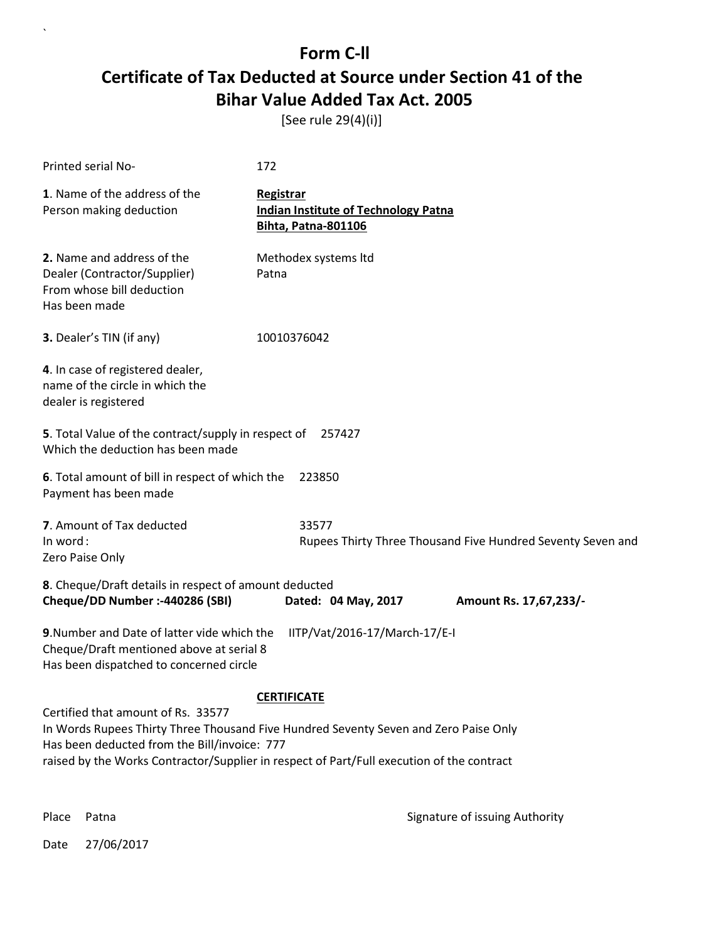[See rule 29(4)(i)]

| Printed serial No-                                                                                                                                                                                                                                                      | 172                                                                             |  |
|-------------------------------------------------------------------------------------------------------------------------------------------------------------------------------------------------------------------------------------------------------------------------|---------------------------------------------------------------------------------|--|
| 1. Name of the address of the<br>Person making deduction                                                                                                                                                                                                                | Registrar<br><b>Indian Institute of Technology Patna</b><br>Bihta, Patna-801106 |  |
| 2. Name and address of the<br>Dealer (Contractor/Supplier)<br>From whose bill deduction<br>Has been made                                                                                                                                                                | Methodex systems Itd<br>Patna                                                   |  |
| 3. Dealer's TIN (if any)                                                                                                                                                                                                                                                | 10010376042                                                                     |  |
| 4. In case of registered dealer,<br>name of the circle in which the<br>dealer is registered                                                                                                                                                                             |                                                                                 |  |
| 5. Total Value of the contract/supply in respect of<br>257427<br>Which the deduction has been made                                                                                                                                                                      |                                                                                 |  |
| 6. Total amount of bill in respect of which the<br>Payment has been made                                                                                                                                                                                                | 223850                                                                          |  |
| 7. Amount of Tax deducted<br>In word:<br>Zero Paise Only                                                                                                                                                                                                                | 33577<br>Rupees Thirty Three Thousand Five Hundred Seventy Seven and            |  |
| 8. Cheque/Draft details in respect of amount deducted<br>Cheque/DD Number :- 440286 (SBI)                                                                                                                                                                               | Dated: 04 May, 2017<br>Amount Rs. 17,67,233/-                                   |  |
| IITP/Vat/2016-17/March-17/E-I<br>9. Number and Date of latter vide which the<br>Cheque/Draft mentioned above at serial 8<br>Has been dispatched to concerned circle                                                                                                     |                                                                                 |  |
| <b>CERTIFICATE</b>                                                                                                                                                                                                                                                      |                                                                                 |  |
| Certified that amount of Rs. 33577<br>In Words Rupees Thirty Three Thousand Five Hundred Seventy Seven and Zero Paise Only<br>Has been deducted from the Bill/invoice: 777<br>raised by the Works Contractor/Supplier in respect of Part/Full execution of the contract |                                                                                 |  |

 $\overline{\phantom{a}}$ 

Place Patna **Property** Place Patna Signature of issuing Authority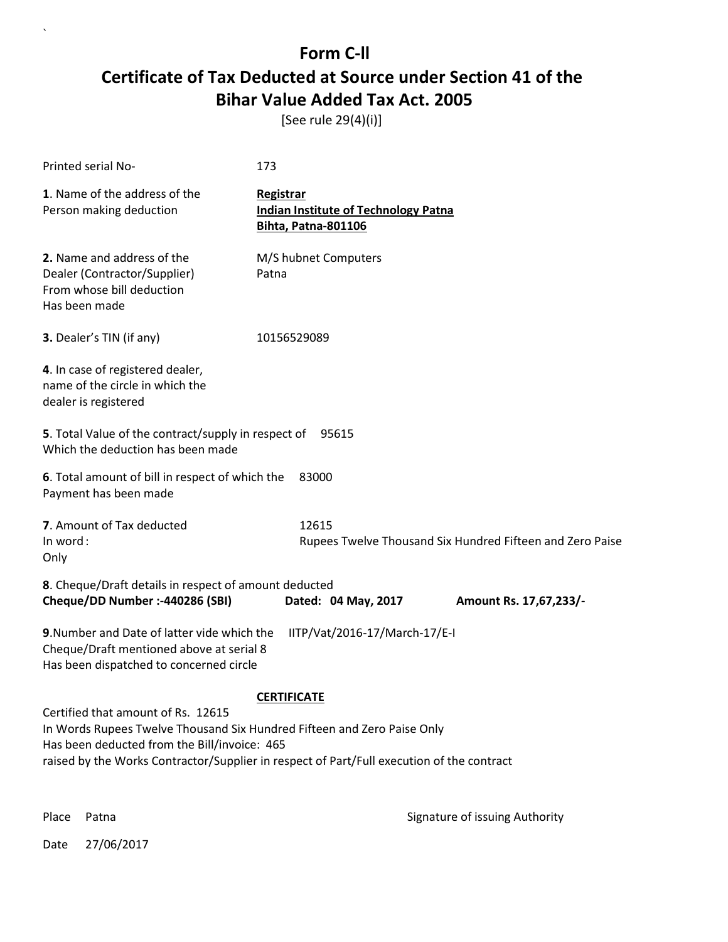[See rule 29(4)(i)]

| Printed serial No-                                                                                                                                                                                                                                                               | 173                                                                             |  |  |
|----------------------------------------------------------------------------------------------------------------------------------------------------------------------------------------------------------------------------------------------------------------------------------|---------------------------------------------------------------------------------|--|--|
| 1. Name of the address of the<br>Person making deduction                                                                                                                                                                                                                         | Registrar<br><b>Indian Institute of Technology Patna</b><br>Bihta, Patna-801106 |  |  |
| 2. Name and address of the<br>Dealer (Contractor/Supplier)<br>From whose bill deduction<br>Has been made                                                                                                                                                                         | M/S hubnet Computers<br>Patna                                                   |  |  |
| 3. Dealer's TIN (if any)                                                                                                                                                                                                                                                         | 10156529089                                                                     |  |  |
| 4. In case of registered dealer,<br>name of the circle in which the<br>dealer is registered                                                                                                                                                                                      |                                                                                 |  |  |
| 5. Total Value of the contract/supply in respect of 95615<br>Which the deduction has been made                                                                                                                                                                                   |                                                                                 |  |  |
| 6. Total amount of bill in respect of which the<br>83000<br>Payment has been made                                                                                                                                                                                                |                                                                                 |  |  |
| 7. Amount of Tax deducted<br>In word:<br>Only                                                                                                                                                                                                                                    | 12615<br>Rupees Twelve Thousand Six Hundred Fifteen and Zero Paise              |  |  |
| 8. Cheque/Draft details in respect of amount deducted<br>Cheque/DD Number :- 440286 (SBI)                                                                                                                                                                                        | Dated: 04 May, 2017<br>Amount Rs. 17,67,233/-                                   |  |  |
| 9. Number and Date of latter vide which the<br>Cheque/Draft mentioned above at serial 8<br>Has been dispatched to concerned circle                                                                                                                                               | IITP/Vat/2016-17/March-17/E-I                                                   |  |  |
| <b>CERTIFICATE</b><br>Certified that amount of Rs. 12615<br>In Words Rupees Twelve Thousand Six Hundred Fifteen and Zero Paise Only<br>Has been deducted from the Bill/invoice: 465<br>raised by the Works Contractor/Supplier in respect of Part/Full execution of the contract |                                                                                 |  |  |

 $\overline{\phantom{a}}$ 

Place Patna **Property** Place Patna Signature of issuing Authority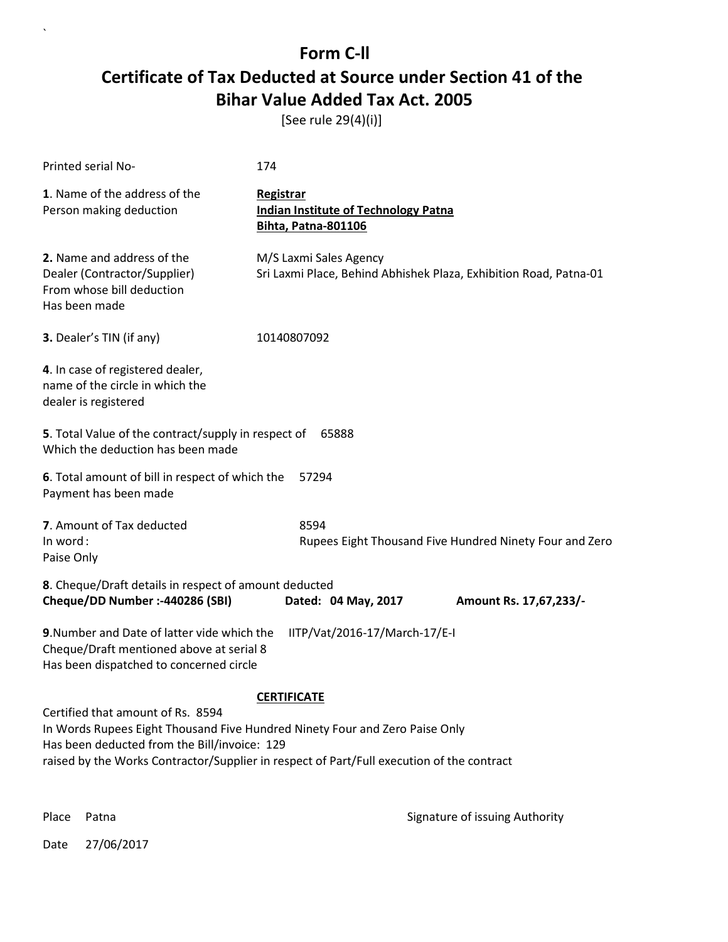[See rule 29(4)(i)]

| Printed serial No-                                                                                                                                                                                                                                            | 174                                                                                         |  |  |
|---------------------------------------------------------------------------------------------------------------------------------------------------------------------------------------------------------------------------------------------------------------|---------------------------------------------------------------------------------------------|--|--|
| 1. Name of the address of the<br>Person making deduction                                                                                                                                                                                                      | Registrar<br><b>Indian Institute of Technology Patna</b><br>Bihta, Patna-801106             |  |  |
| 2. Name and address of the<br>Dealer (Contractor/Supplier)<br>From whose bill deduction<br>Has been made                                                                                                                                                      | M/S Laxmi Sales Agency<br>Sri Laxmi Place, Behind Abhishek Plaza, Exhibition Road, Patna-01 |  |  |
| 3. Dealer's TIN (if any)                                                                                                                                                                                                                                      | 10140807092                                                                                 |  |  |
| 4. In case of registered dealer,<br>name of the circle in which the<br>dealer is registered                                                                                                                                                                   |                                                                                             |  |  |
| 5. Total Value of the contract/supply in respect of<br>65888<br>Which the deduction has been made                                                                                                                                                             |                                                                                             |  |  |
| 6. Total amount of bill in respect of which the<br>57294<br>Payment has been made                                                                                                                                                                             |                                                                                             |  |  |
| 7. Amount of Tax deducted<br>In word:<br>Paise Only                                                                                                                                                                                                           | 8594<br>Rupees Eight Thousand Five Hundred Ninety Four and Zero                             |  |  |
| 8. Cheque/Draft details in respect of amount deducted<br>Cheque/DD Number :- 440286 (SBI)                                                                                                                                                                     | Dated: 04 May, 2017<br>Amount Rs. 17,67,233/-                                               |  |  |
| 9. Number and Date of latter vide which the<br>IITP/Vat/2016-17/March-17/E-I<br>Cheque/Draft mentioned above at serial 8<br>Has been dispatched to concerned circle                                                                                           |                                                                                             |  |  |
| <b>CERTIFICATE</b>                                                                                                                                                                                                                                            |                                                                                             |  |  |
| Certified that amount of Rs. 8594<br>In Words Rupees Eight Thousand Five Hundred Ninety Four and Zero Paise Only<br>Has been deducted from the Bill/invoice: 129<br>raised by the Works Contractor/Supplier in respect of Part/Full execution of the contract |                                                                                             |  |  |

 $\ddot{\phantom{0}}$ 

Place Patna **Property** Place Patna Signature of issuing Authority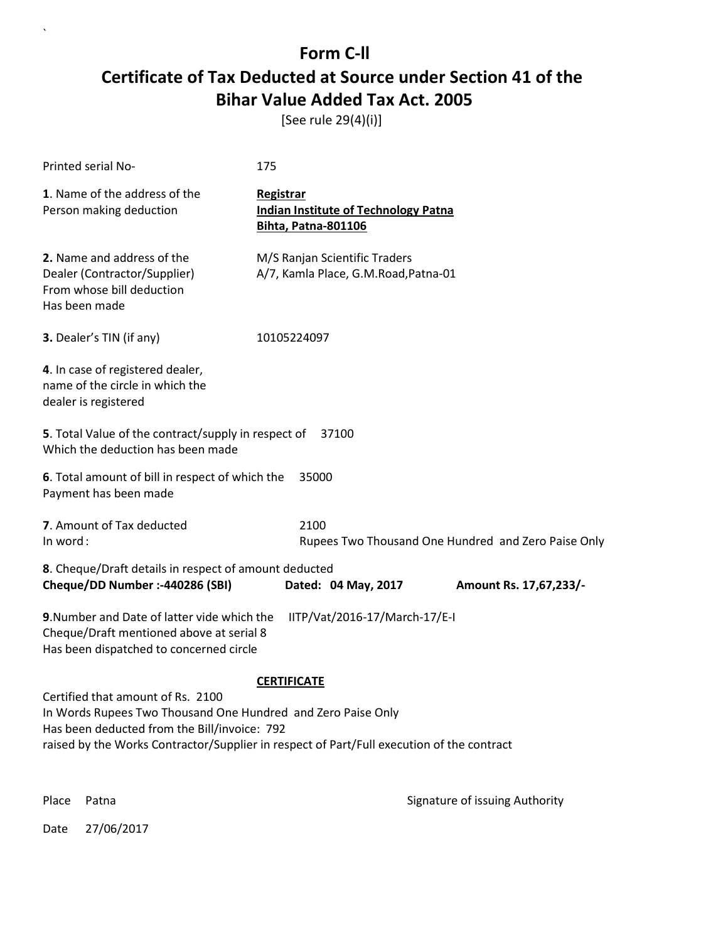[See rule 29(4)(i)]

| Printed serial No-                                                                                                                                                                                                                                                   | 175                                                                                           |  |  |
|----------------------------------------------------------------------------------------------------------------------------------------------------------------------------------------------------------------------------------------------------------------------|-----------------------------------------------------------------------------------------------|--|--|
| 1. Name of the address of the<br>Person making deduction                                                                                                                                                                                                             | <b>Registrar</b><br><b>Indian Institute of Technology Patna</b><br><b>Bihta, Patna-801106</b> |  |  |
| 2. Name and address of the<br>Dealer (Contractor/Supplier)<br>From whose bill deduction<br>Has been made                                                                                                                                                             | M/S Ranjan Scientific Traders<br>A/7, Kamla Place, G.M.Road, Patna-01                         |  |  |
| 3. Dealer's TIN (if any)                                                                                                                                                                                                                                             | 10105224097                                                                                   |  |  |
| 4. In case of registered dealer,<br>name of the circle in which the<br>dealer is registered                                                                                                                                                                          |                                                                                               |  |  |
| 5. Total Value of the contract/supply in respect of<br>37100<br>Which the deduction has been made                                                                                                                                                                    |                                                                                               |  |  |
| 6. Total amount of bill in respect of which the<br>35000<br>Payment has been made                                                                                                                                                                                    |                                                                                               |  |  |
| 7. Amount of Tax deducted<br>In word:                                                                                                                                                                                                                                | 2100<br>Rupees Two Thousand One Hundred and Zero Paise Only                                   |  |  |
| 8. Cheque/Draft details in respect of amount deducted<br>Cheque/DD Number :- 440286 (SBI)                                                                                                                                                                            | Dated: 04 May, 2017<br>Amount Rs. 17,67,233/-                                                 |  |  |
| 9. Number and Date of latter vide which the<br>IITP/Vat/2016-17/March-17/E-I<br>Cheque/Draft mentioned above at serial 8<br>Has been dispatched to concerned circle                                                                                                  |                                                                                               |  |  |
| <b>CERTIFICATE</b><br>Certified that amount of Rs. 2100<br>In Words Rupees Two Thousand One Hundred and Zero Paise Only<br>Has been deducted from the Bill/invoice: 792<br>raised by the Works Contractor/Supplier in respect of Part/Full execution of the contract |                                                                                               |  |  |

 $\overline{\phantom{a}}$ 

Place Patna **Property** Place Patna Signature of issuing Authority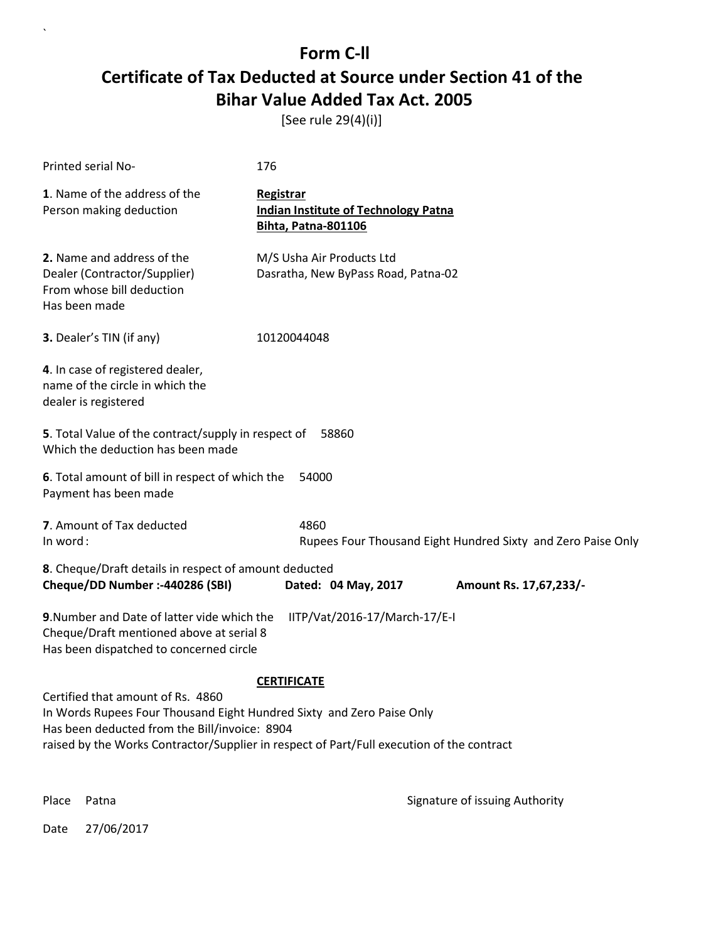[See rule 29(4)(i)]

| Printed serial No-                                                                                                                                                                                                                                       | 176                                                                                           |  |  |
|----------------------------------------------------------------------------------------------------------------------------------------------------------------------------------------------------------------------------------------------------------|-----------------------------------------------------------------------------------------------|--|--|
| 1. Name of the address of the<br>Person making deduction                                                                                                                                                                                                 | <b>Registrar</b><br><b>Indian Institute of Technology Patna</b><br><b>Bihta, Patna-801106</b> |  |  |
| 2. Name and address of the<br>Dealer (Contractor/Supplier)<br>From whose bill deduction<br>Has been made                                                                                                                                                 | M/S Usha Air Products Ltd<br>Dasratha, New ByPass Road, Patna-02                              |  |  |
| 3. Dealer's TIN (if any)                                                                                                                                                                                                                                 | 10120044048                                                                                   |  |  |
| 4. In case of registered dealer,<br>name of the circle in which the<br>dealer is registered                                                                                                                                                              |                                                                                               |  |  |
| 5. Total Value of the contract/supply in respect of<br>Which the deduction has been made                                                                                                                                                                 | 58860                                                                                         |  |  |
| 6. Total amount of bill in respect of which the<br>54000<br>Payment has been made                                                                                                                                                                        |                                                                                               |  |  |
| 7. Amount of Tax deducted<br>In word:                                                                                                                                                                                                                    | 4860<br>Rupees Four Thousand Eight Hundred Sixty and Zero Paise Only                          |  |  |
| 8. Cheque/Draft details in respect of amount deducted<br>Cheque/DD Number :- 440286 (SBI)                                                                                                                                                                | Dated: 04 May, 2017<br>Amount Rs. 17,67,233/-                                                 |  |  |
| 9. Number and Date of latter vide which the<br>IITP/Vat/2016-17/March-17/E-I<br>Cheque/Draft mentioned above at serial 8<br>Has been dispatched to concerned circle                                                                                      |                                                                                               |  |  |
|                                                                                                                                                                                                                                                          | <b>CERTIFICATE</b>                                                                            |  |  |
| Certified that amount of Rs. 4860<br>In Words Rupees Four Thousand Eight Hundred Sixty and Zero Paise Only<br>Has been deducted from the Bill/invoice: 8904<br>raised by the Works Contractor/Supplier in respect of Part/Full execution of the contract |                                                                                               |  |  |
| Place<br>Patna                                                                                                                                                                                                                                           | Signature of issuing Authority                                                                |  |  |

Date 27/06/2017

 $\overline{\phantom{a}}$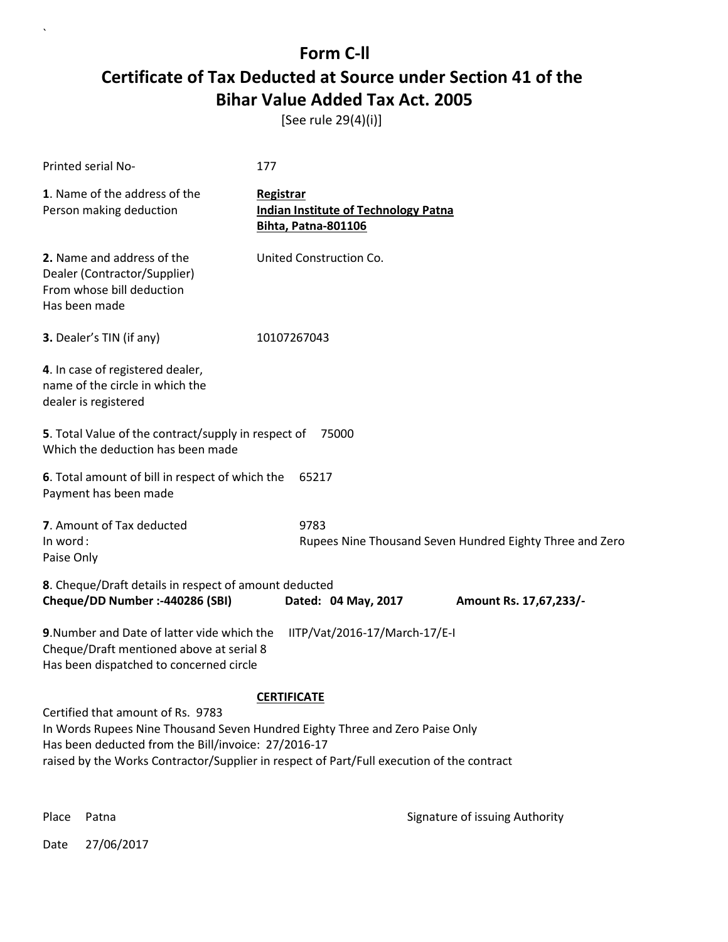[See rule 29(4)(i)]

| Printed serial No-                                                                                                                                                                                                                                                    | 177                                                                                    |  |  |
|-----------------------------------------------------------------------------------------------------------------------------------------------------------------------------------------------------------------------------------------------------------------------|----------------------------------------------------------------------------------------|--|--|
| 1. Name of the address of the<br>Person making deduction                                                                                                                                                                                                              | Registrar<br><b>Indian Institute of Technology Patna</b><br><b>Bihta, Patna-801106</b> |  |  |
| 2. Name and address of the<br>Dealer (Contractor/Supplier)<br>From whose bill deduction<br>Has been made                                                                                                                                                              | United Construction Co.                                                                |  |  |
| 3. Dealer's TIN (if any)                                                                                                                                                                                                                                              | 10107267043                                                                            |  |  |
| 4. In case of registered dealer,<br>name of the circle in which the<br>dealer is registered                                                                                                                                                                           |                                                                                        |  |  |
| 5. Total Value of the contract/supply in respect of<br>75000<br>Which the deduction has been made                                                                                                                                                                     |                                                                                        |  |  |
| 6. Total amount of bill in respect of which the<br>65217<br>Payment has been made                                                                                                                                                                                     |                                                                                        |  |  |
| 7. Amount of Tax deducted<br>In word:<br>Paise Only                                                                                                                                                                                                                   | 9783<br>Rupees Nine Thousand Seven Hundred Eighty Three and Zero                       |  |  |
| 8. Cheque/Draft details in respect of amount deducted<br>Cheque/DD Number :- 440286 (SBI)                                                                                                                                                                             | Dated: 04 May, 2017<br>Amount Rs. 17,67,233/-                                          |  |  |
| 9. Number and Date of latter vide which the<br>IITP/Vat/2016-17/March-17/E-I<br>Cheque/Draft mentioned above at serial 8<br>Has been dispatched to concerned circle                                                                                                   |                                                                                        |  |  |
| <b>CERTIFICATE</b>                                                                                                                                                                                                                                                    |                                                                                        |  |  |
| Certified that amount of Rs. 9783<br>In Words Rupees Nine Thousand Seven Hundred Eighty Three and Zero Paise Only<br>Has been deducted from the Bill/invoice: 27/2016-17<br>raised by the Works Contractor/Supplier in respect of Part/Full execution of the contract |                                                                                        |  |  |

`

Place Patna **Property** Place Patna Signature of issuing Authority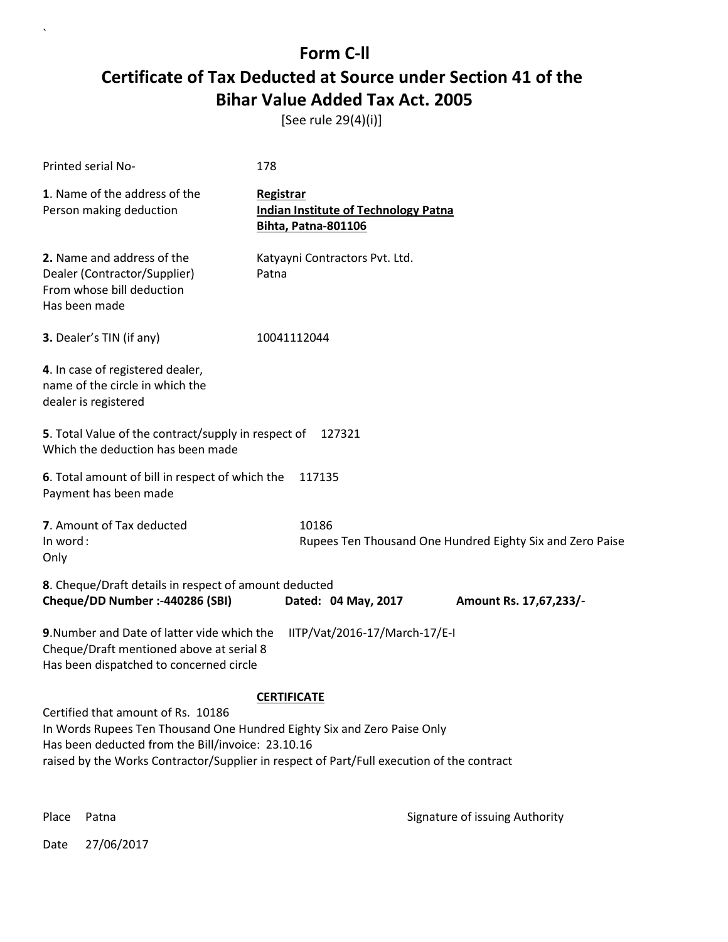[See rule 29(4)(i)]

| 178                                                                                                                                                                 |                                                           |  |  |
|---------------------------------------------------------------------------------------------------------------------------------------------------------------------|-----------------------------------------------------------|--|--|
| Registrar<br><b>Indian Institute of Technology Patna</b><br><b>Bihta, Patna-801106</b>                                                                              |                                                           |  |  |
| Katyayni Contractors Pvt. Ltd.<br>Patna                                                                                                                             |                                                           |  |  |
| 10041112044                                                                                                                                                         |                                                           |  |  |
|                                                                                                                                                                     |                                                           |  |  |
| 5. Total Value of the contract/supply in respect of 127321<br>Which the deduction has been made                                                                     |                                                           |  |  |
| 6. Total amount of bill in respect of which the<br>117135<br>Payment has been made                                                                                  |                                                           |  |  |
| 10186                                                                                                                                                               | Rupees Ten Thousand One Hundred Eighty Six and Zero Paise |  |  |
| Dated: 04 May, 2017                                                                                                                                                 | Amount Rs. 17,67,233/-                                    |  |  |
| 9. Number and Date of latter vide which the<br>IITP/Vat/2016-17/March-17/E-I<br>Cheque/Draft mentioned above at serial 8<br>Has been dispatched to concerned circle |                                                           |  |  |
| <b>CERTIFICATE</b>                                                                                                                                                  |                                                           |  |  |
| Certified that amount of Rs. 10186<br>In Words Rupees Ten Thousand One Hundred Eighty Six and Zero Paise Only                                                       |                                                           |  |  |
| Has been deducted from the Bill/invoice: 23.10.16<br>raised by the Works Contractor/Supplier in respect of Part/Full execution of the contract                      |                                                           |  |  |
|                                                                                                                                                                     | 8. Cheque/Draft details in respect of amount deducted     |  |  |

 $\ddot{\phantom{0}}$ 

Place Patna **Property** Place Patna Signature of issuing Authority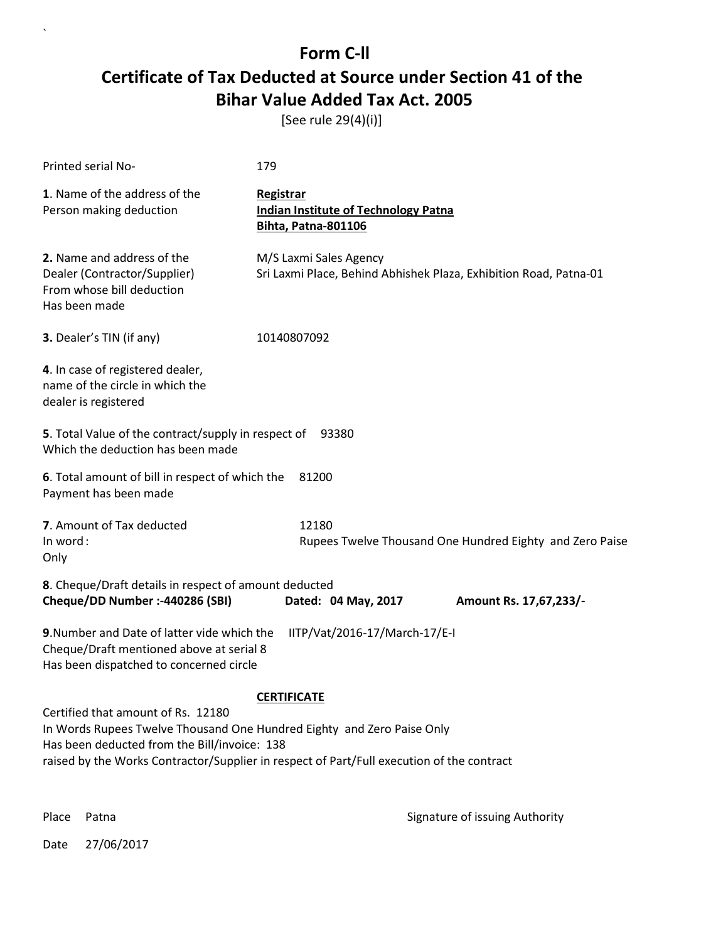[See rule 29(4)(i)]

| <b>Printed serial No-</b>                                                                                                                                                                                                                                                       | 179                                                                                         |  |  |
|---------------------------------------------------------------------------------------------------------------------------------------------------------------------------------------------------------------------------------------------------------------------------------|---------------------------------------------------------------------------------------------|--|--|
| 1. Name of the address of the<br>Person making deduction                                                                                                                                                                                                                        | Registrar<br><b>Indian Institute of Technology Patna</b><br>Bihta, Patna-801106             |  |  |
| 2. Name and address of the<br>Dealer (Contractor/Supplier)<br>From whose bill deduction<br>Has been made                                                                                                                                                                        | M/S Laxmi Sales Agency<br>Sri Laxmi Place, Behind Abhishek Plaza, Exhibition Road, Patna-01 |  |  |
| 3. Dealer's TIN (if any)                                                                                                                                                                                                                                                        | 10140807092                                                                                 |  |  |
| 4. In case of registered dealer,<br>name of the circle in which the<br>dealer is registered                                                                                                                                                                                     |                                                                                             |  |  |
| 5. Total Value of the contract/supply in respect of 93380<br>Which the deduction has been made                                                                                                                                                                                  |                                                                                             |  |  |
| 6. Total amount of bill in respect of which the<br>81200<br>Payment has been made                                                                                                                                                                                               |                                                                                             |  |  |
| 7. Amount of Tax deducted<br>In word:<br>Only                                                                                                                                                                                                                                   | 12180<br>Rupees Twelve Thousand One Hundred Eighty and Zero Paise                           |  |  |
| 8. Cheque/Draft details in respect of amount deducted<br>Cheque/DD Number :- 440286 (SBI)                                                                                                                                                                                       | Dated: 04 May, 2017<br>Amount Rs. 17,67,233/-                                               |  |  |
| 9. Number and Date of latter vide which the<br>IITP/Vat/2016-17/March-17/E-I<br>Cheque/Draft mentioned above at serial 8<br>Has been dispatched to concerned circle                                                                                                             |                                                                                             |  |  |
| <b>CERTIFICATE</b><br>Certified that amount of Rs. 12180<br>In Words Rupees Twelve Thousand One Hundred Eighty and Zero Paise Only<br>Has been deducted from the Bill/invoice: 138<br>raised by the Works Contractor/Supplier in respect of Part/Full execution of the contract |                                                                                             |  |  |

 $\ddot{\phantom{0}}$ 

Place Patna **Property** Place Patna Signature of issuing Authority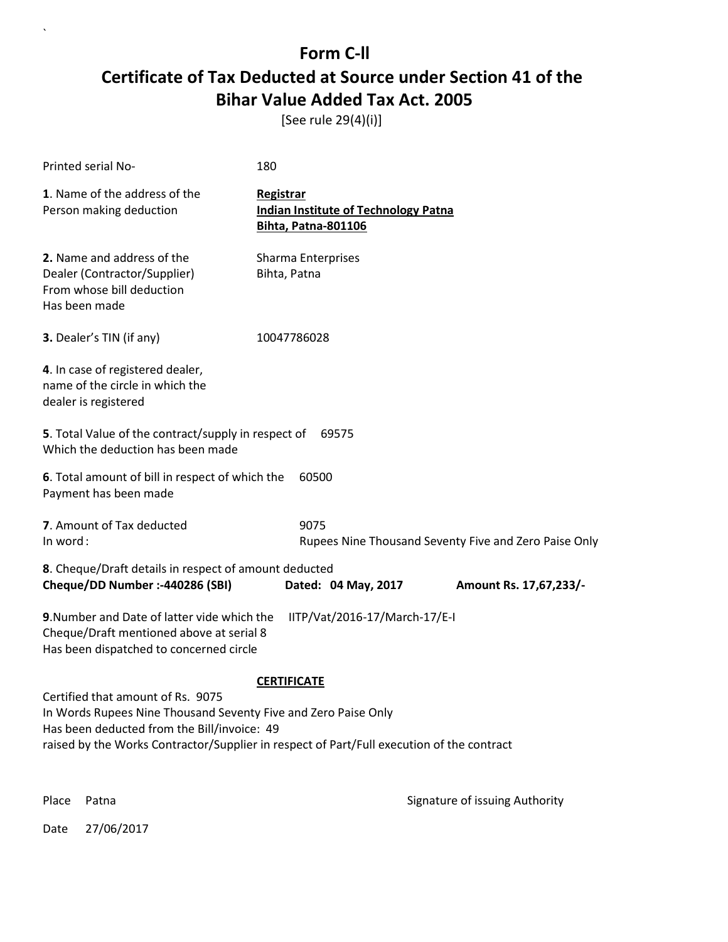[See rule 29(4)(i)]

| Printed serial No-                                                                                                                                                                                                                              | 180                                                                                    |                        |  |
|-------------------------------------------------------------------------------------------------------------------------------------------------------------------------------------------------------------------------------------------------|----------------------------------------------------------------------------------------|------------------------|--|
| 1. Name of the address of the<br>Person making deduction                                                                                                                                                                                        | Registrar<br><b>Indian Institute of Technology Patna</b><br><b>Bihta, Patna-801106</b> |                        |  |
| 2. Name and address of the<br>Dealer (Contractor/Supplier)<br>From whose bill deduction<br>Has been made                                                                                                                                        | Sharma Enterprises<br>Bihta, Patna                                                     |                        |  |
| 3. Dealer's TIN (if any)                                                                                                                                                                                                                        | 10047786028                                                                            |                        |  |
| 4. In case of registered dealer,<br>name of the circle in which the<br>dealer is registered                                                                                                                                                     |                                                                                        |                        |  |
| 5. Total Value of the contract/supply in respect of<br>69575<br>Which the deduction has been made                                                                                                                                               |                                                                                        |                        |  |
| 6. Total amount of bill in respect of which the<br>60500<br>Payment has been made                                                                                                                                                               |                                                                                        |                        |  |
| 7. Amount of Tax deducted<br>In word:                                                                                                                                                                                                           | 9075<br>Rupees Nine Thousand Seventy Five and Zero Paise Only                          |                        |  |
| 8. Cheque/Draft details in respect of amount deducted<br>Cheque/DD Number :- 440286 (SBI)                                                                                                                                                       | Dated: 04 May, 2017                                                                    | Amount Rs. 17,67,233/- |  |
| 9. Number and Date of latter vide which the<br>IITP/Vat/2016-17/March-17/E-I<br>Cheque/Draft mentioned above at serial 8<br>Has been dispatched to concerned circle                                                                             |                                                                                        |                        |  |
|                                                                                                                                                                                                                                                 | <b>CERTIFICATE</b>                                                                     |                        |  |
| Certified that amount of Rs. 9075<br>In Words Rupees Nine Thousand Seventy Five and Zero Paise Only<br>Has been deducted from the Bill/invoice: 49<br>raised by the Works Contractor/Supplier in respect of Part/Full execution of the contract |                                                                                        |                        |  |
|                                                                                                                                                                                                                                                 |                                                                                        |                        |  |

Place Patna **Property** Place Patna Signature of issuing Authority

Date 27/06/2017

 $\overline{\phantom{a}}$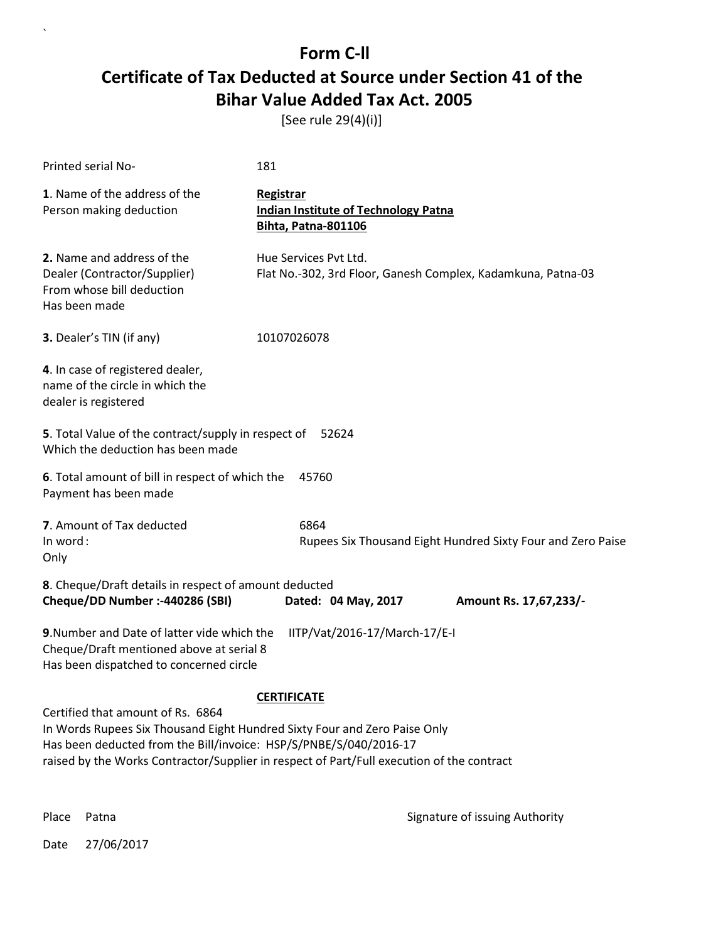[See rule 29(4)(i)]

| Printed serial No-                                                                                                                                                                                                                                                               | 181                                                                                    |  |  |
|----------------------------------------------------------------------------------------------------------------------------------------------------------------------------------------------------------------------------------------------------------------------------------|----------------------------------------------------------------------------------------|--|--|
| 1. Name of the address of the<br>Person making deduction                                                                                                                                                                                                                         | Registrar<br><b>Indian Institute of Technology Patna</b><br><b>Bihta, Patna-801106</b> |  |  |
| 2. Name and address of the<br>Dealer (Contractor/Supplier)<br>From whose bill deduction<br>Has been made                                                                                                                                                                         | Hue Services Pvt Ltd.<br>Flat No.-302, 3rd Floor, Ganesh Complex, Kadamkuna, Patna-03  |  |  |
| 3. Dealer's TIN (if any)                                                                                                                                                                                                                                                         | 10107026078                                                                            |  |  |
| 4. In case of registered dealer,<br>name of the circle in which the<br>dealer is registered                                                                                                                                                                                      |                                                                                        |  |  |
| 5. Total Value of the contract/supply in respect of<br>52624<br>Which the deduction has been made                                                                                                                                                                                |                                                                                        |  |  |
| 6. Total amount of bill in respect of which the<br>45760<br>Payment has been made                                                                                                                                                                                                |                                                                                        |  |  |
| 7. Amount of Tax deducted<br>In word:<br>Only                                                                                                                                                                                                                                    | 6864<br>Rupees Six Thousand Eight Hundred Sixty Four and Zero Paise                    |  |  |
| 8. Cheque/Draft details in respect of amount deducted<br>Cheque/DD Number :- 440286 (SBI)                                                                                                                                                                                        | Dated: 04 May, 2017<br>Amount Rs. 17,67,233/-                                          |  |  |
| 9. Number and Date of latter vide which the<br>IITP/Vat/2016-17/March-17/E-I<br>Cheque/Draft mentioned above at serial 8<br>Has been dispatched to concerned circle                                                                                                              |                                                                                        |  |  |
| <b>CERTIFICATE</b>                                                                                                                                                                                                                                                               |                                                                                        |  |  |
| Certified that amount of Rs. 6864<br>In Words Rupees Six Thousand Eight Hundred Sixty Four and Zero Paise Only<br>Has been deducted from the Bill/invoice: HSP/S/PNBE/S/040/2016-17<br>raised by the Works Contractor/Supplier in respect of Part/Full execution of the contract |                                                                                        |  |  |

 $\ddot{\phantom{0}}$ 

Place Patna **Property** Place Patna Signature of issuing Authority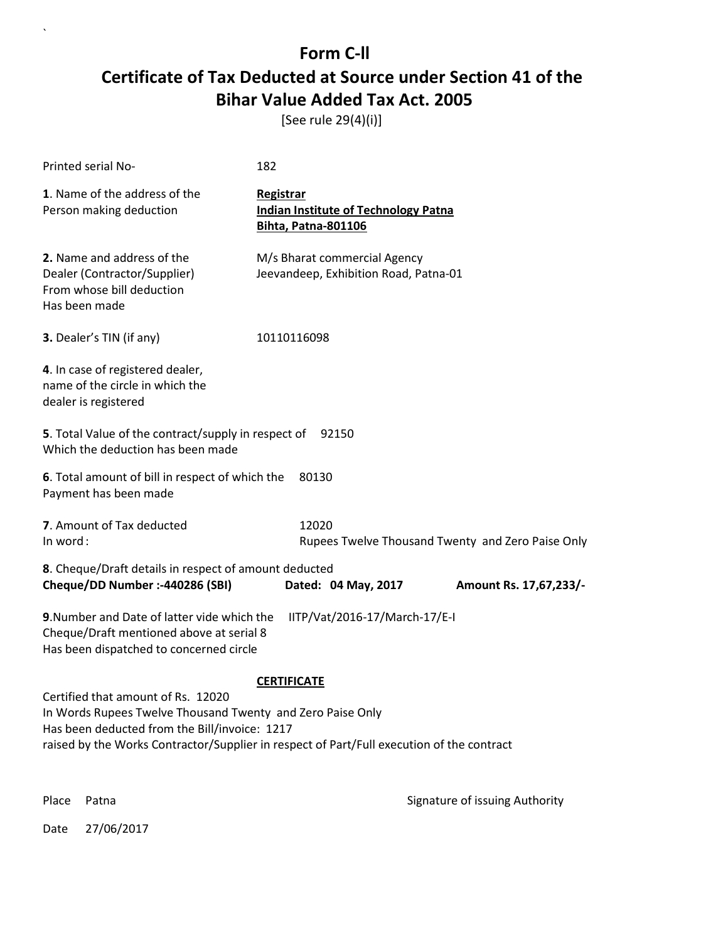[See rule 29(4)(i)]

| Printed serial No-                                                                                                                                                                                                                                                   | 182                                                                                    |  |  |
|----------------------------------------------------------------------------------------------------------------------------------------------------------------------------------------------------------------------------------------------------------------------|----------------------------------------------------------------------------------------|--|--|
| 1. Name of the address of the<br>Person making deduction                                                                                                                                                                                                             | Registrar<br><b>Indian Institute of Technology Patna</b><br><b>Bihta, Patna-801106</b> |  |  |
| 2. Name and address of the<br>Dealer (Contractor/Supplier)<br>From whose bill deduction<br>Has been made                                                                                                                                                             | M/s Bharat commercial Agency<br>Jeevandeep, Exhibition Road, Patna-01                  |  |  |
| 3. Dealer's TIN (if any)                                                                                                                                                                                                                                             | 10110116098                                                                            |  |  |
| 4. In case of registered dealer,<br>name of the circle in which the<br>dealer is registered                                                                                                                                                                          |                                                                                        |  |  |
| 5. Total Value of the contract/supply in respect of<br>92150<br>Which the deduction has been made                                                                                                                                                                    |                                                                                        |  |  |
| 6. Total amount of bill in respect of which the<br>80130<br>Payment has been made                                                                                                                                                                                    |                                                                                        |  |  |
| 7. Amount of Tax deducted<br>In word:                                                                                                                                                                                                                                | 12020<br>Rupees Twelve Thousand Twenty and Zero Paise Only                             |  |  |
| 8. Cheque/Draft details in respect of amount deducted<br>Cheque/DD Number :- 440286 (SBI)                                                                                                                                                                            | Dated: 04 May, 2017<br>Amount Rs. 17,67,233/-                                          |  |  |
| 9. Number and Date of latter vide which the<br>IITP/Vat/2016-17/March-17/E-I<br>Cheque/Draft mentioned above at serial 8<br>Has been dispatched to concerned circle                                                                                                  |                                                                                        |  |  |
| <b>CERTIFICATE</b><br>Certified that amount of Rs. 12020<br>In Words Rupees Twelve Thousand Twenty and Zero Paise Only<br>Has been deducted from the Bill/invoice: 1217<br>raised by the Works Contractor/Supplier in respect of Part/Full execution of the contract |                                                                                        |  |  |

 $\overline{\phantom{a}}$ 

Place Patna **Property** Place Patna Signature of issuing Authority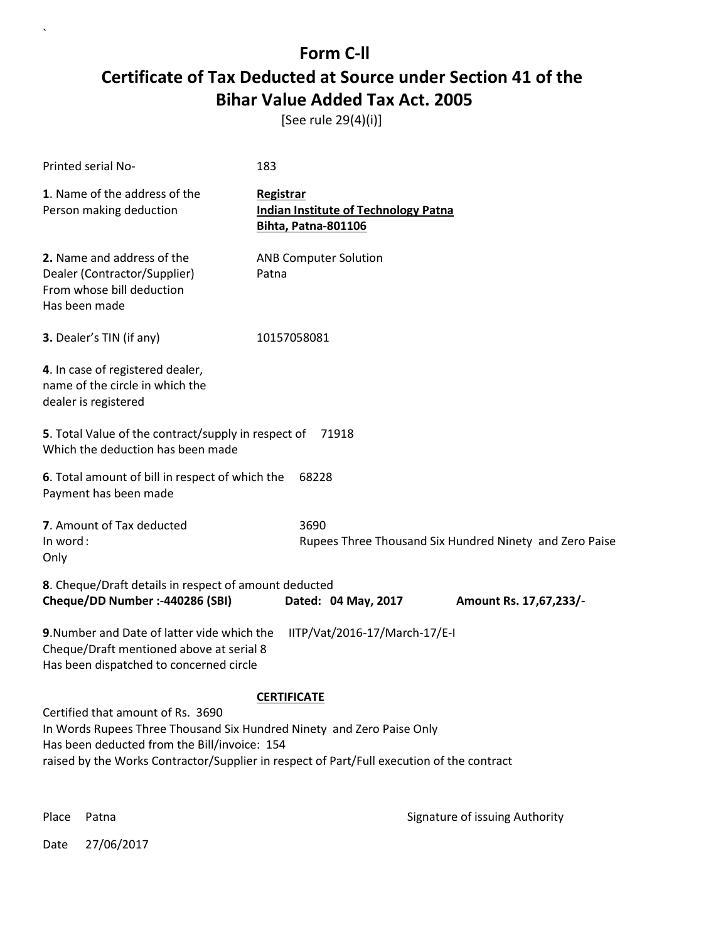[See rule 29(4)(i)]

| Printed serial No-                                                                                                                                                                                                                                      | 183                                                                             |  |
|---------------------------------------------------------------------------------------------------------------------------------------------------------------------------------------------------------------------------------------------------------|---------------------------------------------------------------------------------|--|
| 1. Name of the address of the<br>Person making deduction                                                                                                                                                                                                | Registrar<br><b>Indian Institute of Technology Patna</b><br>Bihta, Patna-801106 |  |
| 2. Name and address of the<br>Dealer (Contractor/Supplier)<br>From whose bill deduction<br>Has been made                                                                                                                                                | <b>ANB Computer Solution</b><br>Patna                                           |  |
| 3. Dealer's TIN (if any)                                                                                                                                                                                                                                | 10157058081                                                                     |  |
| 4. In case of registered dealer,<br>name of the circle in which the<br>dealer is registered                                                                                                                                                             |                                                                                 |  |
| 5. Total Value of the contract/supply in respect of 71918<br>Which the deduction has been made                                                                                                                                                          |                                                                                 |  |
| 6. Total amount of bill in respect of which the<br>Payment has been made                                                                                                                                                                                | 68228                                                                           |  |
| 7. Amount of Tax deducted<br>In word:<br>Only                                                                                                                                                                                                           | 3690<br>Rupees Three Thousand Six Hundred Ninety and Zero Paise                 |  |
| 8. Cheque/Draft details in respect of amount deducted<br>Cheque/DD Number :- 440286 (SBI)                                                                                                                                                               | Dated: 04 May, 2017<br>Amount Rs. 17,67,233/-                                   |  |
| 9. Number and Date of latter vide which the<br>IITP/Vat/2016-17/March-17/E-I<br>Cheque/Draft mentioned above at serial 8<br>Has been dispatched to concerned circle                                                                                     |                                                                                 |  |
|                                                                                                                                                                                                                                                         | <b>CERTIFICATE</b>                                                              |  |
| Certified that amount of Rs. 3690<br>In Words Rupees Three Thousand Six Hundred Ninety and Zero Paise Only<br>Has been deducted from the Bill/invoice: 154<br>raised by the Works Contractor/Supplier in respect of Part/Full execution of the contract |                                                                                 |  |

`

Place Patna **Property** Place Patna Signature of issuing Authority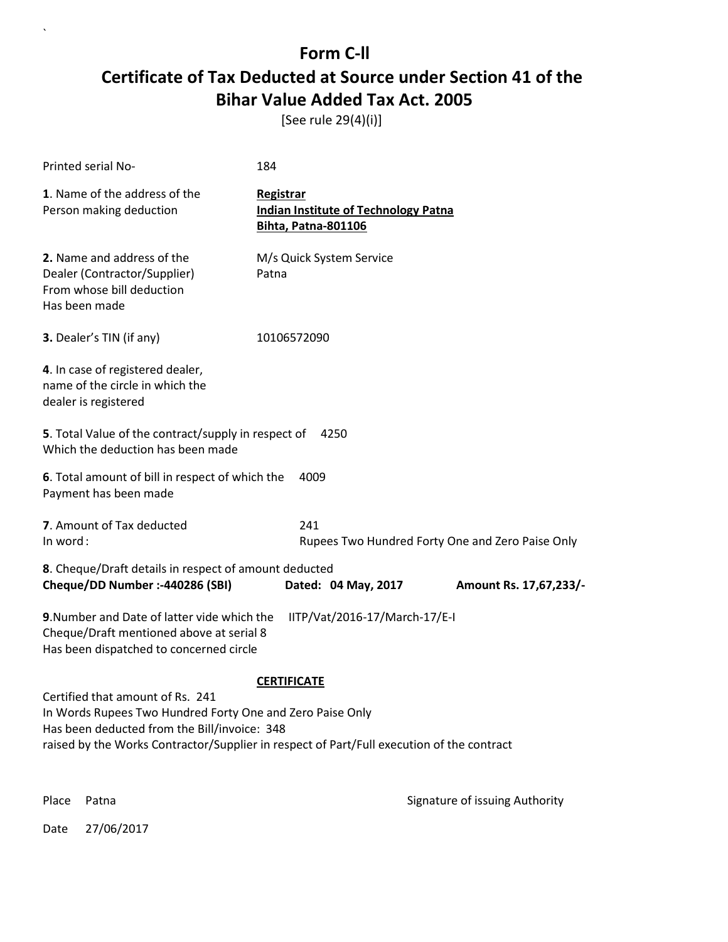[See rule 29(4)(i)]

| Printed serial No-                                                                                                                                                                                                                                               | 184                                                                                    |                        |  |
|------------------------------------------------------------------------------------------------------------------------------------------------------------------------------------------------------------------------------------------------------------------|----------------------------------------------------------------------------------------|------------------------|--|
| 1. Name of the address of the<br>Person making deduction                                                                                                                                                                                                         | Registrar<br><b>Indian Institute of Technology Patna</b><br><b>Bihta, Patna-801106</b> |                        |  |
| 2. Name and address of the<br>Dealer (Contractor/Supplier)<br>From whose bill deduction<br>Has been made                                                                                                                                                         | M/s Quick System Service<br>Patna                                                      |                        |  |
| 3. Dealer's TIN (if any)                                                                                                                                                                                                                                         | 10106572090                                                                            |                        |  |
| 4. In case of registered dealer,<br>name of the circle in which the<br>dealer is registered                                                                                                                                                                      |                                                                                        |                        |  |
| 5. Total Value of the contract/supply in respect of<br>4250<br>Which the deduction has been made                                                                                                                                                                 |                                                                                        |                        |  |
| 6. Total amount of bill in respect of which the<br>4009<br>Payment has been made                                                                                                                                                                                 |                                                                                        |                        |  |
| 7. Amount of Tax deducted<br>In word:                                                                                                                                                                                                                            | 241<br>Rupees Two Hundred Forty One and Zero Paise Only                                |                        |  |
| 8. Cheque/Draft details in respect of amount deducted<br>Cheque/DD Number :- 440286 (SBI)                                                                                                                                                                        | Dated: 04 May, 2017                                                                    | Amount Rs. 17,67,233/- |  |
| 9. Number and Date of latter vide which the<br>IITP/Vat/2016-17/March-17/E-I<br>Cheque/Draft mentioned above at serial 8<br>Has been dispatched to concerned circle                                                                                              |                                                                                        |                        |  |
| <b>CERTIFICATE</b><br>Certified that amount of Rs. 241<br>In Words Rupees Two Hundred Forty One and Zero Paise Only<br>Has been deducted from the Bill/invoice: 348<br>raised by the Works Contractor/Supplier in respect of Part/Full execution of the contract |                                                                                        |                        |  |

Date 27/06/2017

 $\overline{\phantom{a}}$ 

Place Patna **Property** Place Patna Signature of issuing Authority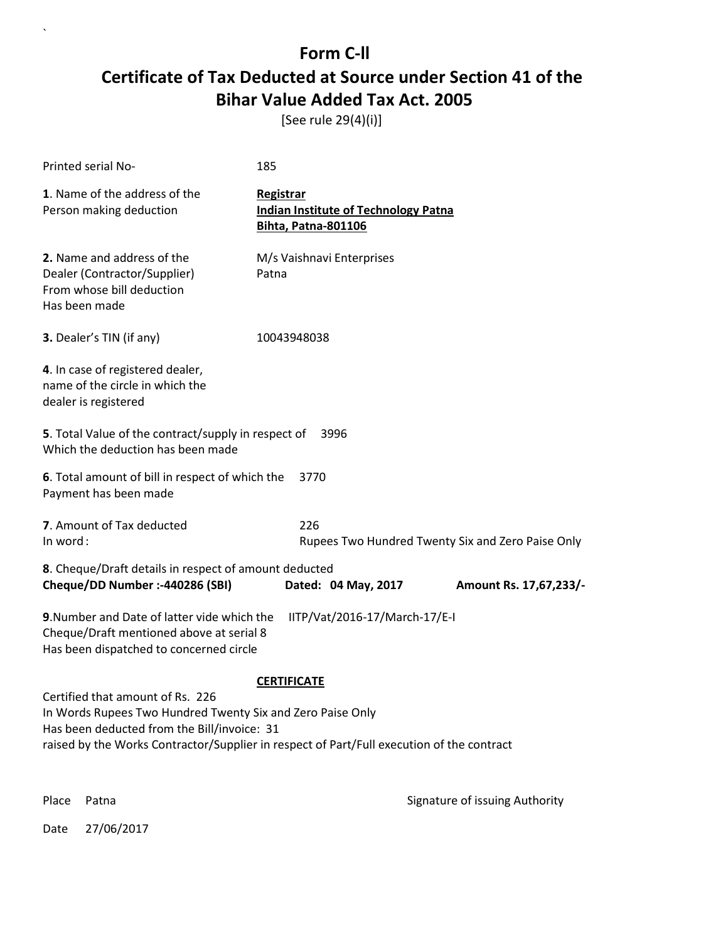[See rule 29(4)(i)]

| Printed serial No-                                                                                                                                                                                                                                               | 185                                                                                    |  |
|------------------------------------------------------------------------------------------------------------------------------------------------------------------------------------------------------------------------------------------------------------------|----------------------------------------------------------------------------------------|--|
| 1. Name of the address of the<br>Person making deduction                                                                                                                                                                                                         | Registrar<br><b>Indian Institute of Technology Patna</b><br><b>Bihta, Patna-801106</b> |  |
| 2. Name and address of the<br>Dealer (Contractor/Supplier)<br>From whose bill deduction<br>Has been made                                                                                                                                                         | M/s Vaishnavi Enterprises<br>Patna                                                     |  |
| 3. Dealer's TIN (if any)                                                                                                                                                                                                                                         | 10043948038                                                                            |  |
| 4. In case of registered dealer,<br>name of the circle in which the<br>dealer is registered                                                                                                                                                                      |                                                                                        |  |
| 5. Total Value of the contract/supply in respect of<br>Which the deduction has been made                                                                                                                                                                         | 3996                                                                                   |  |
| 6. Total amount of bill in respect of which the<br>Payment has been made                                                                                                                                                                                         | 3770                                                                                   |  |
| 7. Amount of Tax deducted<br>In word:                                                                                                                                                                                                                            | 226<br>Rupees Two Hundred Twenty Six and Zero Paise Only                               |  |
| 8. Cheque/Draft details in respect of amount deducted<br>Cheque/DD Number :- 440286 (SBI)                                                                                                                                                                        | Dated: 04 May, 2017<br>Amount Rs. 17,67,233/-                                          |  |
| 9. Number and Date of latter vide which the<br>IITP/Vat/2016-17/March-17/E-I<br>Cheque/Draft mentioned above at serial 8<br>Has been dispatched to concerned circle                                                                                              |                                                                                        |  |
| <b>CERTIFICATE</b><br>Certified that amount of Rs. 226<br>In Words Rupees Two Hundred Twenty Six and Zero Paise Only<br>Has been deducted from the Bill/invoice: 31<br>raised by the Works Contractor/Supplier in respect of Part/Full execution of the contract |                                                                                        |  |

 $\overline{\phantom{a}}$ 

Place Patna **Property** Place Patna Signature of issuing Authority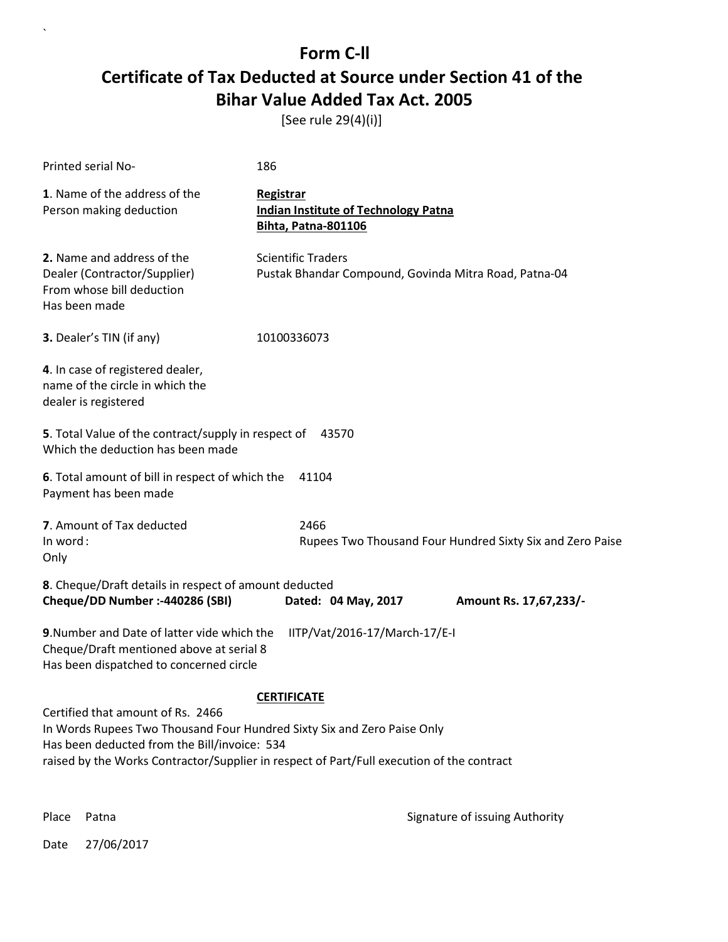[See rule 29(4)(i)]

| <b>Printed serial No-</b>                                                                                                                                                                                                                                                       | 186                                                                                    |  |
|---------------------------------------------------------------------------------------------------------------------------------------------------------------------------------------------------------------------------------------------------------------------------------|----------------------------------------------------------------------------------------|--|
| 1. Name of the address of the<br>Person making deduction                                                                                                                                                                                                                        | Registrar<br><b>Indian Institute of Technology Patna</b><br><b>Bihta, Patna-801106</b> |  |
| 2. Name and address of the<br>Dealer (Contractor/Supplier)<br>From whose bill deduction<br>Has been made                                                                                                                                                                        | <b>Scientific Traders</b><br>Pustak Bhandar Compound, Govinda Mitra Road, Patna-04     |  |
| 3. Dealer's TIN (if any)                                                                                                                                                                                                                                                        | 10100336073                                                                            |  |
| 4. In case of registered dealer,<br>name of the circle in which the<br>dealer is registered                                                                                                                                                                                     |                                                                                        |  |
| 5. Total Value of the contract/supply in respect of<br>Which the deduction has been made                                                                                                                                                                                        | 43570                                                                                  |  |
| 6. Total amount of bill in respect of which the<br>Payment has been made                                                                                                                                                                                                        | 41104                                                                                  |  |
| 7. Amount of Tax deducted<br>In word:<br>Only                                                                                                                                                                                                                                   | 2466<br>Rupees Two Thousand Four Hundred Sixty Six and Zero Paise                      |  |
| 8. Cheque/Draft details in respect of amount deducted<br>Cheque/DD Number :- 440286 (SBI)<br>Dated: 04 May, 2017<br>Amount Rs. 17,67,233/-                                                                                                                                      |                                                                                        |  |
| 9. Number and Date of latter vide which the<br>IITP/Vat/2016-17/March-17/E-I<br>Cheque/Draft mentioned above at serial 8<br>Has been dispatched to concerned circle                                                                                                             |                                                                                        |  |
| <b>CERTIFICATE</b><br>Certified that amount of Rs. 2466<br>In Words Rupees Two Thousand Four Hundred Sixty Six and Zero Paise Only<br>Has been deducted from the Bill/invoice: 534<br>raised by the Works Contractor/Supplier in respect of Part/Full execution of the contract |                                                                                        |  |

 $\ddot{\phantom{0}}$ 

Place Patna **Property** Place Patna Signature of issuing Authority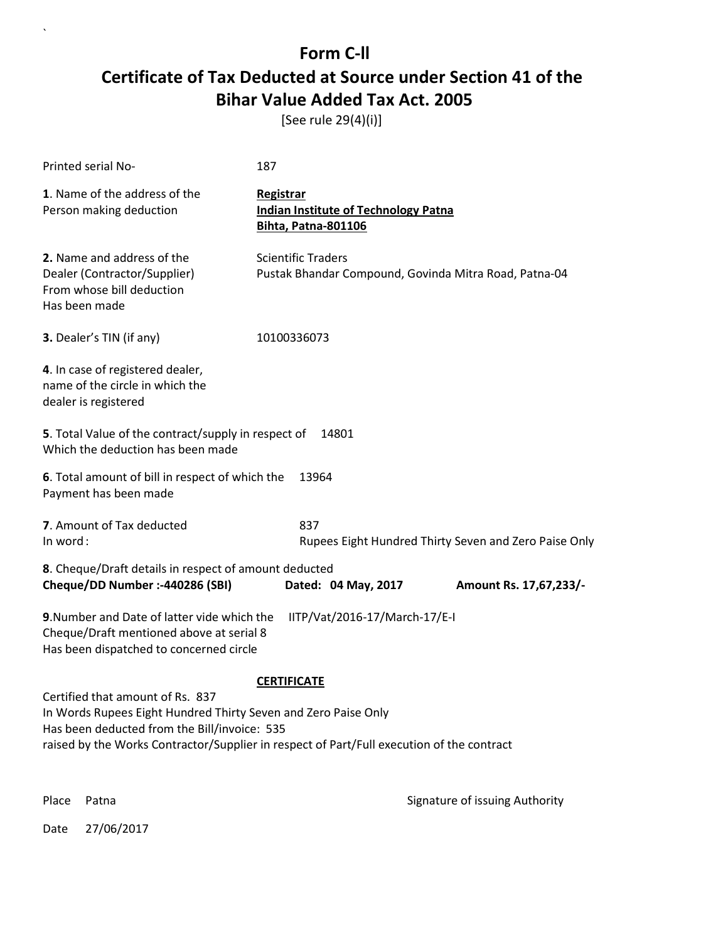[See rule 29(4)(i)]

| Printed serial No-                                                                                                                                                                                                                                                    | 187                                                                                    |  |
|-----------------------------------------------------------------------------------------------------------------------------------------------------------------------------------------------------------------------------------------------------------------------|----------------------------------------------------------------------------------------|--|
| 1. Name of the address of the<br>Person making deduction                                                                                                                                                                                                              | Registrar<br><b>Indian Institute of Technology Patna</b><br><b>Bihta, Patna-801106</b> |  |
| 2. Name and address of the<br>Dealer (Contractor/Supplier)<br>From whose bill deduction<br>Has been made                                                                                                                                                              | <b>Scientific Traders</b><br>Pustak Bhandar Compound, Govinda Mitra Road, Patna-04     |  |
| 3. Dealer's TIN (if any)                                                                                                                                                                                                                                              | 10100336073                                                                            |  |
| 4. In case of registered dealer,<br>name of the circle in which the<br>dealer is registered                                                                                                                                                                           |                                                                                        |  |
| 5. Total Value of the contract/supply in respect of<br>Which the deduction has been made                                                                                                                                                                              | 14801                                                                                  |  |
| 6. Total amount of bill in respect of which the<br>Payment has been made                                                                                                                                                                                              | 13964                                                                                  |  |
| 7. Amount of Tax deducted<br>In word:                                                                                                                                                                                                                                 | 837<br>Rupees Eight Hundred Thirty Seven and Zero Paise Only                           |  |
| 8. Cheque/Draft details in respect of amount deducted<br>Cheque/DD Number :- 440286 (SBI)                                                                                                                                                                             | Dated: 04 May, 2017<br>Amount Rs. 17,67,233/-                                          |  |
| 9. Number and Date of latter vide which the<br>IITP/Vat/2016-17/March-17/E-I<br>Cheque/Draft mentioned above at serial 8<br>Has been dispatched to concerned circle                                                                                                   |                                                                                        |  |
| <b>CERTIFICATE</b><br>Certified that amount of Rs. 837<br>In Words Rupees Eight Hundred Thirty Seven and Zero Paise Only<br>Has been deducted from the Bill/invoice: 535<br>raised by the Works Contractor/Supplier in respect of Part/Full execution of the contract |                                                                                        |  |

 $\overline{\phantom{a}}$ 

Place Patna **Property** Place Patna Signature of issuing Authority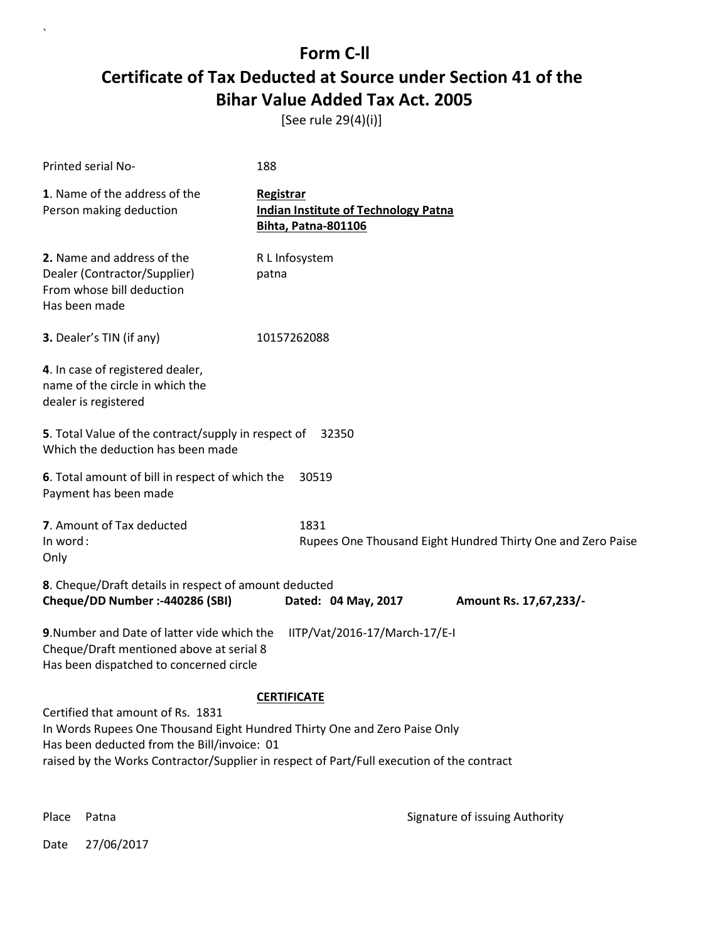[See rule 29(4)(i)]

| Printed serial No-                                                                                                                                                                                                                                         | 188                                                                             |  |
|------------------------------------------------------------------------------------------------------------------------------------------------------------------------------------------------------------------------------------------------------------|---------------------------------------------------------------------------------|--|
| 1. Name of the address of the<br>Person making deduction                                                                                                                                                                                                   | Registrar<br><b>Indian Institute of Technology Patna</b><br>Bihta, Patna-801106 |  |
| 2. Name and address of the<br>Dealer (Contractor/Supplier)<br>From whose bill deduction<br>Has been made                                                                                                                                                   | R L Infosystem<br>patna                                                         |  |
| 3. Dealer's TIN (if any)                                                                                                                                                                                                                                   | 10157262088                                                                     |  |
| 4. In case of registered dealer,<br>name of the circle in which the<br>dealer is registered                                                                                                                                                                |                                                                                 |  |
| 5. Total Value of the contract/supply in respect of<br>32350<br>Which the deduction has been made                                                                                                                                                          |                                                                                 |  |
| 6. Total amount of bill in respect of which the<br>Payment has been made                                                                                                                                                                                   | 30519                                                                           |  |
| 7. Amount of Tax deducted<br>In word:<br>Only                                                                                                                                                                                                              | 1831<br>Rupees One Thousand Eight Hundred Thirty One and Zero Paise             |  |
| 8. Cheque/Draft details in respect of amount deducted<br>Cheque/DD Number :- 440286 (SBI)                                                                                                                                                                  | Dated: 04 May, 2017<br>Amount Rs. 17,67,233/-                                   |  |
| 9. Number and Date of latter vide which the<br>IITP/Vat/2016-17/March-17/E-I<br>Cheque/Draft mentioned above at serial 8<br>Has been dispatched to concerned circle                                                                                        |                                                                                 |  |
|                                                                                                                                                                                                                                                            | <b>CERTIFICATE</b>                                                              |  |
| Certified that amount of Rs. 1831<br>In Words Rupees One Thousand Eight Hundred Thirty One and Zero Paise Only<br>Has been deducted from the Bill/invoice: 01<br>raised by the Works Contractor/Supplier in respect of Part/Full execution of the contract |                                                                                 |  |

 $\overline{\phantom{a}}$ 

Place Patna **Property** Place Patna Signature of issuing Authority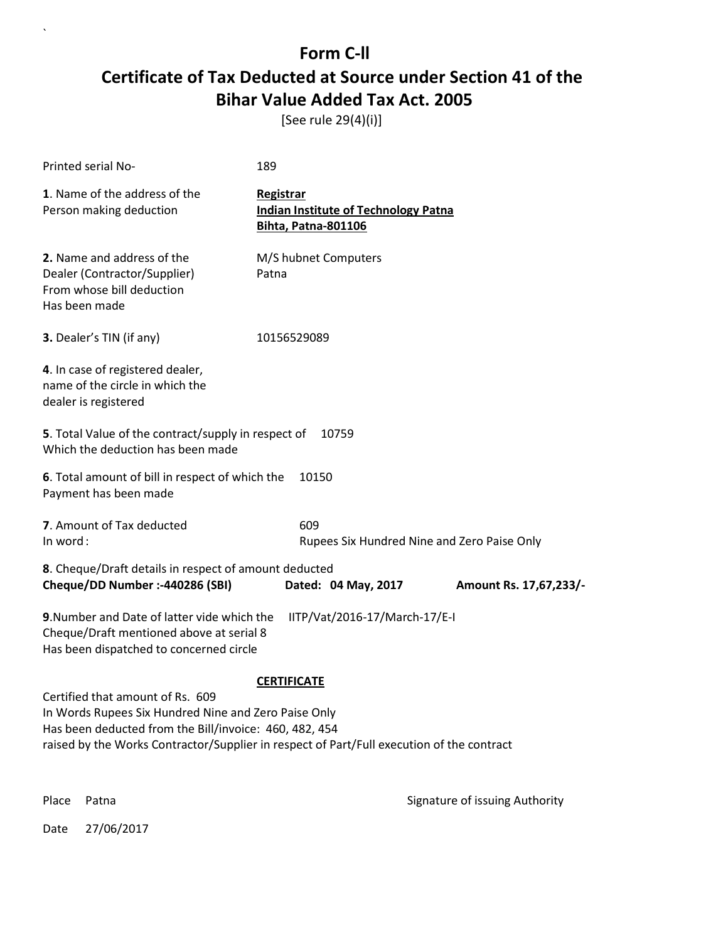[See rule 29(4)(i)]

| Printed serial No-                                                                                                                                                                                                                              | 189                                                                                    |                                |
|-------------------------------------------------------------------------------------------------------------------------------------------------------------------------------------------------------------------------------------------------|----------------------------------------------------------------------------------------|--------------------------------|
| 1. Name of the address of the<br>Person making deduction                                                                                                                                                                                        | Registrar<br><b>Indian Institute of Technology Patna</b><br><b>Bihta, Patna-801106</b> |                                |
| 2. Name and address of the<br>Dealer (Contractor/Supplier)<br>From whose bill deduction<br>Has been made                                                                                                                                        | M/S hubnet Computers<br>Patna                                                          |                                |
| 3. Dealer's TIN (if any)                                                                                                                                                                                                                        | 10156529089                                                                            |                                |
| 4. In case of registered dealer,<br>name of the circle in which the<br>dealer is registered                                                                                                                                                     |                                                                                        |                                |
| 5. Total Value of the contract/supply in respect of<br>Which the deduction has been made                                                                                                                                                        | 10759                                                                                  |                                |
| 6. Total amount of bill in respect of which the<br>Payment has been made                                                                                                                                                                        | 10150                                                                                  |                                |
| 7. Amount of Tax deducted<br>In word:                                                                                                                                                                                                           | 609<br>Rupees Six Hundred Nine and Zero Paise Only                                     |                                |
| 8. Cheque/Draft details in respect of amount deducted<br>Cheque/DD Number :- 440286 (SBI)                                                                                                                                                       | Dated: 04 May, 2017                                                                    | Amount Rs. 17,67,233/-         |
| 9. Number and Date of latter vide which the<br>Cheque/Draft mentioned above at serial 8<br>Has been dispatched to concerned circle                                                                                                              | IITP/Vat/2016-17/March-17/E-I                                                          |                                |
|                                                                                                                                                                                                                                                 | <b>CERTIFICATE</b>                                                                     |                                |
| Certified that amount of Rs. 609<br>In Words Rupees Six Hundred Nine and Zero Paise Only<br>Has been deducted from the Bill/invoice: 460, 482, 454<br>raised by the Works Contractor/Supplier in respect of Part/Full execution of the contract |                                                                                        |                                |
| Place<br>Patna                                                                                                                                                                                                                                  |                                                                                        | Signature of issuing Authority |

Date 27/06/2017

 $\overline{\phantom{a}}$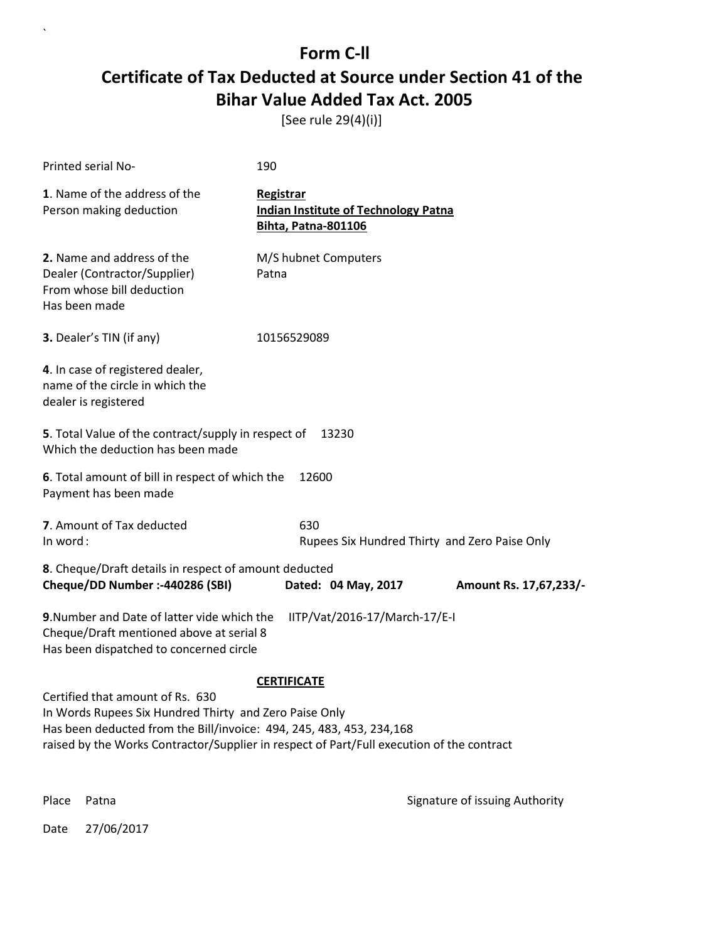[See rule 29(4)(i)]

| Printed serial No-                                                                                                                                                                                                                                               | 190                                                                                    |                                               |
|------------------------------------------------------------------------------------------------------------------------------------------------------------------------------------------------------------------------------------------------------------------|----------------------------------------------------------------------------------------|-----------------------------------------------|
| 1. Name of the address of the<br>Person making deduction                                                                                                                                                                                                         | Registrar<br><b>Indian Institute of Technology Patna</b><br><b>Bihta, Patna-801106</b> |                                               |
| 2. Name and address of the<br>Dealer (Contractor/Supplier)<br>From whose bill deduction<br>Has been made                                                                                                                                                         | M/S hubnet Computers<br>Patna                                                          |                                               |
| 3. Dealer's TIN (if any)                                                                                                                                                                                                                                         | 10156529089                                                                            |                                               |
| 4. In case of registered dealer,<br>name of the circle in which the<br>dealer is registered                                                                                                                                                                      |                                                                                        |                                               |
| 5. Total Value of the contract/supply in respect of<br>Which the deduction has been made                                                                                                                                                                         | 13230                                                                                  |                                               |
| 6. Total amount of bill in respect of which the<br>Payment has been made                                                                                                                                                                                         | 12600                                                                                  |                                               |
| 7. Amount of Tax deducted<br>In word:                                                                                                                                                                                                                            | 630                                                                                    | Rupees Six Hundred Thirty and Zero Paise Only |
| 8. Cheque/Draft details in respect of amount deducted<br>Cheque/DD Number :- 440286 (SBI)                                                                                                                                                                        | Dated: 04 May, 2017                                                                    | Amount Rs. 17,67,233/-                        |
| 9. Number and Date of latter vide which the<br>Cheque/Draft mentioned above at serial 8<br>Has been dispatched to concerned circle                                                                                                                               | IITP/Vat/2016-17/March-17/E-I                                                          |                                               |
|                                                                                                                                                                                                                                                                  | <b>CERTIFICATE</b>                                                                     |                                               |
| Certified that amount of Rs. 630<br>In Words Rupees Six Hundred Thirty and Zero Paise Only<br>Has been deducted from the Bill/invoice: 494, 245, 483, 453, 234, 168<br>raised by the Works Contractor/Supplier in respect of Part/Full execution of the contract |                                                                                        |                                               |
| Place<br>Patna                                                                                                                                                                                                                                                   |                                                                                        | Signature of issuing Authority                |

Date 27/06/2017

 $\ddot{\phantom{0}}$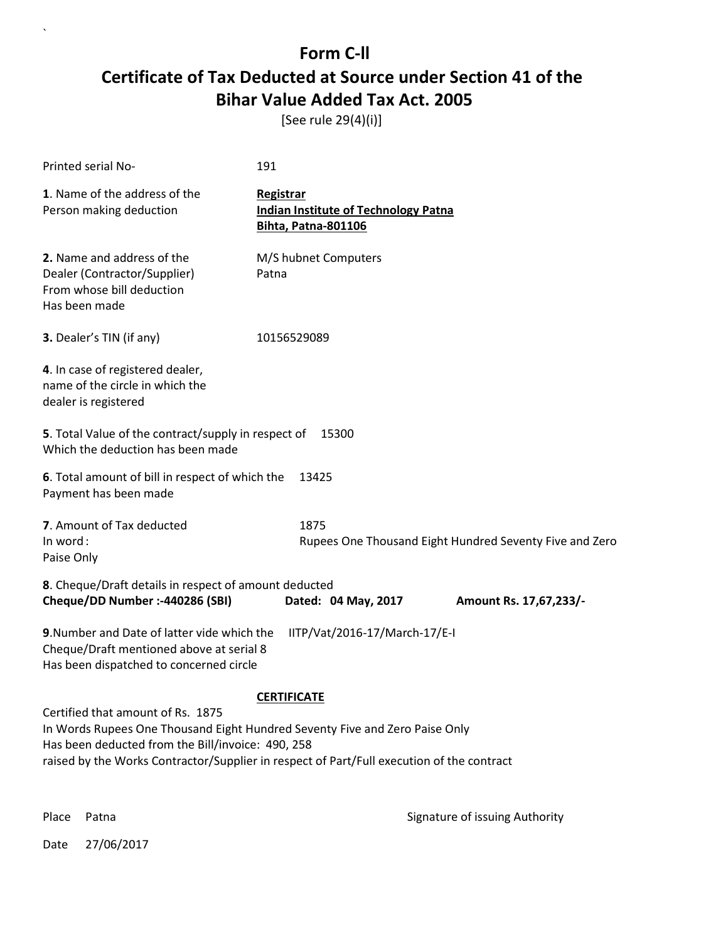[See rule 29(4)(i)]

| Printed serial No-                                                                                                                                                    | 191                                                                             |  |
|-----------------------------------------------------------------------------------------------------------------------------------------------------------------------|---------------------------------------------------------------------------------|--|
| 1. Name of the address of the<br>Person making deduction                                                                                                              | Registrar<br><b>Indian Institute of Technology Patna</b><br>Bihta, Patna-801106 |  |
| 2. Name and address of the<br>Dealer (Contractor/Supplier)<br>From whose bill deduction<br>Has been made                                                              | M/S hubnet Computers<br>Patna                                                   |  |
| 3. Dealer's TIN (if any)                                                                                                                                              | 10156529089                                                                     |  |
| 4. In case of registered dealer,<br>name of the circle in which the<br>dealer is registered                                                                           |                                                                                 |  |
| 5. Total Value of the contract/supply in respect of<br>15300<br>Which the deduction has been made                                                                     |                                                                                 |  |
| 6. Total amount of bill in respect of which the<br>Payment has been made                                                                                              | 13425                                                                           |  |
| 7. Amount of Tax deducted<br>In word:<br>Paise Only                                                                                                                   | 1875<br>Rupees One Thousand Eight Hundred Seventy Five and Zero                 |  |
| 8. Cheque/Draft details in respect of amount deducted<br>Cheque/DD Number :- 440286 (SBI)<br>Dated: 04 May, 2017<br>Amount Rs. 17,67,233/-                            |                                                                                 |  |
| 9. Number and Date of latter vide which the<br>IITP/Vat/2016-17/March-17/E-I<br>Cheque/Draft mentioned above at serial 8<br>Has been dispatched to concerned circle   |                                                                                 |  |
|                                                                                                                                                                       | <b>CERTIFICATE</b>                                                              |  |
| Certified that amount of Rs. 1875<br>In Words Rupees One Thousand Eight Hundred Seventy Five and Zero Paise Only<br>Has been deducted from the Bill/invoice: 490, 258 |                                                                                 |  |
| raised by the Works Contractor/Supplier in respect of Part/Full execution of the contract                                                                             |                                                                                 |  |

`

Place Patna **Property** Place Patna Signature of issuing Authority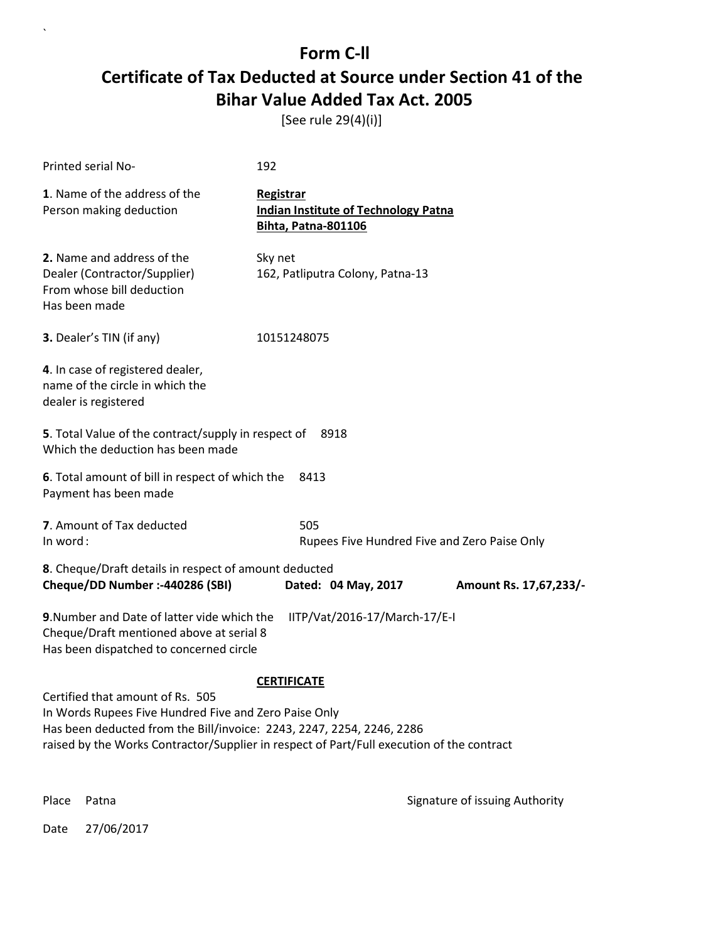[See rule 29(4)(i)]

| Printed serial No-                                                                                                                                                                                                                                              | 192                                                                                    |                                |
|-----------------------------------------------------------------------------------------------------------------------------------------------------------------------------------------------------------------------------------------------------------------|----------------------------------------------------------------------------------------|--------------------------------|
| 1. Name of the address of the<br>Person making deduction                                                                                                                                                                                                        | Registrar<br><b>Indian Institute of Technology Patna</b><br><b>Bihta, Patna-801106</b> |                                |
| 2. Name and address of the<br>Dealer (Contractor/Supplier)<br>From whose bill deduction<br>Has been made                                                                                                                                                        | Sky net<br>162, Patliputra Colony, Patna-13                                            |                                |
| 3. Dealer's TIN (if any)                                                                                                                                                                                                                                        | 10151248075                                                                            |                                |
| 4. In case of registered dealer,<br>name of the circle in which the<br>dealer is registered                                                                                                                                                                     |                                                                                        |                                |
| 5. Total Value of the contract/supply in respect of<br>Which the deduction has been made                                                                                                                                                                        | 8918                                                                                   |                                |
| 6. Total amount of bill in respect of which the<br>Payment has been made                                                                                                                                                                                        | 8413                                                                                   |                                |
| 7. Amount of Tax deducted<br>In word:                                                                                                                                                                                                                           | 505<br>Rupees Five Hundred Five and Zero Paise Only                                    |                                |
| 8. Cheque/Draft details in respect of amount deducted<br>Cheque/DD Number :- 440286 (SBI)                                                                                                                                                                       | Dated: 04 May, 2017                                                                    | Amount Rs. 17,67,233/-         |
| 9. Number and Date of latter vide which the<br>Cheque/Draft mentioned above at serial 8<br>Has been dispatched to concerned circle                                                                                                                              | IITP/Vat/2016-17/March-17/E-I                                                          |                                |
|                                                                                                                                                                                                                                                                 | <b>CERTIFICATE</b>                                                                     |                                |
| Certified that amount of Rs. 505<br>In Words Rupees Five Hundred Five and Zero Paise Only<br>Has been deducted from the Bill/invoice: 2243, 2247, 2254, 2246, 2286<br>raised by the Works Contractor/Supplier in respect of Part/Full execution of the contract |                                                                                        |                                |
| Place<br>Patna                                                                                                                                                                                                                                                  |                                                                                        | Signature of issuing Authority |

Date 27/06/2017

 $\ddot{\phantom{0}}$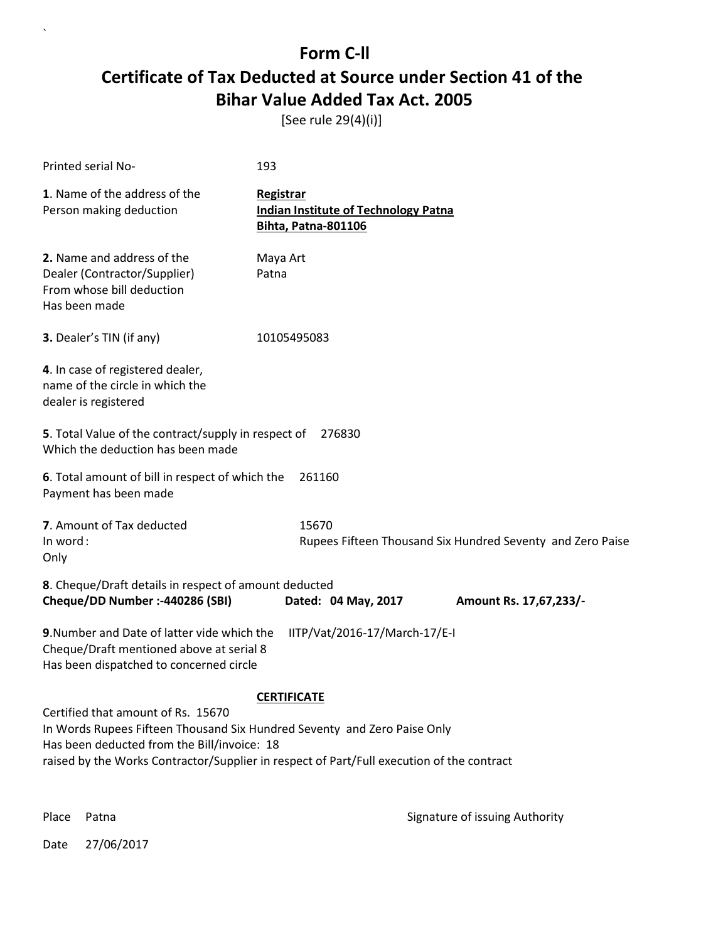[See rule 29(4)(i)]

| Printed serial No-                                                                                                                                                                                                                                         | 193                                                                             |  |
|------------------------------------------------------------------------------------------------------------------------------------------------------------------------------------------------------------------------------------------------------------|---------------------------------------------------------------------------------|--|
| 1. Name of the address of the<br>Person making deduction                                                                                                                                                                                                   | Registrar<br><b>Indian Institute of Technology Patna</b><br>Bihta, Patna-801106 |  |
| 2. Name and address of the<br>Dealer (Contractor/Supplier)<br>From whose bill deduction<br>Has been made                                                                                                                                                   | Maya Art<br>Patna                                                               |  |
| 3. Dealer's TIN (if any)                                                                                                                                                                                                                                   | 10105495083                                                                     |  |
| 4. In case of registered dealer,<br>name of the circle in which the<br>dealer is registered                                                                                                                                                                |                                                                                 |  |
| 5. Total Value of the contract/supply in respect of<br>Which the deduction has been made                                                                                                                                                                   | 276830                                                                          |  |
| 6. Total amount of bill in respect of which the<br>Payment has been made                                                                                                                                                                                   | 261160                                                                          |  |
| 7. Amount of Tax deducted<br>In word:<br>Only                                                                                                                                                                                                              | 15670<br>Rupees Fifteen Thousand Six Hundred Seventy and Zero Paise             |  |
| 8. Cheque/Draft details in respect of amount deducted<br>Cheque/DD Number :- 440286 (SBI)                                                                                                                                                                  | Dated: 04 May, 2017<br>Amount Rs. 17,67,233/-                                   |  |
| 9. Number and Date of latter vide which the<br>IITP/Vat/2016-17/March-17/E-I<br>Cheque/Draft mentioned above at serial 8<br>Has been dispatched to concerned circle                                                                                        |                                                                                 |  |
|                                                                                                                                                                                                                                                            | <b>CERTIFICATE</b>                                                              |  |
| Certified that amount of Rs. 15670<br>In Words Rupees Fifteen Thousand Six Hundred Seventy and Zero Paise Only<br>Has been deducted from the Bill/invoice: 18<br>raised by the Works Contractor/Supplier in respect of Part/Full execution of the contract |                                                                                 |  |

 $\ddot{\phantom{0}}$ 

Place Patna **Property** Place Patna Signature of issuing Authority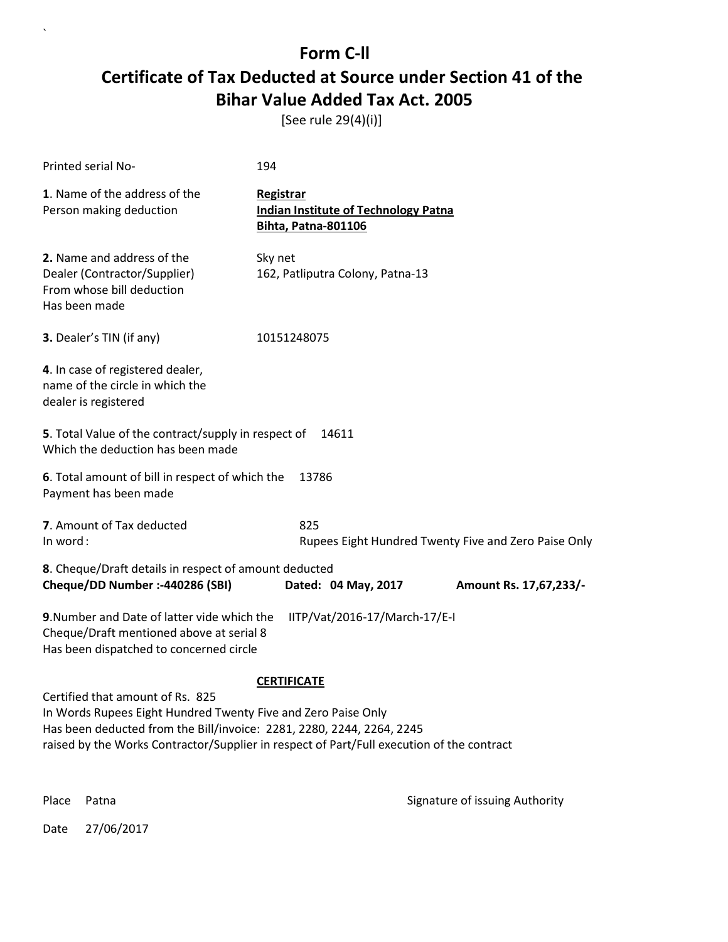[See rule 29(4)(i)]

| Printed serial No-                                                                                                                                                                                                                                                      | 194                                                                                    |                        |
|-------------------------------------------------------------------------------------------------------------------------------------------------------------------------------------------------------------------------------------------------------------------------|----------------------------------------------------------------------------------------|------------------------|
| 1. Name of the address of the<br>Person making deduction                                                                                                                                                                                                                | Registrar<br><b>Indian Institute of Technology Patna</b><br><b>Bihta, Patna-801106</b> |                        |
| 2. Name and address of the<br>Dealer (Contractor/Supplier)<br>From whose bill deduction<br>Has been made                                                                                                                                                                | Sky net<br>162, Patliputra Colony, Patna-13                                            |                        |
| 3. Dealer's TIN (if any)                                                                                                                                                                                                                                                | 10151248075                                                                            |                        |
| 4. In case of registered dealer,<br>name of the circle in which the<br>dealer is registered                                                                                                                                                                             |                                                                                        |                        |
| 5. Total Value of the contract/supply in respect of<br>Which the deduction has been made                                                                                                                                                                                | 14611                                                                                  |                        |
| 6. Total amount of bill in respect of which the<br>Payment has been made                                                                                                                                                                                                | 13786                                                                                  |                        |
| 7. Amount of Tax deducted<br>In word:                                                                                                                                                                                                                                   | 825<br>Rupees Eight Hundred Twenty Five and Zero Paise Only                            |                        |
| 8. Cheque/Draft details in respect of amount deducted<br>Cheque/DD Number :- 440286 (SBI)                                                                                                                                                                               | Dated: 04 May, 2017                                                                    | Amount Rs. 17,67,233/- |
| 9. Number and Date of latter vide which the<br>IITP/Vat/2016-17/March-17/E-I<br>Cheque/Draft mentioned above at serial 8<br>Has been dispatched to concerned circle                                                                                                     |                                                                                        |                        |
| <b>CERTIFICATE</b>                                                                                                                                                                                                                                                      |                                                                                        |                        |
| Certified that amount of Rs. 825<br>In Words Rupees Eight Hundred Twenty Five and Zero Paise Only<br>Has been deducted from the Bill/invoice: 2281, 2280, 2244, 2264, 2245<br>raised by the Works Contractor/Supplier in respect of Part/Full execution of the contract |                                                                                        |                        |
|                                                                                                                                                                                                                                                                         |                                                                                        |                        |

Place Patna **Property** Place Patna Signature of issuing Authority

Date 27/06/2017

 $\ddot{\phantom{0}}$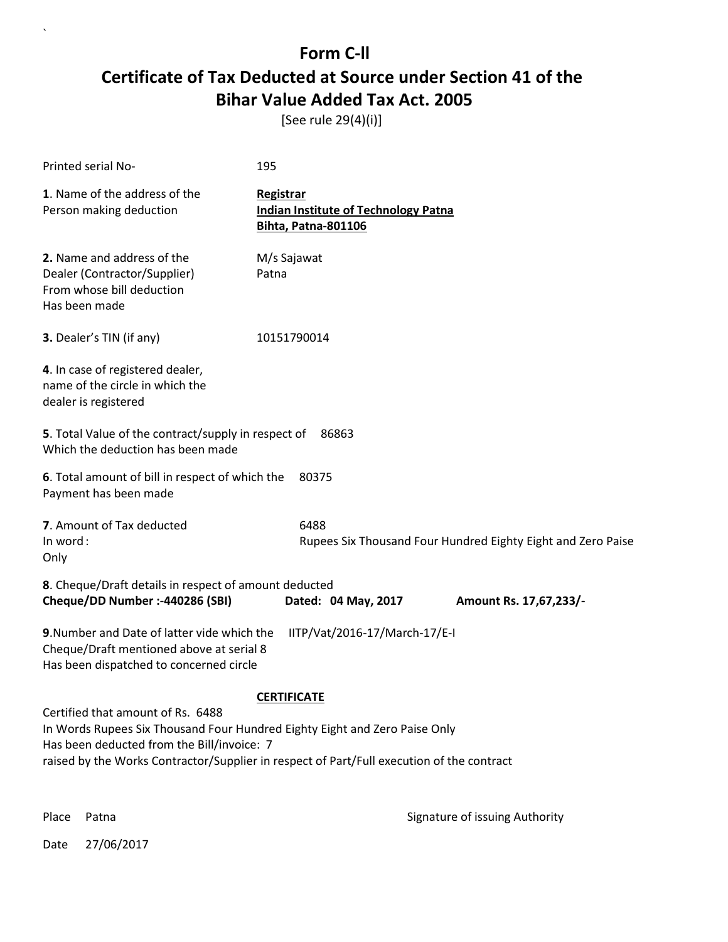[See rule 29(4)(i)]

| Printed serial No-                                                                                                                                                  | 195                                                                             |  |
|---------------------------------------------------------------------------------------------------------------------------------------------------------------------|---------------------------------------------------------------------------------|--|
| 1. Name of the address of the<br>Person making deduction                                                                                                            | Registrar<br><b>Indian Institute of Technology Patna</b><br>Bihta, Patna-801106 |  |
| 2. Name and address of the<br>Dealer (Contractor/Supplier)<br>From whose bill deduction<br>Has been made                                                            | M/s Sajawat<br>Patna                                                            |  |
| 3. Dealer's TIN (if any)                                                                                                                                            | 10151790014                                                                     |  |
| 4. In case of registered dealer,<br>name of the circle in which the<br>dealer is registered                                                                         |                                                                                 |  |
| 5. Total Value of the contract/supply in respect of<br>86863<br>Which the deduction has been made                                                                   |                                                                                 |  |
| 6. Total amount of bill in respect of which the<br>Payment has been made                                                                                            | 80375                                                                           |  |
| 7. Amount of Tax deducted<br>In word:<br>Only                                                                                                                       | 6488<br>Rupees Six Thousand Four Hundred Eighty Eight and Zero Paise            |  |
| 8. Cheque/Draft details in respect of amount deducted<br>Cheque/DD Number :- 440286 (SBI)                                                                           | Dated: 04 May, 2017<br>Amount Rs. 17,67,233/-                                   |  |
| 9. Number and Date of latter vide which the<br>IITP/Vat/2016-17/March-17/E-I<br>Cheque/Draft mentioned above at serial 8<br>Has been dispatched to concerned circle |                                                                                 |  |
|                                                                                                                                                                     | <b>CERTIFICATE</b>                                                              |  |
| Certified that amount of Rs. 6488<br>In Words Rupees Six Thousand Four Hundred Eighty Eight and Zero Paise Only                                                     |                                                                                 |  |
| Has been deducted from the Bill/invoice: 7<br>raised by the Works Contractor/Supplier in respect of Part/Full execution of the contract                             |                                                                                 |  |

 $\ddot{\phantom{0}}$ 

Place Patna **Property** Place Patna Signature of issuing Authority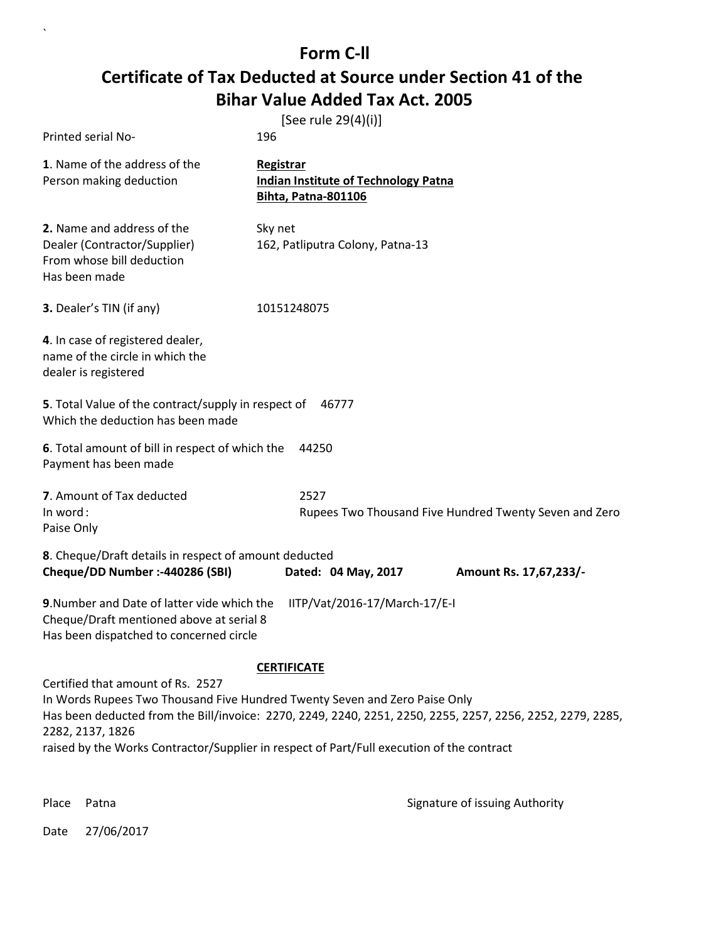| Printed serial No-                                                                                                                                                                                                                                                                                                                                                   | [See rule 29(4)(i)]<br>196                                                             |  |
|----------------------------------------------------------------------------------------------------------------------------------------------------------------------------------------------------------------------------------------------------------------------------------------------------------------------------------------------------------------------|----------------------------------------------------------------------------------------|--|
| 1. Name of the address of the<br>Person making deduction                                                                                                                                                                                                                                                                                                             | <b>Registrar</b><br><b>Indian Institute of Technology Patna</b><br>Bihta, Patna-801106 |  |
| 2. Name and address of the<br>Dealer (Contractor/Supplier)<br>From whose bill deduction<br>Has been made                                                                                                                                                                                                                                                             | Sky net<br>162, Patliputra Colony, Patna-13                                            |  |
| 3. Dealer's TIN (if any)                                                                                                                                                                                                                                                                                                                                             | 10151248075                                                                            |  |
| 4. In case of registered dealer,<br>name of the circle in which the<br>dealer is registered                                                                                                                                                                                                                                                                          |                                                                                        |  |
| 5. Total Value of the contract/supply in respect of<br>Which the deduction has been made                                                                                                                                                                                                                                                                             | 46777                                                                                  |  |
| 6. Total amount of bill in respect of which the<br>Payment has been made                                                                                                                                                                                                                                                                                             | 44250                                                                                  |  |
| 7. Amount of Tax deducted<br>In word:<br>Paise Only                                                                                                                                                                                                                                                                                                                  | 2527<br>Rupees Two Thousand Five Hundred Twenty Seven and Zero                         |  |
| 8. Cheque/Draft details in respect of amount deducted<br>Cheque/DD Number :- 440286 (SBI)                                                                                                                                                                                                                                                                            | Dated: 04 May, 2017<br>Amount Rs. 17,67,233/-                                          |  |
| 9. Number and Date of latter vide which the<br>IITP/Vat/2016-17/March-17/E-I<br>Cheque/Draft mentioned above at serial 8<br>Has been dispatched to concerned circle                                                                                                                                                                                                  |                                                                                        |  |
| <b>CERTIFICATE</b><br>Certified that amount of Rs. 2527<br>In Words Rupees Two Thousand Five Hundred Twenty Seven and Zero Paise Only<br>Has been deducted from the Bill/invoice: 2270, 2249, 2240, 2251, 2250, 2255, 2257, 2256, 2252, 2279, 2285,<br>2282, 2137, 1826<br>raised by the Works Contractor/Supplier in respect of Part/Full execution of the contract |                                                                                        |  |

Place Patna **Property** Place Patna Signature of issuing Authority

Date 27/06/2017

 $\ddot{\phantom{0}}$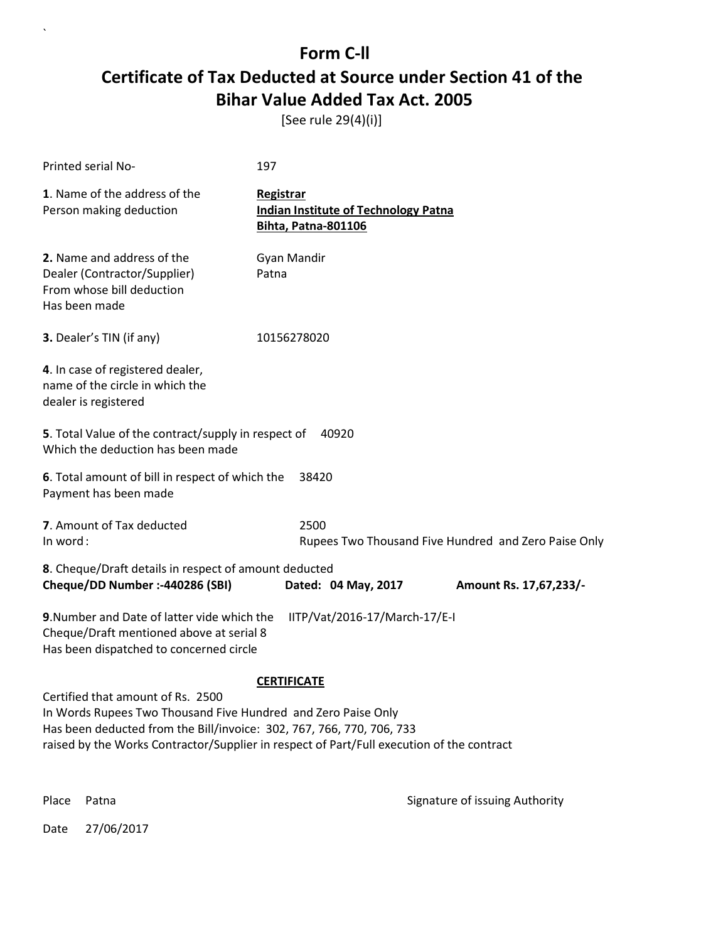[See rule 29(4)(i)]

| Printed serial No-                                                                                                                                                                                                                                                                             | 197                                                                                           |  |  |  |
|------------------------------------------------------------------------------------------------------------------------------------------------------------------------------------------------------------------------------------------------------------------------------------------------|-----------------------------------------------------------------------------------------------|--|--|--|
| 1. Name of the address of the<br>Person making deduction                                                                                                                                                                                                                                       | <b>Registrar</b><br><b>Indian Institute of Technology Patna</b><br><b>Bihta, Patna-801106</b> |  |  |  |
| 2. Name and address of the<br>Dealer (Contractor/Supplier)<br>From whose bill deduction<br>Has been made                                                                                                                                                                                       | Gyan Mandir<br>Patna                                                                          |  |  |  |
| 3. Dealer's TIN (if any)                                                                                                                                                                                                                                                                       | 10156278020                                                                                   |  |  |  |
| 4. In case of registered dealer,<br>name of the circle in which the<br>dealer is registered                                                                                                                                                                                                    |                                                                                               |  |  |  |
| 5. Total Value of the contract/supply in respect of<br>40920<br>Which the deduction has been made                                                                                                                                                                                              |                                                                                               |  |  |  |
| 6. Total amount of bill in respect of which the<br>Payment has been made                                                                                                                                                                                                                       | 38420                                                                                         |  |  |  |
| 7. Amount of Tax deducted<br>In word:                                                                                                                                                                                                                                                          | 2500<br>Rupees Two Thousand Five Hundred and Zero Paise Only                                  |  |  |  |
| 8. Cheque/Draft details in respect of amount deducted<br>Cheque/DD Number :- 440286 (SBI)                                                                                                                                                                                                      | Dated: 04 May, 2017<br>Amount Rs. 17,67,233/-                                                 |  |  |  |
| 9. Number and Date of latter vide which the<br>IITP/Vat/2016-17/March-17/E-I<br>Cheque/Draft mentioned above at serial 8<br>Has been dispatched to concerned circle                                                                                                                            |                                                                                               |  |  |  |
| <b>CERTIFICATE</b><br>Certified that amount of Rs. 2500<br>In Words Rupees Two Thousand Five Hundred and Zero Paise Only<br>Has been deducted from the Bill/invoice: 302, 767, 766, 770, 706, 733<br>raised by the Works Contractor/Supplier in respect of Part/Full execution of the contract |                                                                                               |  |  |  |

 $\overline{\phantom{a}}$ 

Place Patna **Property** Place Patna Signature of issuing Authority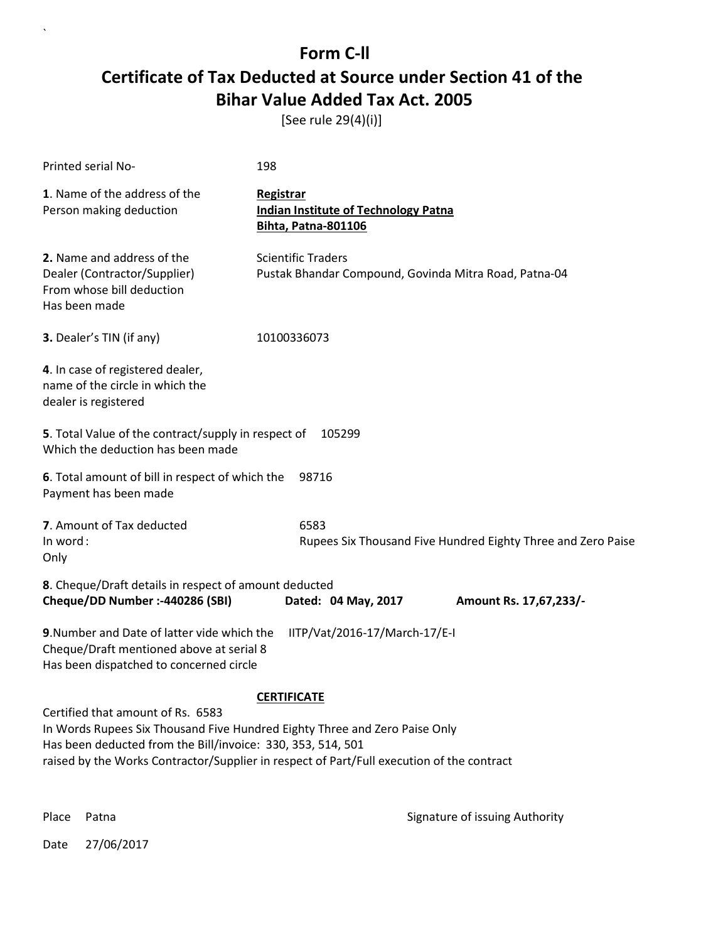[See rule 29(4)(i)]

| <b>Printed serial No-</b>                                                                                                                                                                                                                                                   | 198                                                                                |  |  |
|-----------------------------------------------------------------------------------------------------------------------------------------------------------------------------------------------------------------------------------------------------------------------------|------------------------------------------------------------------------------------|--|--|
| 1. Name of the address of the<br>Person making deduction                                                                                                                                                                                                                    | Registrar<br><b>Indian Institute of Technology Patna</b><br>Bihta, Patna-801106    |  |  |
| 2. Name and address of the<br>Dealer (Contractor/Supplier)<br>From whose bill deduction<br>Has been made                                                                                                                                                                    | <b>Scientific Traders</b><br>Pustak Bhandar Compound, Govinda Mitra Road, Patna-04 |  |  |
| 3. Dealer's TIN (if any)                                                                                                                                                                                                                                                    | 10100336073                                                                        |  |  |
| 4. In case of registered dealer,<br>name of the circle in which the<br>dealer is registered                                                                                                                                                                                 |                                                                                    |  |  |
| 5. Total Value of the contract/supply in respect of<br>105299<br>Which the deduction has been made                                                                                                                                                                          |                                                                                    |  |  |
| 6. Total amount of bill in respect of which the<br>98716<br>Payment has been made                                                                                                                                                                                           |                                                                                    |  |  |
| 7. Amount of Tax deducted<br>In word:<br>Only                                                                                                                                                                                                                               | 6583<br>Rupees Six Thousand Five Hundred Eighty Three and Zero Paise               |  |  |
| 8. Cheque/Draft details in respect of amount deducted<br>Cheque/DD Number :- 440286 (SBI)                                                                                                                                                                                   | Dated: 04 May, 2017<br>Amount Rs. 17,67,233/-                                      |  |  |
| 9. Number and Date of latter vide which the<br>Cheque/Draft mentioned above at serial 8<br>Has been dispatched to concerned circle                                                                                                                                          | IITP/Vat/2016-17/March-17/E-I                                                      |  |  |
| <b>CERTIFICATE</b>                                                                                                                                                                                                                                                          |                                                                                    |  |  |
| Certified that amount of Rs. 6583<br>In Words Rupees Six Thousand Five Hundred Eighty Three and Zero Paise Only<br>Has been deducted from the Bill/invoice: 330, 353, 514, 501<br>raised by the Works Contractor/Supplier in respect of Part/Full execution of the contract |                                                                                    |  |  |

 $\ddot{\phantom{0}}$ 

Place Patna **Property** Place Patna Signature of issuing Authority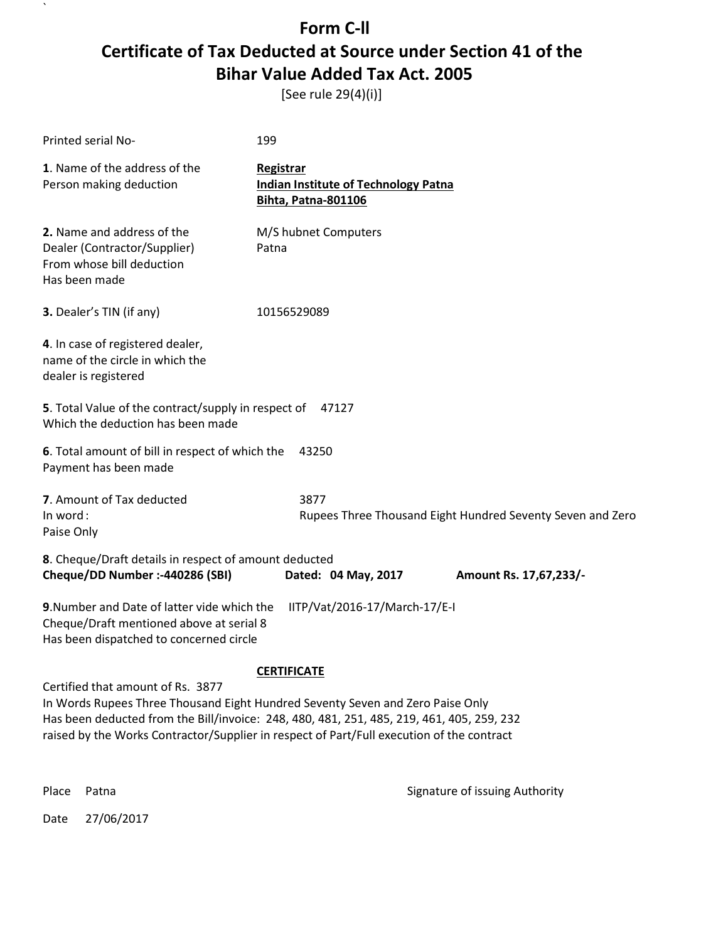[See rule 29(4)(i)]

| Printed serial No-                                                                                                                                                                                                                                                                                            | 199                                                                                           |                                                            |  |  |
|---------------------------------------------------------------------------------------------------------------------------------------------------------------------------------------------------------------------------------------------------------------------------------------------------------------|-----------------------------------------------------------------------------------------------|------------------------------------------------------------|--|--|
| 1. Name of the address of the<br>Person making deduction                                                                                                                                                                                                                                                      | <b>Registrar</b><br><b>Indian Institute of Technology Patna</b><br><b>Bihta, Patna-801106</b> |                                                            |  |  |
| 2. Name and address of the<br>Dealer (Contractor/Supplier)<br>From whose bill deduction<br>Has been made                                                                                                                                                                                                      | M/S hubnet Computers<br>Patna                                                                 |                                                            |  |  |
| 3. Dealer's TIN (if any)                                                                                                                                                                                                                                                                                      | 10156529089                                                                                   |                                                            |  |  |
| 4. In case of registered dealer,<br>name of the circle in which the<br>dealer is registered                                                                                                                                                                                                                   |                                                                                               |                                                            |  |  |
| 5. Total Value of the contract/supply in respect of<br>47127<br>Which the deduction has been made                                                                                                                                                                                                             |                                                                                               |                                                            |  |  |
| 6. Total amount of bill in respect of which the<br>43250<br>Payment has been made                                                                                                                                                                                                                             |                                                                                               |                                                            |  |  |
| 7. Amount of Tax deducted<br>In word:<br>Paise Only                                                                                                                                                                                                                                                           | 3877                                                                                          | Rupees Three Thousand Eight Hundred Seventy Seven and Zero |  |  |
| 8. Cheque/Draft details in respect of amount deducted<br>Cheque/DD Number :- 440286 (SBI)                                                                                                                                                                                                                     | Dated: 04 May, 2017                                                                           | Amount Rs. 17,67,233/-                                     |  |  |
| 9. Number and Date of latter vide which the<br>Cheque/Draft mentioned above at serial 8<br>Has been dispatched to concerned circle                                                                                                                                                                            | IITP/Vat/2016-17/March-17/E-I                                                                 |                                                            |  |  |
| <b>CERTIFICATE</b>                                                                                                                                                                                                                                                                                            |                                                                                               |                                                            |  |  |
| Certified that amount of Rs. 3877<br>In Words Rupees Three Thousand Eight Hundred Seventy Seven and Zero Paise Only<br>Has been deducted from the Bill/invoice: 248, 480, 481, 251, 485, 219, 461, 405, 259, 232<br>raised by the Works Contractor/Supplier in respect of Part/Full execution of the contract |                                                                                               |                                                            |  |  |
| Place<br>Patna                                                                                                                                                                                                                                                                                                |                                                                                               | Signature of issuing Authority                             |  |  |

Date 27/06/2017

 $\mathbf{v}$